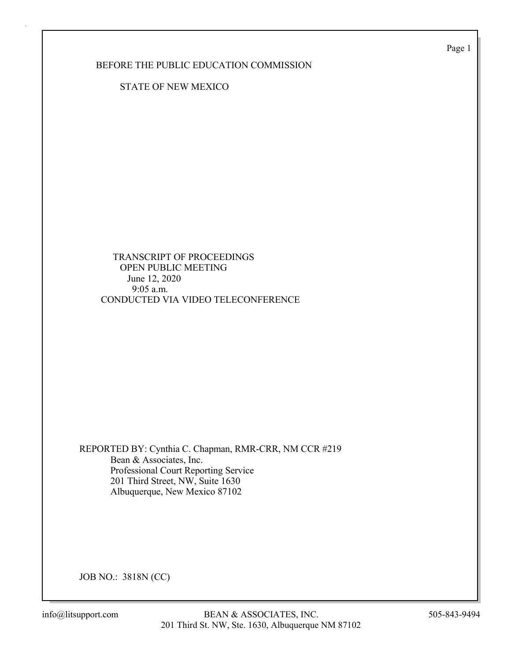Page 1

BEFORE THE PUBLIC EDUCATION COMMISSION

STATE OF NEW MEXICO

 TRANSCRIPT OF PROCEEDINGS OPEN PUBLIC MEETING June 12, 2020 9:05 a.m. CONDUCTED VIA VIDEO TELECONFERENCE

REPORTED BY: Cynthia C. Chapman, RMR-CRR, NM CCR #219 Bean & Associates, Inc. Professional Court Reporting Service 201 Third Street, NW, Suite 1630 Albuquerque, New Mexico 87102

JOB NO.: 3818N (CC)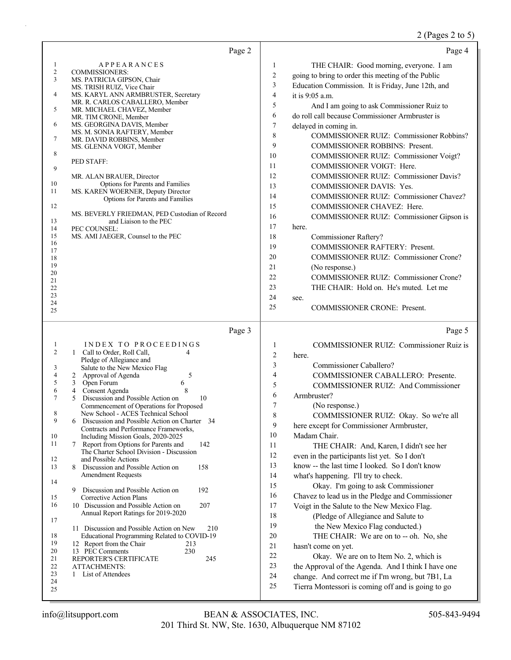### 2 (Pages 2 to 5)

| Page 2                                                                                                                                                                                                                                                                                                                                                                                                                                                                                                                                                                                                                                                                                                                                                                                                                                                                                                                                                                                                                                                                                                                                                                                                                                      | Page 4                                                                                                                                                                                                                                                                                                                                                                                                                                                                                                                                                                                                                                                                                                                                                                                                                                                                                                                                                                                                                                                                                                               |
|---------------------------------------------------------------------------------------------------------------------------------------------------------------------------------------------------------------------------------------------------------------------------------------------------------------------------------------------------------------------------------------------------------------------------------------------------------------------------------------------------------------------------------------------------------------------------------------------------------------------------------------------------------------------------------------------------------------------------------------------------------------------------------------------------------------------------------------------------------------------------------------------------------------------------------------------------------------------------------------------------------------------------------------------------------------------------------------------------------------------------------------------------------------------------------------------------------------------------------------------|----------------------------------------------------------------------------------------------------------------------------------------------------------------------------------------------------------------------------------------------------------------------------------------------------------------------------------------------------------------------------------------------------------------------------------------------------------------------------------------------------------------------------------------------------------------------------------------------------------------------------------------------------------------------------------------------------------------------------------------------------------------------------------------------------------------------------------------------------------------------------------------------------------------------------------------------------------------------------------------------------------------------------------------------------------------------------------------------------------------------|
| <b>APPEARANCES</b><br>$\mathbf{1}$<br>$\overline{c}$<br><b>COMMISSIONERS:</b><br>3<br>MS. PATRICIA GIPSON, Chair<br>MS. TRISH RUIZ, Vice Chair<br>4<br>MS. KARYL ANN ARMBRUSTER, Secretary<br>MR. R. CARLOS CABALLERO, Member<br>5<br>MR. MICHAEL CHAVEZ, Member<br>MR. TIM CRONE, Member<br>6<br>MS. GEORGINA DAVIS, Member<br>MS. M. SONIA RAFTERY, Member<br>7<br>MR. DAVID ROBBINS, Member<br>MS. GLENNA VOIGT, Member<br>8<br>PED STAFF:<br>9<br>MR. ALAN BRAUER, Director<br>10<br>Options for Parents and Families<br>MS. KAREN WOERNER, Deputy Director<br>11<br>Options for Parents and Families<br>12<br>MS. BEVERLY FRIEDMAN, PED Custodian of Record<br>13<br>and Liaison to the PEC<br>14<br>PEC COUNSEL:<br>15<br>MS. AMI JAEGER, Counsel to the PEC<br>16<br>17<br>18<br>19<br>20<br>21<br>22<br>23<br>24<br>25                                                                                                                                                                                                                                                                                                                                                                                                              | THE CHAIR: Good morning, everyone. I am<br>1<br>$\boldsymbol{2}$<br>going to bring to order this meeting of the Public<br>3<br>Education Commission. It is Friday, June 12th, and<br>4<br>it is 9:05 a.m.<br>5<br>And I am going to ask Commissioner Ruiz to<br>6<br>do roll call because Commissioner Armbruster is<br>$\boldsymbol{7}$<br>delayed in coming in.<br>8<br><b>COMMISSIONER RUIZ: Commissioner Robbins?</b><br>9<br>COMMISSIONER ROBBINS: Present.<br>10<br>COMMISSIONER RUIZ: Commissioner Voigt?<br>11<br>COMMISSIONER VOIGT: Here.<br>12<br><b>COMMISSIONER RUIZ: Commissioner Davis?</b><br>13<br>COMMISSIONER DAVIS: Yes.<br>14<br>COMMISSIONER RUIZ: Commissioner Chavez?<br>15<br>COMMISSIONER CHAVEZ: Here.<br>16<br>COMMISSIONER RUIZ: Commissioner Gipson is<br>17<br>here.<br>18<br>Commissioner Raftery?<br>19<br>COMMISSIONER RAFTERY: Present.<br>20<br><b>COMMISSIONER RUIZ: Commissioner Crone?</b><br>21<br>(No response.)<br>22<br>COMMISSIONER RUIZ: Commissioner Crone?<br>23<br>THE CHAIR: Hold on. He's muted. Let me<br>24<br>see.<br>25<br><b>COMMISSIONER CRONE: Present.</b> |
| Page 3<br><b>INDEX TO PROCEEDINGS</b><br>1<br>2<br>1 Call to Order, Roll Call,<br>4<br>Pledge of Allegiance and<br>Salute to the New Mexico Flag<br>3<br>4<br>5<br>2 Approval of Agenda<br>5<br>3 Open Forum<br>6<br>6<br>Consent Agenda<br>8<br>4<br>Discussion and Possible Action on<br>7<br>5<br>10<br>Commencement of Operations for Proposed<br>New School - ACES Technical School<br>8<br>9<br>Discussion and Possible Action on Charter 34<br>6<br>Contracts and Performance Frameworks,<br>10<br>Including Mission Goals, 2020-2025<br>11<br>7 Report from Options for Parents and<br>142<br>The Charter School Division - Discussion<br>12<br>and Possible Actions<br>13<br>158<br>Discussion and Possible Action on<br>8<br><b>Amendment Requests</b><br>14<br>192<br>Discussion and Possible Action on<br>9<br>Corrective Action Plans<br>15<br>16<br>207<br>10 Discussion and Possible Action on<br>Annual Report Ratings for 2019-2020<br>17<br>11 Discussion and Possible Action on New<br>210<br>18<br>Educational Programming Related to COVID-19<br>19<br>12 Report from the Chair<br>213<br>20<br>13 PEC Comments<br>230<br>21<br>REPORTER'S CERTIFICATE<br>245<br>22<br>ATTACHMENTS:<br>23<br>1 List of Attendees<br>24 | Page 5<br>1<br><b>COMMISSIONER RUIZ: Commissioner Ruiz is</b><br>$\overline{2}$<br>here.<br>3<br>Commissioner Caballero?<br>4<br>COMMISSIONER CABALLERO: Presente.<br>5<br>COMMISSIONER RUIZ: And Commissioner<br>6<br>Armbruster?<br>7<br>(No response.)<br>8<br>COMMISSIONER RUIZ: Okay. So we're all<br>9<br>here except for Commissioner Armbruster,<br>10<br>Madam Chair.<br>11<br>THE CHAIR: And, Karen, I didn't see her<br>$12\,$<br>even in the participants list yet. So I don't<br>13<br>know -- the last time I looked. So I don't know<br>14<br>what's happening. I'll try to check.<br>15<br>Okay. I'm going to ask Commissioner<br>16<br>Chavez to lead us in the Pledge and Commissioner<br>17<br>Voigt in the Salute to the New Mexico Flag.<br>18<br>(Pledge of Allegiance and Salute to<br>19<br>the New Mexico Flag conducted.)<br>20<br>THE CHAIR: We are on to -- oh. No, she<br>$21\,$<br>hasn't come on yet.<br>22<br>Okay. We are on to Item No. 2, which is<br>23<br>the Approval of the Agenda. And I think I have one<br>24<br>change. And correct me if I'm wrong, but 7B1, La<br>25    |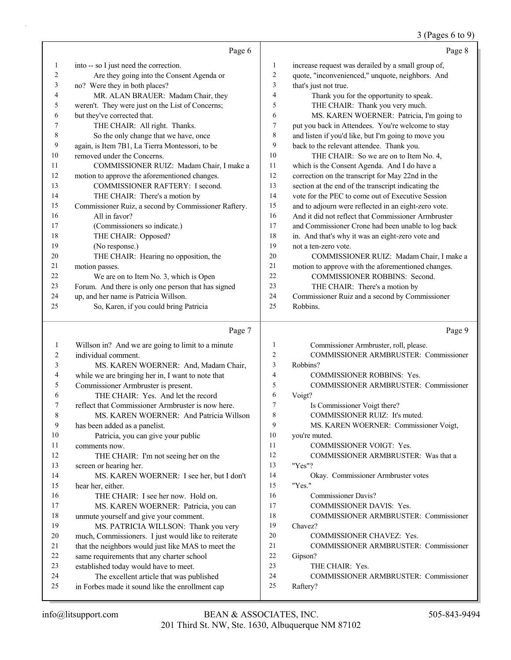#### 3 (Pages 6 to 9)

|    | Page 6                                               |                | Page 8                                               |
|----|------------------------------------------------------|----------------|------------------------------------------------------|
| 1  | into -- so I just need the correction.               | 1              | increase request was derailed by a small group of,   |
| 2  | Are they going into the Consent Agenda or            | 2              | quote, "inconvenienced," unquote, neighbors. And     |
| 3  | no? Were they in both places?                        | 3              | that's just not true.                                |
| 4  | MR. ALAN BRAUER: Madam Chair, they                   | 4              | Thank you for the opportunity to speak.              |
| 5  | weren't. They were just on the List of Concerns;     | 5              | THE CHAIR: Thank you very much.                      |
| 6  | but they've corrected that.                          | 6              | MS. KAREN WOERNER: Patricia, I'm going to            |
| 7  | THE CHAIR: All right. Thanks.                        | 7              | put you back in Attendees. You're welcome to stay    |
| 8  | So the only change that we have, once                | 8              | and listen if you'd like, but I'm going to move you  |
| 9  | again, is Item 7B1, La Tierra Montessori, to be      | 9              | back to the relevant attendee. Thank you.            |
| 10 | removed under the Concerns.                          | 10             | THE CHAIR: So we are on to Item No. 4,               |
| 11 | COMMISSIONER RUIZ: Madam Chair, I make a             | 11             | which is the Consent Agenda. And I do have a         |
| 12 | motion to approve the aforementioned changes.        | 12             | correction on the transcript for May 22nd in the     |
| 13 | COMMISSIONER RAFTERY: I second.                      | 13             | section at the end of the transcript indicating the  |
| 14 | THE CHAIR: There's a motion by                       | 14             | vote for the PEC to come out of Executive Session    |
| 15 | Commissioner Ruiz, a second by Commissioner Raftery. | 15             | and to adjourn were reflected in an eight-zero vote. |
| 16 | All in favor?                                        | 16             | And it did not reflect that Commissioner Armbruster  |
| 17 | (Commissioners so indicate.)                         | 17             | and Commissioner Crone had been unable to log back   |
| 18 | THE CHAIR: Opposed?                                  | 18             | in. And that's why it was an eight-zero vote and     |
| 19 | (No response.)                                       | 19             | not a ten-zero vote.                                 |
| 20 | THE CHAIR: Hearing no opposition, the                | 20             | COMMISSIONER RUIZ: Madam Chair, I make a             |
| 21 | motion passes.                                       | 21             | motion to approve with the aforementioned changes.   |
| 22 | We are on to Item No. 3, which is Open               | 22             | COMMISSIONER ROBBINS: Second.                        |
| 23 | Forum. And there is only one person that has signed  | 23             | THE CHAIR: There's a motion by                       |
| 24 | up, and her name is Patricia Willson.                | 24             | Commissioner Ruiz and a second by Commissioner       |
| 25 | So, Karen, if you could bring Patricia               | 25             | Robbins.                                             |
|    | Page 7                                               |                | Page 9                                               |
| 1  | Willson in? And we are going to limit to a minute    | 1              | Commissioner Armbruster, roll, please.               |
| 2  | individual comment.                                  | $\overline{c}$ | <b>COMMISSIONER ARMBRUSTER: Commissioner</b>         |
| 3  | MS. KAREN WOERNER: And, Madam Chair,                 | 3              | Robbins?                                             |
| 4  | while we are bringing her in, I want to note that    | 4              | <b>COMMISSIONER ROBBINS: Yes.</b>                    |
| 5  | Commissioner Armbruster is present.                  | 5              | <b>COMMISSIONER ARMBRUSTER: Commissioner</b>         |
| 6  | THE CHAIR: Yes. And let the record                   | 6              | Voigt?                                               |
| 7  | reflect that Commissioner Armbruster is now here.    | 7              | Is Commissioner Voigt there?                         |
| 8  | MS. KAREN WOERNER: And Patricia Willson              | 8              | COMMISSIONER RUIZ: It's muted.                       |
| 9  | has been added as a panelist.                        | 9              | MS. KAREN WOERNER: Commissioner Voigt,               |
| 10 | Patricia, you can give your public                   | 10             | you're muted.                                        |
| 11 | comments now.                                        | 11             | COMMISSIONER VOIGT: Yes.                             |
| 12 | THE CHAIR: I'm not seeing her on the                 | 12             | COMMISSIONER ARMBRUSTER: Was that a                  |
| 13 | screen or hearing her.                               | 13             | "Yes"?                                               |
| 14 | MS. KAREN WOERNER: I see her, but I don't            | 14             | Okay. Commissioner Armbruster votes                  |
| 15 | hear her, either.                                    | 15             | "Yes."                                               |

16 THE CHAIR: I see her now. Hold on. 17 MS. KAREN WOERNER: Patricia, you can

19 MS. PATRICIA WILLSON: Thank you very 20 much, Commissioners. I just would like to reiterate 21 that the neighbors would just like MAS to meet the

18 unmute yourself and give your comment.

 same requirements that any charter school established today would have to meet. 24 The excellent article that was published in Forbes made it sound like the enrollment cap 16 Commissioner Davis?

23 THE CHAIR: Yes.

19 Chavez?

22 Gipson?

25 Raftery?

17 COMMISSIONER DAVIS: Yes.

20 COMMISSIONER CHAVEZ: Yes.

18 COMMISSIONER ARMBRUSTER: Commissioner

21 COMMISSIONER ARMBRUSTER: Commissioner

24 COMMISSIONER ARMBRUSTER: Commissioner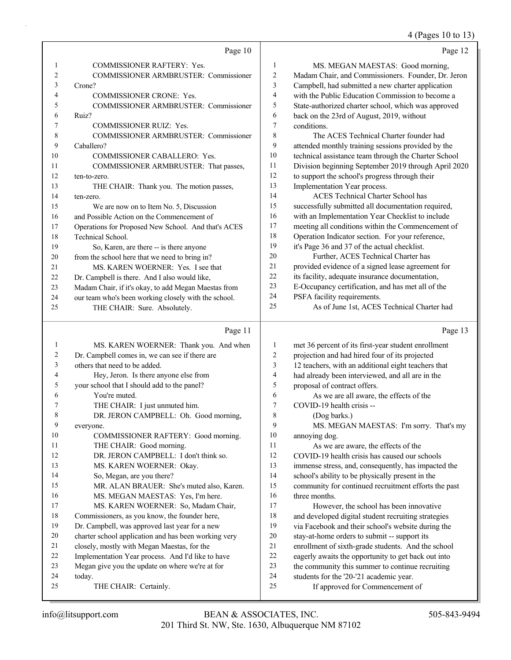#### 4 (Pages 10 to 13)

|    | Page 10                                              |                | Page 12                                              |
|----|------------------------------------------------------|----------------|------------------------------------------------------|
| 1  | COMMISSIONER RAFTERY: Yes.                           | $\mathbf{1}$   | MS. MEGAN MAESTAS: Good morning,                     |
| 2  | COMMISSIONER ARMBRUSTER: Commissioner                | 2              | Madam Chair, and Commissioners. Founder, Dr. Jeron   |
| 3  | Crone?                                               | 3              | Campbell, had submitted a new charter application    |
| 4  | <b>COMMISSIONER CRONE: Yes.</b>                      | $\overline{4}$ | with the Public Education Commission to become a     |
| 5  | COMMISSIONER ARMBRUSTER: Commissioner                | 5              | State-authorized charter school, which was approved  |
| 6  | Ruiz?                                                | 6              | back on the 23rd of August, 2019, without            |
| 7  | <b>COMMISSIONER RUIZ: Yes.</b>                       | 7              | conditions.                                          |
| 8  | COMMISSIONER ARMBRUSTER: Commissioner                | 8              | The ACES Technical Charter founder had               |
| 9  | Caballero?                                           | 9              | attended monthly training sessions provided by the   |
| 10 | COMMISSIONER CABALLERO: Yes.                         | 10             | technical assistance team through the Charter School |
| 11 | COMMISSIONER ARMBRUSTER: That passes,                | 11             | Division beginning September 2019 through April 2020 |
| 12 | ten-to-zero.                                         | 12             | to support the school's progress through their       |
| 13 | THE CHAIR: Thank you. The motion passes,             | 13             | Implementation Year process.                         |
| 14 | ten-zero.                                            | 14             | <b>ACES</b> Technical Charter School has             |
| 15 | We are now on to Item No. 5, Discussion              | 15             | successfully submitted all documentation required,   |
| 16 | and Possible Action on the Commencement of           | 16             | with an Implementation Year Checklist to include     |
| 17 | Operations for Proposed New School. And that's ACES  | 17             | meeting all conditions within the Commencement of    |
| 18 | Technical School.                                    | 18             | Operation Indicator section. For your reference,     |
| 19 | So, Karen, are there -- is there anyone              | 19             | it's Page 36 and 37 of the actual checklist.         |
| 20 | from the school here that we need to bring in?       | 20             | Further, ACES Technical Charter has                  |
| 21 | MS. KAREN WOERNER: Yes. I see that                   | 21             | provided evidence of a signed lease agreement for    |
| 22 | Dr. Campbell is there. And I also would like,        | 22             | its facility, adequate insurance documentation,      |
| 23 | Madam Chair, if it's okay, to add Megan Maestas from | 23             | E-Occupancy certification, and has met all of the    |
| 24 | our team who's been working closely with the school. | 24             | PSFA facility requirements.                          |
| 25 | THE CHAIR: Sure. Absolutely.                         | 25             | As of June 1st, ACES Technical Charter had           |
|    | Page 11                                              |                | Page 13                                              |
| 1  | MS. KAREN WOERNER: Thank you. And when               | $\mathbf{1}$   | met 36 percent of its first-year student enrollment  |
| 2  | Dr. Campbell comes in, we can see if there are       | 2              | projection and had hired four of its projected       |
| 3  | others that need to be added.                        | 3              | 12 teachers, with an additional eight teachers that  |
| 4  | Hey, Jeron. Is there anyone else from                | 4              | had already been interviewed, and all are in the     |
| 5  | your school that I should add to the panel?          | 5              | proposal of contract offers.                         |
| 6  | You're muted.                                        | 6              | As we are all aware, the effects of the              |

7 COVID-19 health crisis -- 8 (Dog barks.)

10 annoying dog.

16 three months.

9 MS. MEGAN MAESTAS: I'm sorry. That's my

11 As we are aware, the effects of the COVID-19 health crisis has caused our schools immense stress, and, consequently, has impacted the school's ability to be physically present in the community for continued recruitment efforts the past

17 However, the school has been innovative and developed digital student recruiting strategies via Facebook and their school's website during the stay-at-home orders to submit -- support its enrollment of sixth-grade students. And the school eagerly awaits the opportunity to get back out into the community this summer to continue recruiting

24 students for the '20-'21 academic year. 25 If approved for Commencement of

- 7 THE CHAIR: I just unmuted him.
- 8 DR. JERON CAMPBELL: Oh. Good morning,
- 9 everyone. 10 COMMISSIONER RAFTERY: Good morning. 11 THE CHAIR: Good morning.
- 12 DR. JERON CAMPBELL: I don't think so. 13 MS. KAREN WOERNER: Okay.
- 14 So, Megan, are you there?
- 15 MR. ALAN BRAUER: She's muted also, Karen.
- 16 MS. MEGAN MAESTAS: Yes, I'm here. 17 MS. KAREN WOERNER: So, Madam Chair,
- 18 Commissioners, as you know, the founder here,
- 19 Dr. Campbell, was approved last year for a new
- 20 charter school application and has been working very
- 21 closely, mostly with Megan Maestas, for the
- 22 Implementation Year process. And I'd like to have
- 23 Megan give you the update on where we're at for
- 24 today.
- 25 THE CHAIR: Certainly.
- 201 Third St. NW, Ste. 1630, Albuquerque NM 87102 info@litsupport.com BEAN & ASSOCIATES, INC. 505-843-9494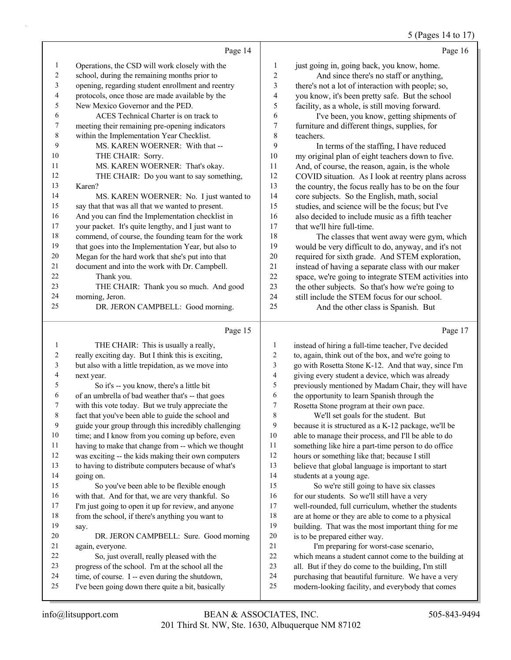### 5 (Pages 14 to 17)

|    | Page 14                                             |                | Page 16                                              |
|----|-----------------------------------------------------|----------------|------------------------------------------------------|
| 1  | Operations, the CSD will work closely with the      | 1              | just going in, going back, you know, home.           |
| 2  | school, during the remaining months prior to        | $\overline{2}$ | And since there's no staff or anything,              |
| 3  | opening, regarding student enrollment and reentry   | 3              | there's not a lot of interaction with people; so,    |
| 4  | protocols, once those are made available by the     | 4              | you know, it's been pretty safe. But the school      |
| 5  | New Mexico Governor and the PED.                    | 5              | facility, as a whole, is still moving forward.       |
| 6  | ACES Technical Charter is on track to               | 6              | I've been, you know, getting shipments of            |
| 7  | meeting their remaining pre-opening indicators      | 7              | furniture and different things, supplies, for        |
| 8  | within the Implementation Year Checklist.           | 8              | teachers.                                            |
| 9  | MS. KAREN WOERNER: With that --                     | 9              | In terms of the staffing, I have reduced             |
| 10 | THE CHAIR: Sorry.                                   | 10             | my original plan of eight teachers down to five.     |
| 11 | MS. KAREN WOERNER: That's okay.                     | 11             | And, of course, the reason, again, is the whole      |
| 12 | THE CHAIR: Do you want to say something,            | 12             | COVID situation. As I look at reentry plans across   |
| 13 | Karen?                                              | 13             | the country, the focus really has to be on the four  |
| 14 | MS. KAREN WOERNER: No. I just wanted to             | 14             | core subjects. So the English, math, social          |
| 15 | say that that was all that we wanted to present.    | 15             | studies, and science will be the focus; but I've     |
| 16 | And you can find the Implementation checklist in    | 16             | also decided to include music as a fifth teacher     |
| 17 | your packet. It's quite lengthy, and I just want to | 17             | that we'll hire full-time.                           |
| 18 | commend, of course, the founding team for the work  | 18             | The classes that went away were gym, which           |
| 19 | that goes into the Implementation Year, but also to | 19             | would be very difficult to do, anyway, and it's not  |
| 20 | Megan for the hard work that she's put into that    | 20             | required for sixth grade. And STEM exploration,      |
| 21 | document and into the work with Dr. Campbell.       | 21             | instead of having a separate class with our maker    |
| 22 | Thank you.                                          | 22             | space, we're going to integrate STEM activities into |
| 23 | THE CHAIR: Thank you so much. And good              | 23             | the other subjects. So that's how we're going to     |
| 24 | morning, Jeron.                                     | 24             | still include the STEM focus for our school.         |
| 25 | DR. JERON CAMPBELL: Good morning.                   | 25             | And the other class is Spanish. But                  |
|    | Page 15                                             |                | Page 17                                              |

|    | THE CHAIR: This is usually a really,                 | 1  | instead of hiring a full-time teacher, I've decided  |
|----|------------------------------------------------------|----|------------------------------------------------------|
| 2  | really exciting day. But I think this is exciting,   | 2  | to, again, think out of the box, and we're going to  |
| 3  | but also with a little trepidation, as we move into  | 3  | go with Rosetta Stone K-12. And that way, since I'm  |
| 4  | next year.                                           | 4  | giving every student a device, which was already     |
| 5  | So it's -- you know, there's a little bit            | 5  | previously mentioned by Madam Chair, they will have  |
| 6  | of an umbrella of bad weather that's -- that goes    | 6  | the opportunity to learn Spanish through the         |
| 7  | with this vote today. But we truly appreciate the    | 7  | Rosetta Stone program at their own pace.             |
| 8  | fact that you've been able to guide the school and   | 8  | We'll set goals for the student. But                 |
| 9  | guide your group through this incredibly challenging | 9  | because it is structured as a K-12 package, we'll be |
| 10 | time; and I know from you coming up before, even     | 10 | able to manage their process, and I'll be able to do |
| 11 | having to make that change from -- which we thought  | 11 | something like hire a part-time person to do office  |
| 12 | was exciting -- the kids making their own computers  | 12 | hours or something like that; because I still        |
| 13 | to having to distribute computers because of what's  | 13 | believe that global language is important to start   |
| 14 | going on.                                            | 14 | students at a young age.                             |
| 15 | So you've been able to be flexible enough            | 15 | So we're still going to have six classes             |
| 16 | with that. And for that, we are very thankful. So    | 16 | for our students. So we'll still have a very         |
| 17 | I'm just going to open it up for review, and anyone  | 17 | well-rounded, full curriculum, whether the students  |
| 18 | from the school, if there's anything you want to     | 18 | are at home or they are able to come to a physical   |
| 19 | say.                                                 | 19 | building. That was the most important thing for me   |
| 20 | DR. JERON CAMPBELL: Sure. Good morning               | 20 | is to be prepared either way.                        |
| 21 | again, everyone.                                     | 21 | I'm preparing for worst-case scenario,               |
| 22 | So, just overall, really pleased with the            | 22 | which means a student cannot come to the building at |
| 23 | progress of the school. I'm at the school all the    | 23 | all. But if they do come to the building, I'm still  |
| 24 | time, of course. I -- even during the shutdown,      | 24 | purchasing that beautiful furniture. We have a very  |
| 25 | I've been going down there quite a bit, basically    | 25 | modern-looking facility, and everybody that comes    |
|    |                                                      |    |                                                      |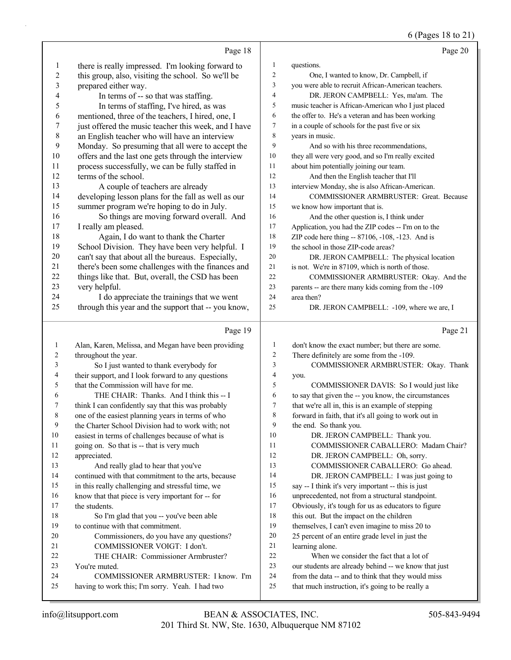6 (Pages 18 to 21)

|           | Page 18                                                                                     |                | Page 20                                                                                                |
|-----------|---------------------------------------------------------------------------------------------|----------------|--------------------------------------------------------------------------------------------------------|
| 1         | there is really impressed. I'm looking forward to                                           | $\mathbf{1}$   | questions.                                                                                             |
| 2         | this group, also, visiting the school. So we'll be                                          | $\overline{c}$ | One, I wanted to know, Dr. Campbell, if                                                                |
| 3         | prepared either way.                                                                        | 3              | you were able to recruit African-American teachers.                                                    |
| 4         | In terms of -- so that was staffing.                                                        | 4              | DR. JERON CAMPBELL: Yes, ma'am. The                                                                    |
| 5         | In terms of staffing, I've hired, as was                                                    | 5              | music teacher is African-American who I just placed                                                    |
| 6         | mentioned, three of the teachers, I hired, one, I                                           | 6              | the offer to. He's a veteran and has been working                                                      |
| 7         | just offered the music teacher this week, and I have                                        | 7              | in a couple of schools for the past five or six                                                        |
| $\,$ $\,$ | an English teacher who will have an interview                                               | 8              | years in music.                                                                                        |
| 9         | Monday. So presuming that all were to accept the                                            | 9              | And so with his three recommendations,                                                                 |
| 10        | offers and the last one gets through the interview                                          | 10             | they all were very good, and so I'm really excited                                                     |
| 11        | process successfully, we can be fully staffed in                                            | 11             | about him potentially joining our team.                                                                |
| 12        | terms of the school.                                                                        | 12             | And then the English teacher that I'll                                                                 |
| 13        | A couple of teachers are already                                                            | 13             | interview Monday, she is also African-American.                                                        |
| 14        | developing lesson plans for the fall as well as our                                         | 14             | COMMISSIONER ARMBRUSTER: Great. Because                                                                |
| 15        | summer program we're hoping to do in July.                                                  | 15             | we know how important that is.                                                                         |
| 16        | So things are moving forward overall. And                                                   | 16             | And the other question is, I think under                                                               |
| 17        | I really am pleased.                                                                        | 17             | Application, you had the ZIP codes -- I'm on to the                                                    |
| 18        | Again, I do want to thank the Charter                                                       | 18             | ZIP code here thing -- 87106, -108, -123. And is                                                       |
| 19        | School Division. They have been very helpful. I                                             | 19             | the school in those ZIP-code areas?                                                                    |
| 20        | can't say that about all the bureaus. Especially,                                           | 20             | DR. JERON CAMPBELL: The physical location                                                              |
| 21        | there's been some challenges with the finances and                                          | 21             | is not. We're in 87109, which is north of those.                                                       |
| 22        | things like that. But, overall, the CSD has been                                            | 22             | COMMISSIONER ARMBRUSTER: Okay. And the                                                                 |
| 23        | very helpful.                                                                               | 23             | parents -- are there many kids coming from the -109                                                    |
| 24        | I do appreciate the trainings that we went                                                  | 24             | area then?                                                                                             |
| 25        | through this year and the support that -- you know,                                         | 25             | DR. JERON CAMPBELL: -109, where we are, I                                                              |
|           |                                                                                             |                |                                                                                                        |
|           | Page 19                                                                                     |                | Page 21                                                                                                |
| 1         |                                                                                             | $\mathbf{1}$   |                                                                                                        |
| 2         | Alan, Karen, Melissa, and Megan have been providing                                         | 2              | don't know the exact number; but there are some.                                                       |
| 3         | throughout the year.                                                                        | 3              | There definitely are some from the -109.                                                               |
| 4         | So I just wanted to thank everybody for                                                     | 4              | COMMISSIONER ARMBRUSTER: Okay. Thank<br>you.                                                           |
| 5         | their support, and I look forward to any questions<br>that the Commission will have for me. | 5              | COMMISSIONER DAVIS: So I would just like                                                               |
| 6         | THE CHAIR: Thanks. And I think this -- I                                                    | 6              | to say that given the -- you know, the circumstances                                                   |
| 7         | think I can confidently say that this was probably                                          | 7              | that we're all in, this is an example of stepping                                                      |
| 8         | one of the easiest planning years in terms of who                                           | 8              | forward in faith, that it's all going to work out in                                                   |
| 9         | the Charter School Division had to work with; not                                           | 9              | the end. So thank you.                                                                                 |
| 10        | easiest in terms of challenges because of what is                                           | 10             | DR. JERON CAMPBELL: Thank you.                                                                         |
| 11        | going on. So that is -- that is very much                                                   | 11             | COMMISSIONER CABALLERO: Madam Chair?                                                                   |
| 12        | appreciated.                                                                                | 12             | DR. JERON CAMPBELL: Oh, sorry.                                                                         |
| 13        | And really glad to hear that you've                                                         | 13             | COMMISSIONER CABALLERO: Go ahead.                                                                      |
| 14        | continued with that commitment to the arts, because                                         | 14             | DR. JERON CAMPBELL: I was just going to                                                                |
| 15        | in this really challenging and stressful time, we                                           | 15             | say -- I think it's very important -- this is just                                                     |
| 16        | know that that piece is very important for -- for                                           | 16             | unprecedented, not from a structural standpoint.                                                       |
| 17        | the students.                                                                               | 17             | Obviously, it's tough for us as educators to figure                                                    |
| 18        | So I'm glad that you -- you've been able                                                    | 18             | this out. But the impact on the children                                                               |
| 19        | to continue with that commitment.                                                           | 19             | themselves, I can't even imagine to miss 20 to                                                         |
| 20        | Commissioners, do you have any questions?                                                   | 20             | 25 percent of an entire grade level in just the                                                        |
| 21        | COMMISSIONER VOIGT: I don't.                                                                | 21             | learning alone.                                                                                        |
| 22        | THE CHAIR: Commissioner Armbruster?                                                         | 22             | When we consider the fact that a lot of                                                                |
| 23        | You're muted.                                                                               | 23             | our students are already behind -- we know that just                                                   |
| 24<br>25  | COMMISSIONER ARMBRUSTER: I know. I'm<br>having to work this; I'm sorry. Yeah. I had two     | 24<br>25       | from the data -- and to think that they would miss<br>that much instruction, it's going to be really a |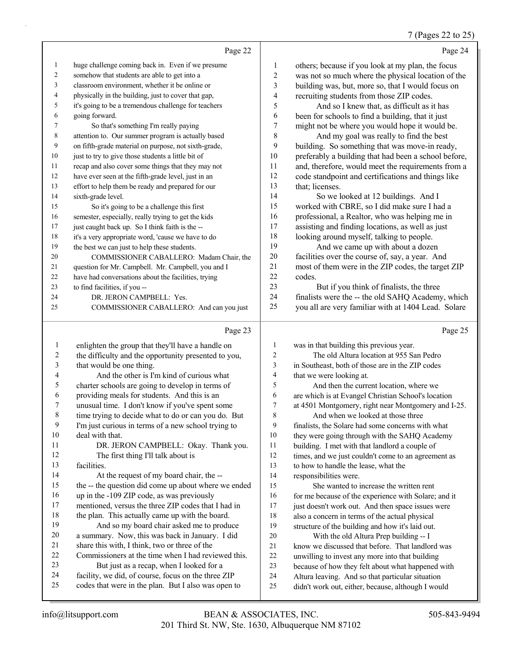#### 7 (Pages 22 to 25)

| $\mathbf{1}$<br>huge challenge coming back in. Even if we presume<br>$\mathbf{1}$<br>others; because if you look at my plan, the focus<br>$\overline{c}$<br>2<br>somehow that students are able to get into a<br>was not so much where the physical location of the<br>3<br>classroom environment, whether it be online or<br>3<br>building was, but, more so, that I would focus on<br>4<br>physically in the building, just to cover that gap,<br>recruiting students from those ZIP codes.<br>4<br>it's going to be a tremendous challenge for teachers<br>5<br>5<br>And so I knew that, as difficult as it has<br>6<br>going forward.<br>6<br>been for schools to find a building, that it just<br>7<br>might not be where you would hope it would be.<br>7<br>So that's something I'm really paying<br>8<br>attention to. Our summer program is actually based<br>8<br>And my goal was really to find the best<br>on fifth-grade material on purpose, not sixth-grade,<br>9<br>9<br>building. So something that was move-in ready,<br>10<br>just to try to give those students a little bit of<br>preferably a building that had been a school before,<br>10<br>11<br>recap and also cover some things that they may not<br>11<br>and, therefore, would meet the requirements from a<br>12<br>have ever seen at the fifth-grade level, just in an<br>code standpoint and certifications and things like<br>12<br>13<br>effort to help them be ready and prepared for our<br>that; licenses.<br>13<br>14<br>14<br>sixth-grade level.<br>So we looked at 12 buildings. And I<br>15<br>worked with CBRE, so I did make sure I had a<br>15<br>So it's going to be a challenge this first<br>16<br>professional, a Realtor, who was helping me in<br>16<br>semester, especially, really trying to get the kids<br>17<br>assisting and finding locations, as well as just<br>just caught back up. So I think faith is the --<br>17<br>18<br>looking around myself, talking to people.<br>18<br>it's a very appropriate word, 'cause we have to do<br>19<br>And we came up with about a dozen<br>the best we can just to help these students.<br>19<br>$20\,$<br>facilities over the course of, say, a year. And<br>20<br>COMMISSIONER CABALLERO: Madam Chair, the<br>$21\,$<br>most of them were in the ZIP codes, the target ZIP<br>question for Mr. Campbell. Mr. Campbell, you and I<br>21<br>22<br>codes.<br>have had conversations about the facilities, trying<br>22<br>23<br>But if you think of finalists, the three<br>23<br>to find facilities, if you --<br>24<br>finalists were the -- the old SAHQ Academy, which<br>24<br>DR. JERON CAMPBELL: Yes.<br>25<br>you all are very familiar with at 1404 Lead. Solare<br>25<br>COMMISSIONER CABALLERO: And can you just<br>Page 23<br>Page 25<br>enlighten the group that they'll have a handle on<br>$\mathbf{1}$<br>1<br>was in that building this previous year.<br>$\boldsymbol{2}$<br>$\boldsymbol{2}$<br>The old Altura location at 955 San Pedro<br>the difficulty and the opportunity presented to you,<br>$\mathfrak{Z}$<br>that would be one thing.<br>3<br>in Southeast, both of those are in the ZIP codes<br>$\overline{\mathbf{4}}$<br>And the other is I'm kind of curious what<br>$\overline{\mathcal{A}}$<br>that we were looking at.<br>5<br>5<br>charter schools are going to develop in terms of<br>And then the current location, where we<br>6<br>6<br>providing meals for students. And this is an<br>are which is at Evangel Christian School's location<br>7<br>7<br>unusual time. I don't know if you've spent some<br>at 4501 Montgomery, right near Montgomery and I-25.<br>$\,$ $\,$<br>time trying to decide what to do or can you do. But<br>$\,$ $\,$<br>And when we looked at those three<br>9<br>I'm just curious in terms of a new school trying to<br>9<br>finalists, the Solare had some concerns with what |
|---------------------------------------------------------------------------------------------------------------------------------------------------------------------------------------------------------------------------------------------------------------------------------------------------------------------------------------------------------------------------------------------------------------------------------------------------------------------------------------------------------------------------------------------------------------------------------------------------------------------------------------------------------------------------------------------------------------------------------------------------------------------------------------------------------------------------------------------------------------------------------------------------------------------------------------------------------------------------------------------------------------------------------------------------------------------------------------------------------------------------------------------------------------------------------------------------------------------------------------------------------------------------------------------------------------------------------------------------------------------------------------------------------------------------------------------------------------------------------------------------------------------------------------------------------------------------------------------------------------------------------------------------------------------------------------------------------------------------------------------------------------------------------------------------------------------------------------------------------------------------------------------------------------------------------------------------------------------------------------------------------------------------------------------------------------------------------------------------------------------------------------------------------------------------------------------------------------------------------------------------------------------------------------------------------------------------------------------------------------------------------------------------------------------------------------------------------------------------------------------------------------------------------------------------------------------------------------------------------------------------------------------------------------------------------------------------------------------------------------------------------------------------------------------------------------------------------------------------------------------------------------------------------------------------------------------------------------------------------------------------------------------------------------------------------------------------------------------------------------------------------------------------------------------------------------------------------------------------------------------------------------------------------------------------------------------------------------------------------------------------------------------------------------------------------------------------------------------------------------------------------------------------------------------------------------------------------------------------------------------------------------------------------------------------------------------------------------------------------------------------------------------------------------------------------------------------------------------------------------------------------------------------------|
|                                                                                                                                                                                                                                                                                                                                                                                                                                                                                                                                                                                                                                                                                                                                                                                                                                                                                                                                                                                                                                                                                                                                                                                                                                                                                                                                                                                                                                                                                                                                                                                                                                                                                                                                                                                                                                                                                                                                                                                                                                                                                                                                                                                                                                                                                                                                                                                                                                                                                                                                                                                                                                                                                                                                                                                                                                                                                                                                                                                                                                                                                                                                                                                                                                                                                                                                                                                                                                                                                                                                                                                                                                                                                                                                                                                                                                                                                                         |
|                                                                                                                                                                                                                                                                                                                                                                                                                                                                                                                                                                                                                                                                                                                                                                                                                                                                                                                                                                                                                                                                                                                                                                                                                                                                                                                                                                                                                                                                                                                                                                                                                                                                                                                                                                                                                                                                                                                                                                                                                                                                                                                                                                                                                                                                                                                                                                                                                                                                                                                                                                                                                                                                                                                                                                                                                                                                                                                                                                                                                                                                                                                                                                                                                                                                                                                                                                                                                                                                                                                                                                                                                                                                                                                                                                                                                                                                                                         |
|                                                                                                                                                                                                                                                                                                                                                                                                                                                                                                                                                                                                                                                                                                                                                                                                                                                                                                                                                                                                                                                                                                                                                                                                                                                                                                                                                                                                                                                                                                                                                                                                                                                                                                                                                                                                                                                                                                                                                                                                                                                                                                                                                                                                                                                                                                                                                                                                                                                                                                                                                                                                                                                                                                                                                                                                                                                                                                                                                                                                                                                                                                                                                                                                                                                                                                                                                                                                                                                                                                                                                                                                                                                                                                                                                                                                                                                                                                         |
|                                                                                                                                                                                                                                                                                                                                                                                                                                                                                                                                                                                                                                                                                                                                                                                                                                                                                                                                                                                                                                                                                                                                                                                                                                                                                                                                                                                                                                                                                                                                                                                                                                                                                                                                                                                                                                                                                                                                                                                                                                                                                                                                                                                                                                                                                                                                                                                                                                                                                                                                                                                                                                                                                                                                                                                                                                                                                                                                                                                                                                                                                                                                                                                                                                                                                                                                                                                                                                                                                                                                                                                                                                                                                                                                                                                                                                                                                                         |
|                                                                                                                                                                                                                                                                                                                                                                                                                                                                                                                                                                                                                                                                                                                                                                                                                                                                                                                                                                                                                                                                                                                                                                                                                                                                                                                                                                                                                                                                                                                                                                                                                                                                                                                                                                                                                                                                                                                                                                                                                                                                                                                                                                                                                                                                                                                                                                                                                                                                                                                                                                                                                                                                                                                                                                                                                                                                                                                                                                                                                                                                                                                                                                                                                                                                                                                                                                                                                                                                                                                                                                                                                                                                                                                                                                                                                                                                                                         |
|                                                                                                                                                                                                                                                                                                                                                                                                                                                                                                                                                                                                                                                                                                                                                                                                                                                                                                                                                                                                                                                                                                                                                                                                                                                                                                                                                                                                                                                                                                                                                                                                                                                                                                                                                                                                                                                                                                                                                                                                                                                                                                                                                                                                                                                                                                                                                                                                                                                                                                                                                                                                                                                                                                                                                                                                                                                                                                                                                                                                                                                                                                                                                                                                                                                                                                                                                                                                                                                                                                                                                                                                                                                                                                                                                                                                                                                                                                         |
|                                                                                                                                                                                                                                                                                                                                                                                                                                                                                                                                                                                                                                                                                                                                                                                                                                                                                                                                                                                                                                                                                                                                                                                                                                                                                                                                                                                                                                                                                                                                                                                                                                                                                                                                                                                                                                                                                                                                                                                                                                                                                                                                                                                                                                                                                                                                                                                                                                                                                                                                                                                                                                                                                                                                                                                                                                                                                                                                                                                                                                                                                                                                                                                                                                                                                                                                                                                                                                                                                                                                                                                                                                                                                                                                                                                                                                                                                                         |
|                                                                                                                                                                                                                                                                                                                                                                                                                                                                                                                                                                                                                                                                                                                                                                                                                                                                                                                                                                                                                                                                                                                                                                                                                                                                                                                                                                                                                                                                                                                                                                                                                                                                                                                                                                                                                                                                                                                                                                                                                                                                                                                                                                                                                                                                                                                                                                                                                                                                                                                                                                                                                                                                                                                                                                                                                                                                                                                                                                                                                                                                                                                                                                                                                                                                                                                                                                                                                                                                                                                                                                                                                                                                                                                                                                                                                                                                                                         |
|                                                                                                                                                                                                                                                                                                                                                                                                                                                                                                                                                                                                                                                                                                                                                                                                                                                                                                                                                                                                                                                                                                                                                                                                                                                                                                                                                                                                                                                                                                                                                                                                                                                                                                                                                                                                                                                                                                                                                                                                                                                                                                                                                                                                                                                                                                                                                                                                                                                                                                                                                                                                                                                                                                                                                                                                                                                                                                                                                                                                                                                                                                                                                                                                                                                                                                                                                                                                                                                                                                                                                                                                                                                                                                                                                                                                                                                                                                         |
|                                                                                                                                                                                                                                                                                                                                                                                                                                                                                                                                                                                                                                                                                                                                                                                                                                                                                                                                                                                                                                                                                                                                                                                                                                                                                                                                                                                                                                                                                                                                                                                                                                                                                                                                                                                                                                                                                                                                                                                                                                                                                                                                                                                                                                                                                                                                                                                                                                                                                                                                                                                                                                                                                                                                                                                                                                                                                                                                                                                                                                                                                                                                                                                                                                                                                                                                                                                                                                                                                                                                                                                                                                                                                                                                                                                                                                                                                                         |
|                                                                                                                                                                                                                                                                                                                                                                                                                                                                                                                                                                                                                                                                                                                                                                                                                                                                                                                                                                                                                                                                                                                                                                                                                                                                                                                                                                                                                                                                                                                                                                                                                                                                                                                                                                                                                                                                                                                                                                                                                                                                                                                                                                                                                                                                                                                                                                                                                                                                                                                                                                                                                                                                                                                                                                                                                                                                                                                                                                                                                                                                                                                                                                                                                                                                                                                                                                                                                                                                                                                                                                                                                                                                                                                                                                                                                                                                                                         |
|                                                                                                                                                                                                                                                                                                                                                                                                                                                                                                                                                                                                                                                                                                                                                                                                                                                                                                                                                                                                                                                                                                                                                                                                                                                                                                                                                                                                                                                                                                                                                                                                                                                                                                                                                                                                                                                                                                                                                                                                                                                                                                                                                                                                                                                                                                                                                                                                                                                                                                                                                                                                                                                                                                                                                                                                                                                                                                                                                                                                                                                                                                                                                                                                                                                                                                                                                                                                                                                                                                                                                                                                                                                                                                                                                                                                                                                                                                         |
|                                                                                                                                                                                                                                                                                                                                                                                                                                                                                                                                                                                                                                                                                                                                                                                                                                                                                                                                                                                                                                                                                                                                                                                                                                                                                                                                                                                                                                                                                                                                                                                                                                                                                                                                                                                                                                                                                                                                                                                                                                                                                                                                                                                                                                                                                                                                                                                                                                                                                                                                                                                                                                                                                                                                                                                                                                                                                                                                                                                                                                                                                                                                                                                                                                                                                                                                                                                                                                                                                                                                                                                                                                                                                                                                                                                                                                                                                                         |
|                                                                                                                                                                                                                                                                                                                                                                                                                                                                                                                                                                                                                                                                                                                                                                                                                                                                                                                                                                                                                                                                                                                                                                                                                                                                                                                                                                                                                                                                                                                                                                                                                                                                                                                                                                                                                                                                                                                                                                                                                                                                                                                                                                                                                                                                                                                                                                                                                                                                                                                                                                                                                                                                                                                                                                                                                                                                                                                                                                                                                                                                                                                                                                                                                                                                                                                                                                                                                                                                                                                                                                                                                                                                                                                                                                                                                                                                                                         |
|                                                                                                                                                                                                                                                                                                                                                                                                                                                                                                                                                                                                                                                                                                                                                                                                                                                                                                                                                                                                                                                                                                                                                                                                                                                                                                                                                                                                                                                                                                                                                                                                                                                                                                                                                                                                                                                                                                                                                                                                                                                                                                                                                                                                                                                                                                                                                                                                                                                                                                                                                                                                                                                                                                                                                                                                                                                                                                                                                                                                                                                                                                                                                                                                                                                                                                                                                                                                                                                                                                                                                                                                                                                                                                                                                                                                                                                                                                         |
|                                                                                                                                                                                                                                                                                                                                                                                                                                                                                                                                                                                                                                                                                                                                                                                                                                                                                                                                                                                                                                                                                                                                                                                                                                                                                                                                                                                                                                                                                                                                                                                                                                                                                                                                                                                                                                                                                                                                                                                                                                                                                                                                                                                                                                                                                                                                                                                                                                                                                                                                                                                                                                                                                                                                                                                                                                                                                                                                                                                                                                                                                                                                                                                                                                                                                                                                                                                                                                                                                                                                                                                                                                                                                                                                                                                                                                                                                                         |
|                                                                                                                                                                                                                                                                                                                                                                                                                                                                                                                                                                                                                                                                                                                                                                                                                                                                                                                                                                                                                                                                                                                                                                                                                                                                                                                                                                                                                                                                                                                                                                                                                                                                                                                                                                                                                                                                                                                                                                                                                                                                                                                                                                                                                                                                                                                                                                                                                                                                                                                                                                                                                                                                                                                                                                                                                                                                                                                                                                                                                                                                                                                                                                                                                                                                                                                                                                                                                                                                                                                                                                                                                                                                                                                                                                                                                                                                                                         |
|                                                                                                                                                                                                                                                                                                                                                                                                                                                                                                                                                                                                                                                                                                                                                                                                                                                                                                                                                                                                                                                                                                                                                                                                                                                                                                                                                                                                                                                                                                                                                                                                                                                                                                                                                                                                                                                                                                                                                                                                                                                                                                                                                                                                                                                                                                                                                                                                                                                                                                                                                                                                                                                                                                                                                                                                                                                                                                                                                                                                                                                                                                                                                                                                                                                                                                                                                                                                                                                                                                                                                                                                                                                                                                                                                                                                                                                                                                         |
|                                                                                                                                                                                                                                                                                                                                                                                                                                                                                                                                                                                                                                                                                                                                                                                                                                                                                                                                                                                                                                                                                                                                                                                                                                                                                                                                                                                                                                                                                                                                                                                                                                                                                                                                                                                                                                                                                                                                                                                                                                                                                                                                                                                                                                                                                                                                                                                                                                                                                                                                                                                                                                                                                                                                                                                                                                                                                                                                                                                                                                                                                                                                                                                                                                                                                                                                                                                                                                                                                                                                                                                                                                                                                                                                                                                                                                                                                                         |
|                                                                                                                                                                                                                                                                                                                                                                                                                                                                                                                                                                                                                                                                                                                                                                                                                                                                                                                                                                                                                                                                                                                                                                                                                                                                                                                                                                                                                                                                                                                                                                                                                                                                                                                                                                                                                                                                                                                                                                                                                                                                                                                                                                                                                                                                                                                                                                                                                                                                                                                                                                                                                                                                                                                                                                                                                                                                                                                                                                                                                                                                                                                                                                                                                                                                                                                                                                                                                                                                                                                                                                                                                                                                                                                                                                                                                                                                                                         |
|                                                                                                                                                                                                                                                                                                                                                                                                                                                                                                                                                                                                                                                                                                                                                                                                                                                                                                                                                                                                                                                                                                                                                                                                                                                                                                                                                                                                                                                                                                                                                                                                                                                                                                                                                                                                                                                                                                                                                                                                                                                                                                                                                                                                                                                                                                                                                                                                                                                                                                                                                                                                                                                                                                                                                                                                                                                                                                                                                                                                                                                                                                                                                                                                                                                                                                                                                                                                                                                                                                                                                                                                                                                                                                                                                                                                                                                                                                         |
|                                                                                                                                                                                                                                                                                                                                                                                                                                                                                                                                                                                                                                                                                                                                                                                                                                                                                                                                                                                                                                                                                                                                                                                                                                                                                                                                                                                                                                                                                                                                                                                                                                                                                                                                                                                                                                                                                                                                                                                                                                                                                                                                                                                                                                                                                                                                                                                                                                                                                                                                                                                                                                                                                                                                                                                                                                                                                                                                                                                                                                                                                                                                                                                                                                                                                                                                                                                                                                                                                                                                                                                                                                                                                                                                                                                                                                                                                                         |
|                                                                                                                                                                                                                                                                                                                                                                                                                                                                                                                                                                                                                                                                                                                                                                                                                                                                                                                                                                                                                                                                                                                                                                                                                                                                                                                                                                                                                                                                                                                                                                                                                                                                                                                                                                                                                                                                                                                                                                                                                                                                                                                                                                                                                                                                                                                                                                                                                                                                                                                                                                                                                                                                                                                                                                                                                                                                                                                                                                                                                                                                                                                                                                                                                                                                                                                                                                                                                                                                                                                                                                                                                                                                                                                                                                                                                                                                                                         |
|                                                                                                                                                                                                                                                                                                                                                                                                                                                                                                                                                                                                                                                                                                                                                                                                                                                                                                                                                                                                                                                                                                                                                                                                                                                                                                                                                                                                                                                                                                                                                                                                                                                                                                                                                                                                                                                                                                                                                                                                                                                                                                                                                                                                                                                                                                                                                                                                                                                                                                                                                                                                                                                                                                                                                                                                                                                                                                                                                                                                                                                                                                                                                                                                                                                                                                                                                                                                                                                                                                                                                                                                                                                                                                                                                                                                                                                                                                         |
|                                                                                                                                                                                                                                                                                                                                                                                                                                                                                                                                                                                                                                                                                                                                                                                                                                                                                                                                                                                                                                                                                                                                                                                                                                                                                                                                                                                                                                                                                                                                                                                                                                                                                                                                                                                                                                                                                                                                                                                                                                                                                                                                                                                                                                                                                                                                                                                                                                                                                                                                                                                                                                                                                                                                                                                                                                                                                                                                                                                                                                                                                                                                                                                                                                                                                                                                                                                                                                                                                                                                                                                                                                                                                                                                                                                                                                                                                                         |
|                                                                                                                                                                                                                                                                                                                                                                                                                                                                                                                                                                                                                                                                                                                                                                                                                                                                                                                                                                                                                                                                                                                                                                                                                                                                                                                                                                                                                                                                                                                                                                                                                                                                                                                                                                                                                                                                                                                                                                                                                                                                                                                                                                                                                                                                                                                                                                                                                                                                                                                                                                                                                                                                                                                                                                                                                                                                                                                                                                                                                                                                                                                                                                                                                                                                                                                                                                                                                                                                                                                                                                                                                                                                                                                                                                                                                                                                                                         |
|                                                                                                                                                                                                                                                                                                                                                                                                                                                                                                                                                                                                                                                                                                                                                                                                                                                                                                                                                                                                                                                                                                                                                                                                                                                                                                                                                                                                                                                                                                                                                                                                                                                                                                                                                                                                                                                                                                                                                                                                                                                                                                                                                                                                                                                                                                                                                                                                                                                                                                                                                                                                                                                                                                                                                                                                                                                                                                                                                                                                                                                                                                                                                                                                                                                                                                                                                                                                                                                                                                                                                                                                                                                                                                                                                                                                                                                                                                         |
|                                                                                                                                                                                                                                                                                                                                                                                                                                                                                                                                                                                                                                                                                                                                                                                                                                                                                                                                                                                                                                                                                                                                                                                                                                                                                                                                                                                                                                                                                                                                                                                                                                                                                                                                                                                                                                                                                                                                                                                                                                                                                                                                                                                                                                                                                                                                                                                                                                                                                                                                                                                                                                                                                                                                                                                                                                                                                                                                                                                                                                                                                                                                                                                                                                                                                                                                                                                                                                                                                                                                                                                                                                                                                                                                                                                                                                                                                                         |
|                                                                                                                                                                                                                                                                                                                                                                                                                                                                                                                                                                                                                                                                                                                                                                                                                                                                                                                                                                                                                                                                                                                                                                                                                                                                                                                                                                                                                                                                                                                                                                                                                                                                                                                                                                                                                                                                                                                                                                                                                                                                                                                                                                                                                                                                                                                                                                                                                                                                                                                                                                                                                                                                                                                                                                                                                                                                                                                                                                                                                                                                                                                                                                                                                                                                                                                                                                                                                                                                                                                                                                                                                                                                                                                                                                                                                                                                                                         |
|                                                                                                                                                                                                                                                                                                                                                                                                                                                                                                                                                                                                                                                                                                                                                                                                                                                                                                                                                                                                                                                                                                                                                                                                                                                                                                                                                                                                                                                                                                                                                                                                                                                                                                                                                                                                                                                                                                                                                                                                                                                                                                                                                                                                                                                                                                                                                                                                                                                                                                                                                                                                                                                                                                                                                                                                                                                                                                                                                                                                                                                                                                                                                                                                                                                                                                                                                                                                                                                                                                                                                                                                                                                                                                                                                                                                                                                                                                         |
|                                                                                                                                                                                                                                                                                                                                                                                                                                                                                                                                                                                                                                                                                                                                                                                                                                                                                                                                                                                                                                                                                                                                                                                                                                                                                                                                                                                                                                                                                                                                                                                                                                                                                                                                                                                                                                                                                                                                                                                                                                                                                                                                                                                                                                                                                                                                                                                                                                                                                                                                                                                                                                                                                                                                                                                                                                                                                                                                                                                                                                                                                                                                                                                                                                                                                                                                                                                                                                                                                                                                                                                                                                                                                                                                                                                                                                                                                                         |
|                                                                                                                                                                                                                                                                                                                                                                                                                                                                                                                                                                                                                                                                                                                                                                                                                                                                                                                                                                                                                                                                                                                                                                                                                                                                                                                                                                                                                                                                                                                                                                                                                                                                                                                                                                                                                                                                                                                                                                                                                                                                                                                                                                                                                                                                                                                                                                                                                                                                                                                                                                                                                                                                                                                                                                                                                                                                                                                                                                                                                                                                                                                                                                                                                                                                                                                                                                                                                                                                                                                                                                                                                                                                                                                                                                                                                                                                                                         |
|                                                                                                                                                                                                                                                                                                                                                                                                                                                                                                                                                                                                                                                                                                                                                                                                                                                                                                                                                                                                                                                                                                                                                                                                                                                                                                                                                                                                                                                                                                                                                                                                                                                                                                                                                                                                                                                                                                                                                                                                                                                                                                                                                                                                                                                                                                                                                                                                                                                                                                                                                                                                                                                                                                                                                                                                                                                                                                                                                                                                                                                                                                                                                                                                                                                                                                                                                                                                                                                                                                                                                                                                                                                                                                                                                                                                                                                                                                         |
|                                                                                                                                                                                                                                                                                                                                                                                                                                                                                                                                                                                                                                                                                                                                                                                                                                                                                                                                                                                                                                                                                                                                                                                                                                                                                                                                                                                                                                                                                                                                                                                                                                                                                                                                                                                                                                                                                                                                                                                                                                                                                                                                                                                                                                                                                                                                                                                                                                                                                                                                                                                                                                                                                                                                                                                                                                                                                                                                                                                                                                                                                                                                                                                                                                                                                                                                                                                                                                                                                                                                                                                                                                                                                                                                                                                                                                                                                                         |
|                                                                                                                                                                                                                                                                                                                                                                                                                                                                                                                                                                                                                                                                                                                                                                                                                                                                                                                                                                                                                                                                                                                                                                                                                                                                                                                                                                                                                                                                                                                                                                                                                                                                                                                                                                                                                                                                                                                                                                                                                                                                                                                                                                                                                                                                                                                                                                                                                                                                                                                                                                                                                                                                                                                                                                                                                                                                                                                                                                                                                                                                                                                                                                                                                                                                                                                                                                                                                                                                                                                                                                                                                                                                                                                                                                                                                                                                                                         |
| $10\,$<br>deal with that.<br>$10\,$<br>they were going through with the SAHQ Academy                                                                                                                                                                                                                                                                                                                                                                                                                                                                                                                                                                                                                                                                                                                                                                                                                                                                                                                                                                                                                                                                                                                                                                                                                                                                                                                                                                                                                                                                                                                                                                                                                                                                                                                                                                                                                                                                                                                                                                                                                                                                                                                                                                                                                                                                                                                                                                                                                                                                                                                                                                                                                                                                                                                                                                                                                                                                                                                                                                                                                                                                                                                                                                                                                                                                                                                                                                                                                                                                                                                                                                                                                                                                                                                                                                                                                    |
| 11<br>DR. JERON CAMPBELL: Okay. Thank you.<br>11<br>building. I met with that landlord a couple of                                                                                                                                                                                                                                                                                                                                                                                                                                                                                                                                                                                                                                                                                                                                                                                                                                                                                                                                                                                                                                                                                                                                                                                                                                                                                                                                                                                                                                                                                                                                                                                                                                                                                                                                                                                                                                                                                                                                                                                                                                                                                                                                                                                                                                                                                                                                                                                                                                                                                                                                                                                                                                                                                                                                                                                                                                                                                                                                                                                                                                                                                                                                                                                                                                                                                                                                                                                                                                                                                                                                                                                                                                                                                                                                                                                                      |
| 12<br>$12\,$<br>The first thing I'll talk about is<br>times, and we just couldn't come to an agreement as                                                                                                                                                                                                                                                                                                                                                                                                                                                                                                                                                                                                                                                                                                                                                                                                                                                                                                                                                                                                                                                                                                                                                                                                                                                                                                                                                                                                                                                                                                                                                                                                                                                                                                                                                                                                                                                                                                                                                                                                                                                                                                                                                                                                                                                                                                                                                                                                                                                                                                                                                                                                                                                                                                                                                                                                                                                                                                                                                                                                                                                                                                                                                                                                                                                                                                                                                                                                                                                                                                                                                                                                                                                                                                                                                                                               |
| 13<br>facilities.<br>13<br>to how to handle the lease, what the                                                                                                                                                                                                                                                                                                                                                                                                                                                                                                                                                                                                                                                                                                                                                                                                                                                                                                                                                                                                                                                                                                                                                                                                                                                                                                                                                                                                                                                                                                                                                                                                                                                                                                                                                                                                                                                                                                                                                                                                                                                                                                                                                                                                                                                                                                                                                                                                                                                                                                                                                                                                                                                                                                                                                                                                                                                                                                                                                                                                                                                                                                                                                                                                                                                                                                                                                                                                                                                                                                                                                                                                                                                                                                                                                                                                                                         |
| 14<br>At the request of my board chair, the --<br>14<br>responsibilities were.                                                                                                                                                                                                                                                                                                                                                                                                                                                                                                                                                                                                                                                                                                                                                                                                                                                                                                                                                                                                                                                                                                                                                                                                                                                                                                                                                                                                                                                                                                                                                                                                                                                                                                                                                                                                                                                                                                                                                                                                                                                                                                                                                                                                                                                                                                                                                                                                                                                                                                                                                                                                                                                                                                                                                                                                                                                                                                                                                                                                                                                                                                                                                                                                                                                                                                                                                                                                                                                                                                                                                                                                                                                                                                                                                                                                                          |
| 15<br>the -- the question did come up about where we ended<br>15<br>She wanted to increase the written rent                                                                                                                                                                                                                                                                                                                                                                                                                                                                                                                                                                                                                                                                                                                                                                                                                                                                                                                                                                                                                                                                                                                                                                                                                                                                                                                                                                                                                                                                                                                                                                                                                                                                                                                                                                                                                                                                                                                                                                                                                                                                                                                                                                                                                                                                                                                                                                                                                                                                                                                                                                                                                                                                                                                                                                                                                                                                                                                                                                                                                                                                                                                                                                                                                                                                                                                                                                                                                                                                                                                                                                                                                                                                                                                                                                                             |
| 16<br>up in the -109 ZIP code, as was previously<br>16<br>for me because of the experience with Solare; and it<br>17<br>mentioned, versus the three ZIP codes that I had in                                                                                                                                                                                                                                                                                                                                                                                                                                                                                                                                                                                                                                                                                                                                                                                                                                                                                                                                                                                                                                                                                                                                                                                                                                                                                                                                                                                                                                                                                                                                                                                                                                                                                                                                                                                                                                                                                                                                                                                                                                                                                                                                                                                                                                                                                                                                                                                                                                                                                                                                                                                                                                                                                                                                                                                                                                                                                                                                                                                                                                                                                                                                                                                                                                                                                                                                                                                                                                                                                                                                                                                                                                                                                                                             |
| 17                                                                                                                                                                                                                                                                                                                                                                                                                                                                                                                                                                                                                                                                                                                                                                                                                                                                                                                                                                                                                                                                                                                                                                                                                                                                                                                                                                                                                                                                                                                                                                                                                                                                                                                                                                                                                                                                                                                                                                                                                                                                                                                                                                                                                                                                                                                                                                                                                                                                                                                                                                                                                                                                                                                                                                                                                                                                                                                                                                                                                                                                                                                                                                                                                                                                                                                                                                                                                                                                                                                                                                                                                                                                                                                                                                                                                                                                                                      |
| just doesn't work out. And then space issues were                                                                                                                                                                                                                                                                                                                                                                                                                                                                                                                                                                                                                                                                                                                                                                                                                                                                                                                                                                                                                                                                                                                                                                                                                                                                                                                                                                                                                                                                                                                                                                                                                                                                                                                                                                                                                                                                                                                                                                                                                                                                                                                                                                                                                                                                                                                                                                                                                                                                                                                                                                                                                                                                                                                                                                                                                                                                                                                                                                                                                                                                                                                                                                                                                                                                                                                                                                                                                                                                                                                                                                                                                                                                                                                                                                                                                                                       |
| $18\,$<br>the plan. This actually came up with the board.<br>$18\,$<br>also a concern in terms of the actual physical                                                                                                                                                                                                                                                                                                                                                                                                                                                                                                                                                                                                                                                                                                                                                                                                                                                                                                                                                                                                                                                                                                                                                                                                                                                                                                                                                                                                                                                                                                                                                                                                                                                                                                                                                                                                                                                                                                                                                                                                                                                                                                                                                                                                                                                                                                                                                                                                                                                                                                                                                                                                                                                                                                                                                                                                                                                                                                                                                                                                                                                                                                                                                                                                                                                                                                                                                                                                                                                                                                                                                                                                                                                                                                                                                                                   |
| 19<br>And so my board chair asked me to produce<br>19<br>structure of the building and how it's laid out.<br>$20\,$<br>a summary. Now, this was back in January. I did<br>$20\,$<br>With the old Altura Prep building -- I                                                                                                                                                                                                                                                                                                                                                                                                                                                                                                                                                                                                                                                                                                                                                                                                                                                                                                                                                                                                                                                                                                                                                                                                                                                                                                                                                                                                                                                                                                                                                                                                                                                                                                                                                                                                                                                                                                                                                                                                                                                                                                                                                                                                                                                                                                                                                                                                                                                                                                                                                                                                                                                                                                                                                                                                                                                                                                                                                                                                                                                                                                                                                                                                                                                                                                                                                                                                                                                                                                                                                                                                                                                                              |

- 21 know we discussed that before. That landlord was<br>22 unwilling to invest any more into that building unwilling to invest any more into that building
	- because of how they felt about what happened with
	- Altura leaving. And so that particular situation
	- didn't work out, either, because, although I would

 Commissioners at the time when I had reviewed this. 23 But just as a recap, when I looked for a facility, we did, of course, focus on the three ZIP codes that were in the plan. But I also was open to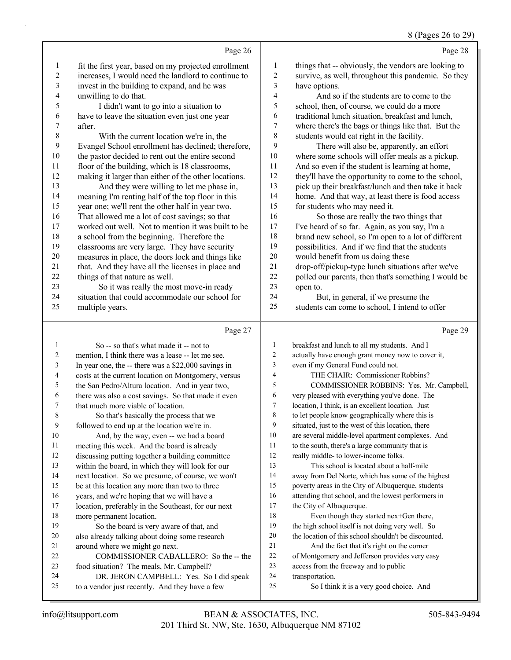#### 8 (Pages 26 to 29)

- Page 28 things that -- obviously, the vendors are looking to survive, as well, throughout this pandemic. So they have options. 4 And so if the students are to come to the school, then, of course, we could do a more traditional lunch situation, breakfast and lunch, where there's the bags or things like that. But the students would eat right in the facility. 9 There will also be, apparently, an effort where some schools will offer meals as a pickup. And so even if the student is learning at home, they'll have the opportunity to come to the school, pick up their breakfast/lunch and then take it back home. And that way, at least there is food access for students who may need it. 16 So those are really the two things that
	- I've heard of so far. Again, as you say, I'm a brand new school, so I'm open to a lot of different
	- possibilities. And if we find that the students
	- would benefit from us doing these drop-off/pickup-type lunch situations after we've polled our parents, then that's something I would be

## open to. 24 But, in general, if we presume the

students can come to school, I intend to offer

### Page 27

Page 26

 fit the first year, based on my projected enrollment increases, I would need the landlord to continue to invest in the building to expand, and he was

5 I didn't want to go into a situation to have to leave the situation even just one year

8 With the current location we're in, the Evangel School enrollment has declined; therefore, the pastor decided to rent out the entire second floor of the building, which is 18 classrooms, making it larger than either of the other locations. 13 And they were willing to let me phase in, meaning I'm renting half of the top floor in this year one; we'll rent the other half in year two. That allowed me a lot of cost savings; so that worked out well. Not to mention it was built to be a school from the beginning. Therefore the 19 classrooms are very large. They have security<br>20 measures in place, the doors lock and things lil

measures in place, the doors lock and things like

21 that. And they have all the licenses in place and<br>22 things of that nature as well.

23 So it was really the most move-in ready situation that could accommodate our school for

things of that nature as well.

multiple years.

unwilling to do that.

after.

1 So -- so that's what made it -- not to mention, I think there was a lease -- let me see. In year one, the -- there was a \$22,000 savings in costs at the current location on Montgomery, versus the San Pedro/Altura location. And in year two, there was also a cost savings. So that made it even that much more viable of location. 8 So that's basically the process that we followed to end up at the location we're in. 10 And, by the way, even -- we had a board meeting this week. And the board is already discussing putting together a building committee within the board, in which they will look for our next location. So we presume, of course, we won't be at this location any more than two to three years, and we're hoping that we will have a location, preferably in the Southeast, for our next more permanent location. 19 So the board is very aware of that, and also already talking about doing some research around where we might go next. 22 COMMISSIONER CABALLERO: So the -- the food situation? The meals, Mr. Campbell? 24 DR. JERON CAMPBELL: Yes. So I did speak to a vendor just recently. And they have a few Page 29 breakfast and lunch to all my students. And I actually have enough grant money now to cover it, even if my General Fund could not. 4 THE CHAIR: Commissioner Robbins? 5 COMMISSIONER ROBBINS: Yes. Mr. Campbell, very pleased with everything you've done. The location, I think, is an excellent location. Just to let people know geographically where this is situated, just to the west of this location, there are several middle-level apartment complexes. And to the south, there's a large community that is really middle- to lower-income folks. 13 This school is located about a half-mile away from Del Norte, which has some of the highest poverty areas in the City of Albuquerque, students attending that school, and the lowest performers in the City of Albuquerque. 18 Even though they started nex+Gen there, the high school itself is not doing very well. So the location of this school shouldn't be discounted. 21 And the fact that it's right on the corner of Montgomery and Jefferson provides very easy access from the freeway and to public transportation. 25 So I think it is a very good choice. And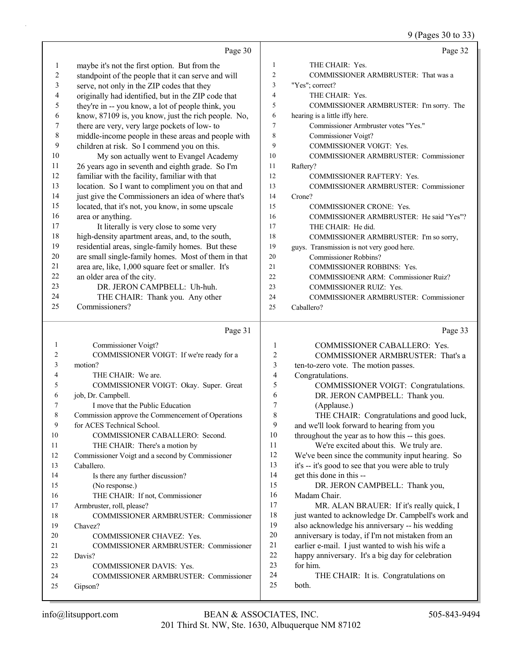9 (Pages 30 to 33)

|            | Page 30                                             |                  | Page 32                                                                                        |
|------------|-----------------------------------------------------|------------------|------------------------------------------------------------------------------------------------|
| 1          | maybe it's not the first option. But from the       | $\mathbf{1}$     | THE CHAIR: Yes.                                                                                |
| $\sqrt{2}$ | standpoint of the people that it can serve and will | $\overline{c}$   | COMMISSIONER ARMBRUSTER: That was a                                                            |
| 3          | serve, not only in the ZIP codes that they          | 3                | "Yes"; correct?                                                                                |
| 4          | originally had identified, but in the ZIP code that | $\overline{4}$   | THE CHAIR: Yes.                                                                                |
| 5          | they're in -- you know, a lot of people think, you  | 5                | COMMISSIONER ARMBRUSTER: I'm sorry. The                                                        |
| 6          | know, 87109 is, you know, just the rich people. No, | 6                | hearing is a little iffy here.                                                                 |
| 7          | there are very, very large pockets of low- to       | 7                | Commissioner Armbruster votes "Yes."                                                           |
| $\,$ $\,$  | middle-income people in these areas and people with | 8                | Commissioner Voigt?                                                                            |
| 9          | children at risk. So I commend you on this.         | 9                | COMMISSIONER VOIGT: Yes.                                                                       |
| 10         | My son actually went to Evangel Academy             | 10               | <b>COMMISSIONER ARMBRUSTER: Commissioner</b>                                                   |
| 11         | 26 years ago in seventh and eighth grade. So I'm    | 11               | Raftery?                                                                                       |
| 12         | familiar with the facility, familiar with that      | 12               | <b>COMMISSIONER RAFTERY: Yes.</b>                                                              |
| 13         | location. So I want to compliment you on that and   | 13               | <b>COMMISSIONER ARMBRUSTER: Commissioner</b>                                                   |
| 14         | just give the Commissioners an idea of where that's | 14               | Crone?                                                                                         |
| 15         | located, that it's not, you know, in some upscale   | 15               | <b>COMMISSIONER CRONE: Yes.</b>                                                                |
| 16         | area or anything.                                   | 16               | COMMISSIONER ARMBRUSTER: He said "Yes"?                                                        |
| 17         | It literally is very close to some very             | 17               | THE CHAIR: He did.                                                                             |
| 18         | high-density apartment areas, and, to the south,    | 18               | COMMISSIONER ARMBRUSTER: I'm so sorry,                                                         |
| 19         | residential areas, single-family homes. But these   | 19               | guys. Transmission is not very good here.                                                      |
| 20         | are small single-family homes. Most of them in that | 20               | Commissioner Robbins?                                                                          |
| 21         | area are, like, 1,000 square feet or smaller. It's  | 21               | <b>COMMISSIONER ROBBINS: Yes.</b>                                                              |
| 22         | an older area of the city.                          | 22               | <b>COMMISSIOENR ARM: Commissioner Ruiz?</b>                                                    |
| 23         | DR. JERON CAMPBELL: Uh-huh.                         | 23               | <b>COMMISSIONER RUIZ: Yes.</b>                                                                 |
| 24         | THE CHAIR: Thank you. Any other                     | 24               | <b>COMMISSIONER ARMBRUSTER: Commissioner</b>                                                   |
| 25         | Commissioners?                                      | 25               | Caballero?                                                                                     |
|            |                                                     |                  |                                                                                                |
|            | Page 31                                             |                  | Page 33                                                                                        |
| 1          | Commissioner Voigt?                                 | 1                | COMMISSIONER CABALLERO: Yes.                                                                   |
| 2          | COMMISSIONER VOIGT: If we're ready for a            | $\boldsymbol{2}$ | COMMISSIONER ARMBRUSTER: That's a                                                              |
| 3          | motion?                                             | 3                | ten-to-zero vote. The motion passes.                                                           |
| 4          | THE CHAIR: We are.                                  | 4                | Congratulations.                                                                               |
| 5          | COMMISSIONER VOIGT: Okay. Super. Great              | 5                | COMMISSIONER VOIGT: Congratulations.                                                           |
| 6          | job, Dr. Campbell.                                  | 6                | DR. JERON CAMPBELL: Thank you.                                                                 |
| 7          | I move that the Public Education                    | 7                | (Applause.)                                                                                    |
|            | Commission approve the Commencement of Operations   | $\mathbf{Q}$     | THE CHAIR: Congratulations and good luck,                                                      |
| 9          | for ACES Technical School.                          | 9                | and we'll look forward to hearing from you                                                     |
| 10         | COMMISSIONER CABALLERO: Second.                     | 10               | throughout the year as to how this -- this goes.                                               |
| 11         | THE CHAIR: There's a motion by                      | 11               | We're excited about this. We truly are.                                                        |
| 12         | Commissioner Voigt and a second by Commissioner     | 12               | We've been since the community input hearing. So                                               |
| 13         | Caballero.                                          | 13<br>14         | it's -- it's good to see that you were able to truly                                           |
| 14         | Is there any further discussion?                    | 15               | get this done in this --                                                                       |
| 15         | (No response.)                                      | 16               | DR. JERON CAMPBELL: Thank you,                                                                 |
| 16         | THE CHAIR: If not, Commissioner                     | 17               | Madam Chair.                                                                                   |
| 17         | Armbruster, roll, please?                           | 18               | MR. ALAN BRAUER: If it's really quick, I<br>just wanted to acknowledge Dr. Campbell's work and |
| 18         | COMMISSIONER ARMBRUSTER: Commissioner               | 19               | also acknowledge his anniversary -- his wedding                                                |
| 19<br>20   | Chavez?                                             | 20               | anniversary is today, if I'm not mistaken from an                                              |
| 21         | COMMISSIONER CHAVEZ: Yes.                           | 21               | earlier e-mail. I just wanted to wish his wife a                                               |
| 22         | COMMISSIONER ARMBRUSTER: Commissioner<br>Davis?     | 22               | happy anniversary. It's a big day for celebration                                              |
| 23         | COMMISSIONER DAVIS: Yes.                            | 23               | for him.                                                                                       |
| 24         | COMMISSIONER ARMBRUSTER: Commissioner               | 24               | THE CHAIR: It is. Congratulations on                                                           |
| 25         |                                                     |                  |                                                                                                |
|            | Gipson?                                             | 25               | both.                                                                                          |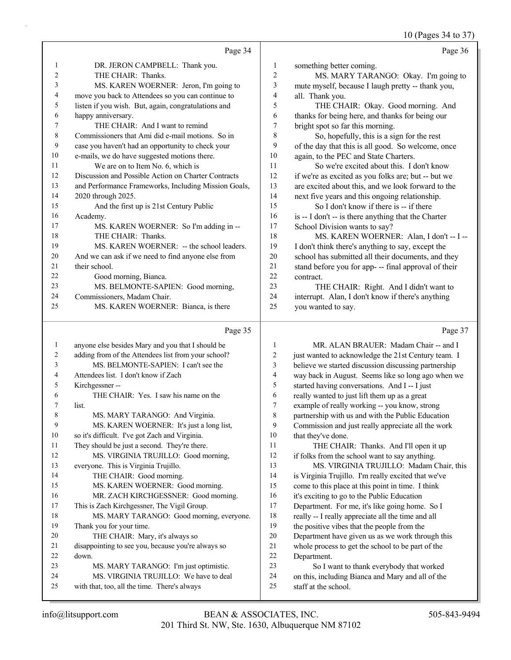$10 \text{ (Dogon 24 to 27)}$ 

|         |                                                      |                | $10$ (Pages 34 to 37)                                |
|---------|------------------------------------------------------|----------------|------------------------------------------------------|
|         | Page 34                                              |                | Page 36                                              |
| 1       | DR. JERON CAMPBELL: Thank you.                       | 1              | something better coming.                             |
| 2       | THE CHAIR: Thanks.                                   | $\overline{c}$ | MS. MARY TARANGO: Okay. I'm going to                 |
| 3       | MS. KAREN WOERNER: Jeron, I'm going to               | 3              | mute myself, because I laugh pretty -- thank you,    |
| 4       | move you back to Attendees so you can continue to    | 4              | all. Thank you.                                      |
| 5       | listen if you wish. But, again, congratulations and  | 5              | THE CHAIR: Okay. Good morning. And                   |
| 6       | happy anniversary.                                   | 6              | thanks for being here, and thanks for being our      |
| 7       | THE CHAIR: And I want to remind                      | 7              | bright spot so far this morning.                     |
| $\,8\,$ | Commissioners that Ami did e-mail motions. So in     | 8              | So, hopefully, this is a sign for the rest           |
| 9       | case you haven't had an opportunity to check your    | 9              | of the day that this is all good. So welcome, once   |
| 10      | e-mails, we do have suggested motions there.         | 10             | again, to the PEC and State Charters.                |
| 11      | We are on to Item No. 6, which is                    | 11             | So we're excited about this. I don't know            |
| 12      | Discussion and Possible Action on Charter Contracts  | 12             | if we're as excited as you folks are; but -- but we  |
| 13      | and Performance Frameworks, Including Mission Goals, | 13             | are excited about this, and we look forward to the   |
| 14      | 2020 through 2025.                                   | 14             | next five years and this ongoing relationship.       |
| 15      | And the first up is 21st Century Public              | 15             | So I don't know if there is -- if there              |
| 16      | Academy.                                             | 16             | is -- I don't -- is there anything that the Charter  |
| 17      | MS. KAREN WOERNER: So I'm adding in --               | 17             | School Division wants to say?                        |
| 18      | THE CHAIR: Thanks.                                   | 18             | MS. KAREN WOERNER: Alan, I don't -- I --             |
| 19      | MS. KAREN WOERNER: -- the school leaders.            | 19             | I don't think there's anything to say, except the    |
| 20      | And we can ask if we need to find anyone else from   | 20             | school has submitted all their documents, and they   |
| 21      | their school.                                        | 21             | stand before you for app- -- final approval of their |
| 22      | Good morning, Bianca.                                | 22             | contract.                                            |
| 23      | MS. BELMONTE-SAPIEN: Good morning,                   | 23             | THE CHAIR: Right. And I didn't want to               |
| 24      | Commissioners, Madam Chair.                          | 24             | interrupt. Alan, I don't know if there's anything    |
| 25      | MS. KAREN WOERNER: Bianca, is there                  | 25             | you wanted to say.                                   |
|         | Page 35                                              |                | Page 37                                              |
| 1       | anyone else besides Mary and you that I should be    | $\mathbf{1}$   | MR. ALAN BRAUER: Madam Chair -- and I                |
| 2       | adding from of the Attendees list from your school?  | $\overline{2}$ | just wanted to acknowledge the 21st Century team. I  |
| 3       | MS. BELMONTE-SAPIEN: I can't see the                 | 3              | believe we started discussion discussing partnership |
|         |                                                      |                |                                                      |

- 4 Attendees list. I don't know if Zach
- 5 Kirchgessner -- 6 THE CHAIR: Yes. I saw his name on the 7 list.

### 8 MS. MARY TARANGO: And Virginia. 9 MS. KAREN WOERNER: It's just a long list,

- 10 so it's difficult. I've got Zach and Virginia. 11 They should be just a second. They're there.
- 12 MS. VIRGINIA TRUJILLO: Good morning, 13 everyone. This is Virginia Trujillo. 14 THE CHAIR: Good morning.
- 15 MS. KAREN WOERNER: Good morning. 16 MR. ZACH KIRCHGESSNER: Good morning.
- 17 This is Zach Kirchgessner, The Vigil Group. 18 MS. MARY TARANGO: Good morning, everyone. 19 Thank you for your time. 20 THE CHAIR: Mary, it's always so 21 disappointing to see you, because you're always so
- 22 down. 23 MS. MARY TARANGO: I'm just optimistic. 24 MS. VIRGINIA TRUJILLO: We have to deal 25 with that, too, all the time. There's always
- 4 way back in August. Seems like so long ago when we 5 started having conversations. And I -- I just 6 really wanted to just lift them up as a great
- 7 example of really working -- you know, strong
- 8 partnership with us and with the Public Education 9 Commission and just really appreciate all the work
- 10 that they've done.<br>11 THE CHAI THE CHAIR: Thanks. And I'll open it up 12 if folks from the school want to say anything. 13 MS. VIRGINIA TRUJILLO: Madam Chair, this 14 is Virginia Trujillo. I'm really excited that we've 15 come to this place at this point in time. I think 16 it's exciting to go to the Public Education 17 Department. For me, it's like going home. So I 18 really -- I really appreciate all the time and all 19 the positive vibes that the people from the 20 Department have given us as we work through this
- 21 whole process to get the school to be part of the 22 Department.

# 23 So I want to thank everybody that worked

- 24 on this, including Bianca and Mary and all of the
- 25 staff at the school.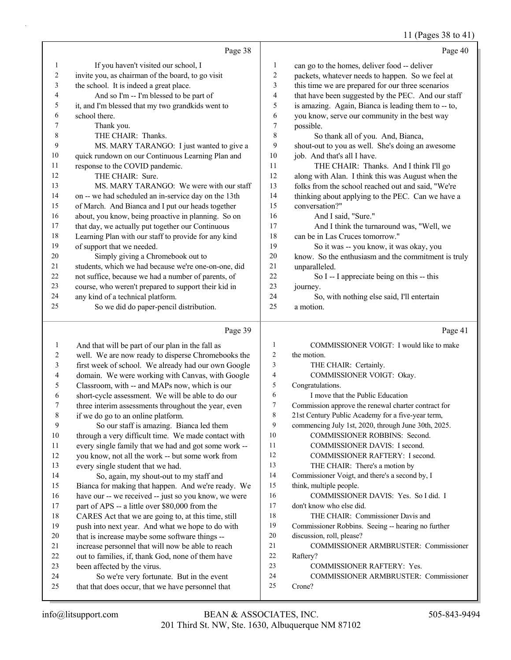#### 11 (Pages 38 to 41)

|                | Page 38                                              |    | Page 40                                             |
|----------------|------------------------------------------------------|----|-----------------------------------------------------|
| 1              | If you haven't visited our school, I                 | 1  | can go to the homes, deliver food -- deliver        |
| $\overline{2}$ | invite you, as chairman of the board, to go visit    | 2  | packets, whatever needs to happen. So we feel at    |
| 3              | the school. It is indeed a great place.              | 3  | this time we are prepared for our three scenarios   |
| 4              | And so I'm -- I'm blessed to be part of              | 4  | that have been suggested by the PEC. And our staff  |
| 5              | it, and I'm blessed that my two grandkids went to    | 5  | is amazing. Again, Bianca is leading them to -- to, |
| 6              | school there.                                        | 6  | you know, serve our community in the best way       |
| 7              | Thank you.                                           | 7  | possible.                                           |
| 8              | THE CHAIR: Thanks.                                   | 8  | So thank all of you. And, Bianca,                   |
| 9              | MS. MARY TARANGO: I just wanted to give a            | 9  | shout-out to you as well. She's doing an awesome    |
| 10             | quick rundown on our Continuous Learning Plan and    | 10 | job. And that's all I have.                         |
| 11             | response to the COVID pandemic.                      | 11 | THE CHAIR: Thanks. And I think I'll go              |
| 12             | THE CHAIR: Sure.                                     | 12 | along with Alan. I think this was August when the   |
| 13             | MS. MARY TARANGO: We were with our staff             | 13 | folks from the school reached out and said, "We're  |
| 14             | on -- we had scheduled an in-service day on the 13th | 14 | thinking about applying to the PEC. Can we have a   |
| 15             | of March. And Bianca and I put our heads together    | 15 | conversation?"                                      |
| 16             | about, you know, being proactive in planning. So on  | 16 | And I said, "Sure."                                 |
| 17             | that day, we actually put together our Continuous    | 17 | And I think the turnaround was, "Well, we           |
| 18             | Learning Plan with our staff to provide for any kind | 18 | can be in Las Cruces tomorrow."                     |
| 19             | of support that we needed.                           | 19 | So it was -- you know, it was okay, you             |
| 20             | Simply giving a Chromebook out to                    | 20 | know. So the enthusiasm and the commitment is truly |
| 21             | students, which we had because we're one-on-one, did | 21 | unparalleled.                                       |
| 22             | not suffice, because we had a number of parents, of  | 22 | So I -- I appreciate being on this -- this          |
| 23             | course, who weren't prepared to support their kid in | 23 | journey.                                            |
| 24             | any kind of a technical platform.                    | 24 | So, with nothing else said, I'll entertain          |
| 25             | So we did do paper-pencil distribution.              | 25 | a motion.                                           |
|                | Page 39                                              |    | Page 41                                             |

#### Page 39

 And that will be part of our plan in the fall as well. We are now ready to disperse Chromebooks the first week of school. We already had our own Google domain. We were working with Canvas, with Google Classroom, with -- and MAPs now, which is our short-cycle assessment. We will be able to do our three interim assessments throughout the year, even if we do go to an online platform. 9 So our staff is amazing. Bianca led them through a very difficult time. We made contact with every single family that we had and got some work -- you know, not all the work -- but some work from every single student that we had. 14 So, again, my shout-out to my staff and Bianca for making that happen. And we're ready. We have our -- we received -- just so you know, we were 17 part of APS -- a little over \$80,000 from the CARES Act that we are going to, at this time, still push into next year. And what we hope to do with that is increase maybe some software things -- increase personnel that will now be able to reach out to families, if, thank God, none of them have been affected by the virus. 24 So we're very fortunate. But in the event that that does occur, that we have personnel that 1 COMMISSIONER VOIGT: I would like to make the motion. 3 THE CHAIR: Certainly. 4 COMMISSIONER VOIGT: Okay. Congratulations. 6 I move that the Public Education Commission approve the renewal charter contract for 21st Century Public Academy for a five-year term, commencing July 1st, 2020, through June 30th, 2025. 10 COMMISSIONER ROBBINS: Second. 11 COMMISSIONER DAVIS: I second. 12 COMMISSIONER RAFTERY: I second. 13 THE CHAIR: There's a motion by Commissioner Voigt, and there's a second by, I think, multiple people. 16 COMMISSIONER DAVIS: Yes. So I did. I don't know who else did. 18 THE CHAIR: Commissioner Davis and Commissioner Robbins. Seeing -- hearing no further discussion, roll, please? 21 COMMISSIONER ARMBRUSTER: Commissioner Raftery? 23 COMMISSIONER RAFTERY: Yes. 24 COMMISSIONER ARMBRUSTER: Commissioner Crone?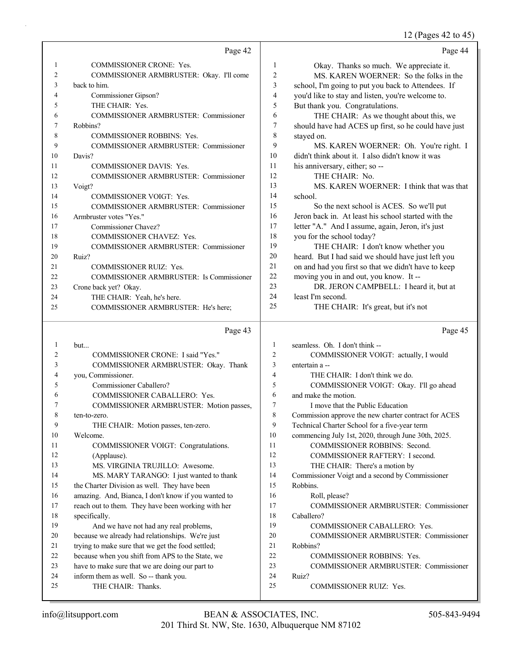12 (Pages 42 to 45)

|    |                                                     |                | $12$ (1 ages $72$ to $72$ )                          |
|----|-----------------------------------------------------|----------------|------------------------------------------------------|
|    | Page 42                                             |                | Page 44                                              |
| 1  | <b>COMMISSIONER CRONE: Yes.</b>                     | $\mathbf{1}$   | Okay. Thanks so much. We appreciate it.              |
| 2  | COMMISSIONER ARMBRUSTER: Okay. I'll come            | $\mathfrak{2}$ | MS. KAREN WOERNER: So the folks in the               |
| 3  | back to him.                                        | 3              | school, I'm going to put you back to Attendees. If   |
| 4  | Commissioner Gipson?                                | 4              | you'd like to stay and listen, you're welcome to.    |
| 5  | THE CHAIR: Yes.                                     | 5              | But thank you. Congratulations.                      |
| 6  | COMMISSIONER ARMBRUSTER: Commissioner               | 6              | THE CHAIR: As we thought about this, we              |
| 7  | Robbins?                                            | $\tau$         | should have had ACES up first, so he could have just |
| 8  | <b>COMMISSIONER ROBBINS: Yes.</b>                   | 8              | stayed on.                                           |
| 9  | COMMISSIONER ARMBRUSTER: Commissioner               | 9              | MS. KAREN WOERNER: Oh. You're right. I               |
| 10 | Davis?                                              | 10             | didn't think about it. I also didn't know it was     |
| 11 | <b>COMMISSIONER DAVIS: Yes.</b>                     | 11             | his anniversary, either; so --                       |
| 12 | COMMISSIONER ARMBRUSTER: Commissioner               | 12             | THE CHAIR: No.                                       |
| 13 | Voigt?                                              | 13             | MS. KAREN WOERNER: I think that was that             |
| 14 | COMMISSIONER VOIGT: Yes.                            | 14             | school.                                              |
| 15 | COMMISSIONER ARMBRUSTER: Commissioner               | 15             | So the next school is ACES. So we'll put             |
| 16 | Armbruster votes "Yes."                             | 16             | Jeron back in. At least his school started with the  |
| 17 | Commissioner Chavez?                                | 17             | letter "A." And I assume, again, Jeron, it's just    |
| 18 | COMMISSIONER CHAVEZ: Yes.                           | 18             | you for the school today?                            |
| 19 | <b>COMMISSIONER ARMBRUSTER: Commissioner</b>        | 19             | THE CHAIR: I don't know whether you                  |
| 20 | Ruiz?                                               | 20             | heard. But I had said we should have just left you   |
| 21 | <b>COMMISSIONER RUIZ: Yes.</b>                      | 21             | on and had you first so that we didn't have to keep  |
| 22 | COMMISSIONER ARMBRUSTER: Is Commissioner            | 22             | moving you in and out, you know. It --               |
| 23 | Crone back yet? Okay.                               | 23             | DR. JERON CAMPBELL: I heard it, but at               |
| 24 | THE CHAIR: Yeah, he's here.                         | 24             | least I'm second.                                    |
| 25 | COMMISSIONER ARMBRUSTER: He's here;                 | 25             | THE CHAIR: It's great, but it's not                  |
|    | Page 43                                             |                | Page 45                                              |
| 1  | but                                                 | 1              | seamless. Oh. I don't think --                       |
| 2  | COMMISSIONER CRONE: I said "Yes."                   | $\overline{c}$ | COMMISSIONER VOIGT: actually, I would                |
| 3  | COMMISSIONER ARMBRUSTER: Okay. Thank                | 3              | entertain a --                                       |
| 4  | you, Commissioner.                                  | $\overline{4}$ | THE CHAIR: I don't think we do.                      |
| 5  | Commissioner Caballero?                             | 5              | COMMISSIONER VOIGT: Okay. I'll go ahead              |
| 6  | COMMISSIONER CABALLERO: Yes.                        | 6              | and make the motion.                                 |
| 7  | COMMISSIONER ARMBRUSTER: Motion passes,             | $\overline{7}$ | I move that the Public Education                     |
| 8  | ten-to-zero.                                        | 8              | Commission approve the new charter contract for ACES |
| 9  | THE CHAIR: Motion passes, ten-zero.                 | 9              | Technical Charter School for a five-year term        |
| 10 | Welcome.                                            | 10             | commencing July 1st, 2020, through June 30th, 2025.  |
| 11 | COMMISSIONER VOIGT: Congratulations.                | 11             | COMMISSIONER ROBBINS: Second.                        |
| 12 | (Applause).                                         | 12             | COMMISSIONER RAFTERY: I second.                      |
| 13 | MS. VIRGINIA TRUJILLO: Awesome.                     | 13             | THE CHAIR: There's a motion by                       |
| 14 | MS. MARY TARANGO: I just wanted to thank            | 14             | Commissioner Voigt and a second by Commissioner      |
| 15 | the Charter Division as well. They have been        | 15             | Robbins.                                             |
| 16 | amazing. And, Bianca, I don't know if you wanted to | 16             | Roll, please?                                        |
| 17 | reach out to them. They have been working with her  | 17             | COMMISSIONER ARMBRUSTER: Commissioner                |
| 18 | specifically.                                       | 18             | Caballero?                                           |
| 19 | And we have not had any real problems,              | 19             | COMMISSIONER CABALLERO: Yes.                         |
| 20 | because we already had relationships. We're just    | 20             | COMMISSIONER ARMBRUSTER: Commissioner                |

- 20 because we already had relationships. We're just 21 trying to make sure that we get the food settled;
- 22 because when you shift from APS to the State, we
- 23 have to make sure that we are doing our part to
- 24 inform them as well. So -- thank you. 25 THE CHAIR: Thanks.

24 Ruiz? 25 COMMISSIONER RUIZ: Yes.

22 COMMISSIONER ROBBINS: Yes.

23 COMMISSIONER ARMBRUSTER: Commissioner

21 Robbins?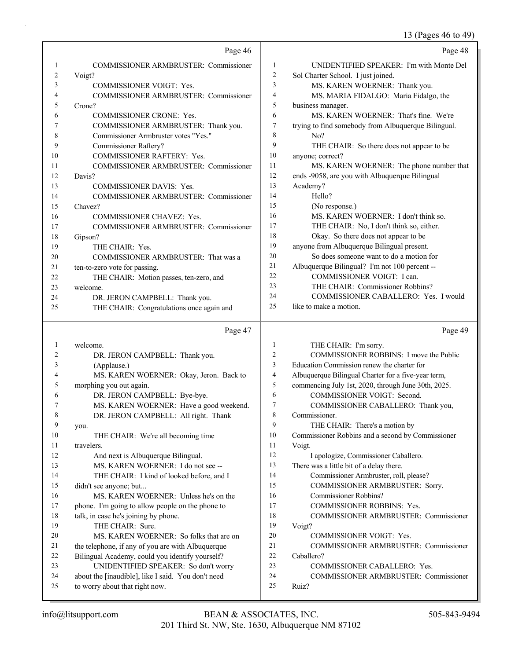13 (Pages 46 to 49)

|    | Page 46                                      |                | Page 48                                             |
|----|----------------------------------------------|----------------|-----------------------------------------------------|
| 1  | <b>COMMISSIONER ARMBRUSTER: Commissioner</b> | $\mathbf{1}$   | UNIDENTIFIED SPEAKER: I'm with Monte Del            |
| 2  | Voigt?                                       | $\sqrt{2}$     | Sol Charter School. I just joined.                  |
| 3  | COMMISSIONER VOIGT: Yes.                     | $\overline{3}$ | MS. KAREN WOERNER: Thank you.                       |
| 4  | COMMISSIONER ARMBRUSTER: Commissioner        | $\overline{4}$ | MS. MARIA FIDALGO: Maria Fidalgo, the               |
| 5  | Crone?                                       | 5              | business manager.                                   |
| 6  | COMMISSIONER CRONE: Yes.                     | 6              | MS. KAREN WOERNER: That's fine. We're               |
| 7  | COMMISSIONER ARMBRUSTER: Thank you.          | $\tau$         | trying to find somebody from Albuquerque Bilingual. |
| 8  | Commissioner Armbruster votes "Yes."         | 8              | No?                                                 |
| 9  | <b>Commissioner Raftery?</b>                 | 9              | THE CHAIR: So there does not appear to be           |
| 10 | COMMISSIONER RAFTERY: Yes.                   | 10             | anyone; correct?                                    |
| 11 | COMMISSIONER ARMBRUSTER: Commissioner        | 11             | MS. KAREN WOERNER: The phone number that            |
| 12 | Davis?                                       | 12             | ends -9058, are you with Albuquerque Bilingual      |
| 13 | <b>COMMISSIONER DAVIS: Yes.</b>              | 13             | Academy?                                            |
| 14 | <b>COMMISSIONER ARMBRUSTER: Commissioner</b> | 14             | Hello?                                              |
| 15 | Chavez?                                      | 15             | (No response.)                                      |
| 16 | COMMISSIONER CHAVEZ: Yes.                    | 16             | MS. KAREN WOERNER: I don't think so.                |
| 17 | <b>COMMISSIONER ARMBRUSTER: Commissioner</b> | 17             | THE CHAIR: No, I don't think so, either.            |
| 18 | Gipson?                                      | 18             | Okay. So there does not appear to be                |
| 19 | THE CHAIR: Yes.                              | 19             | anyone from Albuquerque Bilingual present.          |
| 20 | COMMISSIONER ARMBRUSTER: That was a          | 20             | So does someone want to do a motion for             |
| 21 | ten-to-zero vote for passing.                | 21             | Albuquerque Bilingual? I'm not 100 percent --       |
| 22 | THE CHAIR: Motion passes, ten-zero, and      | 22             | COMMISSIONER VOIGT: I can.                          |
| 23 | welcome.                                     | 23             | THE CHAIR: Commissioner Robbins?                    |
| 24 | DR. JERON CAMPBELL: Thank you.               | 24             | COMMISSIONER CABALLERO: Yes. I would                |
| 25 | THE CHAIR: Congratulations once again and    | 25             | like to make a motion.                              |
|    | Page 47                                      |                | Page 49                                             |
| 1  | welcome.                                     | 1              | THE CHAIR: I'm sorry.                               |
| 2  | DR. JERON CAMPBELL: Thank you.               | 2              | COMMISSIONER ROBBINS: I move the Public             |
| 3  | (Applause.)                                  | 3              | Education Commission renew the charter for          |
| 4  | MS. KAREN WOERNER: Okay, Jeron. Back to      | $\overline{4}$ | Albuquerque Bilingual Charter for a five-year term, |
| 5  | morphing you out again.                      | 5              | commencing July 1st, 2020, through June 30th, 2025. |
| 6  | DR. JERON CAMPBELL: Bye-bye.                 | 6              | COMMISSIONER VOIGT: Second.                         |
| 7  | MS. KAREN WOERNER: Have a good weekend.      | 7              | COMMISSIONER CABALLERO: Thank you,                  |

- 
- 8 Commissioner. 9 THE CHAIR: There's a motion by
- 10 Commissioner Robbins and a second by Commissioner
- 11 Voigt. 12 I apologize, Commissioner Caballero.
- 13 There was a little bit of a delay there. 14 Commissioner Armbruster, roll, please? 15 COMMISSIONER ARMBRUSTER: Sorry. 16 Commissioner Robbins?
- 17 COMMISSIONER ROBBINS: Yes.
- 18 COMMISSIONER ARMBRUSTER: Commissioner 19 Voigt?
	-
- 20 COMMISSIONER VOIGT: Yes. 21 COMMISSIONER ARMBRUSTER: Commissioner
- Caballero?
- 23 COMMISSIONER CABALLERO: Yes.
- 24 COMMISSIONER ARMBRUSTER: Commissioner
- 25 Ruiz?

9 you.

11 travelers.

15 didn't see anyone; but...

18 talk, in case he's joining by phone. 19 THE CHAIR: Sure.

25 to worry about that right now.

8 DR. JERON CAMPBELL: All right. Thank

16 MS. KAREN WOERNER: Unless he's on the 17 phone. I'm going to allow people on the phone to

20 MS. KAREN WOERNER: So folks that are on 21 the telephone, if any of you are with Albuquerque 22 Bilingual Academy, could you identify yourself? 23 UNIDENTIFIED SPEAKER: So don't worry 24 about the [inaudible], like I said. You don't need

10 THE CHAIR: We're all becoming time

12 And next is Albuquerque Bilingual. 13 MS. KAREN WOERNER: I do not see -- 14 THE CHAIR: I kind of looked before, and I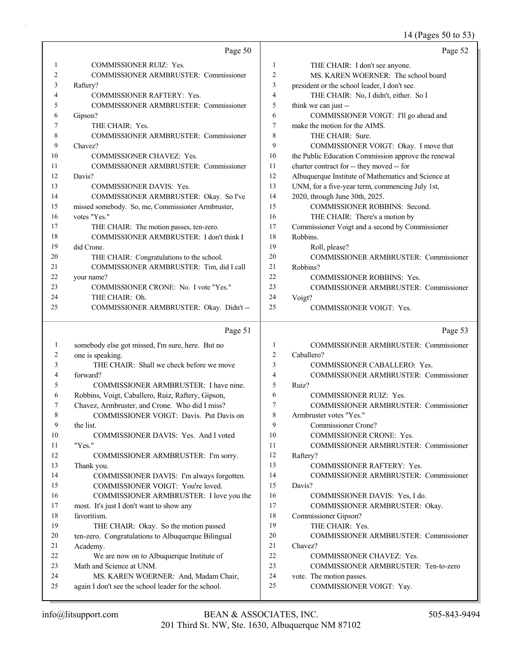14 (Pages 50 to 53)

|              | Page 50                                                               |                  | Page 52                                             |
|--------------|-----------------------------------------------------------------------|------------------|-----------------------------------------------------|
| $\mathbf{1}$ | COMMISSIONER RUIZ: Yes.                                               | $\mathbf{1}$     | THE CHAIR: I don't see anyone.                      |
| 2            | COMMISSIONER ARMBRUSTER: Commissioner                                 | $\overline{c}$   | MS. KAREN WOERNER: The school board                 |
| 3            | Raftery?                                                              | 3                | president or the school leader, I don't see.        |
| 4            | <b>COMMISSIONER RAFTERY: Yes.</b>                                     | $\overline{4}$   | THE CHAIR: No, I didn't, either. So I               |
| 5            | COMMISSIONER ARMBRUSTER: Commissioner                                 | 5                | think we can just --                                |
| 6            | Gipson?                                                               | 6                | COMMISSIONER VOIGT: I'll go ahead and               |
| 7            | THE CHAIR: Yes.                                                       | $\boldsymbol{7}$ | make the motion for the AIMS.                       |
| 8            | COMMISSIONER ARMBRUSTER: Commissioner                                 | 8                | THE CHAIR: Sure.                                    |
| 9            | Chavez?                                                               | 9                | COMMISSIONER VOIGT: Okay. I move that               |
| 10           | <b>COMMISSIONER CHAVEZ: Yes.</b>                                      | 10               | the Public Education Commission approve the renewal |
| 11           | COMMISSIONER ARMBRUSTER: Commissioner                                 | 11               | charter contract for -- they moved -- for           |
| 12           | Davis?                                                                | 12               | Albuquerque Institute of Mathematics and Science at |
| 13           | <b>COMMISSIONER DAVIS: Yes.</b>                                       | 13               | UNM, for a five-year term, commencing July 1st,     |
| 14           | COMMISSIONER ARMBRUSTER: Okay. So I've                                | 14               | 2020, through June 30th, 2025.                      |
| 15           | missed somebody. So, me, Commissioner Armbruster,                     | 15               | COMMISSIONER ROBBINS: Second.                       |
| 16           | votes "Yes."                                                          | 16               | THE CHAIR: There's a motion by                      |
| 17           | THE CHAIR: The motion passes, ten-zero.                               | 17               | Commissioner Voigt and a second by Commissioner     |
| 18           | COMMISSIONER ARMBRUSTER: I don't think I                              | 18               | Robbins.                                            |
| 19           | did Crone.                                                            | 19               | Roll, please?                                       |
| 20           | THE CHAIR: Congratulations to the school.                             | 20               | COMMISSIONER ARMBRUSTER: Commissioner               |
| 21           | COMMISSIONER ARMBRUSTER: Tim, did I call                              | 21               | Robbins?                                            |
| 22           | your name?                                                            | 22               | <b>COMMISSIONER ROBBINS: Yes.</b>                   |
| 23           | COMMISSIONER CRONE: No. I vote "Yes."                                 | 23               | COMMISSIONER ARMBRUSTER: Commissioner               |
| 24           | THE CHAIR: Oh.                                                        | 24               | Voigt?                                              |
| 25           | COMMISSIONER ARMBRUSTER: Okay. Didn't --                              | 25               | COMMISSIONER VOIGT: Yes.                            |
|              |                                                                       |                  |                                                     |
|              | Page 51                                                               |                  | Page 53                                             |
| 1            | somebody else got missed, I'm sure, here. But no                      | $\mathbf{1}$     | COMMISSIONER ARMBRUSTER: Commissioner               |
| 2            | one is speaking.                                                      | $\overline{c}$   | Caballero?                                          |
| 3            | THE CHAIR: Shall we check before we move                              | 3                | COMMISSIONER CABALLERO: Yes.                        |
| 4            | forward?                                                              | 4                | <b>COMMISSIONER ARMBRUSTER: Commissioner</b>        |
| 5            | COMMISSIONER ARMBRUSTER: I have nine.                                 | 5                | Ruiz?                                               |
| 6            | Robbins, Voigt, Caballero, Ruiz, Raftery, Gipson,                     | 6                | <b>COMMISSIONER RUIZ: Yes.</b>                      |
| 7            | Chavez, Armbruster, and Crone. Who did I miss?                        | 7                | COMMISSIONER ARMBRUSTER: Commissioner               |
| 8            | COMMISSIONER VOIGT: Davis. Put Davis on                               | 8                | Armbruster votes "Yes."                             |
| 9            | the list.                                                             | 9                | Commissioner Crone?                                 |
| 10           | COMMISSIONER DAVIS: Yes. And I voted                                  | 10               | COMMISSIONER CRONE: Yes.                            |
| 11           | "Yes."                                                                | 11               | COMMISSIONER ARMBRUSTER: Commissioner               |
| 12           | COMMISSIONER ARMBRUSTER: I'm sorry.                                   | 12               | Raftery?                                            |
| 13           | Thank you.                                                            | 13               | <b>COMMISSIONER RAFTERY: Yes.</b>                   |
| 14           | COMMISSIONER DAVIS: I'm always forgotten.                             | 14               | <b>COMMISSIONER ARMBRUSTER: Commissioner</b>        |
| 15           | COMMISSIONER VOIGT: You're loved.                                     | 15               | Davis?                                              |
| 16           | COMMISSIONER ARMBRUSTER: I love you the                               | 16               | COMMISSIONER DAVIS: Yes, I do.                      |
| 17           | most. It's just I don't want to show any                              | 17               | COMMISSIONER ARMBRUSTER: Okay.                      |
| 18           | favoritism.                                                           | 18               | Commissioner Gipson?                                |
| 19<br>20     | THE CHAIR: Okay. So the motion passed                                 | 19<br>20         | THE CHAIR: Yes.                                     |
| 21           | ten-zero. Congratulations to Albuquerque Bilingual                    | 21               | COMMISSIONER ARMBRUSTER: Commissioner<br>Chavez?    |
| 22           | Academy.                                                              | 22               | COMMISSIONER CHAVEZ: Yes.                           |
| 23           | We are now on to Albuquerque Institute of<br>Math and Science at UNM. | 23               | COMMISSIONER ARMBRUSTER: Ten-to-zero                |
| 24           | MS. KAREN WOERNER: And, Madam Chair,                                  | 24               | vote. The motion passes.                            |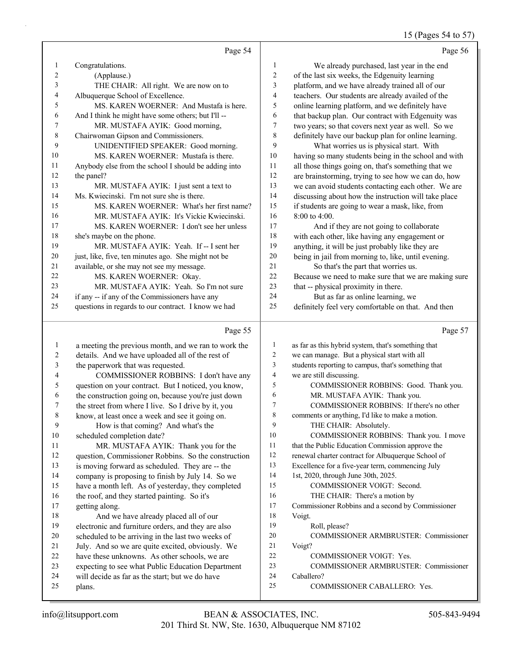### 15 (Pages 54 to 57)

|        | Page 54                                              |                | Page 56                                              |
|--------|------------------------------------------------------|----------------|------------------------------------------------------|
| -1     | Congratulations.                                     | 1              | We already purchased, last year in the end           |
| 2      | (Applause.)                                          | 2              | of the last six weeks, the Edgenuity learning        |
| 3      | THE CHAIR: All right. We are now on to               | 3              | platform, and we have already trained all of our     |
| 4      | Albuquerque School of Excellence.                    | $\overline{4}$ | teachers. Our students are already availed of the    |
| 5      | MS. KAREN WOERNER: And Mustafa is here.              | 5              | online learning platform, and we definitely have     |
| 6      | And I think he might have some others; but I'll --   | 6              | that backup plan. Our contract with Edgenuity was    |
| $\tau$ | MR. MUSTAFA AYIK: Good morning,                      | 7              | two years; so that covers next year as well. So we   |
| 8      | Chairwoman Gipson and Commissioners.                 | 8              | definitely have our backup plan for online learning. |
| 9      | UNIDENTIFIED SPEAKER: Good morning.                  | 9              | What worries us is physical start. With              |
| 10     | MS. KAREN WOERNER: Mustafa is there.                 | 10             | having so many students being in the school and with |
| 11     | Anybody else from the school I should be adding into | 11             | all those things going on, that's something that we  |
| 12     | the panel?                                           | 12             | are brainstorming, trying to see how we can do, how  |
| 13     | MR. MUSTAFA AYIK: I just sent a text to              | 13             | we can avoid students contacting each other. We are  |
| 14     | Ms. Kwiecinski. I'm not sure she is there.           | 14             | discussing about how the instruction will take place |
| 15     | MS. KAREN WOERNER: What's her first name?            | 15             | if students are going to wear a mask, like, from     |
| 16     | MR. MUSTAFA AYIK: It's Vickie Kwiecinski.            | 16             | 8:00 to 4:00.                                        |
| 17     | MS. KAREN WOERNER: I don't see her unless            | 17             | And if they are not going to collaborate             |
| 18     | she's maybe on the phone.                            | 18             | with each other, like having any engagement or       |
| 19     | MR. MUSTAFA AYIK: Yeah. If -- I sent her             | 19             | anything, it will be just probably like they are     |
| 20     | just, like, five, ten minutes ago. She might not be  | 20             | being in jail from morning to, like, until evening.  |
| 21     | available, or she may not see my message.            | 21             | So that's the part that worries us.                  |
| 22     | MS. KAREN WOERNER: Okay.                             | 22             | Because we need to make sure that we are making sure |
| 23     | MR. MUSTAFA AYIK: Yeah. So I'm not sure              | 23             | that -- physical proximity in there.                 |
| 24     | if any -- if any of the Commissioners have any       | 24             | But as far as online learning, we                    |

definitely feel very comfortable on that. And then

questions in regards to our contract. I know we had

### Page 55

|    | Page 55                                              |    | Page 57                                             |
|----|------------------------------------------------------|----|-----------------------------------------------------|
| 1  | a meeting the previous month, and we ran to work the | 1  | as far as this hybrid system, that's something that |
| 2  | details. And we have uploaded all of the rest of     | 2  | we can manage. But a physical start with all        |
| 3  | the paperwork that was requested.                    | 3  | students reporting to campus, that's something that |
| 4  | COMMISSIONER ROBBINS: I don't have any               | 4  | we are still discussing.                            |
| 5  | question on your contract. But I noticed, you know,  | 5  | COMMISSIONER ROBBINS: Good. Thank you.              |
| 6  | the construction going on, because you're just down  | 6  | MR. MUSTAFA AYIK: Thank you.                        |
| 7  | the street from where I live. So I drive by it, you  | 7  | COMMISSIONER ROBBINS: If there's no other           |
| 8  | know, at least once a week and see it going on.      | 8  | comments or anything, I'd like to make a motion.    |
| 9  | How is that coming? And what's the                   | 9  | THE CHAIR: Absolutely.                              |
| 10 | scheduled completion date?                           | 10 | COMMISSIONER ROBBINS: Thank you. I move             |
| 11 | MR. MUSTAFA AYIK: Thank you for the                  | 11 | that the Public Education Commission approve the    |
| 12 | question, Commissioner Robbins. So the construction  | 12 | renewal charter contract for Albuquerque School of  |
| 13 | is moving forward as scheduled. They are -- the      | 13 | Excellence for a five-year term, commencing July    |
| 14 | company is proposing to finish by July 14. So we     | 14 | 1st, 2020, through June 30th, 2025.                 |
| 15 | have a month left. As of yesterday, they completed   | 15 | COMMISSIONER VOIGT: Second.                         |
| 16 | the roof, and they started painting. So it's         | 16 | THE CHAIR: There's a motion by                      |
| 17 | getting along.                                       | 17 | Commissioner Robbins and a second by Commissioner   |
| 18 | And we have already placed all of our                | 18 | Voigt.                                              |
| 19 | electronic and furniture orders, and they are also   | 19 | Roll, please?                                       |
| 20 | scheduled to be arriving in the last two weeks of    | 20 | COMMISSIONER ARMBRUSTER: Commissioner               |
| 21 | July. And so we are quite excited, obviously. We     | 21 | Voigt?                                              |
| 22 | have these unknowns. As other schools, we are        | 22 | <b>COMMISSIONER VOIGT: Yes.</b>                     |
| 23 | expecting to see what Public Education Department    | 23 | <b>COMMISSIONER ARMBRUSTER: Commissioner</b>        |
| 24 | will decide as far as the start; but we do have      | 24 | Caballero?                                          |
| 25 | plans.                                               | 25 | <b>COMMISSIONER CABALLERO: Yes.</b>                 |
|    |                                                      |    |                                                     |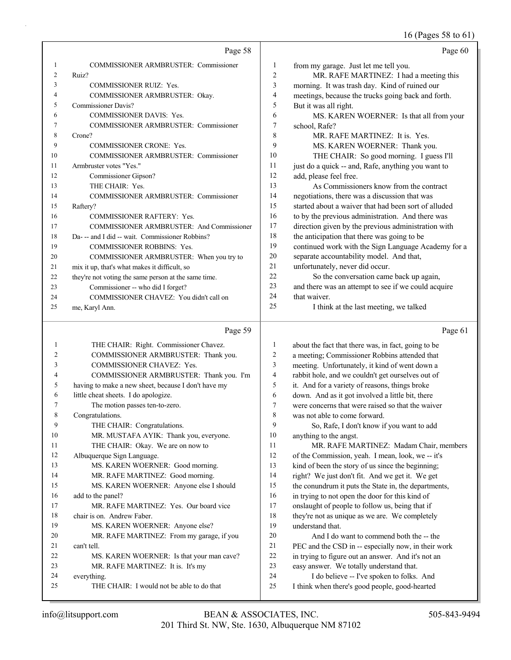16 (Pages 58 to 61)

|    | Page 58                                              |                | Page 60                                              |
|----|------------------------------------------------------|----------------|------------------------------------------------------|
| 1  | <b>COMMISSIONER ARMBRUSTER: Commissioner</b>         | 1              | from my garage. Just let me tell you.                |
| 2  | Ruiz?                                                | 2              | MR. RAFE MARTINEZ: I had a meeting this              |
| 3  | <b>COMMISSIONER RUIZ: Yes.</b>                       | 3              | morning. It was trash day. Kind of ruined our        |
| 4  | COMMISSIONER ARMBRUSTER: Okay.                       | $\overline{4}$ | meetings, because the trucks going back and forth.   |
| 5  | <b>Commissioner Davis?</b>                           | 5              | But it was all right.                                |
| 6  | <b>COMMISSIONER DAVIS: Yes.</b>                      | 6              | MS. KAREN WOERNER: Is that all from your             |
| 7  | <b>COMMISSIONER ARMBRUSTER: Commissioner</b>         | 7              | school, Rafe?                                        |
| 8  | Crone?                                               | 8              | MR. RAFE MARTINEZ: It is. Yes.                       |
| 9  | <b>COMMISSIONER CRONE: Yes.</b>                      | 9              | MS. KAREN WOERNER: Thank you.                        |
| 10 | <b>COMMISSIONER ARMBRUSTER: Commissioner</b>         | 10             | THE CHAIR: So good morning. I guess I'll             |
| 11 | Armbruster votes "Yes."                              | 11             | just do a quick -- and, Rafe, anything you want to   |
| 12 | Commissioner Gipson?                                 | 12             | add, please feel free.                               |
| 13 | THE CHAIR: Yes.                                      | 13             | As Commissioners know from the contract              |
| 14 | <b>COMMISSIONER ARMBRUSTER: Commissioner</b>         | 14             | negotiations, there was a discussion that was        |
| 15 | Raftery?                                             | 15             | started about a waiver that had been sort of alluded |
| 16 | <b>COMMISSIONER RAFTERY: Yes.</b>                    | 16             | to by the previous administration. And there was     |
| 17 | COMMISSIONER ARMBRUSTER: And Commissioner            | 17             | direction given by the previous administration with  |
| 18 | Da--- and I did -- wait. Commissioner Robbins?       | 18             | the anticipation that there was going to be          |
| 19 | <b>COMMISSIONER ROBBINS: Yes.</b>                    | 19             | continued work with the Sign Language Academy for a  |
| 20 | COMMISSIONER ARMBRUSTER: When you try to             | 20             | separate accountability model. And that,             |
| 21 | mix it up, that's what makes it difficult, so        | 21             | unfortunately, never did occur.                      |
| 22 | they're not voting the same person at the same time. | 22             | So the conversation came back up again,              |
| 23 | Commissioner -- who did I forget?                    | 23             | and there was an attempt to see if we could acquire  |
| 24 | COMMISSIONER CHAVEZ: You didn't call on              | 24             | that waiver.                                         |
| 25 | me, Karyl Ann.                                       | 25             | I think at the last meeting, we talked               |

# Page 59

| 1              | THE CHAIR: Right. Commissioner Chavez.              | 1                        |
|----------------|-----------------------------------------------------|--------------------------|
| $\overline{c}$ | COMMISSIONER ARMBRUSTER: Thank you.                 | $\overline{c}$           |
| 3              | <b>COMMISSIONER CHAVEZ: Yes.</b>                    | 3                        |
| 4              | COMMISSIONER ARMBRUSTER: Thank you. I'm             | $\overline{\mathcal{L}}$ |
| 5              | having to make a new sheet, because I don't have my | 5                        |
| 6              | little cheat sheets. I do apologize.                | 6                        |
| 7              | The motion passes ten-to-zero.                      | 7                        |
| 8              | Congratulations.                                    | 8                        |
| 9              | THE CHAIR: Congratulations.                         | 9                        |
| 10             | MR. MUSTAFA AYIK: Thank you, everyone.              | 10                       |
| 11             | THE CHAIR: Okay. We are on now to                   | 11                       |
| 12             | Albuquerque Sign Language.                          | 12                       |
| 13             | MS. KAREN WOERNER: Good morning.                    | 13                       |
| 14             | MR. RAFE MARTINEZ: Good morning.                    | 14                       |
| 15             | MS. KAREN WOERNER: Anyone else I should             | 15                       |
| 16             | add to the panel?                                   | 16                       |
| 17             | MR. RAFE MARTINEZ: Yes. Our board vice              | 17                       |
| 18             | chair is on. Andrew Faber.                          | 18                       |
| 19             | MS. KAREN WOERNER: Anyone else?                     | 19                       |
| 20             | MR. RAFE MARTINEZ: From my garage, if you           | 20                       |
| 21             | can't tell.                                         | 2.1                      |
| 22             | MS. KAREN WOERNER: Is that your man cave?           | 22                       |
| 23             | MR. RAFE MARTINEZ: It is. It's my                   | 23                       |
| 24             | everything.                                         | 24                       |
| 25             | THE CHAIR: I would not be able to do that           | 25                       |
|                |                                                     |                          |

Page 61

| 1              | about the fact that there was, in fact, going to be  |
|----------------|------------------------------------------------------|
| $\overline{2}$ | a meeting; Commissioner Robbins attended that        |
| 3              | meeting. Unfortunately, it kind of went down a       |
| $\overline{4}$ | rabbit hole, and we couldn't get ourselves out of    |
| 5              | it. And for a variety of reasons, things broke       |
| 6              | down. And as it got involved a little bit, there     |
| 7              | were concerns that were raised so that the waiver    |
| 8              | was not able to come forward.                        |
| 9              | So, Rafe, I don't know if you want to add            |
| 10             | anything to the angst.                               |
| 11             | MR. RAFE MARTINEZ: Madam Chair, members              |
| 12             | of the Commission, yeah. I mean, look, we -- it's    |
| 13             | kind of been the story of us since the beginning;    |
| 14             | right? We just don't fit. And we get it. We get      |
| 15             | the conundrum it puts the State in, the departments, |
| 16             | in trying to not open the door for this kind of      |
| 17             | onslaught of people to follow us, being that if      |
| 18             | they're not as unique as we are. We completely       |
| 19             | understand that.                                     |
| 20             | And I do want to commend both the -- the             |
| 21             | PEC and the CSD in -- especially now, in their work  |
| 22             | in trying to figure out an answer. And it's not an   |
| 23             | easy answer. We totally understand that.             |
| 24             | I do believe -- I've spoken to folks. And            |
| 25             | I think when there's good people, good-hearted       |
|                |                                                      |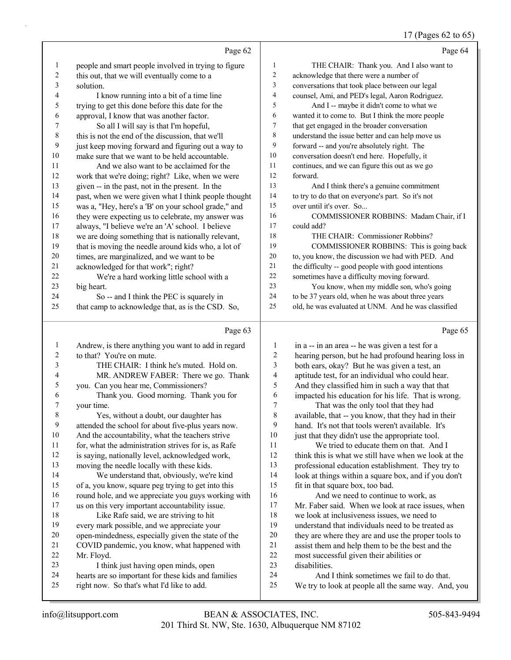#### 17 (Pages 62 to 65)

|                          |                                                      |                          | $17 \text{ (1 qgcs of } 20$                         |
|--------------------------|------------------------------------------------------|--------------------------|-----------------------------------------------------|
|                          | Page 62                                              |                          | Page 64                                             |
| $\mathbf{1}$             | people and smart people involved in trying to figure | $\mathbf{1}$             | THE CHAIR: Thank you. And I also want to            |
| $\overline{c}$           | this out, that we will eventually come to a          | $\overline{c}$           | acknowledge that there were a number of             |
| 3                        | solution.                                            | $\overline{\mathbf{3}}$  | conversations that took place between our legal     |
| 4                        | I know running into a bit of a time line             | $\overline{\mathcal{A}}$ | counsel, Ami, and PED's legal, Aaron Rodriguez.     |
| 5                        | trying to get this done before this date for the     | 5                        | And I -- maybe it didn't come to what we            |
| 6                        | approval, I know that was another factor.            | $\epsilon$               | wanted it to come to. But I think the more people   |
| $\boldsymbol{7}$         | So all I will say is that I'm hopeful,               | $\tau$                   | that get engaged in the broader conversation        |
| $\,$ $\,$                | this is not the end of the discussion, that we'll    | 8                        | understand the issue better and can help move us    |
| 9                        | just keep moving forward and figuring out a way to   | 9                        | forward -- and you're absolutely right. The         |
| 10                       | make sure that we want to be held accountable.       | $10\,$                   | conversation doesn't end here. Hopefully, it        |
| 11                       | And we also want to be acclaimed for the             | $11\,$                   | continues, and we can figure this out as we go      |
| 12                       | work that we're doing; right? Like, when we were     | 12                       | forward.                                            |
| 13                       | given -- in the past, not in the present. In the     | 13                       | And I think there's a genuine commitment            |
| 14                       | past, when we were given what I think people thought | 14                       | to try to do that on everyone's part. So it's not   |
| 15                       | was a, "Hey, here's a 'B' on your school grade," and | 15                       | over until it's over. So                            |
| 16                       | they were expecting us to celebrate, my answer was   | 16                       | COMMISSIONER ROBBINS: Madam Chair, if I             |
| 17                       | always, "I believe we're an 'A' school. I believe    | 17                       | could add?                                          |
| 18                       | we are doing something that is nationally relevant,  | 18                       | THE CHAIR: Commissioner Robbins?                    |
| 19                       | that is moving the needle around kids who, a lot of  | 19                       | COMMISSIONER ROBBINS: This is going back            |
| 20                       | times, are marginalized, and we want to be           | $20\,$                   | to, you know, the discussion we had with PED. And   |
| 21                       | acknowledged for that work"; right?                  | 21                       | the difficulty -- good people with good intentions  |
| 22                       | We're a hard working little school with a            | 22                       | sometimes have a difficulty moving forward.         |
| 23                       | big heart.                                           | 23                       | You know, when my middle son, who's going           |
| 24                       | So -- and I think the PEC is squarely in             | $24\,$                   | to be 37 years old, when he was about three years   |
| 25                       | that camp to acknowledge that, as is the CSD. So,    | 25                       | old, he was evaluated at UNM. And he was classified |
|                          |                                                      |                          |                                                     |
|                          | Page 63                                              |                          | Page 65                                             |
| $\mathbf{1}$             | Andrew, is there anything you want to add in regard  | $\mathbf{1}$             | in a -- in an area -- he was given a test for a     |
| $\overline{2}$           | to that? You're on mute.                             | $\boldsymbol{2}$         | hearing person, but he had profound hearing loss in |
| 3                        | THE CHAIR: I think he's muted. Hold on.              | 3                        | both ears, okay? But he was given a test, an        |
| $\overline{\mathcal{L}}$ | MR. ANDREW FABER: There we go. Thank                 | $\overline{\mathcal{L}}$ | aptitude test, for an individual who could hear.    |
| 5                        | you. Can you hear me, Commissioners?                 | 5                        | And they classified him in such a way that that     |
| 6                        | Thank you. Good morning. Thank you for               | 6                        | impacted his education for his life. That is wrong. |
| 7                        | your time.                                           | $\boldsymbol{7}$         | That was the only tool that they had                |
| 8                        | Yes, without a doubt, our daughter has               | $\,$ 8 $\,$              | available, that -- you know, that they had in their |
| 9                        | attended the school for about five-plus years now.   | 9                        | hand. It's not that tools weren't available. It's   |
| 10                       | And the accountability, what the teachers strive     | 10                       | just that they didn't use the appropriate tool.     |
| 11                       | for, what the administration strives for is, as Rafe | 11                       | We tried to educate them on that. And I             |

 is saying, nationally level, acknowledged work, moving the needle locally with these kids. 14 We understand that, obviously, we're kind of a, you know, square peg trying to get into this 16 round hole, and we appreciate you guys working with us on this very important accountability issue. 18 Like Rafe said, we are striving to hit every mark possible, and we appreciate your open-mindedness, especially given the state of the COVID pandemic, you know, what happened with

- Mr. Floyd. 23 I think just having open minds, open hearts are so important for these kids and families
- right now. So that's what I'd like to add.

 think this is what we still have when we look at the professional education establishment. They try to look at things within a square box, and if you don't fit in that square box, too bad.

16 And we need to continue to work, as Mr. Faber said. When we look at race issues, when we look at inclusiveness issues, we need to understand that individuals need to be treated as they are where they are and use the proper tools to assist them and help them to be the best and the most successful given their abilities or disabilities. 24 And I think sometimes we fail to do that.

We try to look at people all the same way. And, you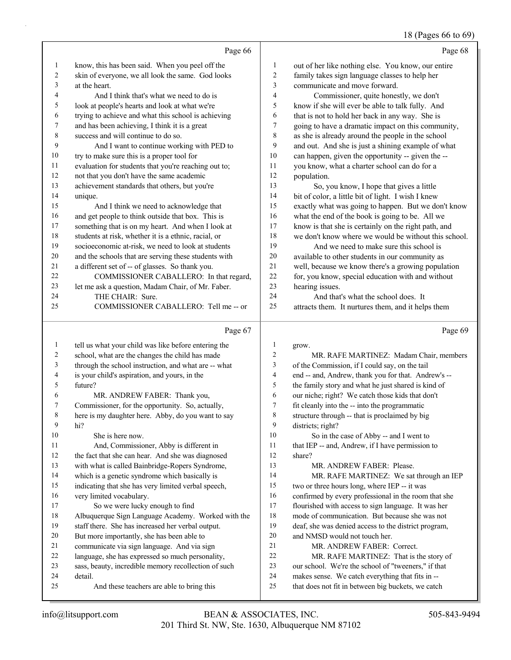#### 18 (Pages 66 to 69)

|         | Page 66                                              |                | Page 68                                              |
|---------|------------------------------------------------------|----------------|------------------------------------------------------|
| 1       | know, this has been said. When you peel off the      | 1              | out of her like nothing else. You know, our entire   |
| 2       | skin of everyone, we all look the same. God looks    | $\overline{2}$ | family takes sign language classes to help her       |
| 3       | at the heart.                                        | 3              | communicate and move forward.                        |
| 4       | And I think that's what we need to do is             | $\overline{4}$ | Commissioner, quite honestly, we don't               |
| 5       | look at people's hearts and look at what we're       | 5              | know if she will ever be able to talk fully. And     |
| 6       | trying to achieve and what this school is achieving  | 6              | that is not to hold her back in any way. She is      |
| 7       | and has been achieving, I think it is a great        | 7              | going to have a dramatic impact on this community,   |
| $\,8\,$ | success and will continue to do so.                  | $\,$ $\,$      | as she is already around the people in the school    |
| 9       | And I want to continue working with PED to           | 9              | and out. And she is just a shining example of what   |
| 10      | try to make sure this is a proper tool for           | 10             | can happen, given the opportunity -- given the --    |
| 11      | evaluation for students that you're reaching out to; | 11             | you know, what a charter school can do for a         |
| 12      | not that you don't have the same academic            | 12             | population.                                          |
| 13      | achievement standards that others, but you're        | 13             | So, you know, I hope that gives a little             |
| 14      | unique.                                              | 14             | bit of color, a little bit of light. I wish I knew   |
| 15      | And I think we need to acknowledge that              | 15             | exactly what was going to happen. But we don't know  |
| 16      | and get people to think outside that box. This is    | 16             | what the end of the book is going to be. All we      |
| 17      | something that is on my heart. And when I look at    | 17             | know is that she is certainly on the right path, and |
| 18      | students at risk, whether it is a ethnic, racial, or | 18             | we don't know where we would be without this school. |
| 19      | socioeconomic at-risk, we need to look at students   | 19             | And we need to make sure this school is              |
| 20      | and the schools that are serving these students with | 20             | available to other students in our community as      |
| 21      | a different set of -- of glasses. So thank you.      | 21             | well, because we know there's a growing population   |
| 22      | COMMISSIONER CABALLERO: In that regard,              | 22             | for, you know, special education with and without    |
| 23      | let me ask a question, Madam Chair, of Mr. Faber.    | 23             | hearing issues.                                      |
| 24      | THE CHAIR: Sure.                                     | 24             | And that's what the school does. It                  |
| 25      | COMMISSIONER CABALLERO: Tell me -- or                | 25             | attracts them. It nurtures them, and it helps them   |
|         | Page 67                                              |                | Page 69                                              |
| 1       | tell us what your child was like before entering the | 1              | grow.                                                |
| 2       | school, what are the changes the child has made      | 2              | MR. RAFE MARTINEZ: Madam Chair, members              |
| 3       | through the school instruction, and what are -- what | 3              | of the Commission, if I could say, on the tail       |
| 4       | is your child's aspiration, and yours, in the        | 4              | end -- and, Andrew, thank you for that. Andrew's --  |
| 5       | future?                                              | 5              | the family story and what he just shared is kind of  |
| 6       | MR. ANDREW FABER: Thank you,                         | 6              | our niche; right? We catch those kids that don't     |
| 7       | Commissioner, for the opportunity. So, actually,     | $\tau$         | fit cleanly into the -- into the programmatic        |
| 8       | here is my daughter here. Abby, do you want to say   | 8              | structure through -- that is proclaimed by big       |
| 9       | hi?                                                  | 9              | districts; right?                                    |
| 10      | She is here now.                                     | 10             | So in the case of Abby -- and I went to              |
| 11      | And, Commissioner, Abby is different in              | 11             | that IEP -- and, Andrew, if I have permission to     |
| 12      | the fact that she can hear. And she was diagnosed    | 12             | share?                                               |
| 13      | with what is called Bainbridge-Ropers Syndrome,      | 13             | MR. ANDREW FABER: Please.                            |
| 14      | which is a genetic syndrome which basically is       | 14             | MR. RAFE MARTINEZ: We sat through an IEP             |
| 15      | indicating that she has very limited verbal speech,  | 15             | two or three hours long, where IEP -- it was         |
| 16      | very limited vocabulary.                             | 16             | confirmed by every professional in the room that she |
| 17      | So we were lucky enough to find                      | 17             | flourished with access to sign language. It was her  |
| 18      | Albuquerque Sign Language Academy. Worked with the   | $18\,$         | mode of communication. But because she was not       |

staff there. She has increased her verbal output.

- But more importantly, she has been able to
- communicate via sign language. And via sign
- language, she has expressed so much personality,
- sass, beauty, incredible memory recollection of such
- detail.
	- 25 And these teachers are able to bring this
- 201 Third St. NW, Ste. 1630, Albuquerque NM 87102 info@litsupport.com BEAN & ASSOCIATES, INC. 505-843-9494

deaf, she was denied access to the district program,

22 MR. RAFE MARTINEZ: That is the story of our school. We're the school of "tweeners," if that makes sense. We catch everything that fits in -- that does not fit in between big buckets, we catch

 and NMSD would not touch her. 21 MR. ANDREW FABER: Correct.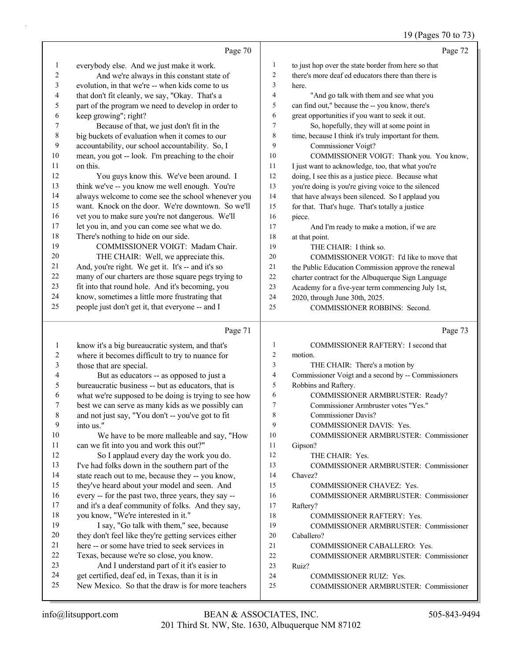### 19 (Pages 70 to 73)

|                         |                                                      |                          | 19 (Pages 70 to 73)                                  |
|-------------------------|------------------------------------------------------|--------------------------|------------------------------------------------------|
|                         | Page 70                                              |                          | Page 72                                              |
| 1                       | everybody else. And we just make it work.            | 1                        | to just hop over the state border from here so that  |
| 2                       | And we're always in this constant state of           | $\overline{c}$           | there's more deaf ed educators there than there is   |
| 3                       | evolution, in that we're -- when kids come to us     | 3                        | here.                                                |
| 4                       | that don't fit cleanly, we say, "Okay. That's a      | $\overline{\mathcal{A}}$ | "And go talk with them and see what you              |
| 5                       | part of the program we need to develop in order to   | 5                        | can find out," because the -- you know, there's      |
| 6                       | keep growing"; right?                                | 6                        | great opportunities if you want to seek it out.      |
| 7                       | Because of that, we just don't fit in the            | $\tau$                   | So, hopefully, they will at some point in            |
| $\,$ $\,$               | big buckets of evaluation when it comes to our       | $\,$ $\,$                | time, because I think it's truly important for them. |
| $\boldsymbol{9}$        | accountability, our school accountability. So, I     | 9                        | Commissioner Voigt?                                  |
| $10\,$                  | mean, you got -- look. I'm preaching to the choir    | 10                       | COMMISSIONER VOIGT: Thank you. You know,             |
| 11                      | on this.                                             | 11                       | I just want to acknowledge, too, that what you're    |
| 12                      | You guys know this. We've been around. I             | 12                       | doing, I see this as a justice piece. Because what   |
| 13                      | think we've -- you know me well enough. You're       | 13                       | you're doing is you're giving voice to the silenced  |
| 14                      | always welcome to come see the school whenever you   | 14                       | that have always been silenced. So I applaud you     |
| 15                      | want. Knock on the door. We're downtown. So we'll    | 15                       | for that. That's huge. That's totally a justice      |
| 16                      | vet you to make sure you're not dangerous. We'll     | 16                       | piece.                                               |
| 17                      | let you in, and you can come see what we do.         | 17                       | And I'm ready to make a motion, if we are            |
| 18                      | There's nothing to hide on our side.                 | 18                       | at that point.                                       |
| 19                      | COMMISSIONER VOIGT: Madam Chair.                     | 19                       | THE CHAIR: I think so.                               |
| $20\,$                  | THE CHAIR: Well, we appreciate this.                 | 20                       | COMMISSIONER VOIGT: I'd like to move that            |
| 21                      | And, you're right. We get it. It's -- and it's so    | 21                       | the Public Education Commission approve the renewal  |
| $22\,$                  | many of our charters are those square pegs trying to | 22                       | charter contract for the Albuquerque Sign Language   |
| 23                      | fit into that round hole. And it's becoming, you     | 23                       | Academy for a five-year term commencing July 1st,    |
| 24                      | know, sometimes a little more frustrating that       | 24                       | 2020, through June 30th, 2025.                       |
| 25                      | people just don't get it, that everyone -- and I     | 25                       | COMMISSIONER ROBBINS: Second.                        |
|                         | Page 71                                              |                          | Page 73                                              |
| $\mathbf{1}$            | know it's a big bureaucratic system, and that's      | $\mathbf{1}$             | COMMISSIONER RAFTERY: I second that                  |
| $\overline{\mathbf{c}}$ | where it becomes difficult to try to nuance for      | $\overline{\mathbf{c}}$  | motion.                                              |
| 3                       | those that are special.                              | 3                        | THE CHAIR: There's a motion by                       |
| 4                       | But as educators -- as opposed to just a             | $\overline{4}$           | Commissioner Voigt and a second by -- Commissioners  |
| 5                       | bureaucratic business -- but as educators, that is   | 5                        | Robbins and Raftery.                                 |
| 6                       | what we're supposed to be doing is trying to see how | 6                        | COMMISSIONER ARMBRUSTER: Ready?                      |
| 7                       | best we can serve as many kids as we possibly can    | 7                        | Commissioner Armbruster votes "Yes."                 |
| 8                       | and not just say, "You don't -- you've got to fit    | 8                        | Commissioner Davis?                                  |
| 9                       | into us."                                            | 9                        | COMMISSIONER DAVIS: Yes.                             |
| 10                      | We have to be more malleable and say, "How           | 10                       | COMMISSIONER ARMBRUSTER: Commissioner                |
| 11                      | can we fit into you and work this out?"              | 11                       | Gipson?                                              |
| 12                      | So I applaud every day the work you do.              | 12                       | THE CHAIR: Yes.                                      |
| 13                      | I've had folks down in the southern part of the      | 13                       | COMMISSIONER ARMBRUSTER: Commissioner                |
| 14                      | state reach out to me, because they -- you know,     | 14                       | Chavez?                                              |
| 15                      | they've heard about your model and seen. And         | 15                       | COMMISSIONER CHAVEZ: Yes.                            |
| 16                      | every -- for the past two, three years, they say --  | 16                       | COMMISSIONER ARMBRUSTER: Commissioner                |
| 17                      | and it's a deaf community of folks. And they say,    | 17                       | Raftery?                                             |
| 18                      | you know, "We're interested in it."                  | 18                       | COMMISSIONER RAFTERY: Yes.                           |
| 19                      | I say, "Go talk with them," see, because             | 19                       | COMMISSIONER ARMBRUSTER: Commissioner                |
| 20                      | they don't feel like they're getting services either | 20                       | Caballero?                                           |
| 21                      | here -- or some have tried to seek services in       | 21                       | COMMISSIONER CABALLERO: Yes.                         |
| $22\,$                  | Texas, because we're so close, you know.             | 22                       | COMMISSIONER ARMBRUSTER: Commissioner                |

- 23 And I understand part of it it's easier to
- get certified, deaf ed, in Texas, than it is in
- New Mexico. So that the draw is for more teachers

Ruiz?

24 COMMISSIONER RUIZ: Yes.

25 COMMISSIONER ARMBRUSTER: Commissioner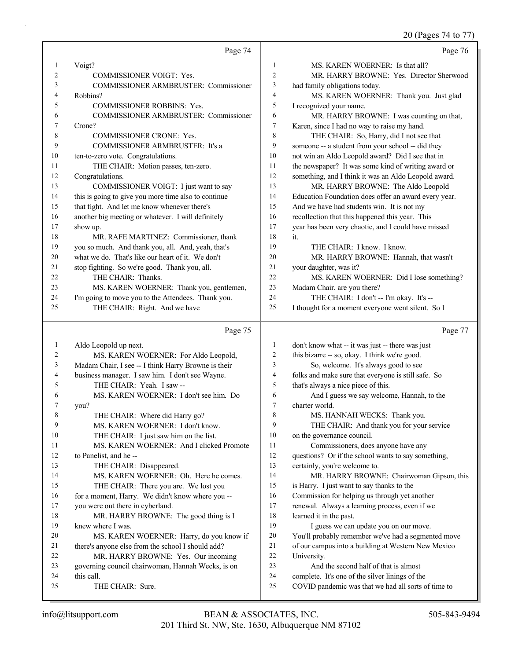### 20 (Pages 74 to 77)

|    | Page 74                                              |                | Page 76                                              |
|----|------------------------------------------------------|----------------|------------------------------------------------------|
| 1  | Voigt?                                               | $\mathbf{1}$   | MS. KAREN WOERNER: Is that all?                      |
| 2  | COMMISSIONER VOIGT: Yes.                             | $\overline{2}$ | MR. HARRY BROWNE: Yes. Director Sherwood             |
| 3  | COMMISSIONER ARMBRUSTER: Commissioner                | $\mathfrak{Z}$ | had family obligations today.                        |
| 4  | Robbins?                                             | $\overline{4}$ | MS. KAREN WOERNER: Thank you. Just glad              |
| 5  | COMMISSIONER ROBBINS: Yes.                           | 5              | I recognized your name.                              |
| 6  | COMMISSIONER ARMBRUSTER: Commissioner                | 6              | MR. HARRY BROWNE: I was counting on that,            |
| 7  | Crone?                                               | $\tau$         | Karen, since I had no way to raise my hand.          |
| 8  | COMMISSIONER CRONE: Yes.                             | 8              | THE CHAIR: So, Harry, did I not see that             |
| 9  | COMMISSIONER ARMBRUSTER: It's a                      | 9              | someone -- a student from your school -- did they    |
| 10 | ten-to-zero vote. Congratulations.                   | 10             | not win an Aldo Leopold award? Did I see that in     |
| 11 | THE CHAIR: Motion passes, ten-zero.                  | 11             | the newspaper? It was some kind of writing award or  |
| 12 | Congratulations.                                     | 12             | something, and I think it was an Aldo Leopold award. |
| 13 | COMMISSIONER VOIGT: I just want to say               | 13             | MR. HARRY BROWNE: The Aldo Leopold                   |
| 14 | this is going to give you more time also to continue | 14             | Education Foundation does offer an award every year. |
| 15 | that fight. And let me know whenever there's         | 15             | And we have had students win. It is not my           |
| 16 | another big meeting or whatever. I will definitely   | 16             | recollection that this happened this year. This      |
| 17 | show up.                                             | 17             | year has been very chaotic, and I could have missed  |
| 18 | MR. RAFE MARTINEZ: Commissioner, thank               | 18             | it.                                                  |
| 19 | you so much. And thank you, all. And, yeah, that's   | 19             | THE CHAIR: I know. I know.                           |
| 20 | what we do. That's like our heart of it. We don't    | 20             | MR. HARRY BROWNE: Hannah, that wasn't                |
| 21 | stop fighting. So we're good. Thank you, all.        | 21             | your daughter, was it?                               |
| 22 | THE CHAIR: Thanks.                                   | 22             | MS. KAREN WOERNER: Did I lose something?             |
| 23 | MS. KAREN WOERNER: Thank you, gentlemen,             | 23             | Madam Chair, are you there?                          |
| 24 | I'm going to move you to the Attendees. Thank you.   | 24             | THE CHAIR: I don't -- I'm okay. It's --              |
| 25 | THE CHAIR: Right. And we have                        | 25             | I thought for a moment everyone went silent. So I    |
|    | Page 75                                              |                | Page 77                                              |
| 1  | Aldo Leopold up next.                                | $\mathbf{1}$   | don't know what -- it was just -- there was just     |
| 2  | MS. KAREN WOERNER: For Aldo Leopold,                 | $\overline{2}$ | this bizarre -- so, okay. I think we're good.        |
| 3  | Madam Chair, I see -- I think Harry Browne is their  | 3              | So, welcome. It's always good to see                 |
| 4  | business manager. I saw him. I don't see Wayne.      | 4              | folks and make sure that everyone is still safe. So  |
| 5  | THE CHAIR: Yeah. I saw --                            | 5              | that's always a nice piece of this.                  |
| 6  | MS. KAREN WOERNER: I don't see him. Do               | 6              | And I guess we say welcome, Hannah, to the           |
| 7  | you?                                                 | $\tau$         | charter world.                                       |
| 8  | THE CHAIR: Where did Harry go?                       | 8              | MS. HANNAH WECKS: Thank you.                         |
| 9  | MS. KAREN WOERNER: I don't know.                     | 9              | THE CHAIR: And thank you for your service            |
| 10 | THE CHAIR: I just saw him on the list.               | 10             | on the governance council.                           |
| 11 | MS. KAREN WOERNER: And I clicked Promote             | 11             | Commissioners, does anyone have any                  |
| 12 | to Panelist, and he --                               | 12             | questions? Or if the school wants to say something,  |
| 13 | THE CHAIR: Disappeared.                              | 13             | certainly, you're welcome to.                        |
| 14 | MS. KAREN WOERNER: Oh. Here he comes.                | 14             | MR. HARRY BROWNE: Chairwoman Gipson, this            |
| 15 | THE CHAIR: There you are. We lost you                | 15             | is Harry. I just want to say thanks to the           |
| 16 | for a moment, Harry. We didn't know where you --     | 16             | Commission for helping us through yet another        |
| 17 | you were out there in cyberland.                     | 17             | renewal. Always a learning process, even if we       |
| 18 | MR. HARRY BROWNE: The good thing is I                | 18             | learned it in the past.                              |
| 19 | knew where I was.                                    | 19             | I guess we can update you on our move.               |
| 20 | MS. KAREN WOERNER: Harry, do you know if             | 20             | You'll probably remember we've had a segmented move  |
| 21 | there's anyone else from the school I should add?    | 21             | of our campus into a building at Western New Mexico  |
| 22 | MR. HARRY BROWNE: Yes. Our incoming                  | 22             | University.                                          |
| 23 | governing council chairwoman, Hannah Wecks, is on    | 23             | And the second half of that is almost                |
| 24 | this call.                                           | 24             | complete. It's one of the silver linings of the      |
| 25 | THE CHAIR: Sure.                                     | 25             | COVID pandemic was that we had all sorts of time to  |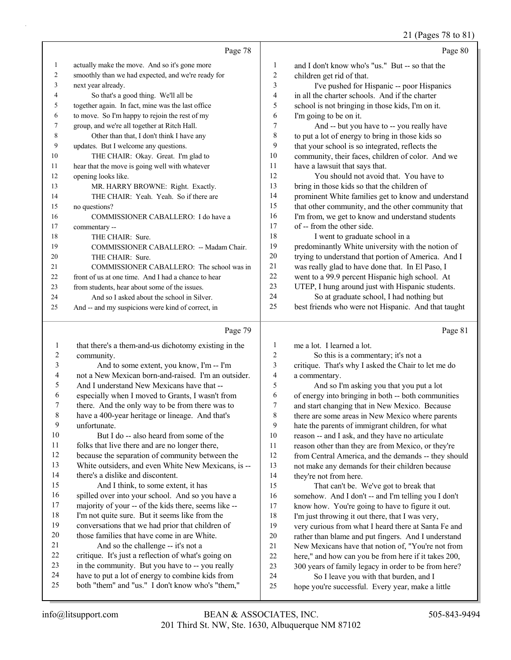#### 21 (Pages 78 to 81)

|    | Page 78                                             |                | Page 80                                             |
|----|-----------------------------------------------------|----------------|-----------------------------------------------------|
| 1  | actually make the move. And so it's gone more       | 1              | and I don't know who's "us." But -- so that the     |
| 2  | smoothly than we had expected, and we're ready for  | $\overline{2}$ | children get rid of that.                           |
| 3  | next year already.                                  | 3              | I've pushed for Hispanic -- poor Hispanics          |
| 4  | So that's a good thing. We'll all be                | $\overline{4}$ | in all the charter schools. And if the charter      |
| 5  | together again. In fact, mine was the last office   | 5              | school is not bringing in those kids, I'm on it.    |
| 6  | to move. So I'm happy to rejoin the rest of my      | 6              | I'm going to be on it.                              |
| 7  | group, and we're all together at Ritch Hall.        | 7              | And -- but you have to -- you really have           |
| 8  | Other than that, I don't think I have any           | $\,$ 8 $\,$    | to put a lot of energy to bring in those kids so    |
| 9  | updates. But I welcome any questions.               | 9              | that your school is so integrated, reflects the     |
| 10 | THE CHAIR: Okay. Great. I'm glad to                 | 10             | community, their faces, children of color. And we   |
| 11 | hear that the move is going well with whatever      | 11             | have a lawsuit that says that.                      |
| 12 | opening looks like.                                 | 12             | You should not avoid that. You have to              |
| 13 | MR. HARRY BROWNE: Right. Exactly.                   | 13             | bring in those kids so that the children of         |
| 14 | THE CHAIR: Yeah. Yeah. So if there are              | 14             | prominent White families get to know and understand |
| 15 | no questions?                                       | 15             | that other community, and the other community that  |
| 16 | COMMISSIONER CABALLERO: I do have a                 | 16             | I'm from, we get to know and understand students    |
| 17 | commentary --                                       | 17             | of -- from the other side.                          |
| 18 | THE CHAIR: Sure.                                    | 18             | I went to graduate school in a                      |
| 19 | COMMISSIONER CABALLERO: -- Madam Chair.             | 19             | predominantly White university with the notion of   |
| 20 | THE CHAIR: Sure.                                    | 20             | trying to understand that portion of America. And I |
| 21 | COMMISSIONER CABALLERO: The school was in           | 21             | was really glad to have done that. In El Paso, I    |
| 22 | front of us at one time. And I had a chance to hear | 22             | went to a 99.9 percent Hispanic high school. At     |
| 23 | from students, hear about some of the issues.       | 23             | UTEP, I hung around just with Hispanic students.    |
| 24 | And so I asked about the school in Silver.          | 24             | So at graduate school, I had nothing but            |
| 25 | And -- and my suspicions were kind of correct, in   | 25             | best friends who were not Hispanic. And that taught |
|    | Page 79                                             |                | Page 81                                             |

| $\mathbf{1}$             | that there's a them-and-us dichotomy existing in the |                |
|--------------------------|------------------------------------------------------|----------------|
| 2                        | community.                                           | $\tilde{z}$    |
| 3                        | And to some extent, you know, I'm -- I'm             | $\mathbf{c}$   |
| $\overline{\mathcal{L}}$ | not a New Mexican born-and-raised. I'm an outsider.  | 4              |
| 5                        | And I understand New Mexicans have that --           | $\ddot{\cdot}$ |
| 6                        | especially when I moved to Grants, I wasn't from     | $\epsilon$     |
| 7                        | there. And the only way to be from there was to      | 7              |
| 8                        | have a 400-year heritage or lineage. And that's      | ş              |
| 9                        | unfortunate.                                         | ç              |
| 10                       | But I do -- also heard from some of the              | 1 <sup>1</sup> |
| 11                       | folks that live there and are no longer there,       | 11             |
| 12                       | because the separation of community between the      | 12             |
| 13                       | White outsiders, and even White New Mexicans, is --  | 13             |
| 14                       | there's a dislike and discontent.                    | 14             |
| 15                       | And I think, to some extent, it has                  | 1.5            |
| 16                       | spilled over into your school. And so you have a     | 16             |
| 17                       | majority of your -- of the kids there, seems like -- | 17             |
| 18                       | I'm not quite sure. But it seems like from the       | 18             |
| 19                       | conversations that we had prior that children of     | 19             |
| 20                       | those families that have come in are White.          | 2(             |
| 21                       | And so the challenge -- it's not a                   | 21             |
| 22                       | critique. It's just a reflection of what's going on  | 22             |
| 23                       | in the community. But you have to -- you really      | 23             |
| 24                       | have to put a lot of energy to combine kids from     | 24             |
| 25                       | both "them" and "us." I don't know who's "them,"     | 25             |
|                          |                                                      |                |

me a lot. I learned a lot. So this is a commentary; it's not a critique. That's why I asked the Chair to let me do a commentary.

5 And so I'm asking you that you put a lot 6 of energy into bringing in both -- both communities and start changing that in New Mexico. Because there are some areas in New Mexico where parents hate the parents of immigrant children, for what reason -- and I ask, and they have no articulate reason other than they are from Mexico, or they're from Central America, and the demands -- they should not make any demands for their children because they're not from here.

That can't be. We've got to break that somehow. And I don't -- and I'm telling you I don't know how. You're going to have to figure it out. I'm just throwing it out there, that I was very, very curious from what I heard there at Santa Fe and 20 rather than blame and put fingers. And I understand New Mexicans have that notion of, "You're not from here," and how can you be from here if it takes 200, 23 300 years of family legacy in order to be from here? So I leave you with that burden, and I

hope you're successful. Every year, make a little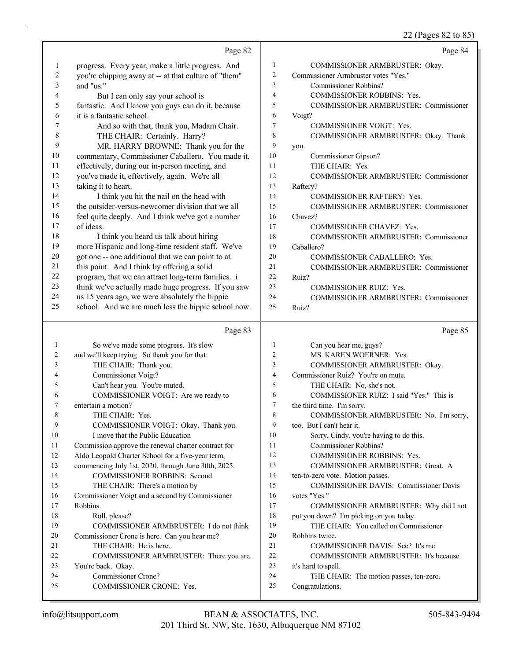22 (Pages 82 to 85)

|          | Page 82                                              |                | Page 84                                                              |
|----------|------------------------------------------------------|----------------|----------------------------------------------------------------------|
| 1        | progress. Every year, make a little progress. And    | $\mathbf{1}$   | COMMISSIONER ARMBRUSTER: Okay.                                       |
| 2        | you're chipping away at -- at that culture of "them" | $\overline{c}$ | Commissioner Armbruster votes "Yes."                                 |
| 3        | and "us."                                            | 3              | Commissioner Robbins?                                                |
| 4        | But I can only say your school is                    | 4              | COMMISSIONER ROBBINS: Yes.                                           |
| 5        | fantastic. And I know you guys can do it, because    | 5              | COMMISSIONER ARMBRUSTER: Commissioner                                |
| 6        | it is a fantastic school.                            | 6              | Voigt?                                                               |
| 7        | And so with that, thank you, Madam Chair.            | 7              | COMMISSIONER VOIGT: Yes.                                             |
| 8        | THE CHAIR: Certainly. Harry?                         | 8              | COMMISSIONER ARMBRUSTER: Okay. Thank                                 |
| 9        | MR. HARRY BROWNE: Thank you for the                  | 9              | you.                                                                 |
| 10       | commentary, Commissioner Caballero. You made it,     | 10             | Commissioner Gipson?                                                 |
| 11       | effectively, during our in-person meeting, and       | 11             | THE CHAIR: Yes.                                                      |
| 12       | you've made it, effectively, again. We're all        | 12             | COMMISSIONER ARMBRUSTER: Commissioner                                |
| 13       | taking it to heart.                                  | 13             | Raftery?                                                             |
| 14       | I think you hit the nail on the head with            | 14             | COMMISSIONER RAFTERY: Yes.                                           |
| 15       | the outsider-versus-newcomer division that we all    | 15             | COMMISSIONER ARMBRUSTER: Commissioner                                |
| 16       | feel quite deeply. And I think we've got a number    | 16             | Chavez?                                                              |
| 17       | of ideas.                                            | 17             | COMMISSIONER CHAVEZ: Yes.                                            |
| 18       | I think you heard us talk about hiring               | 18             | COMMISSIONER ARMBRUSTER: Commissioner                                |
| 19       | more Hispanic and long-time resident staff. We've    | 19             | Caballero?                                                           |
| $20\,$   | got one -- one additional that we can point to at    | 20             | COMMISSIONER CABALLERO: Yes.                                         |
| 21       | this point. And I think by offering a solid          | 21             | COMMISSIONER ARMBRUSTER: Commissioner                                |
| $22\,$   | program, that we can attract long-term families. i   | 22             | Ruiz?                                                                |
| 23       | think we've actually made huge progress. If you saw  | 23             | <b>COMMISSIONER RUIZ: Yes.</b>                                       |
| 24       | us 15 years ago, we were absolutely the hippie       | 24             | COMMISSIONER ARMBRUSTER: Commissioner                                |
| 25       | school. And we are much less the hippie school now.  | 25             | Ruiz?                                                                |
|          |                                                      |                |                                                                      |
|          | Page 83                                              |                | Page 85                                                              |
| 1        |                                                      | $\mathbf{1}$   |                                                                      |
| 2        | So we've made some progress. It's slow               | 2              | Can you hear me, guys?<br>MS. KAREN WOERNER: Yes.                    |
| 3        | and we'll keep trying. So thank you for that.        | 3              |                                                                      |
| 4        | THE CHAIR: Thank you.<br>Commissioner Voigt?         | 4              | COMMISSIONER ARMBRUSTER: Okay.<br>Commissioner Ruiz? You're on mute. |
| 5        | Can't hear you. You're muted.                        | 5              | THE CHAIR: No, she's not.                                            |
| 6        | COMMISSIONER VOIGT: Are we ready to                  | 6              | COMMISSIONER RUIZ: I said "Yes." This is                             |
| 7        | entertain a motion?                                  | 7              | the third time. I'm sorry.                                           |
| 8        | THE CHAIR: Yes.                                      | $\,$ $\,$      | COMMISSIONER ARMBRUSTER: No. I'm sorry,                              |
| 9        | COMMISSIONER VOIGT: Okay. Thank you.                 | 9              | too. But I can't hear it.                                            |
| 10       | I move that the Public Education                     | 10             | Sorry, Cindy, you're having to do this.                              |
| 11       | Commission approve the renewal charter contract for  | 11             | Commissioner Robbins?                                                |
| 12       | Aldo Leopold Charter School for a five-year term,    | 12             | COMMISSIONER ROBBINS: Yes.                                           |
| 13       | commencing July 1st, 2020, through June 30th, 2025.  | 13             | COMMISSIONER ARMBRUSTER: Great. A                                    |
| 14       | COMMISSIONER ROBBINS: Second.                        | 14             | ten-to-zero vote. Motion passes.                                     |
| 15       | THE CHAIR: There's a motion by                       | 15             | COMMISSIONER DAVIS: Commissioner Davis                               |
| 16       | Commissioner Voigt and a second by Commissioner      | 16             | votes "Yes."                                                         |
| 17       | Robbins.                                             | 17             | COMMISSIONER ARMBRUSTER: Why did I not                               |
| 18       | Roll, please?                                        | 18             | put you down? I'm picking on you today.                              |
| 19       | COMMISSIONER ARMBRUSTER: I do not think              | 19             | THE CHAIR: You called on Commissioner                                |
| 20       | Commissioner Crone is here. Can you hear me?         | 20             | Robbins twice.                                                       |
| 21       | THE CHAIR: He is here.                               | 21             | COMMISSIONER DAVIS: See? It's me.                                    |
| 22       | COMMISSIONER ARMBRUSTER: There you are.              | 22             | COMMISSIONER ARMBRUSTER: It's because                                |
| 23       | You're back. Okay.                                   | 23             | it's hard to spell.                                                  |
| 24<br>25 | Commissioner Crone?<br>COMMISSIONER CRONE: Yes.      | 24<br>25       | THE CHAIR: The motion passes, ten-zero.<br>Congratulations.          |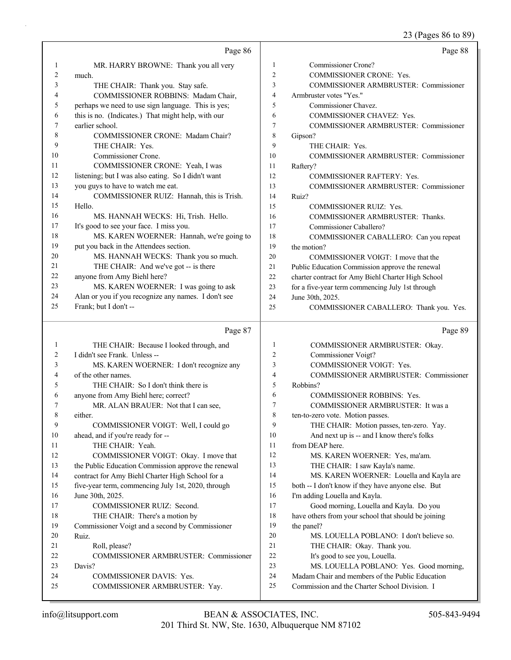### 23 (Pages 86 to 89)

|                |                                                                              |                | 25 (Pages 80 to 89)                                    |
|----------------|------------------------------------------------------------------------------|----------------|--------------------------------------------------------|
|                | Page 86                                                                      |                | Page 88                                                |
| 1              | MR. HARRY BROWNE: Thank you all very                                         | 1              | Commissioner Crone?                                    |
| $\overline{2}$ | much.                                                                        | $\overline{2}$ | COMMISSIONER CRONE: Yes.                               |
| 3              | THE CHAIR: Thank you. Stay safe.                                             | 3              | <b>COMMISSIONER ARMBRUSTER: Commissioner</b>           |
| 4              | COMMISSIONER ROBBINS: Madam Chair,                                           | $\overline{4}$ | Armbruster votes "Yes."                                |
| 5              | perhaps we need to use sign language. This is yes;                           | 5              | Commissioner Chavez.                                   |
| 6              | this is no. (Indicates.) That might help, with our                           | 6              | COMMISSIONER CHAVEZ: Yes.                              |
| 7              | earlier school.                                                              | $\overline{7}$ | <b>COMMISSIONER ARMBRUSTER: Commissioner</b>           |
| 8              | COMMISSIONER CRONE: Madam Chair?                                             | 8              | Gipson?                                                |
| 9              | THE CHAIR: Yes.                                                              | 9              | THE CHAIR: Yes.                                        |
| 10             | Commissioner Crone.                                                          | 10             | COMMISSIONER ARMBRUSTER: Commissioner                  |
| 11             | COMMISSIONER CRONE: Yeah, I was                                              | 11             | Raftery?                                               |
| 12             | listening; but I was also eating. So I didn't want                           | 12             | COMMISSIONER RAFTERY: Yes.                             |
| 13             | you guys to have to watch me eat.                                            | 13             | COMMISSIONER ARMBRUSTER: Commissioner                  |
| 14             | COMMISSIONER RUIZ: Hannah, this is Trish.                                    | 14             | Ruiz?                                                  |
| 15             | Hello.                                                                       | 15             | <b>COMMISSIONER RUIZ: Yes.</b>                         |
| 16             | MS. HANNAH WECKS: Hi, Trish. Hello.                                          | 16             | COMMISSIONER ARMBRUSTER: Thanks.                       |
| 17             | It's good to see your face. I miss you.                                      | 17             | Commissioner Caballero?                                |
| 18             | MS. KAREN WOERNER: Hannah, we're going to                                    | 18             | COMMISSIONER CABALLERO: Can you repeat                 |
| 19             | put you back in the Attendees section.                                       | 19             | the motion?                                            |
| 20             | MS. HANNAH WECKS: Thank you so much.                                         | 20             | COMMISSIONER VOIGT: I move that the                    |
| 21             | THE CHAIR: And we've got -- is there                                         | 21             | Public Education Commission approve the renewal        |
| 22             | anyone from Amy Biehl here?                                                  | 22             | charter contract for Amy Biehl Charter High School     |
| 23<br>24       | MS. KAREN WOERNER: I was going to ask                                        | 23             | for a five-year term commencing July 1st through       |
| 25             | Alan or you if you recognize any names. I don't see<br>Frank; but I don't -- | 24             | June 30th, 2025.                                       |
|                |                                                                              | 25             | COMMISSIONER CABALLERO: Thank you. Yes.                |
|                | Page 87                                                                      |                | Page 89                                                |
| $\mathbf{1}$   | THE CHAIR: Because I looked through, and                                     | 1              | COMMISSIONER ARMBRUSTER: Okay.                         |
| 2              | I didn't see Frank. Unless --                                                | $\overline{2}$ | Commissioner Voigt?                                    |
| 3              | MS. KAREN WOERNER: I don't recognize any                                     | 3              | COMMISSIONER VOIGT: Yes.                               |
| 4              | of the other names.                                                          | $\overline{4}$ | COMMISSIONER ARMBRUSTER: Commissioner                  |
| 5              | THE CHAIR: So I don't think there is                                         | 5              | Robbins?                                               |
| 6              | anyone from Amy Biehl here; correct?                                         | 6              | <b>COMMISSIONER ROBBINS: Yes.</b>                      |
| 7              | MR. ALAN BRAUER: Not that I can see,                                         | $\overline{7}$ | COMMISSIONER ARMBRUSTER: It was a                      |
| 8              | either.                                                                      | 8              | ten-to-zero vote. Motion passes.                       |
| 9              | COMMISSIONER VOIGT: Well, I could go                                         | 9              | THE CHAIR: Motion passes, ten-zero. Yay.               |
| 10             | ahead, and if you're ready for --                                            | 10             | And next up is -- and I know there's folks             |
| 11             | THE CHAIR: Yeah.                                                             | 11             | from DEAP here.                                        |
| 12             | COMMISSIONER VOIGT: Okay. I move that                                        | 12             | MS. KAREN WOERNER: Yes, ma'am.                         |
| 13             | the Public Education Commission approve the renewal                          | 13             | THE CHAIR: I saw Kayla's name.                         |
| 14             | contract for Amy Biehl Charter High School for a                             | 14             | MS. KAREN WOERNER: Louella and Kayla are               |
| 15             | five-year term, commencing July 1st, 2020, through                           | 15             | both -- I don't know if they have anyone else. But     |
| 16             | June 30th, 2025.                                                             | 16             | I'm adding Louella and Kayla.                          |
| 17             | COMMISSIONER RUIZ: Second.                                                   | 17             | Good morning, Louella and Kayla. Do you                |
| 18             | THE CHAIR: There's a motion by                                               | 18<br>19       | have others from your school that should be joining    |
| 19<br>20       | Commissioner Voigt and a second by Commissioner<br>Ruiz.                     | $20\,$         | the panel?<br>MS. LOUELLA POBLANO: I don't believe so. |
| 21             | Roll, please?                                                                | 21             | THE CHAIR: Okay. Thank you.                            |
| 22             | <b>COMMISSIONER ARMBRUSTER: Commissioner</b>                                 | 22             | It's good to see you, Louella.                         |
|                |                                                                              |                |                                                        |

- 22 It's good to see you, Louella.
- 23 MS. LOUELLA POBLANO: Yes. Good morning,
- 24 Madam Chair and members of the Public Education
- 25 Commission and the Charter School Division. I

24 COMMISSIONER DAVIS: Yes.

25 COMMISSIONER ARMBRUSTER: Yay.

23 Davis?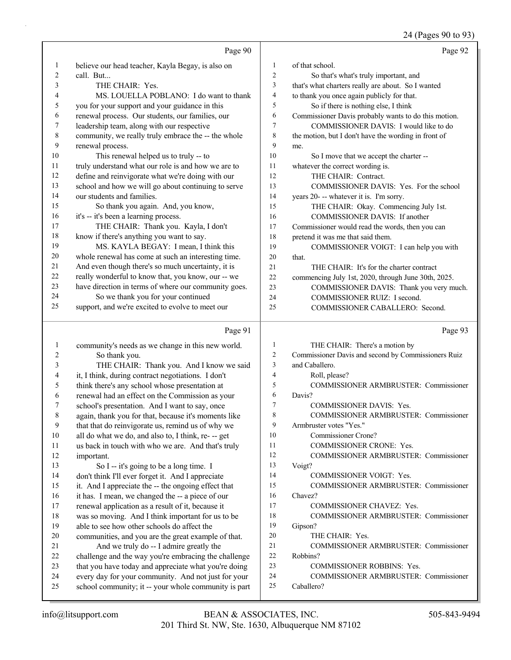24 (Pages 90 to 93)

|    | Page 90                                              |                | Page 92                                              |
|----|------------------------------------------------------|----------------|------------------------------------------------------|
| 1  | believe our head teacher, Kayla Begay, is also on    | 1              | of that school.                                      |
| 2  | call. But                                            | $\overline{c}$ | So that's what's truly important, and                |
| 3  | THE CHAIR: Yes.                                      | 3              | that's what charters really are about. So I wanted   |
| 4  | MS. LOUELLA POBLANO: I do want to thank              | $\overline{4}$ | to thank you once again publicly for that.           |
| 5  | you for your support and your guidance in this       | 5              | So if there is nothing else, I think                 |
| 6  | renewal process. Our students, our families, our     | 6              | Commissioner Davis probably wants to do this motion. |
| 7  | leadership team, along with our respective           | 7              | COMMISSIONER DAVIS: I would like to do               |
| 8  | community, we really truly embrace the -- the whole  | $\,$ 8 $\,$    | the motion, but I don't have the wording in front of |
| 9  | renewal process.                                     | 9              | me.                                                  |
| 10 | This renewal helped us to truly -- to                | 10             | So I move that we accept the charter --              |
| 11 | truly understand what our role is and how we are to  | 11             | whatever the correct wording is.                     |
| 12 | define and reinvigorate what we're doing with our    | 12             | THE CHAIR: Contract.                                 |
| 13 | school and how we will go about continuing to serve  | 13             | COMMISSIONER DAVIS: Yes. For the school              |
| 14 | our students and families.                           | 14             | years 20--- whatever it is. I'm sorry.               |
| 15 | So thank you again. And, you know,                   | 15             | THE CHAIR: Okay. Commencing July 1st.                |
| 16 | it's -- it's been a learning process.                | 16             | COMMISSIONER DAVIS: If another                       |
| 17 | THE CHAIR: Thank you. Kayla, I don't                 | 17             | Commissioner would read the words, then you can      |
| 18 | know if there's anything you want to say.            | 18             | pretend it was me that said them.                    |
| 19 | MS. KAYLA BEGAY: I mean, I think this                | 19             | COMMISSIONER VOIGT: I can help you with              |
| 20 | whole renewal has come at such an interesting time.  | 20             | that.                                                |
| 21 | And even though there's so much uncertainty, it is   | 21             | THE CHAIR: It's for the charter contract             |
| 22 | really wonderful to know that, you know, our -- we   | 22             | commencing July 1st, 2020, through June 30th, 2025.  |
| 23 | have direction in terms of where our community goes. | 23             | COMMISSIONER DAVIS: Thank you very much.             |
| 24 | So we thank you for your continued                   | 24             | COMMISSIONER RUIZ: I second.                         |
| 25 | support, and we're excited to evolve to meet our     | 25             | COMMISSIONER CABALLERO: Second.                      |
|    | Page 91                                              |                | Page 93                                              |
| 1  | community's needs as we change in this new world.    | 1              | THE CHAIR: There's a motion by                       |
| 2  | So thank you.                                        | 2              | Commissioner Davis and second by Commissioners Ruiz  |
| 3  | THE CHAIR: Thank you. And I know we said             | 3              | and Caballero.                                       |
| 4  | it, I think, during contract negotiations. I don't   | 4              | Roll, please?                                        |
| 5  | think there's any school whose presentation at       | 5              | COMMISSIONER ARMBRUSTER: Commissioner                |
| 6  | renewal had an effect on the Commission as your      | 6              | Davis?                                               |

7 COMMISSIONER DAVIS: Yes.

11 COMMISSIONER CRONE: Yes.

14 COMMISSIONER VOIGT: Yes.

17 COMMISSIONER CHAVEZ: Yes.

23 COMMISSIONER ROBBINS: Yes.

9 Armbruster votes "Yes." 10 Commissioner Crone?

20 THE CHAIR: Yes.

13 Voigt?

16 Chavez?

19 Gipson?

22 Robbins?

25 Caballero?

8 COMMISSIONER ARMBRUSTER: Commissioner

12 COMMISSIONER ARMBRUSTER: Commissioner

15 COMMISSIONER ARMBRUSTER: Commissioner

18 COMMISSIONER ARMBRUSTER: Commissioner

21 COMMISSIONER ARMBRUSTER: Commissioner

24 COMMISSIONER ARMBRUSTER: Commissioner

12 important.

 school's presentation. And I want to say, once again, thank you for that, because it's moments like that that do reinvigorate us, remind us of why we all do what we do, and also to, I think, re- -- get us back in touch with who we are. And that's truly

13 So I -- it's going to be a long time. I don't think I'll ever forget it. And I appreciate it. And I appreciate the -- the ongoing effect that it has. I mean, we changed the -- a piece of our renewal application as a result of it, because it was so moving. And I think important for us to be

19 able to see how other schools do affect the

20 communities, and you are the great example of that. 21 And we truly do -- I admire greatly the

 challenge and the way you're embracing the challenge that you have today and appreciate what you're doing every day for your community. And not just for your school community; it -- your whole community is part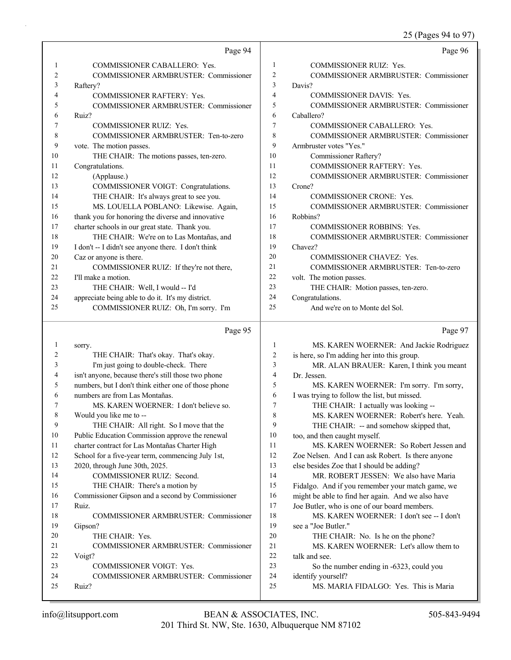25 (Pages 94 to 97)

|          | Page 94                                              |                | Page 96                                                 |
|----------|------------------------------------------------------|----------------|---------------------------------------------------------|
| 1        | COMMISSIONER CABALLERO: Yes.                         | 1              | <b>COMMISSIONER RUIZ: Yes.</b>                          |
| 2        | COMMISSIONER ARMBRUSTER: Commissioner                | $\overline{c}$ | COMMISSIONER ARMBRUSTER: Commissioner                   |
| 3        | Raftery?                                             | 3              | Davis?                                                  |
| 4        | <b>COMMISSIONER RAFTERY: Yes.</b>                    | 4              | <b>COMMISSIONER DAVIS: Yes.</b>                         |
| 5        | COMMISSIONER ARMBRUSTER: Commissioner                | 5              | COMMISSIONER ARMBRUSTER: Commissioner                   |
| 6        | Ruiz?                                                | 6              | Caballero?                                              |
| 7        | <b>COMMISSIONER RUIZ: Yes.</b>                       | 7              | COMMISSIONER CABALLERO: Yes.                            |
| 8        | COMMISSIONER ARMBRUSTER: Ten-to-zero                 | 8              | COMMISSIONER ARMBRUSTER: Commissioner                   |
| 9        | vote. The motion passes.                             | 9              | Armbruster votes "Yes."                                 |
| 10       | THE CHAIR: The motions passes, ten-zero.             | 10             | Commissioner Raftery?                                   |
| 11       | Congratulations.                                     | 11             | COMMISSIONER RAFTERY: Yes.                              |
| 12       | (Applause.)                                          | 12             | COMMISSIONER ARMBRUSTER: Commissioner                   |
| 13       | COMMISSIONER VOIGT: Congratulations.                 | 13             | Crone?                                                  |
| 14       | THE CHAIR: It's always great to see you.             | 14             | <b>COMMISSIONER CRONE: Yes.</b>                         |
| 15       | MS. LOUELLA POBLANO: Likewise. Again,                | 15             | <b>COMMISSIONER ARMBRUSTER: Commissioner</b>            |
| 16       | thank you for honoring the diverse and innovative    | 16             | Robbins?                                                |
| 17       | charter schools in our great state. Thank you.       | 17             | <b>COMMISSIONER ROBBINS: Yes.</b>                       |
| 18       | THE CHAIR: We're on to Las Montañas, and             | 18             | <b>COMMISSIONER ARMBRUSTER: Commissioner</b>            |
| 19       | I don't -- I didn't see anyone there. I don't think  | 19             | Chavez?                                                 |
| 20       | Caz or anyone is there.                              | 20             | COMMISSIONER CHAVEZ: Yes.                               |
| 21       | COMMISSIONER RUIZ: If they're not there,             | 21             | COMMISSIONER ARMBRUSTER: Ten-to-zero                    |
| 22       | I'll make a motion.                                  | 22             | volt. The motion passes.                                |
| 23       | THE CHAIR: Well, I would -- I'd                      | 23             | THE CHAIR: Motion passes, ten-zero.                     |
| 24       | appreciate being able to do it. It's my district.    | 24             | Congratulations.                                        |
| 25       | COMMISSIONER RUIZ: Oh, I'm sorry. I'm                | 25             | And we're on to Monte del Sol.                          |
|          |                                                      |                |                                                         |
|          | Page 95                                              |                | Page 97                                                 |
| 1        | sorry.                                               | 1              | MS. KAREN WOERNER: And Jackie Rodriguez                 |
| 2        | THE CHAIR: That's okay. That's okay.                 | $\overline{c}$ | is here, so I'm adding her into this group.             |
| 3        | I'm just going to double-check. There                | 3              | MR. ALAN BRAUER: Karen, I think you meant               |
| 4        | isn't anyone, because there's still those two phone  | $\overline{4}$ | Dr. Jessen.                                             |
| 5        | numbers, but I don't think either one of those phone | 5              | MS. KAREN WOERNER: I'm sorry. I'm sorry,                |
| 6        | numbers are from Las Montañas.                       | 6              | I was trying to follow the list, but missed.            |
| 7        | MS. KAREN WOERNER: I don't believe so.               | 7              | THE CHAIR: I actually was looking --                    |
| 8        | Would you like me to --                              | 8              | MS. KAREN WOERNER: Robert's here. Yeah.                 |
| 9        | THE CHAIR: All right. So I move that the             | 9              | THE CHAIR: -- and somehow skipped that,                 |
| 10       | Public Education Commission approve the renewal      | 10             | too, and then caught myself.                            |
| 11       | charter contract for Las Montañas Charter High       | 11             | MS. KAREN WOERNER: So Robert Jessen and                 |
| 12       | School for a five-year term, commencing July 1st,    | 12             | Zoe Nelsen. And I can ask Robert. Is there anyone       |
| 13       | 2020, through June 30th, 2025.                       | 13             | else besides Zoe that I should be adding?               |
| 14       | COMMISSIONER RUIZ: Second.                           | 14             | MR. ROBERT JESSEN: We also have Maria                   |
| 15       | THE CHAIR: There's a motion by                       | 15             | Fidalgo. And if you remember your match game, we        |
| 16       | Commissioner Gipson and a second by Commissioner     | 16             | might be able to find her again. And we also have       |
| 17       | Ruiz.                                                | 17             | Joe Butler, who is one of our board members.            |
| 18       | COMMISSIONER ARMBRUSTER: Commissioner                | 18             | MS. KAREN WOERNER: I don't see -- I don't               |
| 19       | Gipson?                                              | 19             | see a "Joe Butler."                                     |
| 20       | THE CHAIR: Yes.                                      | 20<br>21       | THE CHAIR: No. Is he on the phone?                      |
| 21<br>22 | <b>COMMISSIONER ARMBRUSTER: Commissioner</b>         | $22\,$         | MS. KAREN WOERNER: Let's allow them to<br>talk and see. |
| 23       | Voigt?<br>COMMISSIONER VOIGT: Yes.                   | 23             | So the number ending in -6323, could you                |
|          |                                                      |                |                                                         |

24 identify yourself?

25 MS. MARIA FIDALGO: Yes. This is Maria

25 Ruiz?

24 COMMISSIONER ARMBRUSTER: Commissioner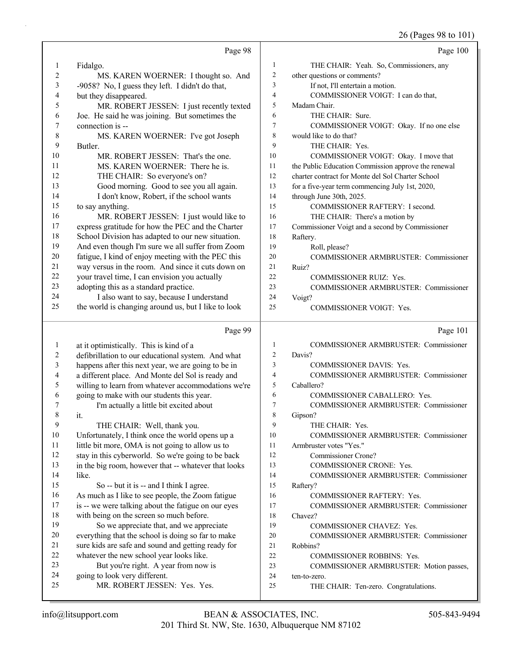26 (Pages 98 to 101)

|                  | Page 98                                                                                        |                | Page 100                                                           |
|------------------|------------------------------------------------------------------------------------------------|----------------|--------------------------------------------------------------------|
| 1                | Fidalgo.                                                                                       | 1              | THE CHAIR: Yeah. So, Commissioners, any                            |
| $\overline{c}$   | MS. KAREN WOERNER: I thought so. And                                                           | $\overline{c}$ | other questions or comments?                                       |
| 3                | -9058? No, I guess they left. I didn't do that,                                                | 3              | If not, I'll entertain a motion.                                   |
| 4                | but they disappeared.                                                                          | 4              | COMMISSIONER VOIGT: I can do that,                                 |
| 5                | MR. ROBERT JESSEN: I just recently texted                                                      | 5              | Madam Chair.                                                       |
| 6                | Joe. He said he was joining. But sometimes the                                                 | 6              | THE CHAIR: Sure.                                                   |
| 7                | connection is --                                                                               | 7              | COMMISSIONER VOIGT: Okay. If no one else                           |
| 8                | MS. KAREN WOERNER: I've got Joseph                                                             | $\,$ 8 $\,$    | would like to do that?                                             |
| 9                | Butler.                                                                                        | 9              | THE CHAIR: Yes.                                                    |
| 10               | MR. ROBERT JESSEN: That's the one.                                                             | 10             | COMMISSIONER VOIGT: Okay. I move that                              |
| 11               | MS. KAREN WOERNER: There he is.                                                                | 11             | the Public Education Commission approve the renewal                |
| 12               | THE CHAIR: So everyone's on?                                                                   | 12             | charter contract for Monte del Sol Charter School                  |
| 13               | Good morning. Good to see you all again.                                                       | 13             | for a five-year term commencing July 1st, 2020,                    |
| 14               | I don't know, Robert, if the school wants                                                      | 14             | through June 30th, 2025.                                           |
| 15               | to say anything.                                                                               | 15             | COMMISSIONER RAFTERY: I second.                                    |
| 16               | MR. ROBERT JESSEN: I just would like to                                                        | 16             | THE CHAIR: There's a motion by                                     |
| 17               | express gratitude for how the PEC and the Charter                                              | 17             | Commissioner Voigt and a second by Commissioner                    |
| 18               | School Division has adapted to our new situation.                                              | 18             | Raftery.                                                           |
| 19               | And even though I'm sure we all suffer from Zoom                                               | 19             | Roll, please?                                                      |
| $20\,$           | fatigue, I kind of enjoy meeting with the PEC this                                             | 20             | COMMISSIONER ARMBRUSTER: Commissioner                              |
| 21               | way versus in the room. And since it cuts down on                                              | 21             | Ruiz?                                                              |
| 22               | your travel time, I can envision you actually                                                  | 22             | <b>COMMISSIONER RUIZ: Yes.</b>                                     |
| 23               | adopting this as a standard practice.                                                          | 23             | <b>COMMISSIONER ARMBRUSTER: Commissioner</b>                       |
| 24               | I also want to say, because I understand                                                       | 24             | Voigt?                                                             |
| 25               | the world is changing around us, but I like to look                                            | 25             | <b>COMMISSIONER VOIGT: Yes.</b>                                    |
|                  | Page 99                                                                                        |                | Page 101                                                           |
| $\mathbf{1}$     | at it optimistically. This is kind of a                                                        | 1              | COMMISSIONER ARMBRUSTER: Commissioner                              |
| $\overline{c}$   | defibrillation to our educational system. And what                                             | 2              | Davis?                                                             |
| 3                | happens after this next year, we are going to be in                                            | 3              | <b>COMMISSIONER DAVIS: Yes.</b>                                    |
| 4                | a different place. And Monte del Sol is ready and                                              | 4              | COMMISSIONER ARMBRUSTER: Commissioner                              |
| 5                | willing to learn from whatever accommodations we're                                            | 5              | Caballero?                                                         |
| 6                | going to make with our students this year.                                                     | 6              | COMMISSIONER CABALLERO: Yes.                                       |
| 7                | I'm actually a little bit excited about                                                        | 7              | COMMISSIONER ARMBRUSTER: Commissioner                              |
| $\boldsymbol{8}$ | it.                                                                                            | $\,$ $\,$      | Gipson?                                                            |
| 9                | THE CHAIR: Well, thank you.                                                                    | 9              | THE CHAIR: Yes.                                                    |
| $10\,$           | Unfortunately, I think once the world opens up a                                               | 10             | COMMISSIONER ARMBRUSTER: Commissioner                              |
| 11               | little bit more, OMA is not going to allow us to                                               | 11             | Armbruster votes "Yes."                                            |
| 12               | stay in this cyberworld. So we're going to be back                                             | 12             | Commissioner Crone?                                                |
| 13               | in the big room, however that -- whatever that looks                                           | 13             | COMMISSIONER CRONE: Yes.                                           |
| 14               | like.                                                                                          | 14             | COMMISSIONER ARMBRUSTER: Commissioner                              |
| 15               | So -- but it is -- and I think I agree.                                                        | 15             | Raftery?                                                           |
| 16               | As much as I like to see people, the Zoom fatigue                                              | 16             | COMMISSIONER RAFTERY: Yes.                                         |
| 17<br>18         | is -- we were talking about the fatigue on our eyes                                            | 17<br>18       | COMMISSIONER ARMBRUSTER: Commissioner                              |
| 19               | with being on the screen so much before.                                                       |                | Chavez?                                                            |
| $20\,$           | So we appreciate that, and we appreciate<br>everything that the school is doing so far to make | 19<br>20       | COMMISSIONER CHAVEZ: Yes.<br>COMMISSIONER ARMBRUSTER: Commissioner |
| 21               | sure kids are safe and sound and getting ready for                                             | 21             | Robbins?                                                           |
| 22               | whatever the new school year looks like.                                                       | 22             | COMMISSIONER ROBBINS: Yes.                                         |
|                  |                                                                                                |                |                                                                    |
|                  |                                                                                                |                |                                                                    |
| 23<br>24         | But you're right. A year from now is                                                           | 23<br>24       | COMMISSIONER ARMBRUSTER: Motion passes,                            |
| 25               | going to look very different.<br>MR. ROBERT JESSEN: Yes. Yes.                                  | 25             | ten-to-zero.<br>THE CHAIR: Ten-zero. Congratulations.              |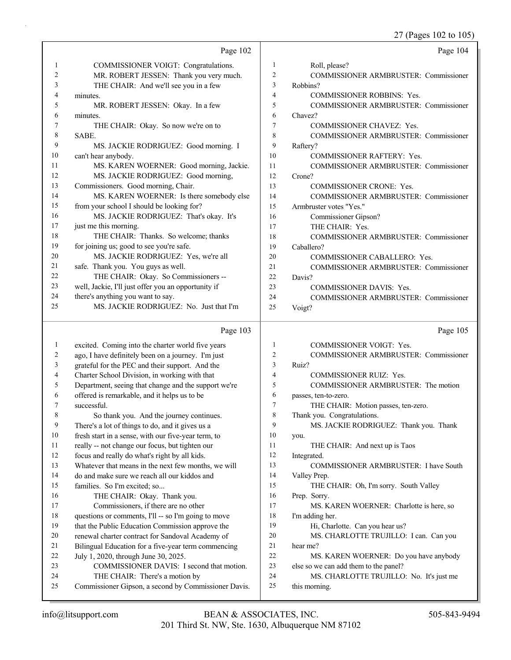27 (Pages 102 to 105)

|              | Page 102                                                                                             |                | Page 104                                           |
|--------------|------------------------------------------------------------------------------------------------------|----------------|----------------------------------------------------|
| 1            | COMMISSIONER VOIGT: Congratulations.                                                                 | 1              | Roll, please?                                      |
| 2            | MR. ROBERT JESSEN: Thank you very much.                                                              | 2              | COMMISSIONER ARMBRUSTER: Commissioner              |
| 3            | THE CHAIR: And we'll see you in a few                                                                | 3              | Robbins?                                           |
| 4            | minutes.                                                                                             | $\overline{4}$ | <b>COMMISSIONER ROBBINS: Yes.</b>                  |
| 5            | MR. ROBERT JESSEN: Okay. In a few                                                                    | 5              | COMMISSIONER ARMBRUSTER: Commissioner              |
| 6            | minutes.                                                                                             | 6              | Chavez?                                            |
| 7            | THE CHAIR: Okay. So now we're on to                                                                  | 7              | COMMISSIONER CHAVEZ: Yes.                          |
| 8            | SABE.                                                                                                | 8              | <b>COMMISSIONER ARMBRUSTER: Commissioner</b>       |
| 9            | MS. JACKIE RODRIGUEZ: Good morning. I                                                                | 9              | Raftery?                                           |
| 10           | can't hear anybody.                                                                                  | 10             | <b>COMMISSIONER RAFTERY: Yes.</b>                  |
| 11           | MS. KAREN WOERNER: Good morning, Jackie.                                                             | 11             | COMMISSIONER ARMBRUSTER: Commissioner              |
| 12           | MS. JACKIE RODRIGUEZ: Good morning,                                                                  | 12             | Crone?                                             |
| 13           | Commissioners. Good morning, Chair.                                                                  | 13             | <b>COMMISSIONER CRONE: Yes.</b>                    |
| 14           | MS. KAREN WOERNER: Is there somebody else                                                            | 14             | COMMISSIONER ARMBRUSTER: Commissioner              |
| 15           | from your school I should be looking for?                                                            | 15             | Armbruster votes "Yes."                            |
| 16           | MS. JACKIE RODRIGUEZ: That's okay. It's                                                              | 16             | Commissioner Gipson?                               |
| 17           | just me this morning.                                                                                | 17             | THE CHAIR: Yes.                                    |
| 18           | THE CHAIR: Thanks. So welcome; thanks                                                                | 18             | COMMISSIONER ARMBRUSTER: Commissioner              |
| 19           | for joining us; good to see you're safe.<br>MS. JACKIE RODRIGUEZ: Yes, we're all                     | 19             | Caballero?                                         |
| 20<br>21     | safe. Thank you. You guys as well.                                                                   | 20             | COMMISSIONER CABALLERO: Yes.                       |
| 22           | THE CHAIR: Okay. So Commissioners --                                                                 | 21<br>22       | <b>COMMISSIONER ARMBRUSTER: Commissioner</b>       |
| 23           | well, Jackie, I'll just offer you an opportunity if                                                  | 23             | Davis?<br>COMMISSIONER DAVIS: Yes.                 |
| 24           | there's anything you want to say.                                                                    | 24             | COMMISSIONER ARMBRUSTER: Commissioner              |
| 25           | MS. JACKIE RODRIGUEZ: No. Just that I'm                                                              | 25             | Voigt?                                             |
|              |                                                                                                      |                |                                                    |
|              |                                                                                                      |                |                                                    |
|              | Page 103                                                                                             |                | Page 105                                           |
| $\mathbf{1}$ | excited. Coming into the charter world five years                                                    | 1              | <b>COMMISSIONER VOIGT: Yes.</b>                    |
| 2            | ago, I have definitely been on a journey. I'm just                                                   | $\overline{c}$ | <b>COMMISSIONER ARMBRUSTER: Commissioner</b>       |
| 3            | grateful for the PEC and their support. And the                                                      | 3              | Ruiz?                                              |
| 4            | Charter School Division, in working with that                                                        | 4              | <b>COMMISSIONER RUIZ: Yes.</b>                     |
| 5            | Department, seeing that change and the support we're                                                 | 5              | COMMISSIONER ARMBRUSTER: The motion                |
| 6            | offered is remarkable, and it helps us to be                                                         | 6              | passes, ten-to-zero.                               |
| 7            | successful.                                                                                          | 7              | THE CHAIR: Motion passes, ten-zero.                |
| 8            | So thank you. And the journey continues.                                                             | 8              | Thank you. Congratulations.                        |
| 9            | There's a lot of things to do, and it gives us a                                                     | 9              | MS. JACKIE RODRIGUEZ: Thank you. Thank             |
| 10           | fresh start in a sense, with our five-year term, to                                                  | 10             | you.                                               |
| 11           | really -- not change our focus, but tighten our                                                      | 11             | THE CHAIR: And next up is Taos                     |
| 12           | focus and really do what's right by all kids.                                                        | 12             | Integrated.                                        |
| 13           | Whatever that means in the next few months, we will                                                  | 13             | COMMISSIONER ARMBRUSTER: I have South              |
| 14           | do and make sure we reach all our kiddos and                                                         | 14             | Valley Prep.                                       |
| 15           | families. So I'm excited; so                                                                         | 15             | THE CHAIR: Oh, I'm sorry. South Valley             |
| 16           | THE CHAIR: Okay. Thank you.                                                                          | 16             | Prep. Sorry.                                       |
| 17<br>18     | Commissioners, if there are no other                                                                 | 17<br>18       | MS. KAREN WOERNER: Charlotte is here, so           |
| 19           | questions or comments, I'll -- so I'm going to move                                                  | 19             | I'm adding her.<br>Hi, Charlotte. Can you hear us? |
| 20           | that the Public Education Commission approve the<br>renewal charter contract for Sandoval Academy of | 20             | MS. CHARLOTTE TRUJILLO: I can. Can you             |
| 21           | Bilingual Education for a five-year term commencing                                                  | 21             | hear me?                                           |
| 22           | July 1, 2020, through June 30, 2025.                                                                 | 22             | MS. KAREN WOERNER: Do you have anybody             |
| 23           | COMMISSIONER DAVIS: I second that motion.                                                            | 23             | else so we can add them to the panel?              |
| 24           | THE CHAIR: There's a motion by                                                                       | 24             | MS. CHARLOTTE TRUJILLO: No. It's just me           |
| 25           | Commissioner Gipson, a second by Commissioner Davis.                                                 | 25             | this morning.                                      |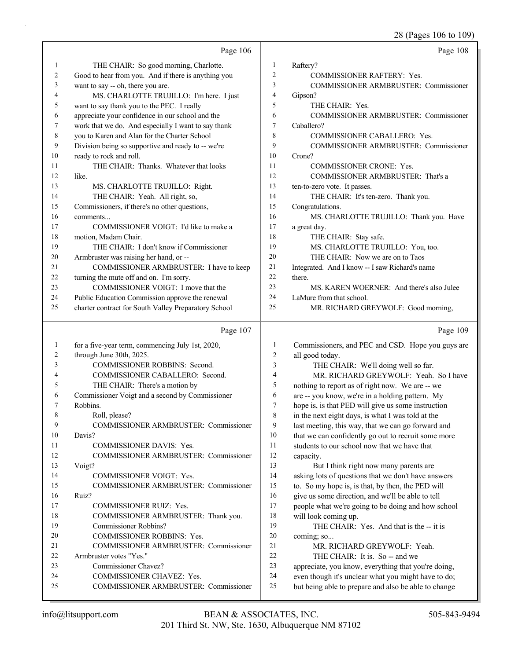28 (Pages 106 to 109)

|          |                                                                                                         |                | 0                                                                                                           |
|----------|---------------------------------------------------------------------------------------------------------|----------------|-------------------------------------------------------------------------------------------------------------|
|          | Page 106                                                                                                |                | Page 108                                                                                                    |
| 1        | THE CHAIR: So good morning, Charlotte.                                                                  | 1              | Raftery?                                                                                                    |
| 2        | Good to hear from you. And if there is anything you                                                     | $\overline{c}$ | <b>COMMISSIONER RAFTERY: Yes.</b>                                                                           |
| 3        | want to say -- oh, there you are.                                                                       | 3              | COMMISSIONER ARMBRUSTER: Commissioner                                                                       |
| 4        | MS. CHARLOTTE TRUJILLO: I'm here. I just                                                                | 4              | Gipson?                                                                                                     |
| 5        | want to say thank you to the PEC. I really                                                              | 5              | THE CHAIR: Yes.                                                                                             |
| 6        | appreciate your confidence in our school and the                                                        | 6              | COMMISSIONER ARMBRUSTER: Commissioner                                                                       |
| 7        | work that we do. And especially I want to say thank                                                     | 7              | Caballero?                                                                                                  |
| 8        | you to Karen and Alan for the Charter School                                                            | 8              | COMMISSIONER CABALLERO: Yes.                                                                                |
| 9        | Division being so supportive and ready to -- we're                                                      | 9              | COMMISSIONER ARMBRUSTER: Commissioner                                                                       |
| 10       | ready to rock and roll.                                                                                 | 10<br>11       | Crone?                                                                                                      |
| 11       | THE CHAIR: Thanks. Whatever that looks                                                                  | 12             | COMMISSIONER CRONE: Yes.                                                                                    |
| 12       | like.                                                                                                   | 13             | COMMISSIONER ARMBRUSTER: That's a                                                                           |
| 13       | MS. CHARLOTTE TRUJILLO: Right.                                                                          | 14             | ten-to-zero vote. It passes.                                                                                |
| 14<br>15 | THE CHAIR: Yeah. All right, so,                                                                         | 15             | THE CHAIR: It's ten-zero. Thank you.                                                                        |
| 16       | Commissioners, if there's no other questions,                                                           | 16             | Congratulations.                                                                                            |
| 17       | comments<br>COMMISSIONER VOIGT: I'd like to make a                                                      | 17             | MS. CHARLOTTE TRUJILLO: Thank you. Have<br>a great day.                                                     |
| 18       | motion, Madam Chair.                                                                                    | 18             | THE CHAIR: Stay safe.                                                                                       |
| 19       |                                                                                                         | 19             |                                                                                                             |
| 20       | THE CHAIR: I don't know if Commissioner                                                                 | 20             | MS. CHARLOTTE TRUJILLO: You, too.<br>THE CHAIR: Now we are on to Taos                                       |
| 21       | Armbruster was raising her hand, or --<br>COMMISSIONER ARMBRUSTER: I have to keep                       | 21             | Integrated. And I know -- I saw Richard's name                                                              |
| 22       |                                                                                                         | 22             | there.                                                                                                      |
| 23       | turning the mute off and on. I'm sorry.<br>COMMISSIONER VOIGT: I move that the                          | 23             | MS. KAREN WOERNER: And there's also Julee                                                                   |
| 24       |                                                                                                         | 24             | LaMure from that school.                                                                                    |
| 25       | Public Education Commission approve the renewal<br>charter contract for South Valley Preparatory School | 25             | MR. RICHARD GREYWOLF: Good morning,                                                                         |
|          |                                                                                                         |                |                                                                                                             |
|          |                                                                                                         |                |                                                                                                             |
|          | Page 107                                                                                                |                | Page 109                                                                                                    |
| 1        | for a five-year term, commencing July 1st, 2020,                                                        | 1              | Commissioners, and PEC and CSD. Hope you guys are                                                           |
| 2        | through June 30th, 2025.                                                                                | $\overline{c}$ | all good today.                                                                                             |
| 3        | COMMISSIONER ROBBINS: Second.                                                                           | 3              | THE CHAIR: We'll doing well so far.                                                                         |
| 4        | COMMISSIONER CABALLERO: Second.                                                                         | 4              | MR. RICHARD GREYWOLF: Yeah. So I have                                                                       |
| 5        | THE CHAIR: There's a motion by                                                                          | 5              | nothing to report as of right now. We are -- we                                                             |
| 6        | Commissioner Voigt and a second by Commissioner                                                         | 6              | are -- you know, we're in a holding pattern. My                                                             |
| 7        | Robbins.                                                                                                | 7              | hope is, is that PED will give us some instruction                                                          |
| 8        | Roll, please?                                                                                           | 8              | in the next eight days, is what I was told at the                                                           |
| 9        | COMMISSIONER ARMBRUSTER: Commissioner                                                                   | 9              | last meeting, this way, that we can go forward and                                                          |
| 10       | Davis?                                                                                                  | 10             | that we can confidently go out to recruit some more                                                         |
| 11       | COMMISSIONER DAVIS: Yes.                                                                                | 11             | students to our school now that we have that                                                                |
| 12       | COMMISSIONER ARMBRUSTER: Commissioner                                                                   | 12             | capacity.                                                                                                   |
| 13       | Voigt?                                                                                                  | 13             | But I think right now many parents are                                                                      |
| 14       | <b>COMMISSIONER VOIGT: Yes.</b>                                                                         | 14             | asking lots of questions that we don't have answers                                                         |
| 15       | COMMISSIONER ARMBRUSTER: Commissioner                                                                   | 15             | to. So my hope is, is that, by then, the PED will                                                           |
| 16       | Ruiz?                                                                                                   | 16             | give us some direction, and we'll be able to tell                                                           |
| 17       | <b>COMMISSIONER RUIZ: Yes.</b>                                                                          | 17             | people what we're going to be doing and how school                                                          |
| 18       | COMMISSIONER ARMBRUSTER: Thank you.                                                                     | 18             | will look coming up.                                                                                        |
| 19       | Commissioner Robbins?                                                                                   | 19             | THE CHAIR: Yes. And that is the -- it is                                                                    |
| 20       | COMMISSIONER ROBBINS: Yes.                                                                              | 20             | coming; so                                                                                                  |
| 21       | COMMISSIONER ARMBRUSTER: Commissioner                                                                   | 21             | MR. RICHARD GREYWOLF: Yeah.                                                                                 |
| 22       | Armbruster votes "Yes."                                                                                 | 22             | THE CHAIR: It is. So -- and we                                                                              |
| 23       | Commissioner Chavez?                                                                                    | 23             | appreciate, you know, everything that you're doing,                                                         |
| 24<br>25 | COMMISSIONER CHAVEZ: Yes.<br>COMMISSIONER ARMBRUSTER: Commissioner                                      | 24<br>25       | even though it's unclear what you might have to do;<br>but being able to prepare and also be able to change |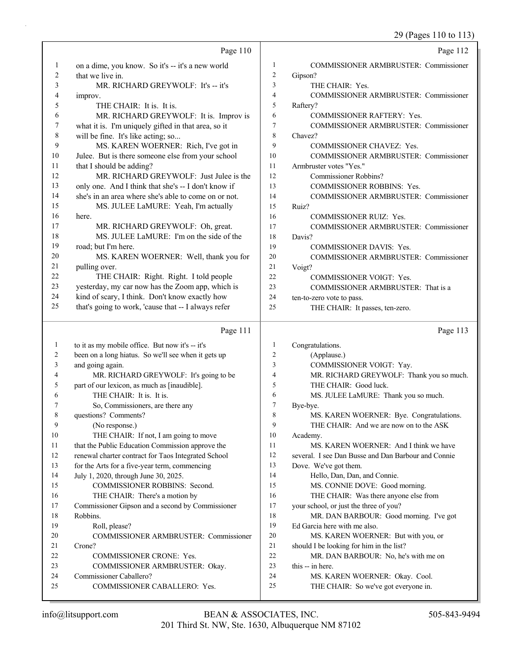29 (Pages 110 to 113)

|                         | Page 110                                                                                  |                     | Page 112                                                               |
|-------------------------|-------------------------------------------------------------------------------------------|---------------------|------------------------------------------------------------------------|
|                         |                                                                                           |                     |                                                                        |
| $\mathbf{1}$            | on a dime, you know. So it's -- it's a new world                                          | $\mathbf{1}$        | COMMISSIONER ARMBRUSTER: Commissioner                                  |
| $\overline{\mathbf{c}}$ | that we live in.                                                                          | $\overline{c}$      | Gipson?                                                                |
| 3                       | MR. RICHARD GREYWOLF: It's -- it's                                                        | 3                   | THE CHAIR: Yes.                                                        |
| 4                       | improv.                                                                                   | 4<br>5              | COMMISSIONER ARMBRUSTER: Commissioner                                  |
| 5                       | THE CHAIR: It is. It is.                                                                  | 6                   | Raftery?                                                               |
| 6<br>7                  | MR. RICHARD GREYWOLF: It is. Improv is                                                    | 7                   | <b>COMMISSIONER RAFTERY: Yes.</b>                                      |
| 8                       | what it is. I'm uniquely gifted in that area, so it<br>will be fine. It's like acting; so | 8                   | COMMISSIONER ARMBRUSTER: Commissioner<br>Chavez?                       |
| 9                       | MS. KAREN WOERNER: Rich, I've got in                                                      | 9                   | COMMISSIONER CHAVEZ: Yes.                                              |
| 10                      | Julee. But is there someone else from your school                                         | 10                  | COMMISSIONER ARMBRUSTER: Commissioner                                  |
| 11                      | that I should be adding?                                                                  | 11                  | Armbruster votes "Yes."                                                |
| 12                      | MR. RICHARD GREYWOLF: Just Julee is the                                                   | 12                  | <b>Commissioner Robbins?</b>                                           |
| 13                      | only one. And I think that she's -- I don't know if                                       | 13                  | COMMISSIONER ROBBINS: Yes.                                             |
| 14                      | she's in an area where she's able to come on or not.                                      | 14                  | COMMISSIONER ARMBRUSTER: Commissioner                                  |
| 15                      | MS. JULEE LaMURE: Yeah, I'm actually                                                      | 15                  | Ruiz?                                                                  |
| 16                      | here.                                                                                     | 16                  | <b>COMMISSIONER RUIZ: Yes.</b>                                         |
| 17                      | MR. RICHARD GREYWOLF: Oh, great.                                                          | 17                  | COMMISSIONER ARMBRUSTER: Commissioner                                  |
| 18                      | MS. JULEE LaMURE: I'm on the side of the                                                  | 18                  | Davis?                                                                 |
| 19                      | road; but I'm here.                                                                       | 19                  | <b>COMMISSIONER DAVIS: Yes.</b>                                        |
| 20                      | MS. KAREN WOERNER: Well, thank you for                                                    | 20                  | <b>COMMISSIONER ARMBRUSTER: Commissioner</b>                           |
| 21                      | pulling over.                                                                             | 21                  | Voigt?                                                                 |
| 22                      | THE CHAIR: Right. Right. I told people                                                    | 22                  | <b>COMMISSIONER VOIGT: Yes.</b>                                        |
| 23                      | yesterday, my car now has the Zoom app, which is                                          | 23                  | COMMISSIONER ARMBRUSTER: That is a                                     |
| 24                      | kind of scary, I think. Don't know exactly how                                            | 24                  | ten-to-zero vote to pass.                                              |
| 25                      | that's going to work, 'cause that -- I always refer                                       | 25                  | THE CHAIR: It passes, ten-zero.                                        |
|                         | Page 111                                                                                  |                     |                                                                        |
|                         |                                                                                           |                     | Page 113                                                               |
|                         |                                                                                           |                     |                                                                        |
| 1<br>2                  | to it as my mobile office. But now it's -- it's                                           | 1<br>$\overline{c}$ | Congratulations.                                                       |
| 3                       | been on a long hiatus. So we'll see when it gets up                                       | 3                   | (Applause.)                                                            |
| 4                       | and going again.                                                                          | 4                   | COMMISSIONER VOIGT: Yay.<br>MR. RICHARD GREYWOLF: Thank you so much.   |
| 5                       | MR. RICHARD GREYWOLF: It's going to be<br>part of our lexicon, as much as [inaudible].    | 5                   | THE CHAIR: Good luck.                                                  |
| 6                       | THE CHAIR: It is. It is.                                                                  | 6                   | MS. JULEE LaMURE: Thank you so much.                                   |
| 7                       | So, Commissioners, are there any                                                          | 7                   | Bye-bye.                                                               |
| 8                       | questions? Comments?                                                                      | 8                   | MS. KAREN WOERNER: Bye. Congratulations.                               |
| 9                       | (No response.)                                                                            | 9                   | THE CHAIR: And we are now on to the ASK                                |
| 10                      | THE CHAIR: If not, I am going to move                                                     | 10                  | Academy.                                                               |
| 11                      | that the Public Education Commission approve the                                          | 11                  | MS. KAREN WOERNER: And I think we have                                 |
| 12                      | renewal charter contract for Taos Integrated School                                       | 12                  | several. I see Dan Busse and Dan Barbour and Connie                    |
| 13                      | for the Arts for a five-year term, commencing                                             | 13                  | Dove. We've got them.                                                  |
| 14                      | July 1, 2020, through June 30, 2025.                                                      | 14                  | Hello, Dan, Dan, and Connie.                                           |
| 15                      | COMMISSIONER ROBBINS: Second.                                                             | 15                  | MS. CONNIE DOVE: Good morning.                                         |
| 16                      | THE CHAIR: There's a motion by                                                            | 16                  | THE CHAIR: Was there anyone else from                                  |
| 17                      | Commissioner Gipson and a second by Commissioner                                          | 17                  | your school, or just the three of you?                                 |
| 18                      | Robbins.                                                                                  | 18                  | MR. DAN BARBOUR: Good morning. I've got                                |
| 19                      | Roll, please?                                                                             | 19                  | Ed Garcia here with me also.                                           |
| 20                      | COMMISSIONER ARMBRUSTER: Commissioner                                                     | 20                  | MS. KAREN WOERNER: But with you, or                                    |
| 21                      | Crone?                                                                                    | 21                  | should I be looking for him in the list?                               |
| 22                      | <b>COMMISSIONER CRONE: Yes.</b>                                                           | 22                  | MR. DAN BARBOUR: No, he's with me on                                   |
| 23<br>24                | COMMISSIONER ARMBRUSTER: Okay.                                                            | 23<br>24            | this -- in here.                                                       |
| 25                      | Commissioner Caballero?<br>COMMISSIONER CABALLERO: Yes.                                   | 25                  | MS. KAREN WOERNER: Okay. Cool.<br>THE CHAIR: So we've got everyone in. |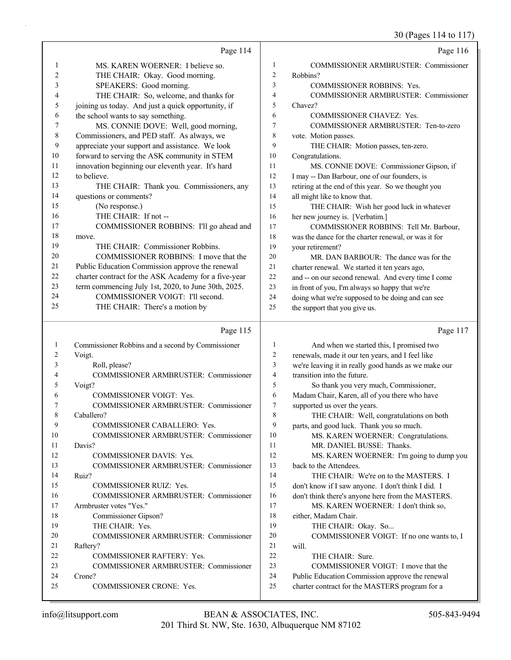30 (Pages 114 to 117)

|          |                                                        |                     | 50(10)                                                                                            |
|----------|--------------------------------------------------------|---------------------|---------------------------------------------------------------------------------------------------|
|          | Page 114                                               |                     | Page 116                                                                                          |
| 1        | MS. KAREN WOERNER: I believe so.                       | 1                   | <b>COMMISSIONER ARMBRUSTER: Commissioner</b>                                                      |
| 2        | THE CHAIR: Okay. Good morning.                         | $\overline{c}$      | Robbins?                                                                                          |
| 3        | SPEAKERS: Good morning.                                | 3                   | <b>COMMISSIONER ROBBINS: Yes.</b>                                                                 |
| 4        | THE CHAIR: So, welcome, and thanks for                 | 4                   | <b>COMMISSIONER ARMBRUSTER: Commissioner</b>                                                      |
| 5        | joining us today. And just a quick opportunity, if     | 5                   | Chavez?                                                                                           |
| 6        | the school wants to say something.                     | 6                   | <b>COMMISSIONER CHAVEZ: Yes.</b>                                                                  |
| 7        | MS. CONNIE DOVE: Well, good morning,                   | 7                   | COMMISSIONER ARMBRUSTER: Ten-to-zero                                                              |
| 8        | Commissioners, and PED staff. As always, we            | 8                   | vote. Motion passes.                                                                              |
| 9        | appreciate your support and assistance. We look        | 9                   | THE CHAIR: Motion passes, ten-zero.                                                               |
| 10       | forward to serving the ASK community in STEM           | 10                  | Congratulations.                                                                                  |
| 11       | innovation beginning our eleventh year. It's hard      | 11                  | MS. CONNIE DOVE: Commissioner Gipson, if                                                          |
| 12       | to believe.                                            | 12                  | I may -- Dan Barbour, one of our founders, is                                                     |
| 13       | THE CHAIR: Thank you. Commissioners, any               | 13                  | retiring at the end of this year. So we thought you                                               |
| 14       | questions or comments?                                 | 14                  | all might like to know that.                                                                      |
| 15       | (No response.)                                         | 15                  | THE CHAIR: Wish her good luck in whatever                                                         |
| 16       | THE CHAIR: If not --                                   | 16                  | her new journey is. [Verbatim.]                                                                   |
| 17       | COMMISSIONER ROBBINS: I'll go ahead and                | 17                  | COMMISSIONER ROBBINS: Tell Mr. Barbour,                                                           |
| 18       | move.                                                  | 18                  | was the dance for the charter renewal, or was it for                                              |
| 19       | THE CHAIR: Commissioner Robbins.                       | 19                  | your retirement?                                                                                  |
| 20       | COMMISSIONER ROBBINS: I move that the                  | 20                  | MR. DAN BARBOUR: The dance was for the                                                            |
| 21       | Public Education Commission approve the renewal        | 21                  | charter renewal. We started it ten years ago,                                                     |
| 22       | charter contract for the ASK Academy for a five-year   | 22                  | and -- on our second renewal. And every time I come                                               |
| 23       | term commencing July 1st, 2020, to June 30th, 2025.    | 23                  | in front of you, I'm always so happy that we're                                                   |
| 24       | COMMISSIONER VOIGT: I'll second.                       | 24                  | doing what we're supposed to be doing and can see                                                 |
| 25       | THE CHAIR: There's a motion by                         | 25                  | the support that you give us.                                                                     |
|          |                                                        |                     |                                                                                                   |
|          | Page 115                                               |                     | Page 117                                                                                          |
|          |                                                        |                     |                                                                                                   |
| 1<br>2   | Commissioner Robbins and a second by Commissioner      | 1                   | And when we started this, I promised two                                                          |
| 3        | Voigt.                                                 | 2                   | renewals, made it our ten years, and I feel like                                                  |
| 4        | Roll, please?<br>COMMISSIONER ARMBRUSTER: Commissioner | 3<br>$\overline{4}$ | we're leaving it in really good hands as we make our<br>transition into the future.               |
| 5        |                                                        | 5                   |                                                                                                   |
| 6        | Voigt?<br><b>COMMISSIONER VOIGT: Yes.</b>              | 6                   | So thank you very much, Commissioner,                                                             |
| 7        | COMMISSIONER ARMBRUSTER: Commissioner                  | 7                   | Madam Chair, Karen, all of you there who have<br>supported us over the years.                     |
| 8        | Caballero?                                             | $\,$ 8 $\,$         | THE CHAIR: Well, congratulations on both                                                          |
| 9        | COMMISSIONER CABALLERO: Yes.                           | 9                   | parts, and good luck. Thank you so much.                                                          |
| 10       | <b>COMMISSIONER ARMBRUSTER: Commissioner</b>           | 10                  | MS. KAREN WOERNER: Congratulations.                                                               |
| 11       | Davis?                                                 | 11                  | MR. DANIEL BUSSE: Thanks.                                                                         |
| 12       | <b>COMMISSIONER DAVIS: Yes.</b>                        | 12                  | MS. KAREN WOERNER: I'm going to dump you                                                          |
| 13       | COMMISSIONER ARMBRUSTER: Commissioner                  | 13                  | back to the Attendees.                                                                            |
| 14       | Ruiz?                                                  | 14                  | THE CHAIR: We're on to the MASTERS. I                                                             |
| 15       | COMMISSIONER RUIZ: Yes.                                | 15                  | don't know if I saw anyone. I don't think I did. I                                                |
| 16       | COMMISSIONER ARMBRUSTER: Commissioner                  | 16                  | don't think there's anyone here from the MASTERS.                                                 |
| 17       | Armbruster votes "Yes."                                | 17                  | MS. KAREN WOERNER: I don't think so,                                                              |
| 18       | Commissioner Gipson?                                   | 18                  | either, Madam Chair.                                                                              |
| 19       | THE CHAIR: Yes.                                        | 19                  | THE CHAIR: Okay. So                                                                               |
| 20       | COMMISSIONER ARMBRUSTER: Commissioner                  | 20                  | COMMISSIONER VOIGT: If no one wants to, I                                                         |
| 21       | Raftery?                                               | 21                  | will.                                                                                             |
| 22       | COMMISSIONER RAFTERY: Yes.                             | 22                  | THE CHAIR: Sure.                                                                                  |
| 23       | COMMISSIONER ARMBRUSTER: Commissioner                  | 23                  | COMMISSIONER VOIGT: I move that the                                                               |
| 24<br>25 | Crone?<br>COMMISSIONER CRONE: Yes.                     | 24<br>25            | Public Education Commission approve the renewal<br>charter contract for the MASTERS program for a |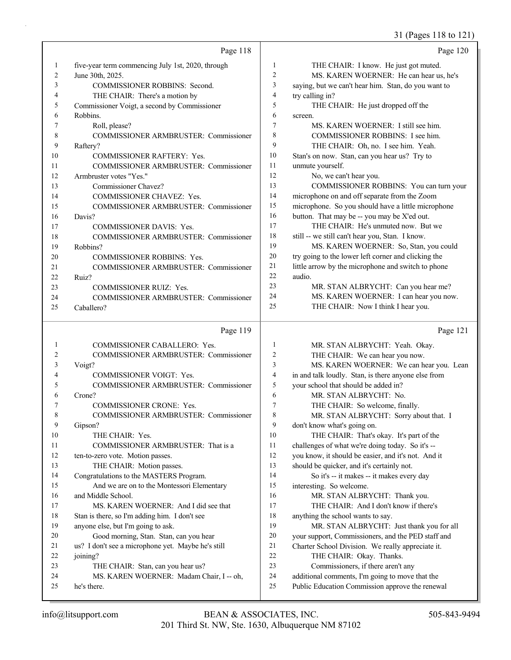31 (Pages 118 to 121)

|                | Page 118                                                                      |                | Page 120                                                                                           |
|----------------|-------------------------------------------------------------------------------|----------------|----------------------------------------------------------------------------------------------------|
| $\mathbf{1}$   | five-year term commencing July 1st, 2020, through                             | 1              | THE CHAIR: I know. He just got muted.                                                              |
| $\overline{c}$ | June 30th, 2025.                                                              | 2              | MS. KAREN WOERNER: He can hear us, he's                                                            |
| 3              | COMMISSIONER ROBBINS: Second.                                                 | 3              | saying, but we can't hear him. Stan, do you want to                                                |
| 4              | THE CHAIR: There's a motion by                                                | 4              | try calling in?                                                                                    |
| 5              | Commissioner Voigt, a second by Commissioner                                  | 5              | THE CHAIR: He just dropped off the                                                                 |
| 6              | Robbins.                                                                      | 6              | screen.                                                                                            |
| 7              | Roll, please?                                                                 | $\overline{7}$ | MS. KAREN WOERNER: I still see him.                                                                |
| 8              | COMMISSIONER ARMBRUSTER: Commissioner                                         | 8              | COMMISSIONER ROBBINS: I see him.                                                                   |
| 9              | Raftery?                                                                      | 9              | THE CHAIR: Oh, no. I see him. Yeah.                                                                |
| 10             | COMMISSIONER RAFTERY: Yes.                                                    | 10             | Stan's on now. Stan, can you hear us? Try to                                                       |
| 11             | COMMISSIONER ARMBRUSTER: Commissioner                                         | 11             | unmute yourself.                                                                                   |
| 12             | Armbruster votes "Yes."                                                       | 12             | No, we can't hear you.                                                                             |
| 13             | Commissioner Chavez?                                                          | 13             | COMMISSIONER ROBBINS: You can turn your                                                            |
| 14             | COMMISSIONER CHAVEZ: Yes.                                                     | 14             | microphone on and off separate from the Zoom                                                       |
| 15             | COMMISSIONER ARMBRUSTER: Commissioner                                         | 15             | microphone. So you should have a little microphone                                                 |
| 16             | Davis?                                                                        | 16             | button. That may be -- you may be X'ed out.                                                        |
| 17             | <b>COMMISSIONER DAVIS: Yes.</b>                                               | 17             | THE CHAIR: He's unmuted now. But we                                                                |
| 18             | COMMISSIONER ARMBRUSTER: Commissioner                                         | 18             | still -- we still can't hear you, Stan. I know.                                                    |
| 19             | Robbins?                                                                      | 19             | MS. KAREN WOERNER: So, Stan, you could                                                             |
| 20             | <b>COMMISSIONER ROBBINS: Yes.</b>                                             | $20\,$         | try going to the lower left corner and clicking the                                                |
| 21             | COMMISSIONER ARMBRUSTER: Commissioner                                         | 21             | little arrow by the microphone and switch to phone                                                 |
| 22             | Ruiz?                                                                         | 22             | audio.                                                                                             |
| 23             | <b>COMMISSIONER RUIZ: Yes.</b>                                                | 23<br>24       | MR. STAN ALBRYCHT: Can you hear me?                                                                |
| 24             | COMMISSIONER ARMBRUSTER: Commissioner                                         | 25             | MS. KAREN WOERNER: I can hear you now.<br>THE CHAIR: Now I think I hear you.                       |
| 25             | Caballero?                                                                    |                |                                                                                                    |
|                | Page 119                                                                      |                |                                                                                                    |
|                |                                                                               |                | Page 121                                                                                           |
| $\mathbf{1}$   | COMMISSIONER CABALLERO: Yes.                                                  | $\mathbf{1}$   | MR. STAN ALBRYCHT: Yeah. Okay.                                                                     |
| 2              | COMMISSIONER ARMBRUSTER: Commissioner                                         | $\overline{c}$ | THE CHAIR: We can hear you now.                                                                    |
| 3              | Voigt?                                                                        | 3              | MS. KAREN WOERNER: We can hear you. Lean                                                           |
| 4              | COMMISSIONER VOIGT: Yes.                                                      | 4              | in and talk loudly. Stan, is there anyone else from                                                |
| 5              | COMMISSIONER ARMBRUSTER: Commissioner                                         | 5              | your school that should be added in?                                                               |
| 6              | Crone?                                                                        | 6              | MR. STAN ALBRYCHT: No.                                                                             |
| 7              | <b>COMMISSIONER CRONE: Yes.</b>                                               | 7              | THE CHAIR: So welcome, finally.                                                                    |
| 8              | COMMISSIONER ARMBRUSTER: Commissioner                                         | $\,$ 8 $\,$    | MR. STAN ALBRYCHT: Sorry about that. I                                                             |
| 9              | Gipson?                                                                       | 9              | don't know what's going on.                                                                        |
| 10             | THE CHAIR: Yes.                                                               | 10             | THE CHAIR: That's okay. It's part of the                                                           |
| 11             | COMMISSIONER ARMBRUSTER: That is a                                            | 11             | challenges of what we're doing today. So it's --                                                   |
| 12             | ten-to-zero vote. Motion passes.                                              | 12             | you know, it should be easier, and it's not. And it                                                |
| 13             | THE CHAIR: Motion passes.                                                     | 13             | should be quicker, and it's certainly not.                                                         |
| 14             | Congratulations to the MASTERS Program.                                       | 14             | So it's -- it makes -- it makes every day                                                          |
| 15             | And we are on to the Montessori Elementary                                    | 15             | interesting. So welcome.                                                                           |
| 16             | and Middle School.                                                            | 16             | MR. STAN ALBRYCHT: Thank you.                                                                      |
| 17             | MS. KAREN WOERNER: And I did see that                                         | 17             | THE CHAIR: And I don't know if there's                                                             |
| 18             | Stan is there, so I'm adding him. I don't see                                 | 18             | anything the school wants to say.                                                                  |
| 19             | anyone else, but I'm going to ask.                                            | 19             | MR. STAN ALBRYCHT: Just thank you for all                                                          |
| 20<br>21       | Good morning, Stan. Stan, can you hear                                        | 20             | your support, Commissioners, and the PED staff and                                                 |
|                | us? I don't see a microphone yet. Maybe he's still                            | 21             | Charter School Division. We really appreciate it.                                                  |
| 22<br>23       | joining?                                                                      | 22<br>23       | THE CHAIR: Okay. Thanks.                                                                           |
| 24             | THE CHAIR: Stan, can you hear us?<br>MS. KAREN WOERNER: Madam Chair, I -- oh, | 24             | Commissioners, if there aren't any                                                                 |
| 25             | he's there.                                                                   | 25             | additional comments, I'm going to move that the<br>Public Education Commission approve the renewal |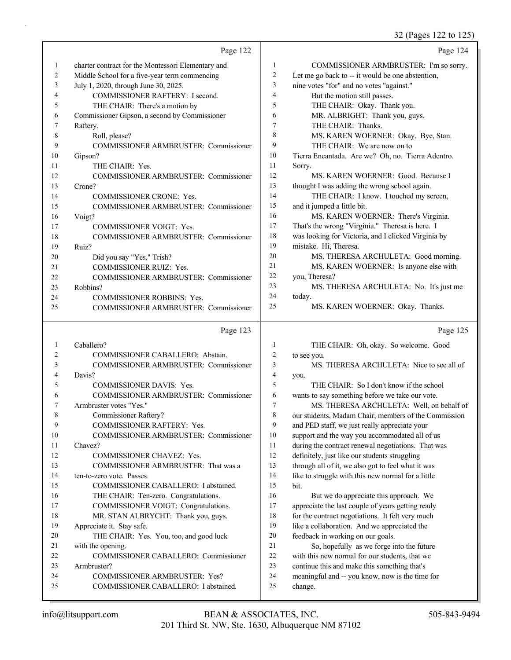32 (Pages 122 to 125)

|    | Page 122                                           |                | Page 124                                            |
|----|----------------------------------------------------|----------------|-----------------------------------------------------|
| 1  | charter contract for the Montessori Elementary and | 1              | COMMISSIONER ARMBRUSTER: I'm so sorry.              |
| 2  | Middle School for a five-year term commencing      | $\overline{2}$ | Let me go back to -- it would be one abstention,    |
| 3  | July 1, 2020, through June 30, 2025.               | 3              | nine votes "for" and no votes "against."            |
| 4  | COMMISSIONER RAFTERY: I second.                    | $\overline{4}$ | But the motion still passes.                        |
| 5  | THE CHAIR: There's a motion by                     | 5              | THE CHAIR: Okay. Thank you.                         |
| 6  | Commissioner Gipson, a second by Commissioner      | 6              | MR. ALBRIGHT: Thank you, guys.                      |
| 7  | Raftery.                                           | $\tau$         | THE CHAIR: Thanks.                                  |
| 8  | Roll, please?                                      | 8              | MS. KAREN WOERNER: Okay. Bye, Stan.                 |
| 9  | COMMISSIONER ARMBRUSTER: Commissioner              | 9              | THE CHAIR: We are now on to                         |
| 10 | Gipson?                                            | 10             | Tierra Encantada. Are we? Oh, no. Tierra Adentro.   |
| 11 | THE CHAIR: Yes.                                    | 11             | Sorry.                                              |
| 12 | <b>COMMISSIONER ARMBRUSTER: Commissioner</b>       | 12             | MS. KAREN WOERNER: Good. Because I                  |
| 13 | Crone?                                             | 13             | thought I was adding the wrong school again.        |
| 14 | COMMISSIONER CRONE: Yes.                           | 14             | THE CHAIR: I know. I touched my screen,             |
| 15 | COMMISSIONER ARMBRUSTER: Commissioner              | 15             | and it jumped a little bit.                         |
| 16 | Voigt?                                             | 16             | MS. KAREN WOERNER: There's Virginia.                |
| 17 | <b>COMMISSIONER VOIGT: Yes.</b>                    | 17             | That's the wrong "Virginia." Theresa is here. I     |
| 18 | COMMISSIONER ARMBRUSTER: Commissioner              | 18             | was looking for Victoria, and I clicked Virginia by |
| 19 | Ruiz?                                              | 19             | mistake. Hi, Theresa.                               |
| 20 | Did you say "Yes," Trish?                          | 20             | MS. THERESA ARCHULETA: Good morning.                |
| 21 | COMMISSIONER RUIZ: Yes.                            | 21             | MS. KAREN WOERNER: Is anyone else with              |
| 22 | <b>COMMISSIONER ARMBRUSTER: Commissioner</b>       | 22             | you, Theresa?                                       |
| 23 | Robbins?                                           | 23             | MS. THERESA ARCHULETA: No. It's just me             |
| 24 | COMMISSIONER ROBBINS: Yes.                         | 24             | today.                                              |
| 25 | <b>COMMISSIONER ARMBRUSTER: Commissioner</b>       | 25             | MS. KAREN WOERNER: Okay. Thanks.                    |
|    | Page 123                                           |                | Page 125                                            |
|    |                                                    |                |                                                     |
| 1  | Caballero?                                         | 1              | THE CHAIR: Oh, okay. So welcome. Good               |
| 2  | COMMISSIONER CABALLERO: Abstain.                   | $\overline{2}$ | to see you.                                         |
| 3  | <b>COMMISSIONER ARMBRUSTER: Commissioner</b>       | 3              | MS. THERESA ARCHULETA: Nice to see all of           |
| 4  | Davis?                                             | $\overline{4}$ | you.                                                |
| 5  | COMMISSIONER DAVIS: Yes.                           | 5              | THE CHAIR: So I don't know if the school            |

5 THE CHAIR: So I don't know if the school wants to say something before we take our vote. 7 MS. THERESA ARCHULETA: Well, on behalf of our students, Madam Chair, members of the Commission and PED staff, we just really appreciate your support and the way you accommodated all of us

 during the contract renewal negotiations. That was definitely, just like our students struggling through all of it, we also got to feel what it was 14 like to struggle with this new normal for a little

15 bit. 16 But we do appreciate this approach. We

17 appreciate the last couple of years getting ready 18 for the contract negotiations. It felt very much 19 like a collaboration. And we appreciated the

20 feedback in working on our goals.

21 So, hopefully as we forge into the future 22 with this new normal for our students, that we 23 continue this and make this something that's

- 24 meaningful and -- you know, now is the time for
- 25 change.

6 COMMISSIONER ARMBRUSTER: Commissioner

10 COMMISSIONER ARMBRUSTER: Commissioner

13 COMMISSIONER ARMBRUSTER: That was a

15 COMMISSIONER CABALLERO: I abstained. 16 THE CHAIR: Ten-zero. Congratulations. 17 COMMISSIONER VOIGT: Congratulations. 18 MR. STAN ALBRYCHT: Thank you, guys.

20 THE CHAIR: Yes. You, too, and good luck

24 COMMISSIONER ARMBRUSTER: Yes? 25 COMMISSIONER CABALLERO: I abstained.

22 COMMISSIONER CABALLERO: Commissioner

9 COMMISSIONER RAFTERY: Yes.

12 COMMISSIONER CHAVEZ: Yes.

7 Armbruster votes "Yes." 8 Commissioner Raftery?

14 ten-to-zero vote. Passes.

19 Appreciate it. Stay safe.

21 with the opening.

23 Armbruster?

11 Chavez?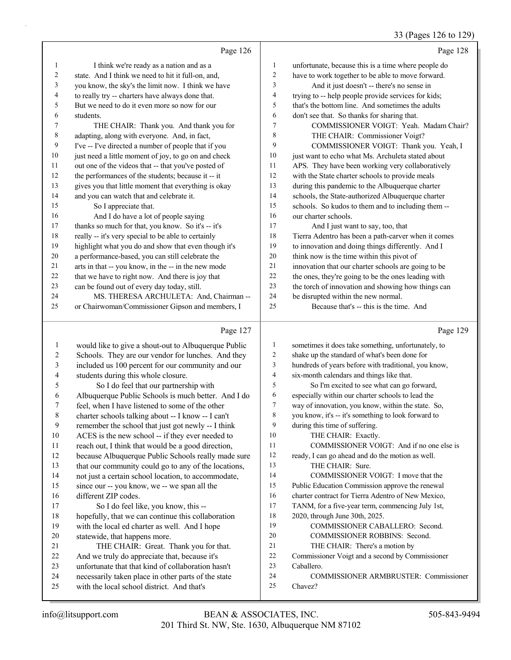### 33 (Pages 126 to 129)

|    | Page 126                                             |    | Page 128                                            |
|----|------------------------------------------------------|----|-----------------------------------------------------|
| 1  | I think we're ready as a nation and as a             | 1  | unfortunate, because this is a time where people do |
| 2  | state. And I think we need to hit it full-on, and,   | 2  | have to work together to be able to move forward.   |
| 3  | you know, the sky's the limit now. I think we have   | 3  | And it just doesn't -- there's no sense in          |
| 4  | to really try -- charters have always done that.     | 4  | trying to -- help people provide services for kids; |
| 5  | But we need to do it even more so now for our        | 5  | that's the bottom line. And sometimes the adults    |
| 6  | students.                                            | 6  | don't see that. So thanks for sharing that.         |
| 7  | THE CHAIR: Thank you. And thank you for              | 7  | COMMISSIONER VOIGT: Yeah. Madam Chair?              |
| 8  | adapting, along with everyone. And, in fact,         | 8  | THE CHAIR: Commissioner Voigt?                      |
| 9  | I've -- I've directed a number of people that if you | 9  | COMMISSIONER VOIGT: Thank you. Yeah, I              |
| 10 | just need a little moment of joy, to go on and check | 10 | just want to echo what Ms. Archuleta stated about   |
| 11 | out one of the videos that -- that you've posted of  | 11 | APS. They have been working very collaboratively    |
| 12 | the performances of the students; because it -- it   | 12 | with the State charter schools to provide meals     |
| 13 | gives you that little moment that everything is okay | 13 | during this pandemic to the Albuquerque charter     |
| 14 | and you can watch that and celebrate it.             | 14 | schools, the State-authorized Albuquerque charter   |
| 15 | So I appreciate that.                                | 15 | schools. So kudos to them and to including them --  |
| 16 | And I do have a lot of people saying                 | 16 | our charter schools.                                |
| 17 | thanks so much for that, you know. So it's -- it's   | 17 | And I just want to say, too, that                   |
| 18 | really -- it's very special to be able to certainly  | 18 | Tierra Adentro has been a path-carver when it comes |
| 19 | highlight what you do and show that even though it's | 19 | to innovation and doing things differently. And I   |
| 20 | a performance-based, you can still celebrate the     | 20 | think now is the time within this pivot of          |
| 21 | arts in that -- you know, in the -- in the new mode  | 21 | innovation that our charter schools are going to be |
| 22 | that we have to right now. And there is joy that     | 22 | the ones, they're going to be the ones leading with |
| 23 | can be found out of every day today, still.          | 23 | the torch of innovation and showing how things can  |
| 24 | MS. THERESA ARCHULETA: And, Chairman --              | 24 | be disrupted within the new normal.                 |
| 25 | or Chairwoman/Commissioner Gipson and members, I     | 25 | Because that's -- this is the time. And             |
|    |                                                      |    |                                                     |

### Page

|                | Page 127                                             |    | Page 129                                             |
|----------------|------------------------------------------------------|----|------------------------------------------------------|
| 1              | would like to give a shout-out to Albuquerque Public | 1  | sometimes it does take something, unfortunately, to  |
| 2              | Schools. They are our vendor for lunches. And they   | 2  | shake up the standard of what's been done for        |
| 3              | included us 100 percent for our community and our    | 3  | hundreds of years before with traditional, you know, |
| $\overline{4}$ | students during this whole closure.                  | 4  | six-month calendars and things like that.            |
| 5              | So I do feel that our partnership with               | 5  | So I'm excited to see what can go forward,           |
| 6              | Albuquerque Public Schools is much better. And I do  | 6  | especially within our charter schools to lead the    |
| 7              | feel, when I have listened to some of the other      | 7  | way of innovation, you know, within the state. So,   |
| 8              | charter schools talking about -- I know -- I can't   | 8  | you know, it's -- it's something to look forward to  |
| 9              | remember the school that just got newly -- I think   | 9  | during this time of suffering.                       |
| 10             | ACES is the new school -- if they ever needed to     | 10 | THE CHAIR: Exactly.                                  |
| 11             | reach out, I think that would be a good direction,   | 11 | COMMISSIONER VOIGT: And if no one else is            |
| 12             | because Albuquerque Public Schools really made sure  | 12 | ready, I can go ahead and do the motion as well.     |
| 13             | that our community could go to any of the locations, | 13 | THE CHAIR: Sure.                                     |
| 14             | not just a certain school location, to accommodate,  | 14 | COMMISSIONER VOIGT: I move that the                  |
| 15             | since our -- you know, we -- we span all the         | 15 | Public Education Commission approve the renewal      |
| 16             | different ZIP codes.                                 | 16 | charter contract for Tierra Adentro of New Mexico,   |
| 17             | So I do feel like, you know, this --                 | 17 | TANM, for a five-year term, commencing July 1st,     |
| 18             | hopefully, that we can continue this collaboration   | 18 | 2020, through June 30th, 2025.                       |
| 19             | with the local ed charter as well. And I hope        | 19 | COMMISSIONER CABALLERO: Second.                      |
| 20             | statewide, that happens more.                        | 20 | COMMISSIONER ROBBINS: Second.                        |
| 21             | THE CHAIR: Great. Thank you for that.                | 21 | THE CHAIR: There's a motion by                       |
| 22             | And we truly do appreciate that, because it's        | 22 | Commissioner Voigt and a second by Commissioner      |
| 23             | unfortunate that that kind of collaboration hasn't   | 23 | Caballero.                                           |
| 24             | necessarily taken place in other parts of the state  | 24 | <b>COMMISSIONER ARMBRUSTER: Commissioner</b>         |
| 25             | with the local school district. And that's           | 25 | Chavez?                                              |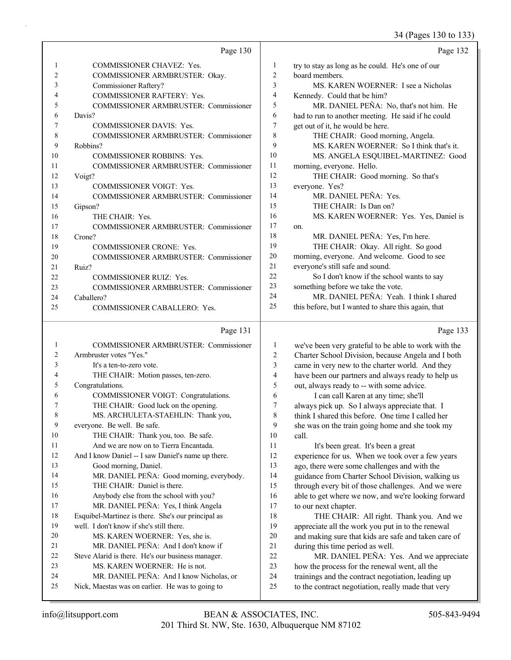34 (Pages 130 to 133)

|    |                                              |                | $U = \frac{1}{2}$ is 150 to 155                     |
|----|----------------------------------------------|----------------|-----------------------------------------------------|
|    | Page 130                                     |                | Page 132                                            |
| 1  | <b>COMMISSIONER CHAVEZ: Yes.</b>             | 1              | try to stay as long as he could. He's one of our    |
| 2  | COMMISSIONER ARMBRUSTER: Okay.               | 2              | board members.                                      |
| 3  | Commissioner Raftery?                        | 3              | MS. KAREN WOERNER: I see a Nicholas                 |
| 4  | COMMISSIONER RAFTERY: Yes.                   | $\overline{4}$ | Kennedy. Could that be him?                         |
| 5  | <b>COMMISSIONER ARMBRUSTER: Commissioner</b> | 5              | MR. DANIEL PEÑA: No, that's not him. He             |
| 6  | Davis?                                       | 6              | had to run to another meeting. He said if he could  |
| 7  | <b>COMMISSIONER DAVIS: Yes.</b>              | 7              | get out of it, he would be here.                    |
| 8  | <b>COMMISSIONER ARMBRUSTER: Commissioner</b> | 8              | THE CHAIR: Good morning, Angela.                    |
| 9  | Robbins?                                     | 9              | MS. KAREN WOERNER: So I think that's it.            |
| 10 | <b>COMMISSIONER ROBBINS: Yes.</b>            | 10             | MS. ANGELA ESQUIBEL-MARTINEZ: Good                  |
| 11 | <b>COMMISSIONER ARMBRUSTER: Commissioner</b> | 11             | morning, everyone. Hello.                           |
| 12 | Voigt?                                       | 12             | THE CHAIR: Good morning. So that's                  |
| 13 | <b>COMMISSIONER VOIGT: Yes.</b>              | 13             | everyone. Yes?                                      |
| 14 | <b>COMMISSIONER ARMBRUSTER: Commissioner</b> | 14             | MR. DANIEL PEÑA: Yes.                               |
| 15 | Gipson?                                      | 15             | THE CHAIR: Is Dan on?                               |
| 16 | THE CHAIR: Yes.                              | 16             | MS. KAREN WOERNER: Yes. Yes, Daniel is              |
| 17 | <b>COMMISSIONER ARMBRUSTER: Commissioner</b> | 17             | on.                                                 |
| 18 | Crone?                                       | 18             | MR. DANIEL PEÑA: Yes, I'm here.                     |
| 19 | <b>COMMISSIONER CRONE: Yes.</b>              | 19             | THE CHAIR: Okay. All right. So good                 |
| 20 | <b>COMMISSIONER ARMBRUSTER: Commissioner</b> | 20             | morning, everyone. And welcome. Good to see         |
| 21 | Ruiz?                                        | 21             | everyone's still safe and sound.                    |
| 22 | <b>COMMISSIONER RUIZ: Yes.</b>               | 22             | So I don't know if the school wants to say          |
| 23 | <b>COMMISSIONER ARMBRUSTER: Commissioner</b> | 23             | something before we take the vote.                  |
| 24 | Caballero?                                   | 24             | MR. DANIEL PEÑA: Yeah. I think I shared             |
| 25 | COMMISSIONER CABALLERO: Yes.                 | 25             | this before, but I wanted to share this again, that |
|    | Page 131                                     |                | Page 133                                            |

#### Page 131 |

|    | <b>COMMISSIONER ARMBRUSTER: Commissioner</b>       | 1  | we've been very grateful to be able to work with the |
|----|----------------------------------------------------|----|------------------------------------------------------|
| 2  | Armbruster votes "Yes."                            | 2  | Charter School Division, because Angela and I both   |
| 3  | It's a ten-to-zero vote.                           | 3  | came in very new to the charter world. And they      |
| 4  | THE CHAIR: Motion passes, ten-zero.                | 4  | have been our partners and always ready to help us   |
| 5  | Congratulations.                                   | 5  | out, always ready to -- with some advice.            |
| 6  | COMMISSIONER VOIGT: Congratulations.               | 6  | I can call Karen at any time; she'll                 |
| 7  | THE CHAIR: Good luck on the opening.               | 7  | always pick up. So I always appreciate that. I       |
| 8  | MS. ARCHULETA-STAEHLIN: Thank you,                 | 8  | think I shared this before. One time I called her    |
| 9  | everyone. Be well. Be safe.                        | 9  | she was on the train going home and she took my      |
| 10 | THE CHAIR: Thank you, too. Be safe.                | 10 | call.                                                |
| 11 | And we are now on to Tierra Encantada.             | 11 | It's been great. It's been a great                   |
| 12 | And I know Daniel -- I saw Daniel's name up there. | 12 | experience for us. When we took over a few years     |
| 13 | Good morning, Daniel.                              | 13 | ago, there were some challenges and with the         |
| 14 | MR. DANIEL PEÑA: Good morning, everybody.          | 14 | guidance from Charter School Division, walking us    |
| 15 | THE CHAIR: Daniel is there.                        | 15 | through every bit of those challenges. And we were   |
| 16 | Anybody else from the school with you?             | 16 | able to get where we now, and we're looking forward  |
| 17 | MR. DANIEL PEÑA: Yes, I think Angela               | 17 | to our next chapter.                                 |
| 18 | Esquibel-Martinez is there. She's our principal as | 18 | THE CHAIR: All right. Thank you. And we              |
| 19 | well. I don't know if she's still there.           | 19 | appreciate all the work you put in to the renewal    |
| 20 | MS. KAREN WOERNER: Yes, she is.                    | 20 | and making sure that kids are safe and taken care of |
| 21 | MR. DANIEL PEÑA: And I don't know if               | 21 | during this time period as well.                     |
| 22 | Steve Alarid is there. He's our business manager.  | 22 | MR. DANIEL PEÑA: Yes. And we appreciate              |
| 23 | MS. KAREN WOERNER: He is not.                      | 23 | how the process for the renewal went, all the        |
| 24 | MR. DANIEL PEÑA: And I know Nicholas, or           | 24 | trainings and the contract negotiation, leading up   |
| 25 | Nick, Maestas was on earlier. He was to going to   | 25 | to the contract negotiation, really made that very   |
|    |                                                    |    |                                                      |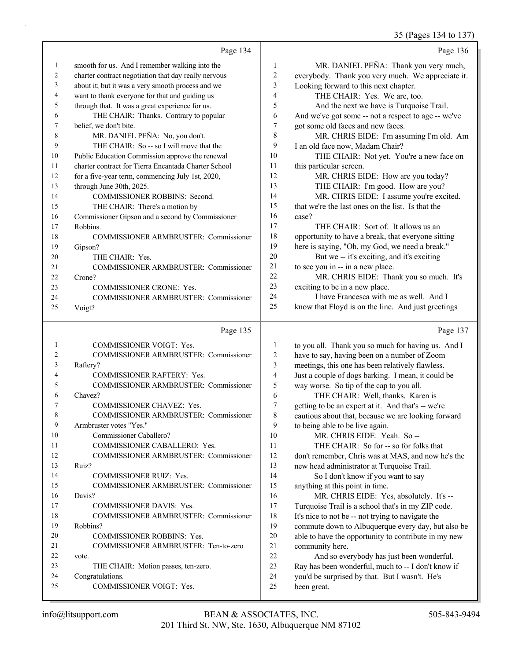|    |                                                      |                | 35 (Pages 134 to 137)                               |
|----|------------------------------------------------------|----------------|-----------------------------------------------------|
|    | Page 134                                             |                | Page 136                                            |
| 1  | smooth for us. And I remember walking into the       | 1              | MR. DANIEL PEÑA: Thank you very much,               |
| 2  | charter contract negotiation that day really nervous | 2              | everybody. Thank you very much. We appreciate it.   |
| 3  | about it; but it was a very smooth process and we    | 3              | Looking forward to this next chapter.               |
| 4  | want to thank everyone for that and guiding us       | $\overline{4}$ | THE CHAIR: Yes. We are, too.                        |
| 5  | through that. It was a great experience for us.      | 5              | And the next we have is Turquoise Trail.            |
| 6  | THE CHAIR: Thanks. Contrary to popular               | 6              | And we've got some -- not a respect to age -- we've |
| 7  | belief, we don't bite.                               | 7              | got some old faces and new faces.                   |
| 8  | MR. DANIEL PEÑA: No, you don't.                      | 8              | MR. CHRIS EIDE: I'm assuming I'm old. Am            |
| 9  | THE CHAIR: So -- so I will move that the             | 9              | I an old face now, Madam Chair?                     |
| 10 | Public Education Commission approve the renewal      | 10             | THE CHAIR: Not yet. You're a new face on            |
| 11 | charter contract for Tierra Encantada Charter School | 11             | this particular screen.                             |
| 12 | for a five-year term, commencing July 1st, 2020,     | 12             | MR. CHRIS EIDE: How are you today?                  |
| 13 | through June 30th, 2025.                             | 13             | THE CHAIR: I'm good. How are you?                   |
| 14 | COMMISSIONER ROBBINS: Second.                        | 14             | MR. CHRIS EIDE: I assume you're excited.            |
| 15 | THE CHAIR: There's a motion by                       | 15             | that we're the last ones on the list. Is that the   |
| 16 | Commissioner Gipson and a second by Commissioner     | 16             | case?                                               |
| 17 | Robbins.                                             | 17             | THE CHAIR: Sort of. It allows us an                 |
| 18 | COMMISSIONER ARMBRUSTER: Commissioner                | 18             | opportunity to have a break, that everyone sitting  |
| 19 | Gipson?                                              | 19             | here is saying, "Oh, my God, we need a break."      |
| 20 | THE CHAIR: Yes.                                      | 20             | But we -- it's exciting, and it's exciting          |
| 21 | COMMISSIONER ARMBRUSTER: Commissioner                | 21             | to see you in -- in a new place.                    |
| 22 | Crone?                                               | 22             | MR. CHRIS EIDE: Thank you so much. It's             |
| 23 | COMMISSIONER CRONE: Yes.                             | 23             | exciting to be in a new place.                      |
| 24 | COMMISSIONER ARMBRUSTER: Commissioner                | 24             | I have Francesca with me as well. And I             |
| 25 | Voigt?                                               | 25             | know that Floyd is on the line. And just greetings  |
|    | Page 135                                             |                | Page 137                                            |
| 1  | <b>COMMISSIONER VOIGT: Yes.</b>                      | 1              | to you all. Thank you so much for having us. And I  |
| 2  | COMMISSIONER ARMBRUSTER: Commissioner                | 2              | have to say, having been on a number of Zoom        |
| 3  | Raftery?                                             | 3              | meetings, this one has been relatively flawless.    |
| 4  | <b>COMMISSIONER RAFTERY: Yes.</b>                    | $\overline{4}$ | Just a couple of dogs barking. I mean, it could be  |
| 5  | COMMISSIONER ARMBRUSTER: Commissioner                | 5              | way worse. So tip of the cap to you all.            |
| 6  | Chavez?                                              | 6              | THE CHAIR: Well, thanks. Karen is                   |
| 7  | COMMISSIONER CHAVEZ: Yes.                            | 7              | getting to be an expert at it. And that's -- we're  |
| 8  | <b>COMMISSIONER ARMBRUSTER: Commissioner</b>         | 8              | cautious about that, because we are looking forward |
| 9  | Armbruster votes "Yes."                              | 9              | to being able to be live again.                     |
| 10 | Commissioner Caballero?                              | 10             | MR. CHRIS EIDE: Yeah. So --                         |
| 11 | COMMISSIONER CABALLERO: Yes.                         | 11             | THE CHAIR: So for -- so for folks that              |
| 12 | COMMISSIONER ARMBRUSTER: Commissioner                | 12             | don't remember, Chris was at MAS, and now he's the  |
| 13 | Ruiz?                                                | 13             | new head administrator at Turquoise Trail.          |
| 14 | COMMISSIONER RUIZ: Yes.                              | 14             | So I don't know if you want to say                  |
| 15 | COMMISSIONER ARMBRUSTER: Commissioner                | 15             | anything at this point in time.                     |
| 16 | Davis?                                               | 16             | MR. CHRIS EIDE: Yes, absolutely. It's --            |

24 Congratulations.

19 Robbins?

22 vote.

17 COMMISSIONER DAVIS: Yes.

20 COMMISSIONER ROBBINS: Yes.

23 THE CHAIR: Motion passes, ten-zero.

25 COMMISSIONER VOIGT: Yes.

18 COMMISSIONER ARMBRUSTER: Commissioner

21 COMMISSIONER ARMBRUSTER: Ten-to-zero

17 Turquoise Trail is a school that's in my ZIP code. 18 It's nice to not be -- not trying to navigate the

22 And so everybody has just been wonderful. 23 Ray has been wonderful, much to -- I don't know if 24 you'd be surprised by that. But I wasn't. He's

21 community here.

25 been great.

19 commute down to Albuquerque every day, but also be 20 able to have the opportunity to contribute in my new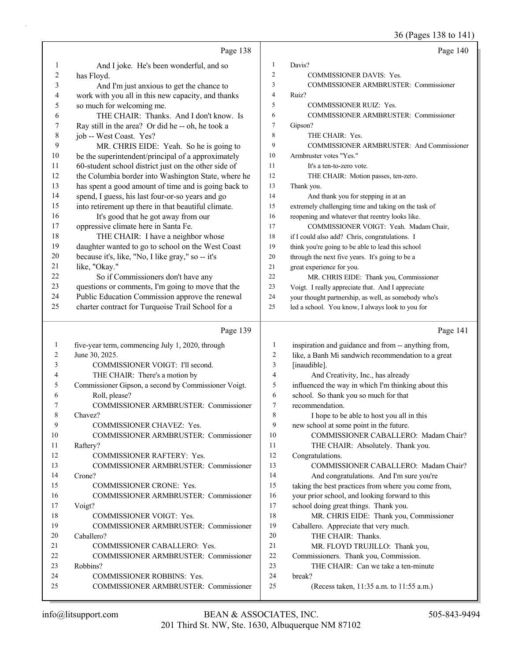36 (Pages 138 to 141)

|              | Page 138                                                              |                                  | Page 140                                                                                     |
|--------------|-----------------------------------------------------------------------|----------------------------------|----------------------------------------------------------------------------------------------|
| 1            | And I joke. He's been wonderful, and so                               | 1                                | Davis?                                                                                       |
| 2            | has Floyd.                                                            | $\overline{\mathbf{c}}$          | <b>COMMISSIONER DAVIS: Yes.</b>                                                              |
| 3            | And I'm just anxious to get the chance to                             | 3                                | COMMISSIONER ARMBRUSTER: Commissioner                                                        |
| 4            | work with you all in this new capacity, and thanks                    | 4                                | Ruiz?                                                                                        |
| 5            | so much for welcoming me.                                             | 5                                | COMMISSIONER RUIZ: Yes.                                                                      |
| 6            | THE CHAIR: Thanks. And I don't know. Is                               | 6                                | COMMISSIONER ARMBRUSTER: Commissioner                                                        |
| 7            | Ray still in the area? Or did he -- oh, he took a                     | 7                                | Gipson?                                                                                      |
| $\,$ $\,$    | job -- West Coast. Yes?                                               | 8                                | THE CHAIR: Yes.                                                                              |
| 9            | MR. CHRIS EIDE: Yeah. So he is going to                               | 9                                | COMMISSIONER ARMBRUSTER: And Commissioner                                                    |
| $10\,$       | be the superintendent/principal of a approximately                    | 10                               | Armbruster votes "Yes."                                                                      |
| 11           | 60-student school district just on the other side of                  | 11                               | It's a ten-to-zero vote.                                                                     |
| 12           | the Columbia border into Washington State, where he                   | 12                               | THE CHAIR: Motion passes, ten-zero.                                                          |
| 13           | has spent a good amount of time and is going back to                  | 13                               | Thank you.                                                                                   |
| 14           | spend, I guess, his last four-or-so years and go                      | 14                               | And thank you for stepping in at an                                                          |
| 15           | into retirement up there in that beautiful climate.                   | 15                               | extremely challenging time and taking on the task of                                         |
| 16           | It's good that he got away from our                                   | 16                               | reopening and whatever that reentry looks like.                                              |
| 17           | oppressive climate here in Santa Fe.                                  | 17                               | COMMISSIONER VOIGT: Yeah. Madam Chair,                                                       |
| 18           | THE CHAIR: I have a neighbor whose                                    | 18                               | if I could also add? Chris, congratulations. I                                               |
| 19           | daughter wanted to go to school on the West Coast                     | 19                               | think you're going to be able to lead this school                                            |
| $20\,$       | because it's, like, "No, I like gray," so -- it's                     | 20                               | through the next five years. It's going to be a                                              |
| 21           | like, "Okay."                                                         | 21                               | great experience for you.                                                                    |
| $22\,$       | So if Commissioners don't have any                                    | 22                               | MR. CHRIS EIDE: Thank you, Commissioner                                                      |
| 23           | questions or comments, I'm going to move that the                     | 23                               | Voigt. I really appreciate that. And I appreciate                                            |
| 24           | Public Education Commission approve the renewal                       | 24                               | your thought partnership, as well, as somebody who's                                         |
| 25           | charter contract for Turquoise Trail School for a                     | 25                               | led a school. You know, I always look to you for                                             |
|              |                                                                       |                                  |                                                                                              |
|              | Page 139                                                              |                                  | Page 141                                                                                     |
|              |                                                                       |                                  |                                                                                              |
| $\mathbf{1}$ | five-year term, commencing July 1, 2020, through                      | $\mathbf{1}$                     | inspiration and guidance and from -- anything from,                                          |
| 2<br>3       | June 30, 2025.                                                        | $\overline{c}$<br>$\mathfrak{Z}$ | like, a Banh Mi sandwich recommendation to a great                                           |
| 4            | COMMISSIONER VOIGT: I'll second.                                      | $\overline{4}$                   | [inaudible].                                                                                 |
| 5            | THE CHAIR: There's a motion by                                        | $\sqrt{5}$                       | And Creativity, Inc., has already                                                            |
| 6            | Commissioner Gipson, a second by Commissioner Voigt.<br>Roll, please? | 6                                | influenced the way in which I'm thinking about this<br>school. So thank you so much for that |
| 7            | COMMISSIONER ARMBRUSTER: Commissioner                                 | $\boldsymbol{7}$                 | recommendation.                                                                              |
| $\,$ 8 $\,$  | Chavez?                                                               | $\,$ 8 $\,$                      | I hope to be able to host you all in this                                                    |
| 9            | COMMISSIONER CHAVEZ: Yes.                                             | 9                                | new school at some point in the future.                                                      |
| 10           | <b>COMMISSIONER ARMBRUSTER: Commissioner</b>                          | 10                               | COMMISSIONER CABALLERO: Madam Chair?                                                         |
| 11           | Raftery?                                                              | 11                               | THE CHAIR: Absolutely. Thank you.                                                            |
| 12           | <b>COMMISSIONER RAFTERY: Yes.</b>                                     | 12                               | Congratulations.                                                                             |
| 13           | <b>COMMISSIONER ARMBRUSTER: Commissioner</b>                          | 13                               | COMMISSIONER CABALLERO: Madam Chair?                                                         |
| 14           | Crone?                                                                | 14                               | And congratulations. And I'm sure you're                                                     |
| 15           | COMMISSIONER CRONE: Yes.                                              | 15                               | taking the best practices from where you come from,                                          |
| 16           | COMMISSIONER ARMBRUSTER: Commissioner                                 | 16                               | your prior school, and looking forward to this                                               |
| 17           | Voigt?                                                                | 17                               | school doing great things. Thank you.                                                        |
| 18           | COMMISSIONER VOIGT: Yes.                                              | 18                               | MR. CHRIS EIDE: Thank you, Commissioner                                                      |
| 19           | COMMISSIONER ARMBRUSTER: Commissioner                                 | 19                               | Caballero. Appreciate that very much.                                                        |
| 20           | Caballero?                                                            | 20                               | THE CHAIR: Thanks.                                                                           |
| 21           | COMMISSIONER CABALLERO: Yes.                                          | 21                               | MR. FLOYD TRUJILLO: Thank you,                                                               |
| 22           | COMMISSIONER ARMBRUSTER: Commissioner                                 | 22                               | Commissioners. Thank you, Commission.                                                        |
| 23           | Robbins?                                                              | 23                               | THE CHAIR: Can we take a ten-minute                                                          |
| 24<br>25     | COMMISSIONER ROBBINS: Yes.<br>COMMISSIONER ARMBRUSTER: Commissioner   | 24<br>25                         | break?<br>(Recess taken, 11:35 a.m. to 11:55 a.m.)                                           |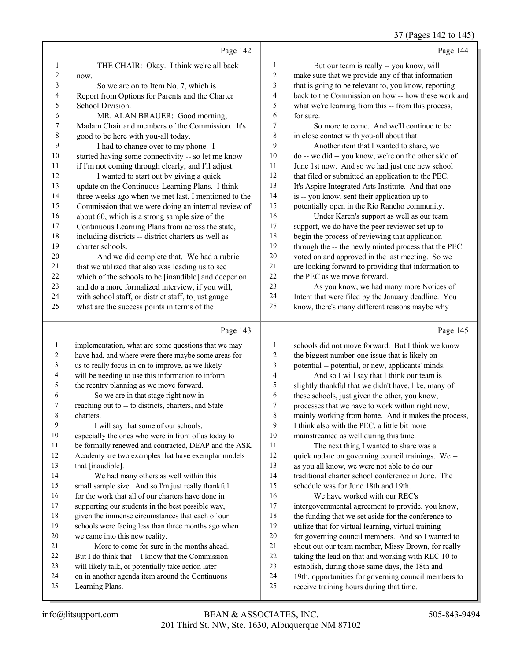#### 37 (Pages 142 to 145)

|                | Page 142                                             |                | Page 144                                             |
|----------------|------------------------------------------------------|----------------|------------------------------------------------------|
| 1              | THE CHAIR: Okay. I think we're all back              | $\mathbf{1}$   | But our team is really -- you know, will             |
| 2              | now.                                                 | $\overline{c}$ | make sure that we provide any of that information    |
| 3              | So we are on to Item No. 7, which is                 | 3              | that is going to be relevant to, you know, reporting |
| 4              | Report from Options for Parents and the Charter      | $\overline{4}$ | back to the Commission on how -- how these work and  |
| 5              | School Division.                                     | 5              | what we're learning from this -- from this process,  |
| 6              | MR. ALAN BRAUER: Good morning,                       | 6              | for sure.                                            |
| 7              | Madam Chair and members of the Commission. It's      | 7              | So more to come. And we'll continue to be            |
| 8              | good to be here with you-all today.                  | 8              | in close contact with you-all about that.            |
| 9              | I had to change over to my phone. I                  | 9              | Another item that I wanted to share, we              |
| 10             | started having some connectivity -- so let me know   | 10             | do -- we did -- you know, we're on the other side of |
| 11             | if I'm not coming through clearly, and I'll adjust.  | 11             | June 1st now. And so we had just one new school      |
| 12             | I wanted to start out by giving a quick              | 12             | that filed or submitted an application to the PEC.   |
| 13             | update on the Continuous Learning Plans. I think     | 13             | It's Aspire Integrated Arts Institute. And that one  |
| 14             | three weeks ago when we met last, I mentioned to the | 14             | is -- you know, sent their application up to         |
| 15             | Commission that we were doing an internal review of  | 15             | potentially open in the Rio Rancho community.        |
| 16             | about 60, which is a strong sample size of the       | 16             | Under Karen's support as well as our team            |
| 17             | Continuous Learning Plans from across the state,     | 17             | support, we do have the peer reviewer set up to      |
| 18             | including districts -- district charters as well as  | 18             | begin the process of reviewing that application      |
| 19             | charter schools.                                     | 19             | through the -- the newly minted process that the PEC |
| 20             | And we did complete that. We had a rubric            | 20             | voted on and approved in the last meeting. So we     |
| 21             | that we utilized that also was leading us to see     | 21             | are looking forward to providing that information to |
| 22             | which of the schools to be [inaudible] and deeper on | 22             | the PEC as we move forward.                          |
| 23             | and do a more formalized interview, if you will,     | 23             | As you know, we had many more Notices of             |
| 24             | with school staff, or district staff, to just gauge  | 24             | Intent that were filed by the January deadline. You  |
| 25             | what are the success points in terms of the          | 25             | know, there's many different reasons maybe why       |
|                | Page 143                                             |                | Page 145                                             |
| $\mathbf{1}$   | implementation, what are some questions that we may  | 1              | schools did not move forward. But I think we know    |
| 2              | have had, and where were there maybe some areas for  | $\overline{2}$ | the biggest number-one issue that is likely on       |
| 3              | us to really focus in on to improve, as we likely    | 3              | potential -- potential, or new, applicants' minds.   |
| $\overline{4}$ | will be needing to use this information to inform    | $\overline{4}$ | And so I will say that I think our team is           |
| 5              | the reentry planning as we move forward.             | 5              | slightly thankful that we didn't have, like, many of |

 the reentry planning as we move forward. 6 So we are in that stage right now in

- reaching out to -- to districts, charters, and State
- charters.
- 9 I will say that some of our schools,
- especially the ones who were in front of us today to
- be formally renewed and contracted, DEAP and the ASK
- Academy are two examples that have exemplar models
- 13 that [inaudible].
- 14 We had many others as well within this small sample size. And so I'm just really thankful
- 16 for the work that all of our charters have done in
- supporting our students in the best possible way,
- given the immense circumstances that each of our
- schools were facing less than three months ago when
- we came into this new reality. 21 More to come for sure in the months ahead. But I do think that -- I know that the Commission
- will likely talk, or potentially take action later
- on in another agenda item around the Continuous
- Learning Plans.
- 201 Third St. NW, Ste. 1630, Albuquerque NM 87102 info@litsupport.com BEAN & ASSOCIATES, INC. 505-843-9494

intergovernmental agreement to provide, you know,

- 18 the funding that we set aside for the conference to utilize that for virtual learning, virtual training
- for governing council members. And so I wanted to
- shout out our team member, Missy Brown, for really
- taking the lead on that and working with REC 10 to
- establish, during those same days, the 18th and

 these schools, just given the other, you know, processes that we have to work within right now, mainly working from home. And it makes the process,

 I think also with the PEC, a little bit more mainstreamed as well during this time. 11 The next thing I wanted to share was a quick update on governing council trainings. We -- as you all know, we were not able to do our traditional charter school conference in June. The

 schedule was for June 18th and 19th. 16 We have worked with our REC's

- 19th, opportunities for governing council members to
- receive training hours during that time.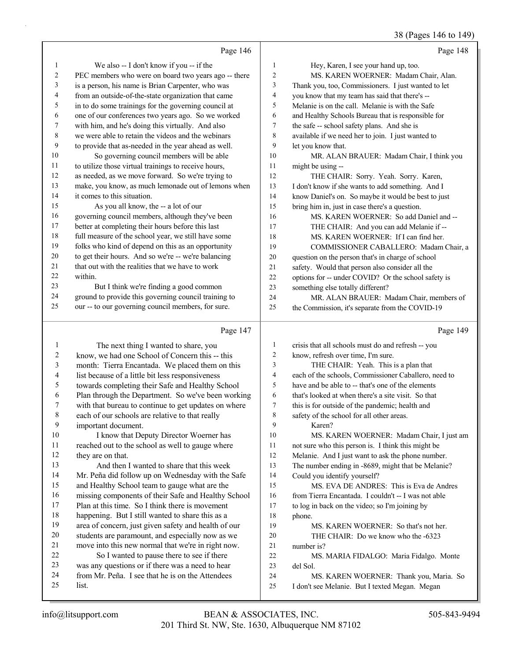|        |                                                      |                | 38 (Pages 146 to 149)                                |
|--------|------------------------------------------------------|----------------|------------------------------------------------------|
|        | Page 146                                             |                | Page 148                                             |
| 1      | We also -- I don't know if you -- if the             | 1              | Hey, Karen, I see your hand up, too.                 |
| 2      | PEC members who were on board two years ago -- there | 2              | MS. KAREN WOERNER: Madam Chair, Alan.                |
| 3      | is a person, his name is Brian Carpenter, who was    | 3              | Thank you, too, Commissioners. I just wanted to let  |
| 4      | from an outside-of-the-state organization that came  | 4              | you know that my team has said that there's --       |
| 5      | in to do some trainings for the governing council at | 5              | Melanie is on the call. Melanie is with the Safe     |
| 6      | one of our conferences two years ago. So we worked   | 6              | and Healthy Schools Bureau that is responsible for   |
| 7      | with him, and he's doing this virtually. And also    | 7              | the safe -- school safety plans. And she is          |
| 8      | we were able to retain the videos and the webinars   | 8              | available if we need her to join. I just wanted to   |
| 9      | to provide that as-needed in the year ahead as well. | 9              | let you know that.                                   |
| 10     | So governing council members will be able            | 10             | MR. ALAN BRAUER: Madam Chair, I think you            |
| 11     | to utilize those virtual trainings to receive hours, | 11             | might be using --                                    |
| 12     | as needed, as we move forward. So we're trying to    | 12             | THE CHAIR: Sorry. Yeah. Sorry. Karen,                |
| 13     | make, you know, as much lemonade out of lemons when  | 13             | I don't know if she wants to add something. And I    |
| 14     | it comes to this situation.                          | 14             | know Daniel's on. So maybe it would be best to just  |
| 15     | As you all know, the -- a lot of our                 | 15             | bring him in, just in case there's a question.       |
| 16     | governing council members, although they've been     | 16             | MS. KAREN WOERNER: So add Daniel and --              |
| 17     | better at completing their hours before this last    | 17             | THE CHAIR: And you can add Melanie if --             |
| 18     | full measure of the school year, we still have some  | 18             | MS. KAREN WOERNER: If I can find her.                |
| 19     | folks who kind of depend on this as an opportunity   | 19             | COMMISSIONER CABALLERO: Madam Chair, a               |
| $20\,$ | to get their hours. And so we're -- we're balancing  | 20             | question on the person that's in charge of school    |
| 21     | that out with the realities that we have to work     | 21             | safety. Would that person also consider all the      |
| 22     | within.                                              | 22             | options for -- under COVID? Or the school safety is  |
| 23     | But I think we're finding a good common              | 23             | something else totally different?                    |
| 24     | ground to provide this governing council training to | 24             | MR. ALAN BRAUER: Madam Chair, members of             |
| 25     | our -- to our governing council members, for sure.   | 25             | the Commission, it's separate from the COVID-19      |
|        | Page 147                                             |                | Page 149                                             |
| 1      | The next thing I wanted to share, you                | 1              | crisis that all schools must do and refresh -- you   |
| 2      | know, we had one School of Concern this -- this      | 2              | know, refresh over time, I'm sure.                   |
| 3      | month: Tierra Encantada. We placed them on this      | 3              | THE CHAIR: Yeah. This is a plan that                 |
| 4      | list because of a little bit less responsiveness     | 4              | each of the schools, Commissioner Caballero, need to |
| 5      | towards completing their Safe and Healthy School     | 5              | have and be able to -- that's one of the elements    |
| 6      | Plan through the Department. So we've been working   | 6              | that's looked at when there's a site visit. So that  |
| 7      | with that bureau to continue to get updates on where | $\overline{7}$ | this is for outside of the pandemic; health and      |
| 8      | each of our schools are relative to that really      | 8              | safety of the school for all other areas.            |
| 9      | important document.                                  | 9              | Karen?                                               |
| 10     | I know that Deputy Director Woerner has              | 10             | MS. KAREN WOERNER: Madam Chair, I just am            |
| 11     | reached out to the school as well to gauge where     | 11             | not sure who this person is. I think this might be   |
| 12     | they are on that.                                    | 12             | Melanie. And I just want to ask the phone number.    |
| 13     | And then I wanted to share that this week            | 13             | The number ending in -8689, might that be Melanie?   |
| 14     | Mr. Peña did follow up on Wednesday with the Safe    | 14             | Could you identify yourself?                         |
| 15     | and Healthy School team to gauge what are the        | 15             | MS. EVA DE ANDRES: This is Eva de Andres             |
| 16     | missing components of their Safe and Healthy School  | 16             | from Tierra Encantada. I couldn't -- I was not able  |
| 17     | Plan at this time. So I think there is movement      | 17             | to log in back on the video; so I'm joining by       |
| 18     | happening. But I still wanted to share this as a     | 18             | phone.                                               |
| 19     | area of concern, just given safety and health of our | 19             | MS. KAREN WOERNER: So that's not her.                |
| 20     | students are paramount, and especially now as we     | 20             | THE CHAIR: Do we know who the -6323                  |
| 21     | move into this new normal that we're in right now.   | 21             | number is?                                           |
| 22     | So I wanted to pause there to see if there           | $22\,$         | MS. MARIA FIDALGO: Maria Fidalgo. Monte              |
| 23     | was any questions or if there was a need to hear     | 23             | del Sol.                                             |

24 from Mr. Peña. I see that he is on the Attendees<br>25 list. 24 MS. KAREN WOERNER: Thank you, Maria. So I don't see Melanie. But I texted Megan. Megan

list.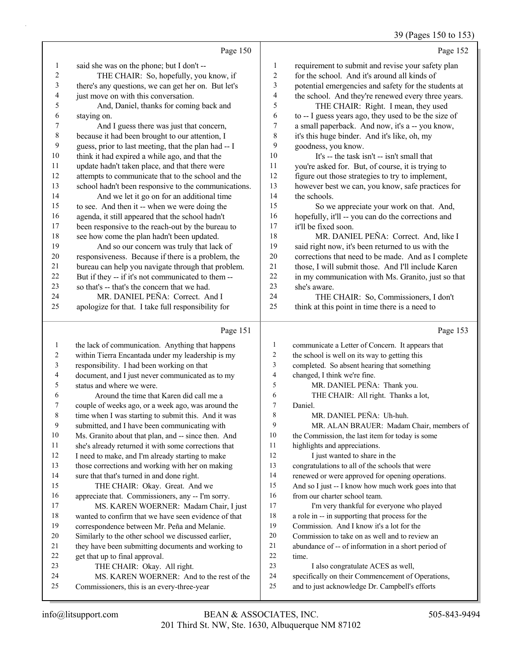$(3)$ 

| 39 (Pages 150 to 15 |  |
|---------------------|--|
|                     |  |

|                         | Page 150                                                                                |                          | Page 152                                                                                            |
|-------------------------|-----------------------------------------------------------------------------------------|--------------------------|-----------------------------------------------------------------------------------------------------|
| $\mathbf{1}$            | said she was on the phone; but I don't --                                               | $\mathbf{1}$             | requirement to submit and revise your safety plan                                                   |
| $\boldsymbol{2}$        | THE CHAIR: So, hopefully, you know, if                                                  | $\boldsymbol{2}$         | for the school. And it's around all kinds of                                                        |
| $\mathfrak{Z}$          | there's any questions, we can get her on. But let's                                     | 3                        | potential emergencies and safety for the students at                                                |
| 4                       | just move on with this conversation.                                                    | $\overline{\mathcal{L}}$ | the school. And they're renewed every three years.                                                  |
| 5                       | And, Daniel, thanks for coming back and                                                 | 5                        | THE CHAIR: Right. I mean, they used                                                                 |
| 6                       | staying on.                                                                             | 6                        | to -- I guess years ago, they used to be the size of                                                |
| 7                       | And I guess there was just that concern,                                                | $\boldsymbol{7}$         | a small paperback. And now, it's a -- you know,                                                     |
| $\,$ $\,$               | because it had been brought to our attention, I                                         | $\,8\,$                  | it's this huge binder. And it's like, oh, my                                                        |
| 9                       | guess, prior to last meeting, that the plan had -- I                                    | 9                        | goodness, you know.                                                                                 |
| $10\,$                  | think it had expired a while ago, and that the                                          | 10                       | It's -- the task isn't -- isn't small that                                                          |
| 11                      | update hadn't taken place, and that there were                                          | 11                       | you're asked for. But, of course, it is trying to                                                   |
| 12                      | attempts to communicate that to the school and the                                      | 12                       | figure out those strategies to try to implement,                                                    |
| 13                      | school hadn't been responsive to the communications.                                    | 13                       | however best we can, you know, safe practices for                                                   |
| 14                      | And we let it go on for an additional time                                              | 14                       | the schools.                                                                                        |
| 15                      | to see. And then it -- when we were doing the                                           | 15                       | So we appreciate your work on that. And,                                                            |
| 16                      | agenda, it still appeared that the school hadn't                                        | 16                       | hopefully, it'll -- you can do the corrections and                                                  |
| 17                      | been responsive to the reach-out by the bureau to                                       | 17                       | it'll be fixed soon.                                                                                |
| 18                      | see how come the plan hadn't been updated.                                              | $18\,$                   | MR. DANIEL PEÑA: Correct. And, like I                                                               |
| 19                      | And so our concern was truly that lack of                                               | 19                       | said right now, it's been returned to us with the                                                   |
| $20\,$                  | responsiveness. Because if there is a problem, the                                      | $20\,$                   | corrections that need to be made. And as I complete                                                 |
| 21                      | bureau can help you navigate through that problem.                                      | 21                       | those, I will submit those. And I'll include Karen                                                  |
| 22                      | But if they -- if it's not communicated to them --                                      | $22\,$                   | in my communication with Ms. Granito, just so that                                                  |
| 23                      | so that's -- that's the concern that we had.                                            | 23                       | she's aware.                                                                                        |
| 24                      | MR. DANIEL PEÑA: Correct. And I                                                         | 24                       | THE CHAIR: So, Commissioners, I don't                                                               |
| 25                      | apologize for that. I take full responsibility for                                      | 25                       | think at this point in time there is a need to                                                      |
|                         | Page 151                                                                                |                          | Page 153                                                                                            |
| $\mathbf{1}$            | the lack of communication. Anything that happens                                        | $\mathbf{1}$             | communicate a Letter of Concern. It appears that                                                    |
| $\overline{\mathbf{c}}$ | within Tierra Encantada under my leadership is my                                       | 2                        | the school is well on its way to getting this                                                       |
| 3                       | responsibility. I had been working on that                                              | 3                        | completed. So absent hearing that something                                                         |
| 4                       | document, and I just never communicated as to my                                        | 4                        | changed, I think we're fine.                                                                        |
| 5                       | status and where we were.                                                               | 5                        | MR. DANIEL PEÑA: Thank you.                                                                         |
| 6                       | Around the time that Karen did call me a                                                | 6                        | THE CHAIR: All right. Thanks a lot,                                                                 |
| 7                       | couple of weeks ago, or a week ago, was around the                                      | $\boldsymbol{7}$         | Daniel.                                                                                             |
| 8                       | time when I was starting to submit this. And it was                                     | 8                        | MR. DANIEL PEÑA: Uh-huh.                                                                            |
| 9                       | submitted, and I have been communicating with                                           | 9                        | MR. ALAN BRAUER: Madam Chair, members of                                                            |
| 10                      | Ms. Granito about that plan, and -- since then. And                                     | 10                       | the Commission, the last item for today is some                                                     |
| 11                      | she's already returned it with some corrections that                                    | 11                       | highlights and appreciations.                                                                       |
| 12                      | I need to make, and I'm already starting to make                                        | 12                       | I just wanted to share in the                                                                       |
| 13                      | those corrections and working with her on making                                        | 13                       | congratulations to all of the schools that were                                                     |
| 14                      | sure that that's turned in and done right.                                              | 14                       | renewed or were approved for opening operations.                                                    |
| 15                      | THE CHAIR: Okay. Great. And we                                                          | 15                       | And so I just -- I know how much work goes into that                                                |
| 16                      | appreciate that. Commissioners, any -- I'm sorry.                                       | 16                       | from our charter school team.                                                                       |
| 17                      | MS. KAREN WOERNER: Madam Chair, I just                                                  | $17\,$                   | I'm very thankful for everyone who played                                                           |
| 18                      | wanted to confirm that we have seen evidence of that                                    | $18\,$                   | a role in -- in supporting that process for the                                                     |
| 19                      | correspondence between Mr. Peña and Melanie.                                            | 19                       | Commission. And I know it's a lot for the                                                           |
| 20                      | Similarly to the other school we discussed earlier,                                     | $20\,$<br>21             | Commission to take on as well and to review an                                                      |
| 21<br>22                | they have been submitting documents and working to<br>get that up to final approval.    | $22\,$                   | abundance of -- of information in a short period of                                                 |
|                         |                                                                                         |                          | time.                                                                                               |
|                         |                                                                                         |                          |                                                                                                     |
| 23                      | THE CHAIR: Okay. All right.                                                             | 23                       | I also congratulate ACES as well,                                                                   |
| 24<br>25                | MS. KAREN WOERNER: And to the rest of the<br>Commissioners, this is an every-three-year | 24<br>25                 | specifically on their Commencement of Operations,<br>and to just acknowledge Dr. Campbell's efforts |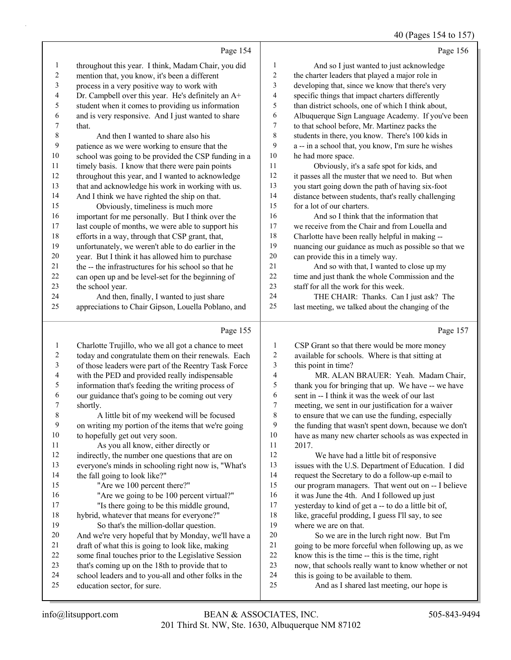#### 40 (Pages 154 to 157)

|                |                                                      |                          | 70(148031370013)                                     |
|----------------|------------------------------------------------------|--------------------------|------------------------------------------------------|
|                | Page 154                                             |                          | Page 156                                             |
| 1              | throughout this year. I think, Madam Chair, you did  | 1                        | And so I just wanted to just acknowledge             |
| $\overline{c}$ | mention that, you know, it's been a different        | 2                        | the charter leaders that played a major role in      |
| $\mathfrak{Z}$ | process in a very positive way to work with          | 3                        | developing that, since we know that there's very     |
| 4              | Dr. Campbell over this year. He's definitely an A+   | 4                        | specific things that impact charters differently     |
| 5              | student when it comes to providing us information    | 5                        | than district schools, one of which I think about,   |
| 6              | and is very responsive. And I just wanted to share   | 6                        | Albuquerque Sign Language Academy. If you've been    |
| 7              | that.                                                | 7                        | to that school before, Mr. Martinez packs the        |
| $\,$ $\,$      | And then I wanted to share also his                  | 8                        | students in there, you know. There's 100 kids in     |
| 9              | patience as we were working to ensure that the       | 9                        | a -- in a school that, you know, I'm sure he wishes  |
| 10             | school was going to be provided the CSP funding in a | 10                       | he had more space.                                   |
| 11             | timely basis. I know that there were pain points     | 11                       | Obviously, it's a safe spot for kids, and            |
| 12             | throughout this year, and I wanted to acknowledge    | 12                       | it passes all the muster that we need to. But when   |
| 13             | that and acknowledge his work in working with us.    | 13                       | you start going down the path of having six-foot     |
| 14             | And I think we have righted the ship on that.        | 14                       | distance between students, that's really challenging |
| 15             | Obviously, timeliness is much more                   | 15                       | for a lot of our charters.                           |
| 16             | important for me personally. But I think over the    | 16                       | And so I think that the information that             |
| 17             | last couple of months, we were able to support his   | 17                       | we receive from the Chair and from Louella and       |
| 18             | efforts in a way, through that CSP grant, that,      | 18                       | Charlotte have been really helpful in making --      |
| 19             | unfortunately, we weren't able to do earlier in the  | 19                       | nuancing our guidance as much as possible so that we |
| 20             | year. But I think it has allowed him to purchase     | $20\,$                   | can provide this in a timely way.                    |
| 21             | the -- the infrastructures for his school so that he | 21                       | And so with that, I wanted to close up my            |
| 22             | can open up and be level-set for the beginning of    | 22                       | time and just thank the whole Commission and the     |
| 23             | the school year.                                     | 23                       | staff for all the work for this week.                |
| 24             | And then, finally, I wanted to just share            | 24                       | THE CHAIR: Thanks. Can I just ask? The               |
| 25             | appreciations to Chair Gipson, Louella Poblano, and  | 25                       | last meeting, we talked about the changing of the    |
|                |                                                      |                          |                                                      |
|                | Page 155                                             |                          | Page 157                                             |
| $\mathbf{1}$   | Charlotte Trujillo, who we all got a chance to meet  | $\mathbf{1}$             | CSP Grant so that there would be more money          |
| $\overline{c}$ | today and congratulate them on their renewals. Each  | $\boldsymbol{2}$         | available for schools. Where is that sitting at      |
| $\mathfrak{Z}$ | of those leaders were part of the Reentry Task Force | $\mathfrak{Z}$           | this point in time?                                  |
| 4              | with the PED and provided really indispensable       | $\overline{\mathcal{L}}$ | MR. ALAN BRAUER: Yeah. Madam Chair,                  |
| 5              | information that's feeding the writing process of    | 5                        | thank you for bringing that up. We have -- we have   |
| 6              | our guidance that's going to be coming out very      | 6                        | sent in -- I think it was the week of our last       |
| 7              | shortly.                                             | $\boldsymbol{7}$         | meeting, we sent in our justification for a waiver   |
| 8              | A little bit of my weekend will be focused           | 8                        | to ensure that we can use the funding, especially    |
| 9              | on writing my portion of the items that we're going  | 9                        | the funding that wasn't spent down, because we don't |
| 10             | to hopefully get out very soon.                      | 10                       | have as many new charter schools as was expected in  |
| 11             | As you all know, either directly or                  | 11                       | 2017.                                                |
| 12             | indirectly, the number one questions that are on     | 12                       | We have had a little bit of responsive               |
| 13             | everyone's minds in schooling right now is, "What's  | 13                       | issues with the U.S. Department of Education. I did  |
| 14             | the fall going to look like?"                        | 14                       | request the Secretary to do a follow-up e-mail to    |
| 15             | "Are we 100 percent there?"                          | 15                       | our program managers. That went out on -- I believe  |
| 16             | "Are we going to be 100 percent virtual?"            | 16                       | it was June the 4th. And I followed up just          |
| 17             | "Is there going to be this middle ground,            | 17                       | yesterday to kind of get a -- to do a little bit of, |
| 18             | hybrid, whatever that means for everyone?"           | 18                       | like, graceful prodding, I guess I'll say, to see    |
| 19             | So that's the million-dollar question.               | 19                       | where we are on that.                                |

20 So we are in the lurch right now. But I'm going to be more forceful when following up, as we know this is the time -- this is the time, right now, that schools really want to know whether or not this is going to be available to them.

25 And as I shared last meeting, our hope is

education sector, for sure.

 And we're very hopeful that by Monday, we'll have a draft of what this is going to look like, making some final touches prior to the Legislative Session that's coming up on the 18th to provide that to school leaders and to you-all and other folks in the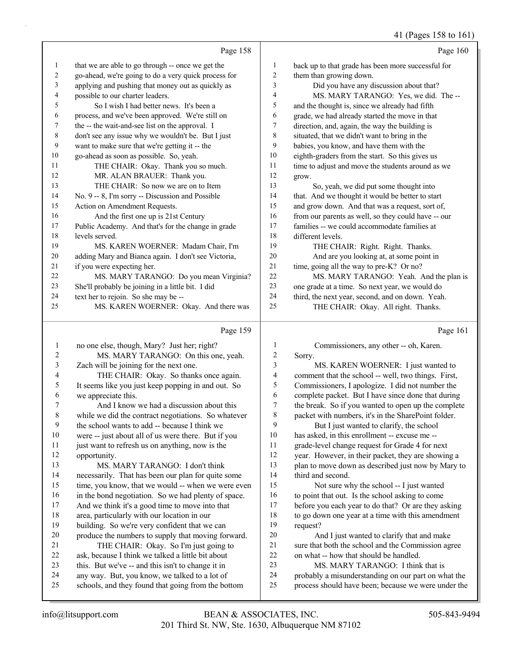#### 41 (Pages 158 to 161)

|                         |                                                      |                  | 41 (Pages 158 to 161)                               |
|-------------------------|------------------------------------------------------|------------------|-----------------------------------------------------|
|                         | Page 158                                             |                  | Page 160                                            |
| 1                       | that we are able to go through -- once we get the    | $\mathbf{1}$     | back up to that grade has been more successful for  |
| 2                       | go-ahead, we're going to do a very quick process for | $\overline{c}$   | them than growing down.                             |
| 3                       | applying and pushing that money out as quickly as    | 3                | Did you have any discussion about that?             |
| 4                       | possible to our charter leaders.                     | $\overline{4}$   | MS. MARY TARANGO: Yes, we did. The --               |
| 5                       | So I wish I had better news. It's been a             | 5                | and the thought is, since we already had fifth      |
| 6                       | process, and we've been approved. We're still on     | 6                | grade, we had already started the move in that      |
| 7                       | the -- the wait-and-see list on the approval. I      | 7                | direction, and, again, the way the building is      |
| $\,$ 8 $\,$             | don't see any issue why we wouldn't be. But I just   | $\,8$            | situated, that we didn't want to bring in the       |
| 9                       | want to make sure that we're getting it -- the       | 9                | babies, you know, and have them with the            |
| 10                      | go-ahead as soon as possible. So, yeah.              | 10               | eighth-graders from the start. So this gives us     |
| 11                      | THE CHAIR: Okay. Thank you so much.                  | 11               | time to adjust and move the students around as we   |
| 12                      | MR. ALAN BRAUER: Thank you.                          | 12               | grow.                                               |
| 13                      | THE CHAIR: So now we are on to Item                  | 13               | So, yeah, we did put some thought into              |
| 14                      | No. 9 -- 8, I'm sorry -- Discussion and Possible     | 14               | that. And we thought it would be better to start    |
| 15                      | Action on Amendment Requests.                        | 15               | and grow down. And that was a request, sort of,     |
| 16                      | And the first one up is 21st Century                 | 16               | from our parents as well, so they could have -- our |
| 17                      | Public Academy. And that's for the change in grade   | 17               | families -- we could accommodate families at        |
| 18                      | levels served.                                       | 18               | different levels.                                   |
| 19                      | MS. KAREN WOERNER: Madam Chair, I'm                  | 19               | THE CHAIR: Right. Right. Thanks.                    |
| 20                      | adding Mary and Bianca again. I don't see Victoria,  | 20               | And are you looking at, at some point in            |
| 21                      | if you were expecting her.                           | 21               | time, going all the way to pre-K? Or no?            |
| 22                      | MS. MARY TARANGO: Do you mean Virginia?              | 22               | MS. MARY TARANGO: Yeah. And the plan is             |
| 23                      | She'll probably be joining in a little bit. I did    | 23               | one grade at a time. So next year, we would do      |
| 24                      | text her to rejoin. So she may be --                 | 24               | third, the next year, second, and on down. Yeah.    |
| 25                      | MS. KAREN WOERNER: Okay. And there was               | 25               | THE CHAIR: Okay. All right. Thanks.                 |
|                         | Page 159                                             |                  | Page 161                                            |
| $\mathbf{1}$            | no one else, though, Mary? Just her; right?          | 1                | Commissioners, any other -- oh, Karen.              |
| $\sqrt{2}$              | MS. MARY TARANGO: On this one, yeah.                 | $\boldsymbol{2}$ | Sorry.                                              |
| $\mathfrak{Z}$          | Zach will be joining for the next one.               | 3                | MS. KAREN WOERNER: I just wanted to                 |
| $\overline{\mathbf{4}}$ | THE CHAIR: Okay. So thanks once again.               | 4                | comment that the school -- well, two things. First, |
| 5                       | It seems like you just keep popping in and out. So   | 5                | Commissioners, I apologize. I did not number the    |
| 6                       | we appreciate this.                                  | 6                | complete packet. But I have since done that during  |
| 7                       | And I know we had a discussion about this            | 7                | the break. So if you wanted to open up the complete |
| $\,$ 8 $\,$             | while we did the contract negotiations. So whatever  | 8                | packet with numbers, it's in the SharePoint folder. |
| 9                       | the school wants to add -- because I think we        | 9                | But I just wanted to clarify, the school            |
| 10                      | were -- just about all of us were there. But if you  | 10               | has asked, in this enrollment -- excuse me --       |
| 11                      | just want to refresh us on anything, now is the      | 11               | grade-level change request for Grade 4 for next     |
| 12                      | opportunity.                                         | 12               | year. However, in their packet, they are showing a  |
| 13                      | MS. MARY TARANGO: I don't think                      | 13               | plan to move down as described just now by Mary to  |
| 14                      | necessarily. That has been our plan for quite some   | 14               | third and second.                                   |
| 15                      | time, you know, that we would -- when we were even   | 15               | Not sure why the school -- I just wanted            |
| 16                      | in the bond negotiation. So we had plenty of space.  | 16               | to point that out. Is the school asking to come     |

to point that out. Is the school asking to come

 before you each year to do that? Or are they asking to go down one year at a time with this amendment request?

20 And I just wanted to clarify that and make sure that both the school and the Commission agree on what -- how that should be handled.

23 MS. MARY TARANGO: I think that is

probably a misunderstanding on our part on what the

process should have been; because we were under the

 And we think it's a good time to move into that area, particularly with our location in our building. So we're very confident that we can produce the numbers to supply that moving forward. 21 THE CHAIR: Okay. So I'm just going to ask, because I think we talked a little bit about this. But we've -- and this isn't to change it in any way. But, you know, we talked to a lot of schools, and they found that going from the bottom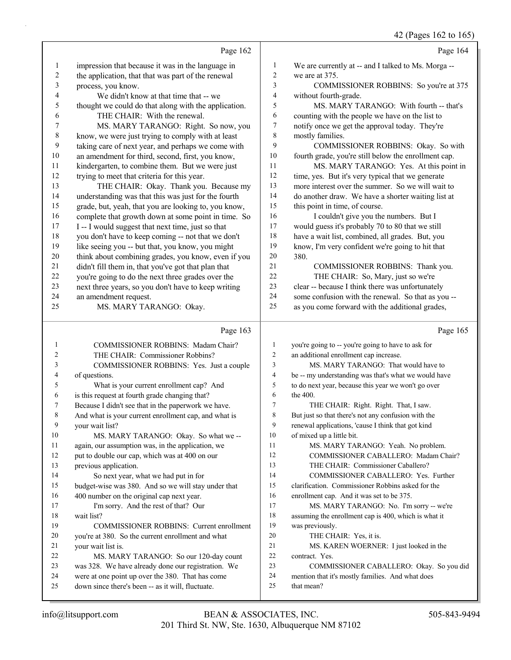42 (Pages 162 to 165)

|                         |                                                                                                       |                          | $12 \text{ (1450)} 102 \text{ to } 103$                                                      |
|-------------------------|-------------------------------------------------------------------------------------------------------|--------------------------|----------------------------------------------------------------------------------------------|
|                         | Page 162                                                                                              |                          | Page 164                                                                                     |
| 1                       | impression that because it was in the language in                                                     | 1                        | We are currently at -- and I talked to Ms. Morga --                                          |
| $\boldsymbol{2}$        | the application, that that was part of the renewal                                                    | $\overline{2}$           | we are at 375.                                                                               |
| 3                       | process, you know.                                                                                    | 3                        | COMMISSIONER ROBBINS: So you're at 375                                                       |
| $\overline{\mathbf{4}}$ | We didn't know at that time that -- we                                                                | $\overline{4}$           | without fourth-grade.                                                                        |
| 5                       | thought we could do that along with the application.                                                  | 5                        | MS. MARY TARANGO: With fourth -- that's                                                      |
| 6                       | THE CHAIR: With the renewal.                                                                          | 6                        | counting with the people we have on the list to                                              |
| 7                       | MS. MARY TARANGO: Right. So now, you                                                                  | 7                        | notify once we get the approval today. They're                                               |
| 8                       | know, we were just trying to comply with at least                                                     | $\,$ $\,$                | mostly families.                                                                             |
| 9                       | taking care of next year, and perhaps we come with                                                    | 9                        | COMMISSIONER ROBBINS: Okay. So with                                                          |
| $10\,$                  | an amendment for third, second, first, you know,                                                      | 10                       | fourth grade, you're still below the enrollment cap.                                         |
| 11                      | kindergarten, to combine them. But we were just                                                       | 11                       | MS. MARY TARANGO: Yes. At this point in                                                      |
| 12                      | trying to meet that criteria for this year.                                                           | 12                       | time, yes. But it's very typical that we generate                                            |
| 13                      | THE CHAIR: Okay. Thank you. Because my                                                                | 13                       | more interest over the summer. So we will wait to                                            |
| 14                      | understanding was that this was just for the fourth                                                   | 14                       | do another draw. We have a shorter waiting list at                                           |
| 15                      | grade, but, yeah, that you are looking to, you know,                                                  | 15                       | this point in time, of course.                                                               |
| 16                      | complete that growth down at some point in time. So                                                   | 16                       | I couldn't give you the numbers. But I                                                       |
| 17                      | I -- I would suggest that next time, just so that                                                     | $17\,$                   | would guess it's probably 70 to 80 that we still                                             |
| 18                      | you don't have to keep coming -- not that we don't                                                    | 18                       | have a wait list, combined, all grades. But, you                                             |
| 19                      | like seeing you -- but that, you know, you might                                                      | 19                       | know, I'm very confident we're going to hit that                                             |
| $20\,$                  | think about combining grades, you know, even if you                                                   | 20                       | 380.                                                                                         |
| 21                      | didn't fill them in, that you've got that plan that                                                   | 21                       | COMMISSIONER ROBBINS: Thank you.                                                             |
| 22                      | you're going to do the next three grades over the                                                     | 22                       | THE CHAIR: So, Mary, just so we're                                                           |
| 23                      | next three years, so you don't have to keep writing                                                   | 23                       | clear -- because I think there was unfortunately                                             |
| 24                      | an amendment request.                                                                                 | 24                       | some confusion with the renewal. So that as you --                                           |
| 25                      | MS. MARY TARANGO: Okay.                                                                               | 25                       | as you come forward with the additional grades,                                              |
|                         |                                                                                                       |                          |                                                                                              |
|                         | Page 163                                                                                              |                          | Page 165                                                                                     |
|                         |                                                                                                       |                          |                                                                                              |
| 1<br>2                  | COMMISSIONER ROBBINS: Madam Chair?                                                                    | 1<br>$\overline{c}$      | you're going to -- you're going to have to ask for                                           |
|                         | THE CHAIR: Commissioner Robbins?                                                                      | 3                        | an additional enrollment cap increase.<br>MS. MARY TARANGO: That would have to               |
| 3<br>4                  | COMMISSIONER ROBBINS: Yes. Just a couple                                                              | $\overline{\mathcal{L}}$ |                                                                                              |
| 5                       | of questions.                                                                                         | 5                        | be -- my understanding was that's what we would have                                         |
| 6                       | What is your current enrollment cap? And                                                              | 6                        | to do next year, because this year we won't go over<br>the 400.                              |
| 7                       | is this request at fourth grade changing that?                                                        | 7                        |                                                                                              |
| 8                       | Because I didn't see that in the paperwork we have.                                                   | 8                        | THE CHAIR: Right. Right. That, I saw.<br>But just so that there's not any confusion with the |
| 9                       | And what is your current enrollment cap, and what is<br>your wait list?                               | 9                        | renewal applications, 'cause I think that got kind                                           |
| 10                      | MS. MARY TARANGO: Okay. So what we --                                                                 | 10                       | of mixed up a little bit.                                                                    |
| 11                      | again, our assumption was, in the application, we                                                     | 11                       | MS. MARY TARANGO: Yeah. No problem.                                                          |
| 12                      | put to double our cap, which was at 400 on our                                                        | 12                       | COMMISSIONER CABALLERO: Madam Chair?                                                         |
| 13                      | previous application.                                                                                 | 13                       | THE CHAIR: Commissioner Caballero?                                                           |
| 14                      | So next year, what we had put in for                                                                  | 14                       | COMMISSIONER CABALLERO: Yes. Further                                                         |
| 15                      | budget-wise was 380. And so we will stay under that                                                   | 15                       | clarification. Commissioner Robbins asked for the                                            |
| 16                      | 400 number on the original cap next year.                                                             | 16                       | enrollment cap. And it was set to be 375.                                                    |
| 17                      | I'm sorry. And the rest of that? Our                                                                  | 17                       | MS. MARY TARANGO: No. I'm sorry -- we're                                                     |
| 18                      | wait list?                                                                                            | 18                       | assuming the enrollment cap is 400, which is what it                                         |
| 19                      | COMMISSIONER ROBBINS: Current enrollment                                                              | 19                       | was previously.                                                                              |
| 20                      | you're at 380. So the current enrollment and what                                                     | 20                       | THE CHAIR: Yes, it is.                                                                       |
| 21                      | your wait list is.                                                                                    | 21                       | MS. KAREN WOERNER: I just looked in the                                                      |
| 22                      | MS. MARY TARANGO: So our 120-day count                                                                | 22                       | contract. Yes.                                                                               |
| 23                      | was 328. We have already done our registration. We                                                    | 23                       | COMMISSIONER CABALLERO: Okay. So you did                                                     |
| 24<br>25                | were at one point up over the 380. That has come<br>down since there's been -- as it will, fluctuate. | 24<br>25                 | mention that it's mostly families. And what does<br>that mean?                               |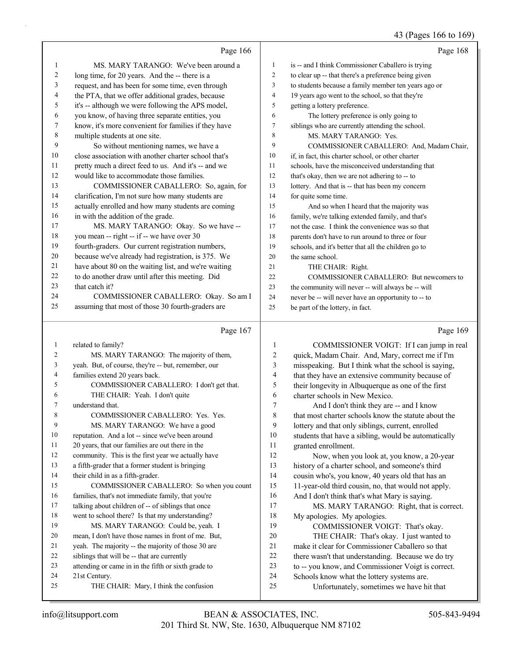### 43 (Pages 166 to 169)

|              | Page 166                                                             |                | Page 168                                                                                         |
|--------------|----------------------------------------------------------------------|----------------|--------------------------------------------------------------------------------------------------|
| 1            | MS. MARY TARANGO: We've been around a                                | $\mathbf{1}$   | is -- and I think Commissioner Caballero is trying                                               |
| 2            | long time, for 20 years. And the -- there is a                       | 2              | to clear up -- that there's a preference being given                                             |
| 3            | request, and has been for some time, even through                    | 3              | to students because a family member ten years ago or                                             |
| 4            | the PTA, that we offer additional grades, because                    | $\overline{4}$ | 19 years ago went to the school, so that they're                                                 |
| 5            | it's -- although we were following the APS model,                    | 5              | getting a lottery preference.                                                                    |
| 6            | you know, of having three separate entities, you                     | 6              | The lottery preference is only going to                                                          |
| 7            | know, it's more convenient for families if they have                 | 7              | siblings who are currently attending the school.                                                 |
| 8            | multiple students at one site.                                       | 8              | MS. MARY TARANGO: Yes.                                                                           |
| 9            | So without mentioning names, we have a                               | 9              | COMMISSIONER CABALLERO: And, Madam Chair,                                                        |
| 10           | close association with another charter school that's                 | 10             | if, in fact, this charter school, or other charter                                               |
| 11           | pretty much a direct feed to us. And it's -- and we                  | 11             | schools, have the misconceived understanding that                                                |
| 12           | would like to accommodate those families.                            | 12             | that's okay, then we are not adhering to -- to                                                   |
| 13           | COMMISSIONER CABALLERO: So, again, for                               | 13             | lottery. And that is -- that has been my concern                                                 |
| 14           | clarification, I'm not sure how many students are                    | 14             | for quite some time.                                                                             |
| 15           | actually enrolled and how many students are coming                   | 15             | And so when I heard that the majority was                                                        |
| 16           | in with the addition of the grade.                                   | 16             | family, we're talking extended family, and that's                                                |
| 17           | MS. MARY TARANGO: Okay. So we have --                                | 17             | not the case. I think the convenience was so that                                                |
| 18           | you mean -- right -- if -- we have over 30                           | 18             | parents don't have to run around to three or four                                                |
| 19           | fourth-graders. Our current registration numbers,                    | 19             | schools, and it's better that all the children go to                                             |
| 20           | because we've already had registration, is 375. We                   | 20             | the same school.                                                                                 |
| 21           | have about 80 on the waiting list, and we're waiting                 | 21             | THE CHAIR: Right.                                                                                |
| 22           | to do another draw until after this meeting. Did                     | 22             | COMMISSIONER CABALLERO: But newcomers to                                                         |
| 23           | that catch it?                                                       | 23             | the community will never -- will always be -- will                                               |
| 24           | COMMISSIONER CABALLERO: Okay. So am I                                | 24             | never be -- will never have an opportunity to -- to                                              |
| 25           | assuming that most of those 30 fourth-graders are                    | 25             | be part of the lottery, in fact.                                                                 |
|              | Page 167                                                             |                | Page 169                                                                                         |
| $\mathbf{1}$ | related to family?                                                   | 1              | COMMISSIONER VOIGT: If I can jump in real                                                        |
| 2            | MS. MARY TARANGO: The majority of them,                              | 2              | quick, Madam Chair. And, Mary, correct me if I'm                                                 |
| 3            | yeah. But, of course, they're -- but, remember, our                  | 3              | misspeaking. But I think what the school is saying,                                              |
| 4            | families extend 20 years back.                                       | $\overline{4}$ | that they have an extensive community because of                                                 |
| 5            | COMMISSIONER CABALLERO: I don't get that.                            | 5              | their longevity in Albuquerque as one of the first                                               |
| 6            | THE CHAIR: Yeah. I don't quite                                       | 6              | charter schools in New Mexico.                                                                   |
| 7            | understand that.                                                     | 7              | And I don't think they are -- and I know                                                         |
| 8            | COMMISSIONER CABALLERO: Yes. Yes.                                    | 8              | that most charter schools know the statute about the                                             |
| 9            | MS. MARY TARANGO: We have a good                                     | 9              | lottery and that only siblings, current, enrolled                                                |
| 10           | reputation. And a lot -- since we've been around                     | 10             | students that have a sibling, would be automatically                                             |
| 11           | 20 years, that our families are out there in the                     | 11             | granted enrollment.                                                                              |
| 12           | community. This is the first year we actually have                   | 12             | Now, when you look at, you know, a 20-year                                                       |
| 13           | a fifth-grader that a former student is bringing                     | 13             | history of a charter school, and someone's third                                                 |
| 14           | their child in as a fifth-grader.                                    | 14             | cousin who's, you know, 40 years old that has an                                                 |
|              |                                                                      |                |                                                                                                  |
| 15           | COMMISSIONER CABALLERO: So when you count                            | 15             | 11-year-old third cousin, no, that would not apply.                                              |
| 16           | families, that's not immediate family, that you're                   | 16             | And I don't think that's what Mary is saying.                                                    |
| 17           | talking about children of -- of siblings that once                   | 17             | MS. MARY TARANGO: Right, that is correct.                                                        |
| 18           | went to school there? Is that my understanding?                      | 18             | My apologies. My apologies.                                                                      |
| 19           | MS. MARY TARANGO: Could be, yeah. I                                  | 19             | COMMISSIONER VOIGT: That's okay.                                                                 |
| 20           | mean, I don't have those names in front of me. But,                  | 20             | THE CHAIR: That's okay. I just wanted to                                                         |
| 21           | yeah. The majority -- the majority of those 30 are                   | $21\,$         | make it clear for Commissioner Caballero so that                                                 |
| 22           | siblings that will be -- that are currently                          | $22\,$         | there wasn't that understanding. Because we do try                                               |
| 23<br>24     | attending or came in in the fifth or sixth grade to<br>21st Century. | 23<br>24       | to -- you know, and Commissioner Voigt is correct.<br>Schools know what the lottery systems are. |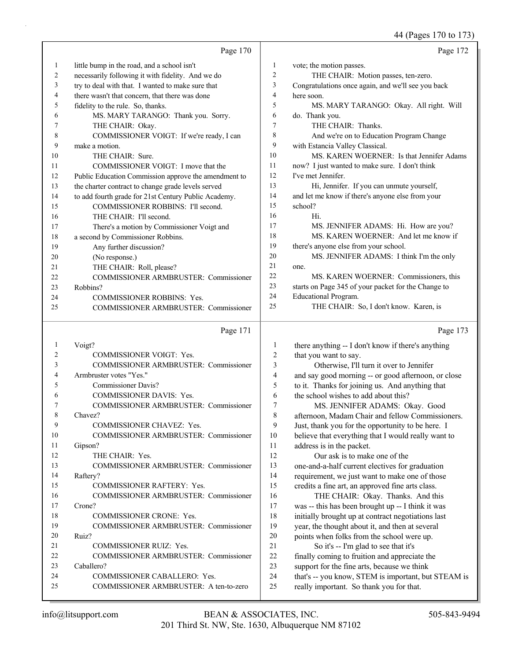44 (Pages 170 to 173)

|              |                                                      |                | O                                                   |
|--------------|------------------------------------------------------|----------------|-----------------------------------------------------|
|              | Page 170                                             |                | Page 172                                            |
| 1            | little bump in the road, and a school isn't          | 1              | vote; the motion passes.                            |
| 2            | necessarily following it with fidelity. And we do    | $\overline{c}$ | THE CHAIR: Motion passes, ten-zero.                 |
| 3            | try to deal with that. I wanted to make sure that    | 3              | Congratulations once again, and we'll see you back  |
| 4            | there wasn't that concern, that there was done       | $\overline{4}$ | here soon.                                          |
| 5            | fidelity to the rule. So, thanks.                    | 5              | MS. MARY TARANGO: Okay. All right. Will             |
| 6            | MS. MARY TARANGO: Thank you. Sorry.                  | 6              | do. Thank you.                                      |
| 7            | THE CHAIR: Okay.                                     | 7              | THE CHAIR: Thanks.                                  |
| 8            | COMMISSIONER VOIGT: If we're ready, I can            | 8              | And we're on to Education Program Change            |
| 9            | make a motion.                                       | 9              | with Estancia Valley Classical.                     |
| 10           | THE CHAIR: Sure.                                     | 10             | MS. KAREN WOERNER: Is that Jennifer Adams           |
| 11           | COMMISSIONER VOIGT: I move that the                  | 11             | now? I just wanted to make sure. I don't think      |
| 12           | Public Education Commission approve the amendment to | 12             | I've met Jennifer.                                  |
| 13           | the charter contract to change grade levels served   | 13             | Hi, Jennifer. If you can unmute yourself,           |
| 14           | to add fourth grade for 21st Century Public Academy. | 14             | and let me know if there's anyone else from your    |
| 15           | COMMISSIONER ROBBINS: I'll second.                   | 15             | school?                                             |
| 16           | THE CHAIR: I'll second.                              | 16             | Hi.                                                 |
| 17           | There's a motion by Commissioner Voigt and           | 17             | MS. JENNIFER ADAMS: Hi. How are you?                |
| 18           | a second by Commissioner Robbins.                    | 18             | MS. KAREN WOERNER: And let me know if               |
| 19           | Any further discussion?                              | 19             | there's anyone else from your school.               |
| 20           | (No response.)                                       | 20             | MS. JENNIFER ADAMS: I think I'm the only            |
| 21           | THE CHAIR: Roll, please?                             | 21             | one.                                                |
| 22           | COMMISSIONER ARMBRUSTER: Commissioner                | 22             | MS. KAREN WOERNER: Commissioners, this              |
| 23           | Robbins?                                             | 23             | starts on Page 345 of your packet for the Change to |
| 24           | COMMISSIONER ROBBINS: Yes.                           | 24             | Educational Program.                                |
| 25           | <b>COMMISSIONER ARMBRUSTER: Commissioner</b>         | 25             | THE CHAIR: So, I don't know. Karen, is              |
|              | Page 171                                             |                | Page 173                                            |
| $\mathbf{1}$ | Voigt?                                               | $\mathbf{1}$   | there anything -- I don't know if there's anything  |
| 2            | COMMISSIONER VOIGT: Yes.                             | 2              | that you want to say.                               |
| 3            | COMMISSIONER ARMBRUSTER: Commissioner                | 3              | Otherwise, I'll turn it over to Jennifer            |
| 4            | Armbruster votes "Yes."                              | 4              | and say good morning -- or good afternoon, or close |
| 5            | Commissioner Davis?                                  | 5              | to it. Thanks for joining us. And anything that     |
| 6            | COMMISSIONER DAVIS: Yes.                             | 6              | the school wishes to add about this?                |
| 7            | <b>COMMISSIONER ARMBRUSTER: Commissioner</b>         | 7              | MS. JENNIFER ADAMS: Okay. Good                      |

7 MS. JENNIFER ADAMS: Okay. Good afternoon, Madam Chair and fellow Commissioners. Just, thank you for the opportunity to be here. I believe that everything that I would really want to address is in the packet.

12 Our ask is to make one of the one-and-a-half current electives for graduation requirement, we just want to make one of those credits a fine art, an approved fine arts class.

16 THE CHAIR: Okay. Thanks. And this was -- this has been brought up -- I think it was initially brought up at contract negotiations last year, the thought about it, and then at several points when folks from the school were up. 21 So it's -- I'm glad to see that it's finally coming to fruition and appreciate the support for the fine arts, because we think

24 that's -- you know, STEM is important, but STEAM is

25 really important. So thank you for that.

23 Caballero?

8 Chavez?

11 Gipson?

14 Raftery?

17 Crone?

20 Ruiz?

12 THE CHAIR: Yes.

9 COMMISSIONER CHAVEZ: Yes.

15 COMMISSIONER RAFTERY: Yes.

18 COMMISSIONER CRONE: Yes.

21 COMMISSIONER RUIZ: Yes.

24 COMMISSIONER CABALLERO: Yes.

10 COMMISSIONER ARMBRUSTER: Commissioner

13 COMMISSIONER ARMBRUSTER: Commissioner

16 COMMISSIONER ARMBRUSTER: Commissioner

19 COMMISSIONER ARMBRUSTER: Commissioner

22 COMMISSIONER ARMBRUSTER: Commissioner

25 COMMISSIONER ARMBRUSTER: A ten-to-zero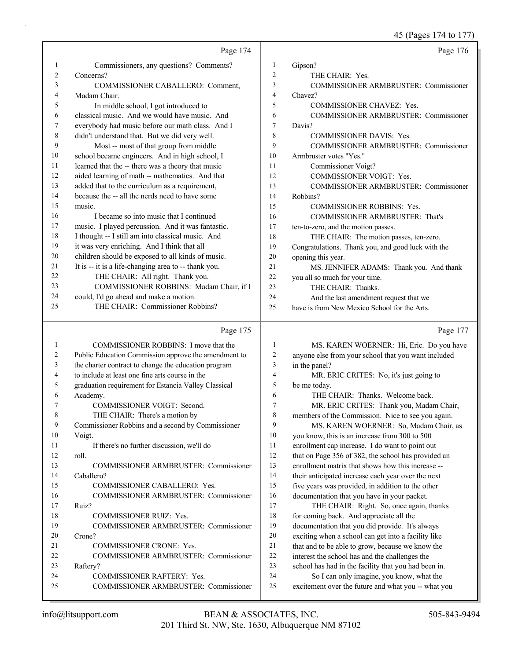45 (Pages 174 to 177)

|          |                                                                     |                | 12(145031110111)                                                                                       |
|----------|---------------------------------------------------------------------|----------------|--------------------------------------------------------------------------------------------------------|
|          | Page 174                                                            |                | Page 176                                                                                               |
| 1        | Commissioners, any questions? Comments?                             | 1              | Gipson?                                                                                                |
| 2        | Concerns?                                                           | $\overline{c}$ | THE CHAIR: Yes.                                                                                        |
| 3        | COMMISSIONER CABALLERO: Comment,                                    | 3              | COMMISSIONER ARMBRUSTER: Commissioner                                                                  |
| 4        | Madam Chair.                                                        | 4              | Chavez?                                                                                                |
| 5        | In middle school, I got introduced to                               | 5              | COMMISSIONER CHAVEZ: Yes.                                                                              |
| 6        | classical music. And we would have music. And                       | 6              | COMMISSIONER ARMBRUSTER: Commissioner                                                                  |
| 7        | everybody had music before our math class. And I                    | 7              | Davis?                                                                                                 |
| 8        | didn't understand that. But we did very well.                       | 8              | <b>COMMISSIONER DAVIS: Yes.</b>                                                                        |
| 9        | Most -- most of that group from middle                              | 9              | COMMISSIONER ARMBRUSTER: Commissioner                                                                  |
| 10       | school became engineers. And in high school, I                      | 10             | Armbruster votes "Yes."                                                                                |
| 11       | learned that the -- there was a theory that music                   | 11             | Commissioner Voigt?                                                                                    |
| 12       | aided learning of math -- mathematics. And that                     | 12             | COMMISSIONER VOIGT: Yes.                                                                               |
| 13       | added that to the curriculum as a requirement,                      | 13             | COMMISSIONER ARMBRUSTER: Commissioner                                                                  |
| 14       | because the -- all the nerds need to have some                      | 14             | Robbins?                                                                                               |
| 15       | music.                                                              | 15             | COMMISSIONER ROBBINS: Yes.                                                                             |
| 16       | I became so into music that I continued                             | 16             | COMMISSIONER ARMBRUSTER: That's                                                                        |
| 17       | music. I played percussion. And it was fantastic.                   | 17             | ten-to-zero, and the motion passes.                                                                    |
| 18       | I thought -- I still am into classical music. And                   | 18             | THE CHAIR: The motion passes, ten-zero.                                                                |
| 19       | it was very enriching. And I think that all                         | 19             | Congratulations. Thank you, and good luck with the                                                     |
| 20       | children should be exposed to all kinds of music.                   | 20             | opening this year.                                                                                     |
| 21       | It is -- it is a life-changing area to -- thank you.                | 21             | MS. JENNIFER ADAMS: Thank you. And thank                                                               |
| 22       | THE CHAIR: All right. Thank you.                                    | 22             | you all so much for your time.                                                                         |
| 23       | COMMISSIONER ROBBINS: Madam Chair, if I                             | 23             | THE CHAIR: Thanks.                                                                                     |
| 24       | could, I'd go ahead and make a motion.                              | 24             | And the last amendment request that we                                                                 |
| 25       | THE CHAIR: Commissioner Robbins?                                    | 25             | have is from New Mexico School for the Arts.                                                           |
|          |                                                                     |                |                                                                                                        |
|          |                                                                     |                |                                                                                                        |
|          | Page 175                                                            |                | Page 177                                                                                               |
| 1        | COMMISSIONER ROBBINS: I move that the                               | 1              | MS. KAREN WOERNER: Hi, Eric. Do you have                                                               |
| 2        | Public Education Commission approve the amendment to                | 2              | anyone else from your school that you want included                                                    |
| 3<br>4   | the charter contract to change the education program                | 3<br>4         | in the panel?                                                                                          |
| 5        | to include at least one fine arts course in the                     | 5              | MR. ERIC CRITES: No, it's just going to                                                                |
| 6        | graduation requirement for Estancia Valley Classical                | 6              | be me today.                                                                                           |
| 7        | Academy.                                                            | 7              | THE CHAIR: Thanks. Welcome back.                                                                       |
| 8        | COMMISSIONER VOIGT: Second.                                         | 8              | MR. ERIC CRITES: Thank you, Madam Chair,                                                               |
| 9        | THE CHAIR: There's a motion by                                      | 9              | members of the Commission. Nice to see you again.                                                      |
| 10       | Commissioner Robbins and a second by Commissioner<br>Voigt.         | 10             | MS. KAREN WOERNER: So, Madam Chair, as<br>you know, this is an increase from 300 to 500                |
| 11       | If there's no further discussion, we'll do                          | 11             |                                                                                                        |
| 12       | roll.                                                               | 12             | enrollment cap increase. I do want to point out<br>that on Page 356 of 382, the school has provided an |
| 13       | COMMISSIONER ARMBRUSTER: Commissioner                               | 13             | enrollment matrix that shows how this increase --                                                      |
| 14       | Caballero?                                                          | 14             | their anticipated increase each year over the next                                                     |
| 15       | COMMISSIONER CABALLERO: Yes.                                        | 15             | five years was provided, in addition to the other                                                      |
| 16       | COMMISSIONER ARMBRUSTER: Commissioner                               | 16             | documentation that you have in your packet.                                                            |
| 17       | Ruiz?                                                               | 17             | THE CHAIR: Right. So, once again, thanks                                                               |
| 18       | COMMISSIONER RUIZ: Yes.                                             | 18             | for coming back. And appreciate all the                                                                |
| 19       | COMMISSIONER ARMBRUSTER: Commissioner                               | 19             | documentation that you did provide. It's always                                                        |
| 20       | Crone?                                                              | 20             | exciting when a school can get into a facility like                                                    |
| 21       | COMMISSIONER CRONE: Yes.                                            | 21             | that and to be able to grow, because we know the                                                       |
| 22       | COMMISSIONER ARMBRUSTER: Commissioner                               | 22             | interest the school has and the challenges the                                                         |
| 23       | Raftery?                                                            | 23             | school has had in the facility that you had been in.                                                   |
| 24<br>25 | COMMISSIONER RAFTERY: Yes.<br>COMMISSIONER ARMBRUSTER: Commissioner | 24<br>25       | So I can only imagine, you know, what the<br>excitement over the future and what you -- what you       |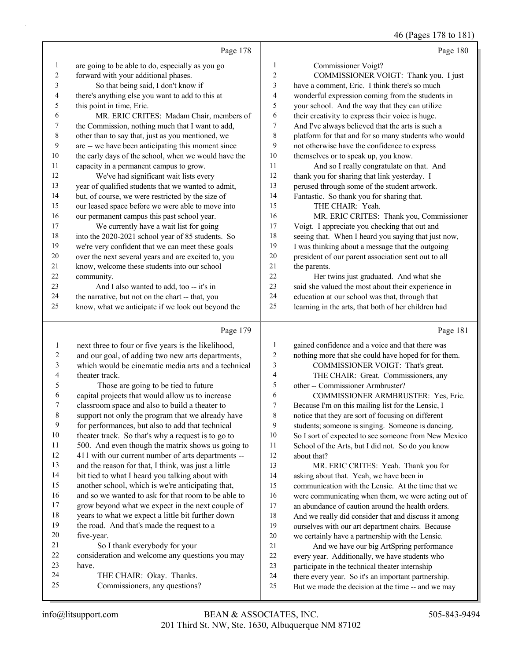#### 46 (Pages 178 to 181)

|                         |                                                      |                         | $10 \text{ (14500 I/0 101)}$                         |
|-------------------------|------------------------------------------------------|-------------------------|------------------------------------------------------|
|                         | Page 178                                             |                         | Page 180                                             |
| $\mathbf{1}$            | are going to be able to do, especially as you go     | $\mathbf{1}$            | Commissioner Voigt?                                  |
| $\sqrt{2}$              | forward with your additional phases.                 | $\overline{c}$          | COMMISSIONER VOIGT: Thank you. I just                |
| 3                       | So that being said, I don't know if                  | 3                       | have a comment, Eric. I think there's so much        |
| $\overline{\mathbf{4}}$ | there's anything else you want to add to this at     | $\overline{\mathbf{4}}$ | wonderful expression coming from the students in     |
| $\mathfrak s$           | this point in time, Eric.                            | 5                       | your school. And the way that they can utilize       |
| 6                       | MR. ERIC CRITES: Madam Chair, members of             | 6                       | their creativity to express their voice is huge.     |
| $\boldsymbol{7}$        | the Commission, nothing much that I want to add,     | 7                       | And I've always believed that the arts is such a     |
| $\,$ $\,$               | other than to say that, just as you mentioned, we    | $\,$ $\,$               | platform for that and for so many students who would |
| 9                       | are -- we have been anticipating this moment since   | 9                       | not otherwise have the confidence to express         |
| $10\,$                  | the early days of the school, when we would have the | 10                      | themselves or to speak up, you know.                 |
| 11                      | capacity in a permanent campus to grow.              | 11                      | And so I really congratulate on that. And            |
| 12                      | We've had significant wait lists every               | 12                      | thank you for sharing that link yesterday. I         |
| 13                      | year of qualified students that we wanted to admit,  | 13                      | perused through some of the student artwork.         |
| 14                      | but, of course, we were restricted by the size of    | 14                      | Fantastic. So thank you for sharing that.            |
| 15                      | our leased space before we were able to move into    | 15                      | THE CHAIR: Yeah.                                     |
| 16                      | our permanent campus this past school year.          | 16                      | MR. ERIC CRITES: Thank you, Commissioner             |
| 17                      | We currently have a wait list for going              | $17\,$                  | Voigt. I appreciate you checking that out and        |
| 18                      | into the 2020-2021 school year of 85 students. So    | 18                      | seeing that. When I heard you saying that just now,  |
| 19                      | we're very confident that we can meet these goals    | 19                      | I was thinking about a message that the outgoing     |
| $20\,$                  | over the next several years and are excited to, you  | $20\,$                  | president of our parent association sent out to all  |
| 21                      | know, welcome these students into our school         | 21                      | the parents.                                         |
| $22\,$                  | community.                                           | 22                      | Her twins just graduated. And what she               |
| 23                      | And I also wanted to add, too -- it's in             | 23                      | said she valued the most about their experience in   |
| 24                      | the narrative, but not on the chart -- that, you     | 24                      | education at our school was that, through that       |
| 25                      | know, what we anticipate if we look out beyond the   | 25                      | learning in the arts, that both of her children had  |
|                         | Page 179                                             |                         | Page 181                                             |
| $\mathbf{1}$            | next three to four or five years is the likelihood,  | $\mathbf{1}$            | gained confidence and a voice and that there was     |
| $\overline{c}$          | and our goal, of adding two new arts departments,    | 2                       | nothing more that she could have hoped for for them. |
| 3                       | which would be cinematic media arts and a technical  | 3                       | COMMISSIONER VOIGT: That's great.                    |
| 4                       | theater track.                                       | $\overline{\mathbf{4}}$ | THE CHAIR: Great. Commissioners, any                 |
| 5                       | Those are going to be tied to future                 | 5                       | other -- Commissioner Armbruster?                    |
| 6                       | capital projects that would allow us to increase     | 6                       | COMMISSIONER ARMBRUSTER: Yes, Eric.                  |
| $\boldsymbol{7}$        | classroom space and also to build a theater to       | $\tau$                  | Because I'm on this mailing list for the Lensic, I   |
| $\,8\,$                 | support not only the program that we already have    | $\,8\,$                 | notice that they are sort of focusing on different   |
| $\mathbf{9}$            | for performances, but also to add that technical     | 9                       | students; someone is singing. Someone is dancing.    |
| $10\,$                  | theater track. So that's why a request is to go to   | $10\,$                  | So I sort of expected to see someone from New Mexico |
| 11                      | 500. And even though the matrix shows us going to    | 11                      | School of the Arts, but I did not. So do you know    |
| 12                      | 411 with our current number of arts departments --   | 12                      | about that?                                          |
| 13                      | and the reason for that, I think, was just a little  | 13                      | MR. ERIC CRITES: Yeah. Thank you for                 |

13 MR. ERIC CRITES: Yeah. Thank you for 14 asking about that. Yeah, we have been in communication with the Lensic. At the time that we were communicating when them, we were acting out of an abundance of caution around the health orders. And we really did consider that and discuss it among ourselves with our art department chairs. Because we certainly have a partnership with the Lensic. 21 And we have our big ArtSpring performance every year. Additionally, we have students who participate in the technical theater internship

- there every year. So it's an important partnership.
- But we made the decision at the time -- and we may

five-year.

have.

 bit tied to what I heard you talking about with another school, which is we're anticipating that, 16 and so we wanted to ask for that room to be able to grow beyond what we expect in the next couple of years to what we expect a little bit further down the road. And that's made the request to a

consideration and welcome any questions you may

21 So I thank everybody for your

24 THE CHAIR: Okay. Thanks. 25 Commissioners, any questions?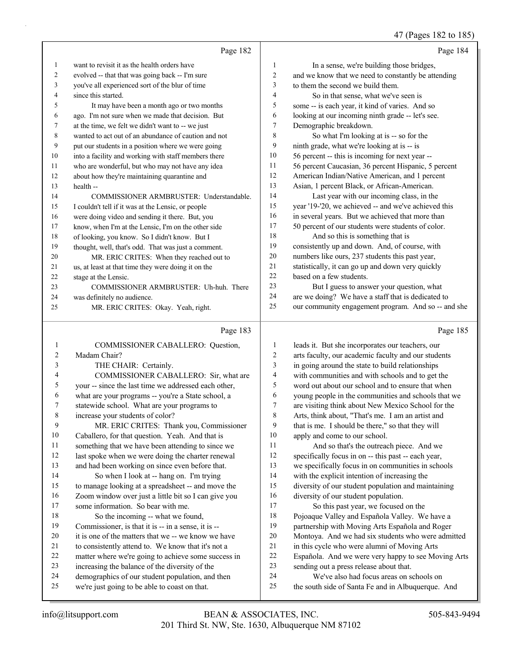### 47 (Pages 182 to 185)

|    | Page 182                                             |                | Page 184                                             |
|----|------------------------------------------------------|----------------|------------------------------------------------------|
| 1  | want to revisit it as the health orders have         | 1              | In a sense, we're building those bridges,            |
| 2  | evolved -- that that was going back -- I'm sure      | $\overline{c}$ | and we know that we need to constantly be attending  |
| 3  | you've all experienced sort of the blur of time      | 3              | to them the second we build them.                    |
| 4  | since this started.                                  | 4              | So in that sense, what we've seen is                 |
| 5  | It may have been a month ago or two months           | 5              | some -- is each year, it kind of varies. And so      |
| 6  | ago. I'm not sure when we made that decision. But    | 6              | looking at our incoming ninth grade -- let's see.    |
| 7  | at the time, we felt we didn't want to -- we just    | 7              | Demographic breakdown.                               |
| 8  | wanted to act out of an abundance of caution and not | 8              | So what I'm looking at is -- so for the              |
| 9  | put our students in a position where we were going   | 9              | ninth grade, what we're looking at is -- is          |
| 10 | into a facility and working with staff members there | 10             | 56 percent -- this is incoming for next year --      |
| 11 | who are wonderful, but who may not have any idea     | 11             | 56 percent Caucasian, 36 percent Hispanic, 5 percent |
| 12 | about how they're maintaining quarantine and         | 12             | American Indian/Native American, and 1 percent       |
| 13 | health --                                            | 13             | Asian, 1 percent Black, or African-American.         |
| 14 | COMMISSIONER ARMBRUSTER: Understandable.             | 14             | Last year with our incoming class, in the            |
| 15 | I couldn't tell if it was at the Lensic, or people   | 15             | year '19-'20, we achieved -- and we've achieved this |
| 16 | were doing video and sending it there. But, you      | 16             | in several years. But we achieved that more than     |
| 17 | know, when I'm at the Lensic, I'm on the other side  | 17             | 50 percent of our students were students of color.   |
| 18 | of looking, you know. So I didn't know. But I        | 18             | And so this is something that is                     |
| 19 | thought, well, that's odd. That was just a comment.  | 19             | consistently up and down. And, of course, with       |
| 20 | MR. ERIC CRITES: When they reached out to            | 20             | numbers like ours, 237 students this past year,      |
| 21 | us, at least at that time they were doing it on the  | 21             | statistically, it can go up and down very quickly    |
| 22 | stage at the Lensic.                                 | 22             | based on a few students.                             |
| 23 | COMMISSIONER ARMBRUSTER: Uh-huh. There               | 23             | But I guess to answer your question, what            |
| 24 | was definitely no audience.                          | 24             | are we doing? We have a staff that is dedicated to   |
| 25 | MR. ERIC CRITES: Okay. Yeah, right.                  | 25             | our community engagement program. And so -- and she  |
|    |                                                      |                |                                                      |

## Page 183 |

| $\mathbf{1}$   | COMMISSIONER CABALLERO: Question,                    | 1              | leads it.  |
|----------------|------------------------------------------------------|----------------|------------|
| $\overline{2}$ | Madam Chair?                                         | 2              | arts facu  |
| 3              | THE CHAIR: Certainly.                                | 3              | in going   |
| $\overline{4}$ | COMMISSIONER CABALLERO: Sir, what are                | $\overline{4}$ | with con   |
| 5              | your -- since the last time we addressed each other, | 5              | word out   |
| 6              | what are your programs -- you're a State school, a   | 6              | young pe   |
| 7              | statewide school. What are your programs to          | 7              | are visiti |
| 8              | increase your students of color?                     | 8              | Arts, thii |
| 9              | MR. ERIC CRITES: Thank you, Commissioner             | 9              | that is m  |
| 10             | Caballero, for that question. Yeah. And that is      | 10             | apply an   |
| 11             | something that we have been attending to since we    | 11             | Ar         |
| 12             | last spoke when we were doing the charter renewal    | 12             | specifica  |
| 13             | and had been working on since even before that.      | 13             | we speci   |
| 14             | So when I look at -- hang on. I'm trying             | 14             | with the   |
| 15             | to manage looking at a spreadsheet -- and move the   | 15             | diversity  |
| 16             | Zoom window over just a little bit so I can give you | 16             | diversity  |
| 17             | some information. So bear with me.                   | 17             | So         |
| 18             | So the incoming -- what we found,                    | 18             | Pojoaque   |
| 19             | Commissioner, is that it is -- in a sense, it is --  | 19             | partnersh  |
| 20             | it is one of the matters that we -- we know we have  | 20             | Montoya    |
| 21             | to consistently attend to. We know that it's not a   | 21             | in this cy |
| 22             | matter where we're going to achieve some success in  | 22             | Española   |
| 23             | increasing the balance of the diversity of the       | 23             | sending    |
| 24             | demographics of our student population, and then     | 24             | W          |
| 25             | we're just going to be able to coast on that.        | 25             | the south  |
|                |                                                      |                |            |

| 1              | leads it. But she incorporates our teachers, our    |
|----------------|-----------------------------------------------------|
| 2              | arts faculty, our academic faculty and our students |
| 3              | in going around the state to build relationships    |
| $\overline{4}$ | with communities and with schools and to get the    |
| 5              | word out about our school and to ensure that when   |
| 6              | young people in the communities and schools that we |
| 7              | are visiting think about New Mexico School for the  |
| 8              | Arts, think about, "That's me. I am an artist and   |
| 9              | that is me. I should be there," so that they will   |
| 10             | apply and come to our school.                       |
| 11             | And so that's the outreach piece. And we            |
| 12             | specifically focus in on -- this past -- each year, |
| 13             | we specifically focus in on communities in schools  |
| 14             | with the explicit intention of increasing the       |
| 15             | diversity of our student population and maintaining |
| 16             | diversity of our student population.                |
| 17             | So this past year, we focused on the                |
| 18             | Pojoaque Valley and Española Valley. We have a      |
| 19             | partnership with Moving Arts Española and Roger     |
| 20             | Montoya. And we had six students who were admitted  |
| 21             | in this cycle who were alumni of Moving Arts        |
| 22             | Española. And we were very happy to see Moving Arts |
| 23             | sending out a press release about that.             |
| 24             | We've also had focus areas on schools on            |
| 25             | the south side of Santa Fe and in Albuquerque. And  |
|                |                                                     |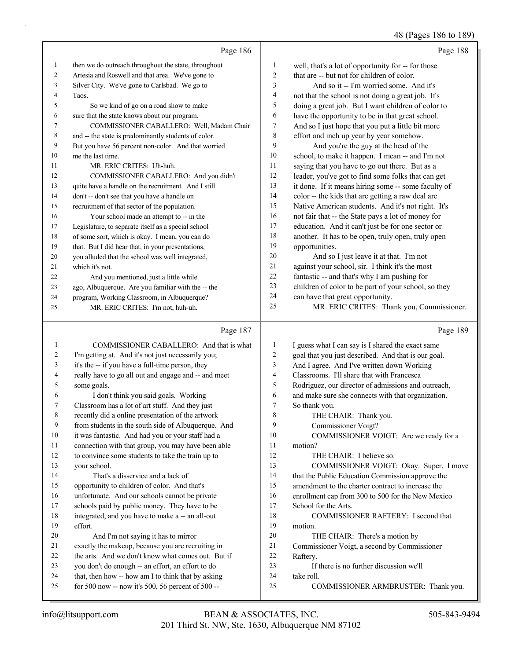48 (Pages 186 to 189)

|    | Page 186                                             |                | Page 188                                             |
|----|------------------------------------------------------|----------------|------------------------------------------------------|
| 1  | then we do outreach throughout the state, throughout | 1              | well, that's a lot of opportunity for -- for those   |
| 2  | Artesia and Roswell and that area. We've gone to     | $\overline{2}$ | that are -- but not for children of color.           |
| 3  | Silver City. We've gone to Carlsbad. We go to        | 3              | And so it -- I'm worried some. And it's              |
| 4  | Taos.                                                | 4              | not that the school is not doing a great job. It's   |
| 5  | So we kind of go on a road show to make              | 5              | doing a great job. But I want children of color to   |
| 6  | sure that the state knows about our program.         | 6              | have the opportunity to be in that great school.     |
| 7  | COMMISSIONER CABALLERO: Well, Madam Chair            | 7              | And so I just hope that you put a little bit more    |
| 8  | and -- the state is predominantly students of color. | 8              | effort and inch up year by year somehow.             |
| 9  | But you have 56 percent non-color. And that worried  | 9              | And you're the guy at the head of the                |
| 10 | me the last time.                                    | 10             | school, to make it happen. I mean -- and I'm not     |
| 11 | MR. ERIC CRITES: Uh-huh.                             | 11             | saying that you have to go out there. But as a       |
| 12 | COMMISSIONER CABALLERO: And you didn't               | 12             | leader, you've got to find some folks that can get   |
| 13 | quite have a handle on the recruitment. And I still  | 13             | it done. If it means hiring some -- some faculty of  |
| 14 | don't -- don't see that you have a handle on         | 14             | color -- the kids that are getting a raw deal are    |
| 15 | recruitment of that sector of the population.        | 15             | Native American students. And it's not right. It's   |
| 16 | Your school made an attempt to -- in the             | 16             | not fair that -- the State pays a lot of money for   |
| 17 | Legislature, to separate itself as a special school  | 17             | education. And it can't just be for one sector or    |
| 18 | of some sort, which is okay. I mean, you can do      | 18             | another. It has to be open, truly open, truly open   |
| 19 | that. But I did hear that, in your presentations,    | 19             | opportunities.                                       |
| 20 | you alluded that the school was well integrated,     | 20             | And so I just leave it at that. I'm not              |
| 21 | which it's not.                                      | 21             | against your school, sir. I think it's the most      |
| 22 | And you mentioned, just a little while               | 22             | fantastic -- and that's why I am pushing for         |
| 23 | ago, Albuquerque. Are you familiar with the -- the   | 23             | children of color to be part of your school, so they |
| 24 | program, Working Classroom, in Albuquerque?          | 24             | can have that great opportunity.                     |
| 25 | MR. ERIC CRITES: I'm not, huh-uh.                    | 25             | MR. ERIC CRITES: Thank you, Commissioner.            |
|    | Page 187                                             |                | Page 189                                             |

|    | COMMISSIONER CABALLERO: And that is what             | 1  | I guess what I can say is I shared the exact same   |
|----|------------------------------------------------------|----|-----------------------------------------------------|
| 2  | I'm getting at. And it's not just necessarily you;   | 2  | goal that you just described. And that is our goal. |
| 3  | it's the -- if you have a full-time person, they     | 3  | And I agree. And I've written down Working          |
| 4  | really have to go all out and engage and -- and meet | 4  | Classrooms. I'll share that with Francesca          |
| 5  | some goals.                                          | 5  | Rodriguez, our director of admissions and outreach, |
| 6  | I don't think you said goals. Working                | 6  | and make sure she connects with that organization.  |
| 7  | Classroom has a lot of art stuff. And they just      | 7  | So thank you.                                       |
| 8  | recently did a online presentation of the artwork    | 8  | THE CHAIR: Thank you.                               |
| 9  | from students in the south side of Albuquerque. And  | 9  | Commissioner Voigt?                                 |
| 10 | it was fantastic. And had you or your staff had a    | 10 | COMMISSIONER VOIGT: Are we ready for a              |
| 11 | connection with that group, you may have been able   | 11 | motion?                                             |
| 12 | to convince some students to take the train up to    | 12 | THE CHAIR: I believe so.                            |
| 13 | your school.                                         | 13 | COMMISSIONER VOIGT: Okay. Super. I move             |
| 14 | That's a disservice and a lack of                    | 14 | that the Public Education Commission approve the    |
| 15 | opportunity to children of color. And that's         | 15 | amendment to the charter contract to increase the   |
| 16 | unfortunate. And our schools cannot be private       | 16 | enrollment cap from 300 to 500 for the New Mexico   |
| 17 | schools paid by public money. They have to be        | 17 | School for the Arts.                                |
| 18 | integrated, and you have to make a -- an all-out     | 18 | COMMISSIONER RAFTERY: I second that                 |
| 19 | effort.                                              | 19 | motion.                                             |
| 20 | And I'm not saying it has to mirror                  | 20 | THE CHAIR: There's a motion by                      |
| 21 | exactly the makeup, because you are recruiting in    | 21 | Commissioner Voigt, a second by Commissioner        |
| 22 | the arts. And we don't know what comes out. But if   | 22 | Raftery.                                            |
| 23 | you don't do enough -- an effort, an effort to do    | 23 | If there is no further discussion we'll             |
| 24 | that, then how -- how am I to think that by asking   | 24 | take roll.                                          |
| 25 | for 500 now -- now it's 500, 56 percent of 500 --    | 25 | COMMISSIONER ARMBRUSTER: Thank you.                 |
|    |                                                      |    |                                                     |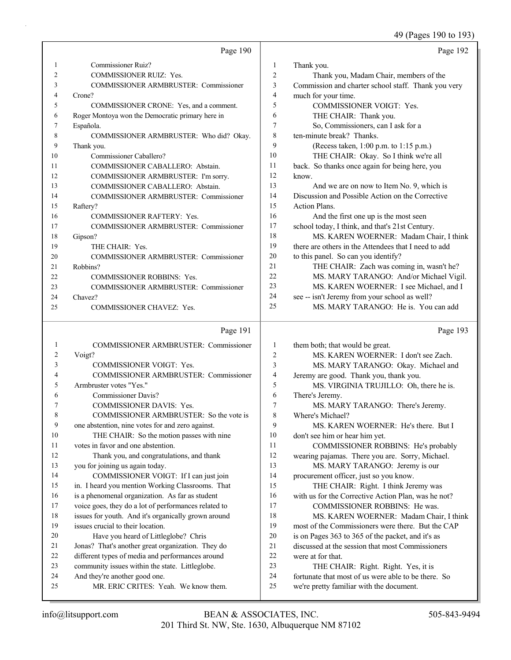49 (Pages 190 to 193)

|    | Page 190                                         |    | Page 192                                             |
|----|--------------------------------------------------|----|------------------------------------------------------|
| 1  | Commissioner Ruiz?                               | 1  | Thank you.                                           |
| 2  | <b>COMMISSIONER RUIZ: Yes.</b>                   | 2  | Thank you, Madam Chair, members of the               |
| 3  | <b>COMMISSIONER ARMBRUSTER: Commissioner</b>     | 3  | Commission and charter school staff. Thank you very  |
| 4  | Crone?                                           | 4  | much for your time.                                  |
| 5  | COMMISSIONER CRONE: Yes, and a comment.          | 5  | <b>COMMISSIONER VOIGT: Yes.</b>                      |
| 6  | Roger Montoya won the Democratic primary here in | 6  | THE CHAIR: Thank you.                                |
| 7  | Española.                                        | 7  | So, Commissioners, can I ask for a                   |
| 8  | COMMISSIONER ARMBRUSTER: Who did? Okay.          | 8  | ten-minute break? Thanks.                            |
| 9  | Thank you.                                       | 9  | (Recess taken, 1:00 p.m. to 1:15 p.m.)               |
| 10 | Commissioner Caballero?                          | 10 | THE CHAIR: Okay. So I think we're all                |
| 11 | COMMISSIONER CABALLERO: Abstain.                 | 11 | back. So thanks once again for being here, you       |
| 12 | COMMISSIONER ARMBRUSTER: I'm sorry.              | 12 | know.                                                |
| 13 | COMMISSIONER CABALLERO: Abstain.                 | 13 | And we are on now to Item No. 9, which is            |
| 14 | <b>COMMISSIONER ARMBRUSTER: Commissioner</b>     | 14 | Discussion and Possible Action on the Corrective     |
| 15 | Raftery?                                         | 15 | Action Plans.                                        |
| 16 | <b>COMMISSIONER RAFTERY: Yes.</b>                | 16 | And the first one up is the most seen                |
| 17 | <b>COMMISSIONER ARMBRUSTER: Commissioner</b>     | 17 | school today, I think, and that's 21st Century.      |
| 18 | Gipson?                                          | 18 | MS. KAREN WOERNER: Madam Chair, I think              |
| 19 | THE CHAIR: Yes.                                  | 19 | there are others in the Attendees that I need to add |
| 20 | <b>COMMISSIONER ARMBRUSTER: Commissioner</b>     | 20 | to this panel. So can you identify?                  |
| 21 | Robbins?                                         | 21 | THE CHAIR: Zach was coming in, wasn't he?            |
| 22 | <b>COMMISSIONER ROBBINS: Yes.</b>                | 22 | MS. MARY TARANGO: And/or Michael Vigil.              |
| 23 | COMMISSIONER ARMBRUSTER: Commissioner            | 23 | MS. KAREN WOERNER: I see Michael, and I              |
| 24 | Chavez?                                          | 24 | see -- isn't Jeremy from your school as well?        |
| 25 | <b>COMMISSIONER CHAVEZ: Yes.</b>                 | 25 | MS. MARY TARANGO: He is. You can add                 |

### Page 191

| $\mathbf{1}$   | <b>COMMISSIONER ARMBRUSTER: Commissioner</b>         | 1              | the  |
|----------------|------------------------------------------------------|----------------|------|
| $\overline{2}$ | Voigt?                                               | $\overline{2}$ |      |
| 3              | <b>COMMISSIONER VOIGT: Yes.</b>                      | 3              |      |
| 4              | <b>COMMISSIONER ARMBRUSTER: Commissioner</b>         | $\overline{4}$ | Jer  |
| 5              | Armbruster votes "Yes."                              | 5              |      |
| 6              | <b>Commissioner Davis?</b>                           | 6              | Th   |
| 7              | <b>COMMISSIONER DAVIS: Yes.</b>                      | 7              |      |
| 8              | COMMISSIONER ARMBRUSTER: So the vote is              | 8              | Wl   |
| 9              | one abstention, nine votes for and zero against.     | 9              |      |
| 10             | THE CHAIR: So the motion passes with nine            | 10             | doi  |
| 11             | votes in favor and one abstention.                   | 11             |      |
| 12             | Thank you, and congratulations, and thank            | 12             | we   |
| 13             | you for joining us again today.                      | 13             |      |
| 14             | COMMISSIONER VOIGT: If I can just join               | 14             | pro  |
| 15             | in. I heard you mention Working Classrooms. That     | 15             |      |
| 16             | is a phenomenal organization. As far as student      | 16             | wit  |
| 17             | voice goes, they do a lot of performances related to | 17             |      |
| 18             | issues for youth. And it's organically grown around  | 18             |      |
| 19             | issues crucial to their location.                    | 19             | mo   |
| 20             | Have you heard of Littleglobe? Chris                 | 20             | is o |
| 21             | Jonas? That's another great organization. They do    | 2.1            | dis  |
| 22             | different types of media and performances around     | 22             | we   |
| 23             | community issues within the state. Littleglobe.      | 23             |      |
| 24             | And they're another good one.                        | 24             | for  |
| 25             | MR. ERIC CRITES: Yeah. We know them.                 | 25             | we   |
|                |                                                      |                |      |

Page 193

| $\mathbf{1}$   | them both; that would be great.                     |
|----------------|-----------------------------------------------------|
| $\overline{c}$ | MS. KAREN WOERNER: I don't see Zach.                |
| 3              | MS. MARY TARANGO: Okay. Michael and                 |
| $\overline{4}$ | Jeremy are good. Thank you, thank you.              |
| 5              | MS. VIRGINIA TRUJILLO: Oh, there he is.             |
| 6              | There's Jeremy.                                     |
| 7              | MS. MARY TARANGO: There's Jeremy.                   |
| 8              | Where's Michael?                                    |
| 9              | MS. KAREN WOERNER: He's there. But I                |
| 10             | don't see him or hear him yet.                      |
| 11             | COMMISSIONER ROBBINS: He's probably                 |
| 12             | wearing pajamas. There you are. Sorry, Michael.     |
| 13             | MS. MARY TARANGO: Jeremy is our                     |
| 14             | procurement officer, just so you know.              |
| 15             | THE CHAIR: Right. I think Jeremy was                |
| 16             | with us for the Corrective Action Plan, was he not? |
| 17             | COMMISSIONER ROBBINS: He was.                       |
| 18             | MS. KAREN WOERNER: Madam Chair, I think             |
| 19             | most of the Commissioners were there. But the CAP   |
| 20             | is on Pages 363 to 365 of the packet, and it's as   |
| 21             | discussed at the session that most Commissioners    |
| 22             | were at for that.                                   |
| 23             | THE CHAIR: Right. Right. Yes, it is                 |
| 24             | fortunate that most of us were able to be there. So |
| 25             | we're pretty familiar with the document.            |
|                |                                                     |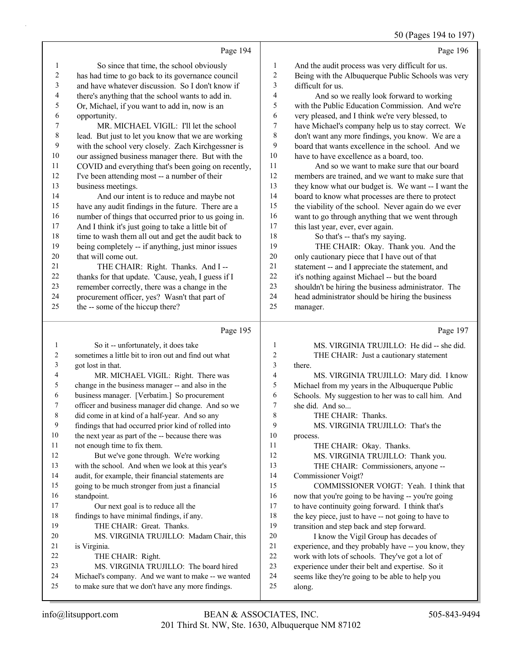|                          | Page 194                                                                                                  |                  | Page 196                                                                                                |
|--------------------------|-----------------------------------------------------------------------------------------------------------|------------------|---------------------------------------------------------------------------------------------------------|
| 1                        | So since that time, the school obviously                                                                  | $\mathbf{1}$     | And the audit process was very difficult for us.                                                        |
| $\boldsymbol{2}$         | has had time to go back to its governance council                                                         | $\boldsymbol{2}$ | Being with the Albuquerque Public Schools was very                                                      |
| 3                        | and have whatever discussion. So I don't know if                                                          | 3                | difficult for us.                                                                                       |
| $\overline{\mathcal{A}}$ | there's anything that the school wants to add in.                                                         | 4                | And so we really look forward to working                                                                |
| 5                        | Or, Michael, if you want to add in, now is an                                                             | 5                | with the Public Education Commission. And we're                                                         |
| 6                        | opportunity.                                                                                              | 6                | very pleased, and I think we're very blessed, to                                                        |
| 7                        | MR. MICHAEL VIGIL: I'll let the school                                                                    | 7                | have Michael's company help us to stay correct. We                                                      |
| 8                        | lead. But just to let you know that we are working                                                        | 8                | don't want any more findings, you know. We are a                                                        |
| 9                        | with the school very closely. Zach Kirchgessner is                                                        | 9                | board that wants excellence in the school. And we                                                       |
| $10\,$                   | our assigned business manager there. But with the                                                         | $10\,$           | have to have excellence as a board, too.                                                                |
| 11                       | COVID and everything that's been going on recently,                                                       | 11               | And so we want to make sure that our board                                                              |
| 12                       | I've been attending most -- a number of their                                                             | 12               | members are trained, and we want to make sure that                                                      |
| 13                       | business meetings.                                                                                        | 13               | they know what our budget is. We want -- I want the                                                     |
| 14                       | And our intent is to reduce and maybe not                                                                 | 14               | board to know what processes are there to protect                                                       |
| 15                       | have any audit findings in the future. There are a                                                        | 15               | the viability of the school. Never again do we ever                                                     |
| 16                       | number of things that occurred prior to us going in.                                                      | 16               | want to go through anything that we went through                                                        |
| $17\,$                   | And I think it's just going to take a little bit of                                                       | 17               | this last year, ever, ever again.                                                                       |
| 18                       | time to wash them all out and get the audit back to                                                       | 18               | So that's -- that's my saying.                                                                          |
| 19                       | being completely -- if anything, just minor issues                                                        | 19               | THE CHAIR: Okay. Thank you. And the                                                                     |
| $20\,$                   | that will come out.                                                                                       | $20\,$           | only cautionary piece that I have out of that                                                           |
| 21                       | THE CHAIR: Right. Thanks. And I --                                                                        | 21               | statement -- and I appreciate the statement, and                                                        |
| $22\,$                   | thanks for that update. 'Cause, yeah, I guess if I                                                        | 22               | it's nothing against Michael -- but the board                                                           |
| 23                       | remember correctly, there was a change in the                                                             | 23               | shouldn't be hiring the business administrator. The                                                     |
| 24                       | procurement officer, yes? Wasn't that part of                                                             | 24               | head administrator should be hiring the business                                                        |
| 25                       | the -- some of the hiccup there?                                                                          | 25               | manager.                                                                                                |
|                          |                                                                                                           |                  |                                                                                                         |
|                          | Page 195                                                                                                  |                  | Page 197                                                                                                |
| 1                        |                                                                                                           | 1                |                                                                                                         |
| $\boldsymbol{2}$         | So it -- unfortunately, it does take<br>sometimes a little bit to iron out and find out what              | $\overline{c}$   | MS. VIRGINIA TRUJILLO: He did -- she did.<br>THE CHAIR: Just a cautionary statement                     |
| 3                        | got lost in that.                                                                                         | 3                | there.                                                                                                  |
| 4                        | MR. MICHAEL VIGIL: Right. There was                                                                       | 4                | MS. VIRGINIA TRUJILLO: Mary did. I know                                                                 |
| 5                        | change in the business manager -- and also in the                                                         | 5                | Michael from my years in the Albuquerque Public                                                         |
| 6                        | business manager. [Verbatim.] So procurement                                                              | 6                | Schools. My suggestion to her was to call him. And                                                      |
| 7                        | officer and business manager did change. And so we                                                        | 7                | she did. And so                                                                                         |
| 8                        | did come in at kind of a half-year. And so any                                                            | 8                | THE CHAIR: Thanks.                                                                                      |
| 9                        | findings that had occurred prior kind of rolled into                                                      | 9                | MS. VIRGINIA TRUJILLO: That's the                                                                       |
| $10\,$                   | the next year as part of the -- because there was                                                         | 10               | process.                                                                                                |
| 11                       | not enough time to fix them.                                                                              | 11               | THE CHAIR: Okay. Thanks.                                                                                |
| 12                       | But we've gone through. We're working                                                                     | 12               | MS. VIRGINIA TRUJILLO: Thank you.                                                                       |
| 13                       | with the school. And when we look at this year's                                                          | 13               | THE CHAIR: Commissioners, anyone --                                                                     |
| 14                       | audit, for example, their financial statements are                                                        | 14               | Commissioner Voigt?                                                                                     |
| 15                       | going to be much stronger from just a financial                                                           | 15               | COMMISSIONER VOIGT: Yeah. I think that                                                                  |
| $16\,$                   | standpoint.                                                                                               | 16               | now that you're going to be having -- you're going                                                      |
| 17                       | Our next goal is to reduce all the                                                                        | 17               | to have continuity going forward. I think that's                                                        |
| 18                       | findings to have minimal findings, if any.                                                                | 18               | the key piece, just to have -- not going to have to                                                     |
| 19                       | THE CHAIR: Great. Thanks.                                                                                 | 19               | transition and step back and step forward.                                                              |
| $20\,$<br>21             | MS. VIRGINIA TRUJILLO: Madam Chair, this                                                                  | 20<br>21         | I know the Vigil Group has decades of                                                                   |
| 22                       | is Virginia.<br>THE CHAIR: Right.                                                                         | $22\,$           | experience, and they probably have -- you know, they<br>work with lots of schools. They've got a lot of |
| 23                       | MS. VIRGINIA TRUJILLO: The board hired                                                                    | $23\,$           | experience under their belt and expertise. So it                                                        |
| 24<br>25                 | Michael's company. And we want to make -- we wanted<br>to make sure that we don't have any more findings. | 24<br>25         | seems like they're going to be able to help you                                                         |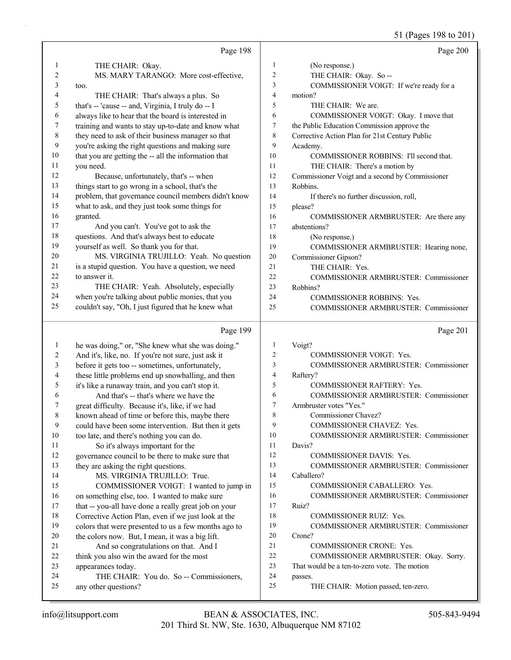51 (Pages 198 to 201)

|              | Page 198                                                        |                | Page 200                                        |
|--------------|-----------------------------------------------------------------|----------------|-------------------------------------------------|
| 1            | THE CHAIR: Okay.                                                | 1              | (No response.)                                  |
| 2            | MS. MARY TARANGO: More cost-effective,                          | $\overline{c}$ | THE CHAIR: Okay. So --                          |
| 3            | too.                                                            | 3              | COMMISSIONER VOIGT: If we're ready for a        |
| 4            | THE CHAIR: That's always a plus. So                             | 4              | motion?                                         |
| 5            | that's -- 'cause -- and, Virginia, I truly do -- I              | 5              | THE CHAIR: We are.                              |
| 6            | always like to hear that the board is interested in             | 6              | COMMISSIONER VOIGT: Okay. I move that           |
| 7            | training and wants to stay up-to-date and know what             | 7              | the Public Education Commission approve the     |
| 8            | they need to ask of their business manager so that              | 8              | Corrective Action Plan for 21st Century Public  |
| 9            | you're asking the right questions and making sure               | 9              | Academy.                                        |
| 10           | that you are getting the -- all the information that            | 10             | COMMISSIONER ROBBINS: I'll second that.         |
| 11           | you need.                                                       | 11             | THE CHAIR: There's a motion by                  |
| 12           | Because, unfortunately, that's -- when                          | 12             | Commissioner Voigt and a second by Commissioner |
| 13           | things start to go wrong in a school, that's the                | 13             | Robbins.                                        |
| 14           | problem, that governance council members didn't know            | 14             | If there's no further discussion, roll,         |
| 15           | what to ask, and they just took some things for                 | 15             | please?                                         |
| 16           | granted.                                                        | 16             | COMMISSIONER ARMBRUSTER: Are there any          |
| 17           | And you can't. You've got to ask the                            | 17             | abstentions?                                    |
| 18           | questions. And that's always best to educate                    | 18             | (No response.)                                  |
| 19           | yourself as well. So thank you for that.                        | 19             | COMMISSIONER ARMBRUSTER: Hearing none,          |
| 20           | MS. VIRGINIA TRUJILLO: Yeah. No question                        | $20\,$         | Commissioner Gipson?                            |
| 21           | is a stupid question. You have a question, we need              | 21             | THE CHAIR: Yes.                                 |
| 22           | to answer it.                                                   | 22             | COMMISSIONER ARMBRUSTER: Commissioner           |
| 23           | THE CHAIR: Yeah. Absolutely, especially                         | 23             | Robbins?                                        |
| 24           | when you're talking about public monies, that you               | 24             | <b>COMMISSIONER ROBBINS: Yes.</b>               |
| 25           | couldn't say, "Oh, I just figured that he knew what             | 25             | COMMISSIONER ARMBRUSTER: Commissioner           |
|              |                                                                 |                |                                                 |
|              |                                                                 |                |                                                 |
|              | Page 199                                                        |                | Page 201                                        |
| $\mathbf{1}$ | he was doing," or, "She knew what she was doing."               | $\mathbf{1}$   | Voigt?                                          |
| 2            | And it's, like, no. If you're not sure, just ask it             | $\overline{c}$ | COMMISSIONER VOIGT: Yes.                        |
| 3            | before it gets too -- sometimes, unfortunately,                 | 3              | COMMISSIONER ARMBRUSTER: Commissioner           |
| 4            | these little problems end up snowballing, and then              | 4              | Raftery?                                        |
| 5            | it's like a runaway train, and you can't stop it.               | 5              | COMMISSIONER RAFTERY: Yes.                      |
| 6            | And that's -- that's where we have the                          | 6              | COMMISSIONER ARMBRUSTER: Commissioner           |
| 7            | great difficulty. Because it's, like, if we had                 | 7              | Armbruster votes "Yes."                         |
| 8            | known ahead of time or before this, maybe there                 | 8              | Commissioner Chavez?                            |
| 9            | could have been some intervention. But then it gets             | 9              | COMMISSIONER CHAVEZ: Yes.                       |
| 10           | too late, and there's nothing you can do.                       | 10             | COMMISSIONER ARMBRUSTER: Commissioner           |
| 11           | So it's always important for the                                | 11             | Davis?                                          |
| 12           | governance council to be there to make sure that                | 12             | COMMISSIONER DAVIS: Yes.                        |
| 13           | they are asking the right questions.                            | 13             | COMMISSIONER ARMBRUSTER: Commissioner           |
| 14           | MS. VIRGINIA TRUJILLO: True.                                    | 14             | Caballero?                                      |
| 15           | COMMISSIONER VOIGT: I wanted to jump in                         | 15             | COMMISSIONER CABALLERO: Yes.                    |
| 16           | on something else, too. I wanted to make sure                   | 16             | COMMISSIONER ARMBRUSTER: Commissioner           |
| 17           | that -- you-all have done a really great job on your            | 17             | Ruiz?                                           |
| 18           | Corrective Action Plan, even if we just look at the             | 18             | COMMISSIONER RUIZ: Yes.                         |
| 19           | colors that were presented to us a few months ago to            | 19             | COMMISSIONER ARMBRUSTER: Commissioner           |
| 20           | the colors now. But, I mean, it was a big lift.                 | 20             | Crone?                                          |
| 21           | And so congratulations on that. And I                           | 21             | COMMISSIONER CRONE: Yes.                        |
| 22           | think you also win the award for the most                       | 22             | COMMISSIONER ARMBRUSTER: Okay. Sorry.           |
| 23           | appearances today.                                              | 23             | That would be a ten-to-zero vote. The motion    |
| 24<br>25     | THE CHAIR: You do. So -- Commissioners,<br>any other questions? | 24<br>25       | passes.<br>THE CHAIR: Motion passed, ten-zero.  |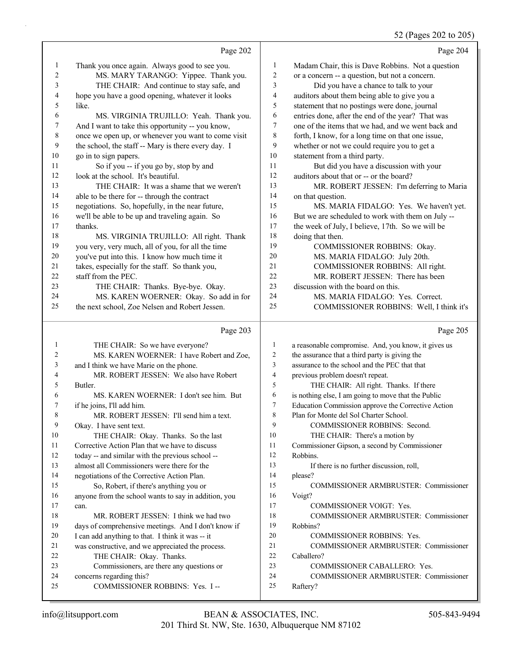### 52 (Pages 202 to 205)

|                | Page 202                                            |    | Page 204                                           |
|----------------|-----------------------------------------------------|----|----------------------------------------------------|
| 1              | Thank you once again. Always good to see you.       | 1  | Madam Chair, this is Dave Robbins. Not a question  |
| $\overline{c}$ | MS. MARY TARANGO: Yippee. Thank you.                | 2  | or a concern -- a question, but not a concern.     |
| 3              | THE CHAIR: And continue to stay safe, and           | 3  | Did you have a chance to talk to your              |
| 4              | hope you have a good opening, whatever it looks     | 4  | auditors about them being able to give you a       |
| 5              | like.                                               | 5  | statement that no postings were done, journal      |
| 6              | MS. VIRGINIA TRUJILLO: Yeah. Thank you.             | 6  | entries done, after the end of the year? That was  |
| 7              | And I want to take this opportunity -- you know,    | 7  | one of the items that we had, and we went back and |
| $\,8\,$        | once we open up, or whenever you want to come visit | 8  | forth, I know, for a long time on that one issue,  |
| 9              | the school, the staff -- Mary is there every day. I | 9  | whether or not we could require you to get a       |
| 10             | go in to sign papers.                               | 10 | statement from a third party.                      |
| 11             | So if you -- if you go by, stop by and              | 11 | But did you have a discussion with your            |
| 12             | look at the school. It's beautiful.                 | 12 | auditors about that or -- or the board?            |
| 13             | THE CHAIR: It was a shame that we weren't           | 13 | MR. ROBERT JESSEN: I'm deferring to Maria          |
| 14             | able to be there for -- through the contract        | 14 | on that question.                                  |
| 15             | negotiations. So, hopefully, in the near future,    | 15 | MS. MARIA FIDALGO: Yes. We haven't yet.            |
| 16             | we'll be able to be up and traveling again. So      | 16 | But we are scheduled to work with them on July --  |
| 17             | thanks.                                             | 17 | the week of July, I believe, 17th. So we will be   |
| 18             | MS. VIRGINIA TRUJILLO: All right. Thank             | 18 | doing that then.                                   |
| 19             | you very, very much, all of you, for all the time   | 19 | COMMISSIONER ROBBINS: Okay.                        |
| 20             | you've put into this. I know how much time it       | 20 | MS. MARIA FIDALGO: July 20th.                      |
| 21             | takes, especially for the staff. So thank you,      | 21 | COMMISSIONER ROBBINS: All right.                   |
| 22             | staff from the PEC.                                 | 22 | MR. ROBERT JESSEN: There has been                  |
| 23             | THE CHAIR: Thanks. Bye-bye. Okay.                   | 23 | discussion with the board on this.                 |
| 24             | MS. KAREN WOERNER: Okay. So add in for              | 24 | MS. MARIA FIDALGO: Yes. Correct.                   |
| 25             | the next school, Zoe Nelsen and Robert Jessen.      | 25 | COMMISSIONER ROBBINS: Well, I think it's           |
|                |                                                     |    |                                                    |

|                | Page 203                                             |                | Page 205                                            |
|----------------|------------------------------------------------------|----------------|-----------------------------------------------------|
| 1              | THE CHAIR: So we have everyone?                      | 1              | a reasonable compromise. And, you know, it gives us |
| $\overline{c}$ | MS. KAREN WOERNER: I have Robert and Zoe,            | $\overline{2}$ | the assurance that a third party is giving the      |
| 3              | and I think we have Marie on the phone.              | 3              | assurance to the school and the PEC that that       |
| 4              | MR. ROBERT JESSEN: We also have Robert               | 4              | previous problem doesn't repeat.                    |
| 5              | Butler.                                              | 5              | THE CHAIR: All right. Thanks. If there              |
| 6              | MS. KAREN WOERNER: I don't see him. But              | 6              | is nothing else, I am going to move that the Public |
| 7              | if he joins, I'll add him.                           | 7              | Education Commission approve the Corrective Action  |
| 8              | MR. ROBERT JESSEN: I'll send him a text.             | 8              | Plan for Monte del Sol Charter School.              |
| 9              | Okay. I have sent text.                              | 9              | <b>COMMISSIONER ROBBINS: Second.</b>                |
| 10             | THE CHAIR: Okay. Thanks. So the last                 | 10             | THE CHAIR: There's a motion by                      |
| 11             | Corrective Action Plan that we have to discuss       | 11             | Commissioner Gipson, a second by Commissioner       |
| 12             | today -- and similar with the previous school --     | 12             | Robbins.                                            |
| 13             | almost all Commissioners were there for the          | 13             | If there is no further discussion, roll,            |
| 14             | negotiations of the Corrective Action Plan.          | 14             | please?                                             |
| 15             | So, Robert, if there's anything you or               | 15             | <b>COMMISSIONER ARMBRUSTER: Commissioner</b>        |
| 16             | anyone from the school wants to say in addition, you | 16             | Voigt?                                              |
| 17             | can.                                                 | 17             | <b>COMMISSIONER VOIGT: Yes.</b>                     |
| 18             | MR. ROBERT JESSEN: I think we had two                | 18             | <b>COMMISSIONER ARMBRUSTER: Commissioner</b>        |
| 19             | days of comprehensive meetings. And I don't know if  | 19             | Robbins?                                            |
| 20             | I can add anything to that. I think it was -- it     | 20             | <b>COMMISSIONER ROBBINS: Yes.</b>                   |
| 21             | was constructive, and we appreciated the process.    | 21             | <b>COMMISSIONER ARMBRUSTER: Commissioner</b>        |
| 22             | THE CHAIR: Okay. Thanks.                             | 22             | Caballero?                                          |
| 23             | Commissioners, are there any questions or            | 23             | <b>COMMISSIONER CABALLERO: Yes.</b>                 |
| 24             | concerns regarding this?                             | 24             | COMMISSIONER ARMBRUSTER: Commissioner               |
| 25             | COMMISSIONER ROBBINS: Yes. I --                      | 25             | Raftery?                                            |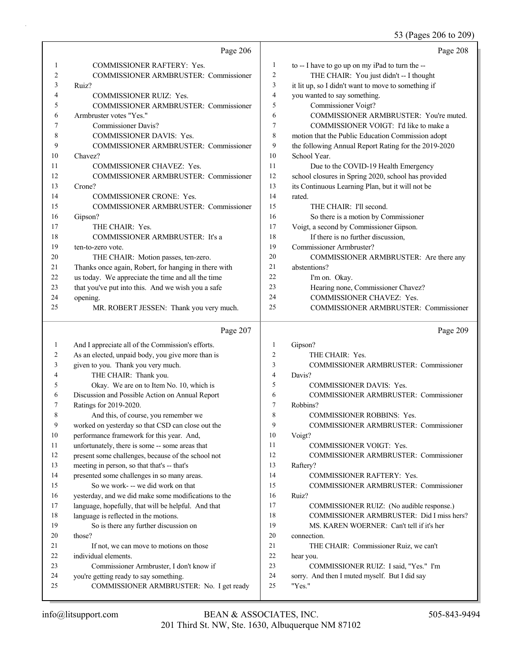### 53 (Pages 206 to 209)

|              | Page 206                                                        |                | Page 208                                                        |
|--------------|-----------------------------------------------------------------|----------------|-----------------------------------------------------------------|
| 1            | <b>COMMISSIONER RAFTERY: Yes.</b>                               | 1              | to -- I have to go up on my iPad to turn the --                 |
| 2            | <b>COMMISSIONER ARMBRUSTER: Commissioner</b>                    | $\overline{2}$ | THE CHAIR: You just didn't -- I thought                         |
| 3            | Ruiz?                                                           | 3              | it lit up, so I didn't want to move to something if             |
| 4            | <b>COMMISSIONER RUIZ: Yes.</b>                                  | $\overline{4}$ | you wanted to say something.                                    |
| 5            | COMMISSIONER ARMBRUSTER: Commissioner                           | 5              | Commissioner Voigt?                                             |
| 6            | Armbruster votes "Yes."                                         | 6              | COMMISSIONER ARMBRUSTER: You're muted.                          |
| 7            | <b>Commissioner Davis?</b>                                      | 7              | COMMISSIONER VOIGT: I'd like to make a                          |
| 8            | COMMISSIONER DAVIS: Yes.                                        | 8              | motion that the Public Education Commission adopt               |
| 9            | COMMISSIONER ARMBRUSTER: Commissioner                           | 9              | the following Annual Report Rating for the 2019-2020            |
| 10           | Chavez?                                                         | 10             | School Year.                                                    |
| 11           | COMMISSIONER CHAVEZ: Yes.                                       | 11             | Due to the COVID-19 Health Emergency                            |
| 12           | COMMISSIONER ARMBRUSTER: Commissioner                           | 12             | school closures in Spring 2020, school has provided             |
| 13           | Crone?                                                          | 13             | its Continuous Learning Plan, but it will not be                |
| 14           | <b>COMMISSIONER CRONE: Yes.</b>                                 | 14             | rated.                                                          |
| 15           | COMMISSIONER ARMBRUSTER: Commissioner                           | 15             | THE CHAIR: I'll second.                                         |
| 16           | Gipson?                                                         | 16             | So there is a motion by Commissioner                            |
| 17           | THE CHAIR: Yes.                                                 | 17             | Voigt, a second by Commissioner Gipson.                         |
| 18           | <b>COMMISSIONER ARMBRUSTER:</b> It's a                          | 18             | If there is no further discussion,                              |
| 19           | ten-to-zero vote.                                               | 19             | Commissioner Armbruster?                                        |
| 20           | THE CHAIR: Motion passes, ten-zero.                             | 20             | COMMISSIONER ARMBRUSTER: Are there any                          |
| 21           | Thanks once again, Robert, for hanging in there with            | 21             | abstentions?                                                    |
| 22           | us today. We appreciate the time and all the time               | 22             | I'm on. Okay.                                                   |
| 23<br>24     | that you've put into this. And we wish you a safe               | 23<br>24       | Hearing none, Commissioner Chavez?<br>COMMISSIONER CHAVEZ: Yes. |
| 25           | opening.<br>MR. ROBERT JESSEN: Thank you very much.             | 25             | COMMISSIONER ARMBRUSTER: Commissioner                           |
|              |                                                                 |                |                                                                 |
|              |                                                                 |                |                                                                 |
|              | Page 207                                                        |                | Page 209                                                        |
| $\mathbf{1}$ | And I appreciate all of the Commission's efforts.               | -1             | Gipson?                                                         |
| 2            | As an elected, unpaid body, you give more than is               | $\overline{2}$ | THE CHAIR: Yes.                                                 |
| 3            | given to you. Thank you very much.                              | 3              | COMMISSIONER ARMBRUSTER: Commissioner                           |
| 4            | THE CHAIR: Thank you.                                           | $\overline{4}$ | Davis?                                                          |
| 5            | Okay. We are on to Item No. 10, which is                        | 5              | <b>COMMISSIONER DAVIS: Yes.</b>                                 |
| 6            | Discussion and Possible Action on Annual Report                 | 6              | <b>COMMISSIONER ARMBRUSTER: Commissioner</b>                    |
| 7            | Ratings for 2019-2020.                                          | $\overline{7}$ | Robbins?                                                        |
| 8            | And this, of course, you remember we                            | 8              | <b>COMMISSIONER ROBBINS: Yes.</b>                               |
| 9            | worked on yesterday so that CSD can close out the               | 9              | COMMISSIONER ARMBRUSTER: Commissioner                           |
| 10           | performance framework for this year. And,                       | 10             | Voigt?                                                          |
| 11           | unfortunately, there is some -- some areas that                 | 11             | <b>COMMISSIONER VOIGT: Yes.</b>                                 |
| 12           | present some challenges, because of the school not              | 12             | COMMISSIONER ARMBRUSTER: Commissioner                           |
| 13           | meeting in person, so that that's -- that's                     | 13             | Raftery?                                                        |
| 14           | presented some challenges in so many areas.                     | 14             | <b>COMMISSIONER RAFTERY: Yes.</b>                               |
| 15           | So we work- -- we did work on that                              | 15             | COMMISSIONER ARMBRUSTER: Commissioner                           |
| 16           | yesterday, and we did make some modifications to the            | 16             | Ruiz?                                                           |
| 17           | language, hopefully, that will be helpful. And that             | 17             | COMMISSIONER RUIZ: (No audible response.)                       |
| 18           | language is reflected in the motions.                           | 18<br>19       | COMMISSIONER ARMBRUSTER: Did I miss hers?                       |
| 19<br>20     | So is there any further discussion on                           | 20             | MS. KAREN WOERNER: Can't tell if it's her                       |
| 21           | those?                                                          | 21             | connection.                                                     |
| 22           | If not, we can move to motions on those<br>individual elements. | 22             | THE CHAIR: Commissioner Ruiz, we can't<br>hear you.             |
| 23           | Commissioner Armbruster, I don't know if                        | 23             | COMMISSIONER RUIZ: I said, "Yes." I'm                           |
| 24           | you're getting ready to say something.                          | 24             | sorry. And then I muted myself. But I did say                   |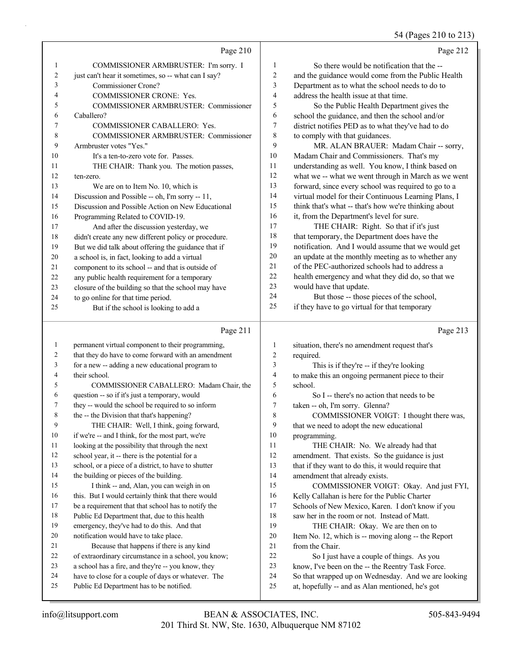54 (Pages 210 to 213)

|    |                                                      |              | $3\pi$ (1 agos 210 to 21.                            |
|----|------------------------------------------------------|--------------|------------------------------------------------------|
|    | Page 210                                             |              | Page 212                                             |
| 1  | COMMISSIONER ARMBRUSTER: I'm sorry. I                | $\mathbf{1}$ | So there would be notification that the --           |
| 2  | just can't hear it sometimes, so -- what can I say?  | 2            | and the guidance would come from the Public Health   |
| 3  | Commissioner Crone?                                  | 3            | Department as to what the school needs to do to      |
| 4  | <b>COMMISSIONER CRONE: Yes.</b>                      | 4            | address the health issue at that time.               |
| 5  | COMMISSIONER ARMBRUSTER: Commissioner                | 5            | So the Public Health Department gives the            |
| 6  | Caballero?                                           | 6            | school the guidance, and then the school and/or      |
| 7  | COMMISSIONER CABALLERO: Yes.                         | 7            | district notifies PED as to what they've had to do   |
| 8  | <b>COMMISSIONER ARMBRUSTER: Commissioner</b>         | 8            | to comply with that guidances.                       |
| 9  | Armbruster votes "Yes."                              | 9            | MR. ALAN BRAUER: Madam Chair -- sorry,               |
| 10 | It's a ten-to-zero vote for. Passes.                 | 10           | Madam Chair and Commissioners. That's my             |
| 11 | THE CHAIR: Thank you. The motion passes,             | 11           | understanding as well. You know, I think based on    |
| 12 | ten-zero.                                            | 12           | what we -- what we went through in March as we went  |
| 13 | We are on to Item No. 10, which is                   | 13           | forward, since every school was required to go to a  |
| 14 | Discussion and Possible -- oh, I'm sorry -- 11,      | 14           | virtual model for their Continuous Learning Plans, I |
| 15 | Discussion and Possible Action on New Educational    | 15           | think that's what -- that's how we're thinking about |
| 16 | Programming Related to COVID-19.                     | 16           | it, from the Department's level for sure.            |
| 17 | And after the discussion yesterday, we               | 17           | THE CHAIR: Right. So that if it's just               |
| 18 | didn't create any new different policy or procedure. | 18           | that temporary, the Department does have the         |
| 19 | But we did talk about offering the guidance that if  | 19           | notification. And I would assume that we would get   |
| 20 | a school is, in fact, looking to add a virtual       | 20           | an update at the monthly meeting as to whether any   |
| 21 | component to its school -- and that is outside of    | 21           | of the PEC-authorized schools had to address a       |
| 22 | any public health requirement for a temporary        | 22           | health emergency and what they did do, so that we    |
| 23 | closure of the building so that the school may have  | 23           | would have that update.                              |
| 24 | to go online for that time period.                   | 24           | But those -- those pieces of the school,             |
| 25 | But if the school is looking to add a                | 25           | if they have to go virtual for that temporary        |
|    | Page 211                                             |              | Page 213                                             |
| 1  | permanent virtual component to their programming,    | 1            | situation, there's no amendment request that's       |
|    | that they do have to come forward with an amendment  | 2            | required.                                            |

|    | that they do have to come forward with an amendment  | ∸  | regulicu.                                           |
|----|------------------------------------------------------|----|-----------------------------------------------------|
| 3  | for a new -- adding a new educational program to     | 3  | This is if they're -- if they're looking            |
| 4  | their school.                                        | 4  | to make this an ongoing permanent piece to their    |
| 5  | COMMISSIONER CABALLERO: Madam Chair, the             | 5  | school.                                             |
| 6  | question -- so if it's just a temporary, would       | 6  | So I -- there's no action that needs to be          |
| 7  | they -- would the school be required to so inform    | 7  | taken -- oh, I'm sorry. Glenna?                     |
| 8  | the -- the Division that that's happening?           | 8  | COMMISSIONER VOIGT: I thought there was,            |
| 9  | THE CHAIR: Well, I think, going forward,             | 9  | that we need to adopt the new educational           |
| 10 | if we're -- and I think, for the most part, we're    | 10 | programming.                                        |
| 11 | looking at the possibility that through the next     | 11 | THE CHAIR: No. We already had that                  |
| 12 | school year, it -- there is the potential for a      | 12 | amendment. That exists. So the guidance is just     |
| 13 | school, or a piece of a district, to have to shutter | 13 | that if they want to do this, it would require that |
| 14 | the building or pieces of the building.              | 14 | amendment that already exists.                      |
| 15 | I think -- and, Alan, you can weigh in on            | 15 | COMMISSIONER VOIGT: Okay. And just FYI,             |
| 16 | this. But I would certainly think that there would   | 16 | Kelly Callahan is here for the Public Charter       |
| 17 | be a requirement that that school has to notify the  | 17 | Schools of New Mexico, Karen. I don't know if you   |
| 18 | Public Ed Department that, due to this health        | 18 | saw her in the room or not. Instead of Matt.        |
| 19 | emergency, they've had to do this. And that          | 19 | THE CHAIR: Okay. We are then on to                  |
| 20 | notification would have to take place.               | 20 | Item No. 12, which is -- moving along -- the Report |
| 21 | Because that happens if there is any kind            | 21 | from the Chair.                                     |
| 22 | of extraordinary circumstance in a school, you know; | 22 | So I just have a couple of things. As you           |
| 23 | a school has a fire, and they're -- you know, they   | 23 | know, I've been on the -- the Reentry Task Force.   |
| 24 | have to close for a couple of days or whatever. The  | 24 | So that wrapped up on Wednesday. And we are looking |
| 25 | Public Ed Department has to be notified.             | 25 | at, hopefully -- and as Alan mentioned, he's got    |
|    |                                                      |    |                                                     |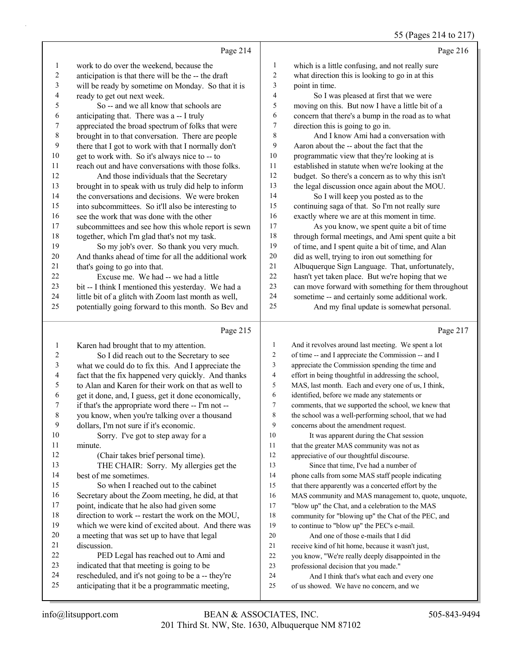### 55 (Pages 214 to 217)

|                | Page 214                                             |                | Page 216                                            |
|----------------|------------------------------------------------------|----------------|-----------------------------------------------------|
| -1             | work to do over the weekend, because the             | 1              | which is a little confusing, and not really sure    |
| $\overline{c}$ | anticipation is that there will be the -- the draft  | $\overline{2}$ | what direction this is looking to go in at this     |
| 3              | will be ready by sometime on Monday. So that it is   | 3              | point in time.                                      |
| 4              | ready to get out next week.                          | $\overline{4}$ | So I was pleased at first that we were              |
| 5              | So -- and we all know that schools are               | 5              | moving on this. But now I have a little bit of a    |
| 6              | anticipating that. There was a -- I truly            | 6              | concern that there's a bump in the road as to what  |
| $\overline{7}$ | appreciated the broad spectrum of folks that were    | 7              | direction this is going to go in.                   |
| 8              | brought in to that conversation. There are people    | 8              | And I know Ami had a conversation with              |
| 9              | there that I got to work with that I normally don't  | 9              | Aaron about the -- about the fact that the          |
| 10             | get to work with. So it's always nice to -- to       | 10             | programmatic view that they're looking at is        |
| 11             | reach out and have conversations with those folks.   | 11             | established in statute when we're looking at the    |
| 12             | And those individuals that the Secretary             | 12             | budget. So there's a concern as to why this isn't   |
| 13             | brought in to speak with us truly did help to inform | 13             | the legal discussion once again about the MOU.      |
| 14             | the conversations and decisions. We were broken      | 14             | So I will keep you posted as to the                 |
| 15             | into subcommittees. So it'll also be interesting to  | 15             | continuing saga of that. So I'm not really sure     |
| 16             | see the work that was done with the other            | 16             | exactly where we are at this moment in time.        |
| 17             | subcommittees and see how this whole report is sewn  | 17             | As you know, we spent quite a bit of time           |
| 18             | together, which I'm glad that's not my task.         | 18             | through formal meetings, and Ami spent quite a bit  |
| 19             | So my job's over. So thank you very much.            | 19             | of time, and I spent quite a bit of time, and Alan  |
| 20             | And thanks ahead of time for all the additional work | 20             | did as well, trying to iron out something for       |
| 21             | that's going to go into that.                        | 21             | Albuquerque Sign Language. That, unfortunately,     |
| 22             | Excuse me. We had -- we had a little                 | 22             | hasn't yet taken place. But we're hoping that we    |
| 23             | bit -- I think I mentioned this yesterday. We had a  | 23             | can move forward with something for them throughout |
| 24             | little bit of a glitch with Zoom last month as well, | 24             | sometime -- and certainly some additional work.     |
| 25             | potentially going forward to this month. So Bev and  | 25             | And my final update is somewhat personal.           |
|                | Page 215                                             |                | Page 217                                            |
|                |                                                      |                |                                                     |

|    | $1$ age $213$                                        |              | $1$ age $21$                                         |
|----|------------------------------------------------------|--------------|------------------------------------------------------|
| 1  | Karen had brought that to my attention.              | $\mathbf{1}$ | And it revolves around last meeting. We spent a lot  |
| 2  | So I did reach out to the Secretary to see           | 2            | of time -- and I appreciate the Commission -- and I  |
| 3  | what we could do to fix this. And I appreciate the   | 3            | appreciate the Commission spending the time and      |
| 4  | fact that the fix happened very quickly. And thanks  | 4            | effort in being thoughtful in addressing the school, |
| 5  | to Alan and Karen for their work on that as well to  | 5            | MAS, last month. Each and every one of us, I think,  |
| 6  | get it done, and, I guess, get it done economically, | 6            | identified, before we made any statements or         |
| 7  | if that's the appropriate word there -- I'm not --   | 7            | comments, that we supported the school, we knew that |
| 8  | you know, when you're talking over a thousand        | 8            | the school was a well-performing school, that we had |
| 9  | dollars, I'm not sure if it's economic.              | 9            | concerns about the amendment request.                |
| 10 | Sorry. I've got to step away for a                   | 10           | It was apparent during the Chat session              |
| 11 | minute.                                              | 11           | that the greater MAS community was not as            |
| 12 | (Chair takes brief personal time).                   | 12           | appreciative of our thoughtful discourse.            |
| 13 | THE CHAIR: Sorry. My allergies get the               | 13           | Since that time, I've had a number of                |
| 14 | best of me sometimes.                                | 14           | phone calls from some MAS staff people indicating    |
| 15 | So when I reached out to the cabinet                 | 15           | that there apparently was a concerted effort by the  |
| 16 | Secretary about the Zoom meeting, he did, at that    | 16           | MAS community and MAS management to, quote, unquote, |
| 17 | point, indicate that he also had given some          | 17           | "blow up" the Chat, and a celebration to the MAS     |
| 18 | direction to work -- restart the work on the MOU,    | 18           | community for "blowing up" the Chat of the PEC, and  |
| 19 | which we were kind of excited about. And there was   | 19           | to continue to "blow up" the PEC's e-mail.           |
| 20 | a meeting that was set up to have that legal         | 20           | And one of those e-mails that I did                  |
| 21 | discussion.                                          | 21           | receive kind of hit home, because it wasn't just,    |
| 22 | PED Legal has reached out to Ami and                 | 22           | you know, "We're really deeply disappointed in the   |
| 23 | indicated that that meeting is going to be           | 23           | professional decision that you made."                |
| 24 | rescheduled, and it's not going to be a -- they're   | 24           | And I think that's what each and every one           |
| 25 | anticipating that it be a programmatic meeting,      | 25           | of us showed. We have no concern, and we             |
|    |                                                      |              |                                                      |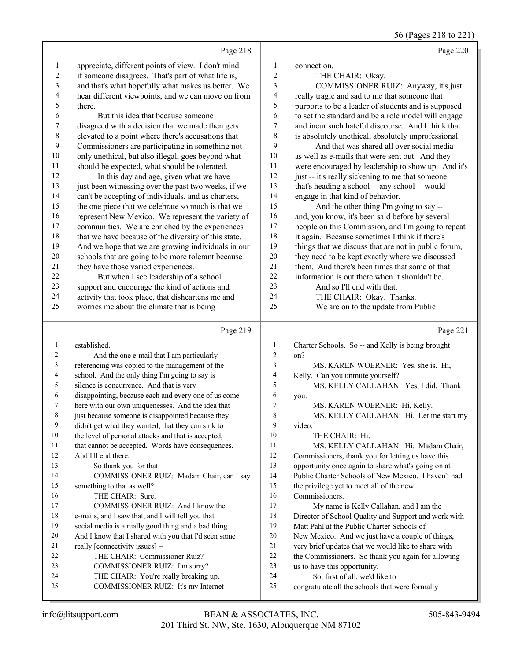56 (Pages 218 to 221)

|                | Page 218                                                                     |                | Page 220                                                                          |
|----------------|------------------------------------------------------------------------------|----------------|-----------------------------------------------------------------------------------|
| 1              | appreciate, different points of view. I don't mind                           | $\mathbf{1}$   | connection.                                                                       |
| 2              | if someone disagrees. That's part of what life is,                           | $\sqrt{2}$     | THE CHAIR: Okay.                                                                  |
| 3              | and that's what hopefully what makes us better. We                           | 3              | COMMISSIONER RUIZ: Anyway, it's just                                              |
| 4              | hear different viewpoints, and we can move on from                           | $\overline{4}$ | really tragic and sad to me that someone that                                     |
| 5              | there.                                                                       | 5              | purports to be a leader of students and is supposed                               |
| 6              | But this idea that because someone                                           | 6              | to set the standard and be a role model will engage                               |
| 7              | disagreed with a decision that we made then gets                             | 7              | and incur such hateful discourse. And I think that                                |
| $\,$ $\,$      | elevated to a point where there's accusations that                           | $\,$ $\,$      | is absolutely unethical, absolutely unprofessional.                               |
| 9              | Commissioners are participating in something not                             | 9              | And that was shared all over social media                                         |
| $10\,$         | only unethical, but also illegal, goes beyond what                           | $10\,$         | as well as e-mails that were sent out. And they                                   |
| 11             | should be expected, what should be tolerated.                                | 11             | were encouraged by leadership to show up. And it's                                |
| 12             | In this day and age, given what we have                                      | 12             | just -- it's really sickening to me that someone                                  |
| 13             | just been witnessing over the past two weeks, if we                          | 13             | that's heading a school -- any school -- would                                    |
| 14             | can't be accepting of individuals, and as charters,                          | 14             | engage in that kind of behavior.                                                  |
| 15             | the one piece that we celebrate so much is that we                           | 15             | And the other thing I'm going to say --                                           |
| 16             | represent New Mexico. We represent the variety of                            | 16             | and, you know, it's been said before by several                                   |
| 17             | communities. We are enriched by the experiences                              | 17             | people on this Commission, and I'm going to repeat                                |
| 18             | that we have because of the diversity of this state.                         | 18             | it again. Because sometimes I think if there's                                    |
| 19             | And we hope that we are growing individuals in our                           | 19             | things that we discuss that are not in public forum,                              |
| $20\,$         | schools that are going to be more tolerant because                           | $20\,$         | they need to be kept exactly where we discussed                                   |
| 21             | they have those varied experiences.                                          | 21             | them. And there's been times that some of that                                    |
| $22\,$         | But when I see leadership of a school                                        | $22\,$         | information is out there when it shouldn't be.                                    |
| 23             | support and encourage the kind of actions and                                | 23             | And so I'll end with that.                                                        |
| 24             | activity that took place, that disheartens me and                            | 24             | THE CHAIR: Okay. Thanks.                                                          |
| 25             | worries me about the climate that is being                                   | 25             | We are on to the update from Public                                               |
|                |                                                                              |                |                                                                                   |
|                |                                                                              |                |                                                                                   |
|                | Page 219                                                                     |                | Page 221                                                                          |
| $\mathbf{1}$   | established.                                                                 | $\mathbf{1}$   | Charter Schools. So -- and Kelly is being brought                                 |
| $\overline{c}$ | And the one e-mail that I am particularly                                    | 2              | on?                                                                               |
| 3              | referencing was copied to the management of the                              | 3              | MS. KAREN WOERNER: Yes, she is. Hi,                                               |
| 4              | school. And the only thing I'm going to say is                               | 4              | Kelly. Can you unmute yourself?                                                   |
| 5              | silence is concurrence. And that is very                                     | 5              | MS. KELLY CALLAHAN: Yes, I did. Thank                                             |
| 6              | disappointing, because each and every one of us come                         | 6              | you.                                                                              |
| 7              | here with our own uniquenesses. And the idea that                            | 7              | MS. KAREN WOERNER: Hi, Kelly.                                                     |
| 8              | just because someone is disappointed because they                            | 8              | MS. KELLY CALLAHAN: Hi. Let me start my                                           |
| 9              | didn't get what they wanted, that they can sink to                           | 9              | video.                                                                            |
| 10             | the level of personal attacks and that is accepted,                          | 10             | THE CHAIR: Hi.                                                                    |
| 11             | that cannot be accepted. Words have consequences.                            | 11             | MS. KELLY CALLAHAN: Hi. Madam Chair,                                              |
| 12             | And I'll end there.                                                          | 12             | Commissioners, thank you for letting us have this                                 |
| 13             | So thank you for that.                                                       | 13             | opportunity once again to share what's going on at                                |
| 14             | COMMISSIONER RUIZ: Madam Chair, can I say                                    | 14             | Public Charter Schools of New Mexico. I haven't had                               |
| 15             | something to that as well?                                                   | 15             | the privilege yet to meet all of the new                                          |
| 16             | THE CHAIR: Sure.                                                             | 16             | Commissioners.                                                                    |
| 17             | COMMISSIONER RUIZ: And I know the                                            | 17             | My name is Kelly Callahan, and I am the                                           |
| 18             | e-mails, and I saw that, and I will tell you that                            | 18             | Director of School Quality and Support and work with                              |
| 19             | social media is a really good thing and a bad thing.                         | 19             | Matt Pahl at the Public Charter Schools of                                        |
| 20             | And I know that I shared with you that I'd seen some                         | 20             | New Mexico. And we just have a couple of things,                                  |
| 21             | really [connectivity issues] --                                              | $21\,$         | very brief updates that we would like to share with                               |
| 22             | THE CHAIR: Commissioner Ruiz?                                                | $22\,$         | the Commissioners. So thank you again for allowing                                |
| 23<br>24       | COMMISSIONER RUIZ: I'm sorry?                                                | 23             | us to have this opportunity.                                                      |
| 25             | THE CHAIR: You're really breaking up.<br>COMMISSIONER RUIZ: It's my Internet | 24<br>25       | So, first of all, we'd like to<br>congratulate all the schools that were formally |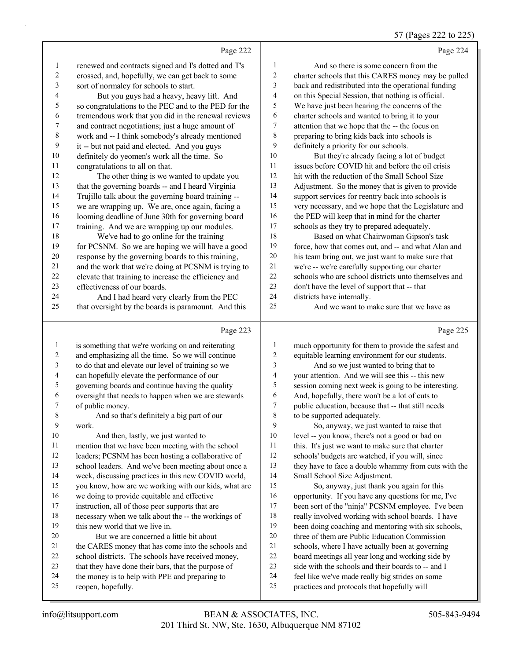### 57 (Pages 222 to 225)

|                | Page 222                                             |                          | Page 224                                             |
|----------------|------------------------------------------------------|--------------------------|------------------------------------------------------|
| $\mathbf{1}$   | renewed and contracts signed and I's dotted and T's  | 1                        | And so there is some concern from the                |
| $\overline{c}$ | crossed, and, hopefully, we can get back to some     | 2                        | charter schools that this CARES money may be pulled  |
| 3              | sort of normalcy for schools to start.               | 3                        | back and redistributed into the operational funding  |
| 4              | But you guys had a heavy, heavy lift. And            | 4                        | on this Special Session, that nothing is official.   |
| 5              | so congratulations to the PEC and to the PED for the | 5                        | We have just been hearing the concerns of the        |
| 6              | tremendous work that you did in the renewal reviews  | 6                        | charter schools and wanted to bring it to your       |
| 7              | and contract negotiations; just a huge amount of     | 7                        | attention that we hope that the -- the focus on      |
| $\,$ 8 $\,$    | work and -- I think somebody's already mentioned     | $\,$ $\,$                | preparing to bring kids back into schools is         |
| 9              | it -- but not paid and elected. And you guys         | 9                        | definitely a priority for our schools.               |
| 10             | definitely do yeomen's work all the time. So         | 10                       | But they're already facing a lot of budget           |
| 11             | congratulations to all on that.                      | 11                       | issues before COVID hit and before the oil crisis    |
| 12             | The other thing is we wanted to update you           | 12                       | hit with the reduction of the Small School Size      |
| 13             | that the governing boards -- and I heard Virginia    | 13                       | Adjustment. So the money that is given to provide    |
| 14             | Trujillo talk about the governing board training --  | 14                       | support services for reentry back into schools is    |
| 15             | we are wrapping up. We are, once again, facing a     | 15                       | very necessary, and we hope that the Legislature and |
| 16             | looming deadline of June 30th for governing board    | 16                       | the PED will keep that in mind for the charter       |
| 17             | training. And we are wrapping up our modules.        | 17                       | schools as they try to prepared adequately.          |
| 18             | We've had to go online for the training              | 18                       | Based on what Chairwoman Gipson's task               |
| 19             | for PCSNM. So we are hoping we will have a good      | 19                       | force, how that comes out, and -- and what Alan and  |
| $20\,$         | response by the governing boards to this training,   | $20\,$                   | his team bring out, we just want to make sure that   |
| 21             | and the work that we're doing at PCSNM is trying to  | 21                       | we're -- we're carefully supporting our charter      |
| 22             | elevate that training to increase the efficiency and | 22                       | schools who are school districts unto themselves and |
| 23             | effectiveness of our boards.                         | 23                       | don't have the level of support that -- that         |
| 24             | And I had heard very clearly from the PEC            | 24                       | districts have internally.                           |
| 25             | that oversight by the boards is paramount. And this  | 25                       | And we want to make sure that we have as             |
|                | Page 223                                             |                          | Page 225                                             |
| $\mathbf{1}$   | is something that we're working on and reiterating   | $\mathbf{1}$             | much opportunity for them to provide the safest and  |
| $\overline{c}$ | and emphasizing all the time. So we will continue    | $\overline{\mathbf{c}}$  | equitable learning environment for our students.     |
| 3              | to do that and elevate our level of training so we   | $\mathfrak{Z}$           | And so we just wanted to bring that to               |
| 4              | can hopefully elevate the performance of our         | $\overline{\mathcal{L}}$ | your attention. And we will see this -- this new     |
| 5              | governing boards and continue having the quality     | 5                        | session coming next week is going to be interesting. |
| 6              | oversight that needs to happen when we are stewards  | 6                        | And, hopefully, there won't be a lot of cuts to      |
| 7              | of public money.                                     | 7                        | public education, because that -- that still needs   |
| 8              | And so that's definitely a big part of our           | 8                        | to be supported adequately.                          |
| 9              | work.                                                | 9                        | So, anyway, we just wanted to raise that             |
| 10             | And then, lastly, we just wanted to                  | 10                       | level -- you know, there's not a good or bad on      |
| 11             | mention that we have been meeting with the school    | 11                       | this. It's just we want to make sure that charter    |
| 12             | leaders; PCSNM has been hosting a collaborative of   | 12                       | schools' budgets are watched, if you will, since     |
| 13             | school leaders. And we've been meeting about once a  | 13                       | they have to face a double whammy from cuts with the |
| 14             | week, discussing practices in this new COVID world,  | 14                       | Small School Size Adjustment.                        |
| 15             | you know, how are we working with our kids, what are | 15                       | So, anyway, just thank you again for this            |
| 16             | we doing to provide equitable and effective          | 16                       | opportunity. If you have any questions for me, I've  |
| 17             | instruction, all of those peer supports that are     | 17                       | been sort of the "ninja" PCSNM employee. I've been   |
| 18             | necessary when we talk about the -- the workings of  | 18                       | really involved working with school boards. I have   |
| 19             | this new world that we live in.                      | 19                       | been doing coaching and mentoring with six schools,  |
| 20             | But we are concerned a little bit about              | 20                       | three of them are Public Education Commission        |
| 21             | the CARES money that has come into the schools and   | $21\,$                   | schools, where I have actually been at governing     |
| 22             | school districts. The schools have received money,   | 22                       | board meetings all year long and working side by     |
| 23             | that they have done their bars, that the purpose of  | 23                       | side with the schools and their boards to -- and I   |
| 24             | the money is to help with PPE and preparing to       | 24                       | feel like we've made really big strides on some      |
| 25             | reopen, hopefully.                                   | 25                       | practices and protocols that hopefully will          |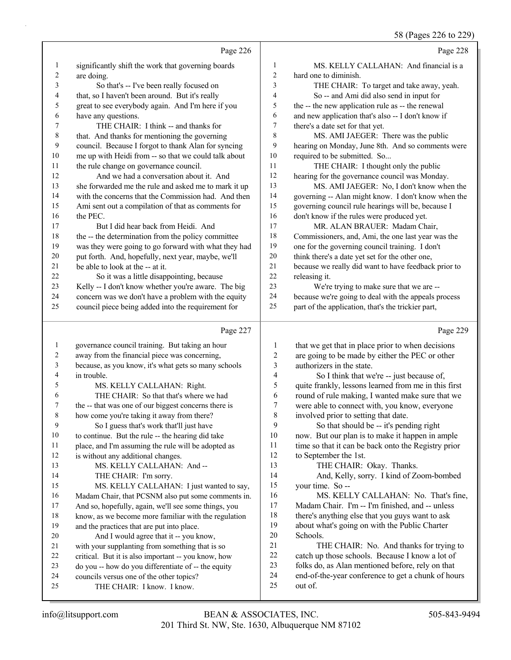58 D

|              |                                                                                                            |                          | 38 (Pages 226 to 229                                                                                   |
|--------------|------------------------------------------------------------------------------------------------------------|--------------------------|--------------------------------------------------------------------------------------------------------|
|              | Page 226                                                                                                   |                          | Page 228                                                                                               |
| $\mathbf{1}$ | significantly shift the work that governing boards                                                         | 1                        | MS. KELLY CALLAHAN: And financial is a                                                                 |
| 2            | are doing.                                                                                                 | $\overline{c}$           | hard one to diminish.                                                                                  |
| 3            | So that's -- I've been really focused on                                                                   | 3                        | THE CHAIR: To target and take away, yeah.                                                              |
| 4            | that, so I haven't been around. But it's really                                                            | $\overline{4}$           | So -- and Ami did also send in input for                                                               |
| 5            | great to see everybody again. And I'm here if you                                                          | 5                        | the -- the new application rule as -- the renewal                                                      |
| 6            | have any questions.                                                                                        | 6                        | and new application that's also -- I don't know if                                                     |
| 7            | THE CHAIR: I think -- and thanks for                                                                       | 7                        | there's a date set for that yet.                                                                       |
| $\,$ $\,$    | that. And thanks for mentioning the governing                                                              | 8                        | MS. AMI JAEGER: There was the public                                                                   |
| 9            | council. Because I forgot to thank Alan for syncing                                                        | 9                        | hearing on Monday, June 8th. And so comments were                                                      |
| 10           | me up with Heidi from -- so that we could talk about                                                       | $10\,$                   | required to be submitted. So                                                                           |
| 11           | the rule change on governance council.                                                                     | 11                       | THE CHAIR: I thought only the public                                                                   |
| 12           | And we had a conversation about it. And                                                                    | 12                       | hearing for the governance council was Monday.                                                         |
| 13           | she forwarded me the rule and asked me to mark it up                                                       | 13                       | MS. AMI JAEGER: No, I don't know when the                                                              |
| 14           | with the concerns that the Commission had. And then                                                        | 14                       | governing -- Alan might know. I don't know when the                                                    |
| 15           | Ami sent out a compilation of that as comments for                                                         | 15                       | governing council rule hearings will be, because I                                                     |
| 16           | the PEC.                                                                                                   | 16                       | don't know if the rules were produced yet.                                                             |
| 17           | But I did hear back from Heidi. And                                                                        | 17<br>$18\,$             | MR. ALAN BRAUER: Madam Chair,                                                                          |
| 18           | the -- the determination from the policy committee<br>was they were going to go forward with what they had | 19                       | Commissioners, and, Ami, the one last year was the                                                     |
| 19<br>20     | put forth. And, hopefully, next year, maybe, we'll                                                         | $20\,$                   | one for the governing council training. I don't<br>think there's a date yet set for the other one,     |
| 21           | be able to look at the -- at it.                                                                           | 21                       | because we really did want to have feedback prior to                                                   |
| 22           | So it was a little disappointing, because                                                                  | 22                       | releasing it.                                                                                          |
| 23           | Kelly -- I don't know whether you're aware. The big                                                        | 23                       | We're trying to make sure that we are --                                                               |
| 24           | concern was we don't have a problem with the equity                                                        | 24                       | because we're going to deal with the appeals process                                                   |
| 25           | council piece being added into the requirement for                                                         | 25                       | part of the application, that's the trickier part,                                                     |
|              |                                                                                                            |                          |                                                                                                        |
|              |                                                                                                            |                          |                                                                                                        |
|              | Page 227                                                                                                   |                          | Page 229                                                                                               |
| $\mathbf{1}$ |                                                                                                            |                          |                                                                                                        |
| 2            | governance council training. But taking an hour                                                            | 1<br>$\overline{c}$      | that we get that in place prior to when decisions                                                      |
| 3            | away from the financial piece was concerning,<br>because, as you know, it's what gets so many schools      | 3                        | are going to be made by either the PEC or other<br>authorizers in the state.                           |
| 4            | in trouble.                                                                                                | $\overline{\mathcal{L}}$ | So I think that we're -- just because of,                                                              |
| 5            | MS. KELLY CALLAHAN: Right.                                                                                 | 5                        | quite frankly, lessons learned from me in this first                                                   |
| 6            | THE CHAIR: So that that's where we had                                                                     | 6                        | round of rule making, I wanted make sure that we                                                       |
| 7            | the -- that was one of our biggest concerns there is                                                       | 7                        | were able to connect with, you know, everyone                                                          |
| 8            | how come you're taking it away from there?                                                                 | 8                        | involved prior to setting that date.                                                                   |
| 9            | So I guess that's work that'll just have                                                                   | 9                        | So that should be -- it's pending right                                                                |
| 10           | to continue. But the rule -- the hearing did take                                                          | 10                       | now. But our plan is to make it happen in ample                                                        |
| 11           | place, and I'm assuming the rule will be adopted as                                                        | 11                       | time so that it can be back onto the Registry prior                                                    |
| 12           | is without any additional changes.                                                                         | 12                       | to September the 1st.                                                                                  |
| 13           | MS. KELLY CALLAHAN: And --                                                                                 | 13                       | THE CHAIR: Okay. Thanks.                                                                               |
| 14           | THE CHAIR: I'm sorry.                                                                                      | 14                       | And, Kelly, sorry. I kind of Zoom-bombed                                                               |
| 15           | MS. KELLY CALLAHAN: I just wanted to say,                                                                  | 15                       | your time. So --                                                                                       |
| 16           | Madam Chair, that PCSNM also put some comments in.                                                         | 16                       | MS. KELLY CALLAHAN: No. That's fine,                                                                   |
| 17           | And so, hopefully, again, we'll see some things, you                                                       | 17                       | Madam Chair. I'm -- I'm finished, and -- unless                                                        |
| 18           | know, as we become more familiar with the regulation                                                       | 18                       | there's anything else that you guys want to ask                                                        |
| 19           | and the practices that are put into place.                                                                 | 19                       | about what's going on with the Public Charter                                                          |
| 20           | And I would agree that it -- you know,                                                                     | 20<br>21                 | Schools.                                                                                               |
| 21<br>22     | with your supplanting from something that is so                                                            |                          | THE CHAIR: No. And thanks for trying to                                                                |
| 23           | critical. But it is also important -- you know, how                                                        | $22\,$<br>23             | catch up those schools. Because I know a lot of                                                        |
| 24           | do you -- how do you differentiate of -- the equity                                                        | 24                       | folks do, as Alan mentioned before, rely on that<br>end-of-the-year conference to get a chunk of hours |
| 25           | councils versus one of the other topics?<br>THE CHAIR: I know. I know.                                     | 25                       | out of.                                                                                                |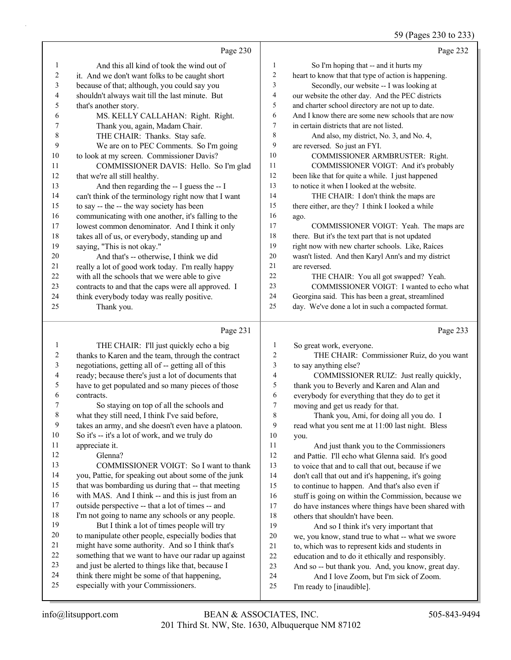#### 59 (Pages 230 to 233)

|                |                                                                                                           |                | 59 (Pages 230 to 233)                                |
|----------------|-----------------------------------------------------------------------------------------------------------|----------------|------------------------------------------------------|
|                | Page 230                                                                                                  |                | Page 232                                             |
| 1              | And this all kind of took the wind out of                                                                 | $\mathbf{1}$   | So I'm hoping that -- and it hurts my                |
| $\overline{c}$ | it. And we don't want folks to be caught short                                                            | $\overline{c}$ | heart to know that that type of action is happening. |
| 3              | because of that; although, you could say you                                                              | $\mathfrak{Z}$ | Secondly, our website -- I was looking at            |
| 4              | shouldn't always wait till the last minute. But                                                           | $\overline{4}$ | our website the other day. And the PEC districts     |
| 5              | that's another story.                                                                                     | 5              | and charter school directory are not up to date.     |
| 6              | MS. KELLY CALLAHAN: Right. Right.                                                                         | 6              | And I know there are some new schools that are now   |
| 7              | Thank you, again, Madam Chair.                                                                            | $\tau$         | in certain districts that are not listed.            |
| 8              | THE CHAIR: Thanks. Stay safe.                                                                             | 8              | And also, my district, No. 3, and No. 4,             |
| 9              | We are on to PEC Comments. So I'm going                                                                   | 9              | are reversed. So just an FYI.                        |
| 10             | to look at my screen. Commissioner Davis?                                                                 | 10             | COMMISSIONER ARMBRUSTER: Right.                      |
| 11             | COMMISSIONER DAVIS: Hello. So I'm glad                                                                    | 11             | COMMISSIONER VOIGT: And it's probably                |
| 12             | that we're all still healthy.                                                                             | 12             | been like that for quite a while. I just happened    |
| 13             | And then regarding the -- I guess the -- I                                                                | 13             | to notice it when I looked at the website.           |
| 14             | can't think of the terminology right now that I want                                                      | 14             | THE CHAIR: I don't think the maps are                |
| 15             | to say -- the -- the way society has been                                                                 | 15             | there either, are they? I think I looked a while     |
| 16             | communicating with one another, it's falling to the                                                       | 16             | ago.                                                 |
| 17             | lowest common denominator. And I think it only                                                            | 17             | COMMISSIONER VOIGT: Yeah. The maps are               |
| $18\,$         | takes all of us, or everybody, standing up and                                                            | 18             | there. But it's the text part that is not updated    |
| 19             | saying, "This is not okay."                                                                               | 19             | right now with new charter schools. Like, Raíces     |
| 20             | And that's -- otherwise, I think we did                                                                   | 20             | wasn't listed. And then Karyl Ann's and my district  |
| 21             | really a lot of good work today. I'm really happy                                                         | 21             | are reversed.                                        |
| $22\,$         | with all the schools that we were able to give                                                            | 22             | THE CHAIR: You all got swapped? Yeah.                |
| 23             | contracts to and that the caps were all approved. I                                                       | 23             | COMMISSIONER VOIGT: I wanted to echo what            |
| 24             | think everybody today was really positive.                                                                | 24             | Georgina said. This has been a great, streamlined    |
| 25             | Thank you.                                                                                                | 25             | day. We've done a lot in such a compacted format.    |
|                | Page 231                                                                                                  |                | Page 233                                             |
| $\mathbf{1}$   | THE CHAIR: I'll just quickly echo a big                                                                   | $\mathbf{1}$   | So great work, everyone.                             |
| $\overline{c}$ | thanks to Karen and the team, through the contract                                                        | $\overline{c}$ | THE CHAIR: Commissioner Ruiz, do you want            |
| 3              | negotiations, getting all of -- getting all of this                                                       | 3              | to say anything else?                                |
| 4              | ready; because there's just a lot of documents that                                                       | 4              | COMMISSIONER RUIZ: Just really quickly,              |
| 5              | have to get populated and so many pieces of those                                                         | 5              | thank you to Beverly and Karen and Alan and          |
| 6              | contracts.                                                                                                | 6              | everybody for everything that they do to get it      |
| 7              | So staying on top of all the schools and                                                                  | 7              | moving and get us ready for that.                    |
| 8              | what they still need, I think I've said before,                                                           | 8              | Thank you, Ami, for doing all you do. I              |
| 9              | takes an army, and she doesn't even have a platoon.                                                       | 9              | read what you sent me at 11:00 last night. Bless     |
| 10             | So it's -- it's a lot of work, and we truly do                                                            | 10             | you.                                                 |
| 11             | appreciate it.                                                                                            | 11             | And just thank you to the Commissioners              |
| 12             | Glenna?                                                                                                   | 12             | and Pattie. I'll echo what Glenna said. It's good    |
| 13             | COMMISSIONER VOIGT: So I want to thank                                                                    | 13             | to voice that and to call that out, because if we    |
| 14             | you, Pattie, for speaking out about some of the junk                                                      | 14             | don't call that out and it's happening, it's going   |
| 15             | that was bombarding us during that -- that meeting                                                        | 15             | to continue to happen. And that's also even if       |
| 16             | with MAS. And I think -- and this is just from an                                                         | 16             | stuff is going on within the Commission, because we  |
| 17             | outside perspective -- that a lot of times -- and                                                         | 17             | do have instances where things have been shared with |
| 18             | I'm not going to name any schools or any people.                                                          | 18             | others that shouldn't have been.                     |
| 19             | But I think a lot of times people will try                                                                | 19             | And so I think it's very important that              |
| 20             | to manipulate other people, especially bodies that                                                        | 20             | we, you know, stand true to what -- what we swore    |
| 21             | might have some authority. And so I think that's                                                          | 21             | to, which was to represent kids and students in      |
|                |                                                                                                           |                |                                                      |
| 22<br>23       | something that we want to have our radar up against<br>and just be alerted to things like that, because I | 22             | education and to do it ethically and responsibly.    |

- and just be alerted to things like that, because I think there might be some of that happening,
- especially with your Commissioners.
- 24 And I love Zoom, but I'm sick of Zoom. I'm ready to [inaudible].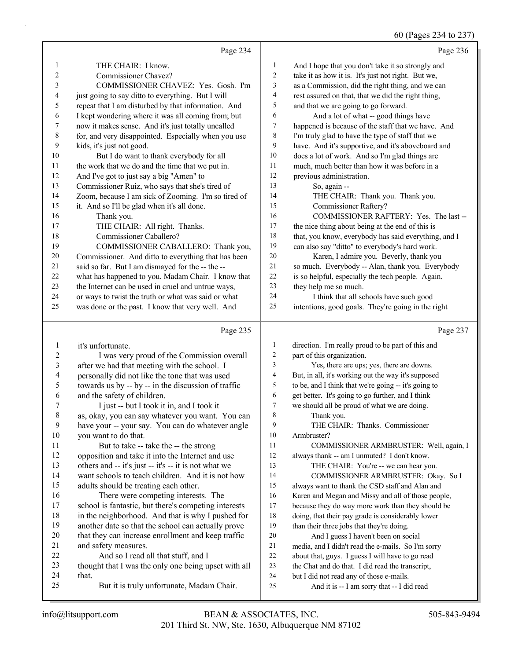### 60 (Pages 234 to 237)

|                   | Page 234                                                                                       |                         | Page 236                                                                               |
|-------------------|------------------------------------------------------------------------------------------------|-------------------------|----------------------------------------------------------------------------------------|
| 1                 | THE CHAIR: I know.                                                                             | $\mathbf{1}$            | And I hope that you don't take it so strongly and                                      |
| 2                 | Commissioner Chavez?                                                                           | $\overline{c}$          | take it as how it is. It's just not right. But we,                                     |
| 3                 | COMMISSIONER CHAVEZ: Yes. Gosh. I'm                                                            | $\mathfrak{Z}$          | as a Commission, did the right thing, and we can                                       |
| 4                 | just going to say ditto to everything. But I will                                              | 4                       | rest assured on that, that we did the right thing,                                     |
| 5                 | repeat that I am disturbed by that information. And                                            | 5                       | and that we are going to go forward.                                                   |
| 6                 | I kept wondering where it was all coming from; but                                             | 6                       | And a lot of what -- good things have                                                  |
| 7                 | now it makes sense. And it's just totally uncalled                                             | 7                       | happened is because of the staff that we have. And                                     |
| $\,$ $\,$         | for, and very disappointed. Especially when you use                                            | 8                       | I'm truly glad to have the type of staff that we                                       |
| 9                 | kids, it's just not good.                                                                      | 9                       | have. And it's supportive, and it's aboveboard and                                     |
| $10\,$            | But I do want to thank everybody for all                                                       | 10                      | does a lot of work. And so I'm glad things are                                         |
| 11                | the work that we do and the time that we put in.                                               | 11                      | much, much better than how it was before in a                                          |
| 12                | And I've got to just say a big "Amen" to                                                       | 12                      | previous administration.                                                               |
| 13                | Commissioner Ruiz, who says that she's tired of                                                | 13                      | So, again --                                                                           |
| 14                | Zoom, because I am sick of Zooming. I'm so tired of                                            | 14                      | THE CHAIR: Thank you. Thank you.                                                       |
| 15                | it. And so I'll be glad when it's all done.                                                    | 15                      | <b>Commissioner Raftery?</b>                                                           |
| 16                | Thank you.                                                                                     | 16                      | COMMISSIONER RAFTERY: Yes. The last --                                                 |
| 17                | THE CHAIR: All right. Thanks.                                                                  | 17                      | the nice thing about being at the end of this is                                       |
| 18                | Commissioner Caballero?                                                                        | 18                      | that, you know, everybody has said everything, and I                                   |
| 19                | COMMISSIONER CABALLERO: Thank you,                                                             | 19                      | can also say "ditto" to everybody's hard work.                                         |
| $20\,$            | Commissioner. And ditto to everything that has been                                            | $20\,$                  | Karen, I admire you. Beverly, thank you                                                |
| 21                | said so far. But I am dismayed for the -- the --                                               | 21                      | so much. Everybody -- Alan, thank you. Everybody                                       |
| $22\,$            | what has happened to you, Madam Chair. I know that                                             | $22\,$                  | is so helpful, especially the tech people. Again,                                      |
| 23                | the Internet can be used in cruel and untrue ways,                                             | 23                      | they help me so much.                                                                  |
| 24                | or ways to twist the truth or what was said or what                                            | 24                      | I think that all schools have such good                                                |
| 25                | was done or the past. I know that very well. And                                               | 25                      | intentions, good goals. They're going in the right                                     |
|                   |                                                                                                |                         |                                                                                        |
|                   | Page 235                                                                                       |                         | Page 237                                                                               |
|                   |                                                                                                | $\mathbf{1}$            |                                                                                        |
| $\mathbf{1}$<br>2 | it's unfortunate.                                                                              | $\overline{\mathbf{c}}$ | direction. I'm really proud to be part of this and<br>part of this organization.       |
| 3                 | I was very proud of the Commission overall                                                     | 3                       | Yes, there are ups; yes, there are downs.                                              |
| 4                 | after we had that meeting with the school. I<br>personally did not like the tone that was used | 4                       | But, in all, it's working out the way it's supposed                                    |
| 5                 | towards us by -- by -- in the discussion of traffic                                            | 5                       | to be, and I think that we're going -- it's going to                                   |
| 6                 | and the safety of children.                                                                    | 6                       | get better. It's going to go further, and I think                                      |
| 7                 | I just -- but I took it in, and I took it                                                      | $\tau$                  | we should all be proud of what we are doing.                                           |
| 8                 | as, okay, you can say whatever you want. You can                                               | 8                       | Thank you.                                                                             |
| 9                 | have your -- your say. You can do whatever angle                                               | 9                       | THE CHAIR: Thanks. Commissioner                                                        |
| 10                | you want to do that.                                                                           | 10                      | Armbruster?                                                                            |
| 11                | But to take -- take the -- the strong                                                          | 11                      | COMMISSIONER ARMBRUSTER: Well, again, I                                                |
| 12                | opposition and take it into the Internet and use                                               | 12                      | always thank -- am I unmuted? I don't know.                                            |
| 13                | others and -- it's just -- it's -- it is not what we                                           | 13                      | THE CHAIR: You're -- we can hear you.                                                  |
| 14                | want schools to teach children. And it is not how                                              | 14                      | COMMISSIONER ARMBRUSTER: Okay. So I                                                    |
| 15                | adults should be treating each other.                                                          | 15                      | always want to thank the CSD staff and Alan and                                        |
| 16                | There were competing interests. The                                                            | 16                      | Karen and Megan and Missy and all of those people,                                     |
| 17                | school is fantastic, but there's competing interests                                           | 17                      | because they do way more work than they should be                                      |
| 18                | in the neighborhood. And that is why I pushed for                                              | 18                      | doing, that their pay grade is considerably lower                                      |
| 19                | another date so that the school can actually prove                                             | 19                      | than their three jobs that they're doing.                                              |
| 20                | that they can increase enrollment and keep traffic                                             | 20                      | And I guess I haven't been on social                                                   |
| 21                | and safety measures.                                                                           | 21                      | media, and I didn't read the e-mails. So I'm sorry                                     |
| 22                | And so I read all that stuff, and I                                                            | 22                      | about that, guys. I guess I will have to go read                                       |
| 23                | thought that I was the only one being upset with all                                           | 23                      | the Chat and do that. I did read the transcript,                                       |
| 24<br>25          | that.<br>But it is truly unfortunate, Madam Chair.                                             | 24<br>25                | but I did not read any of those e-mails.<br>And it is -- I am sorry that -- I did read |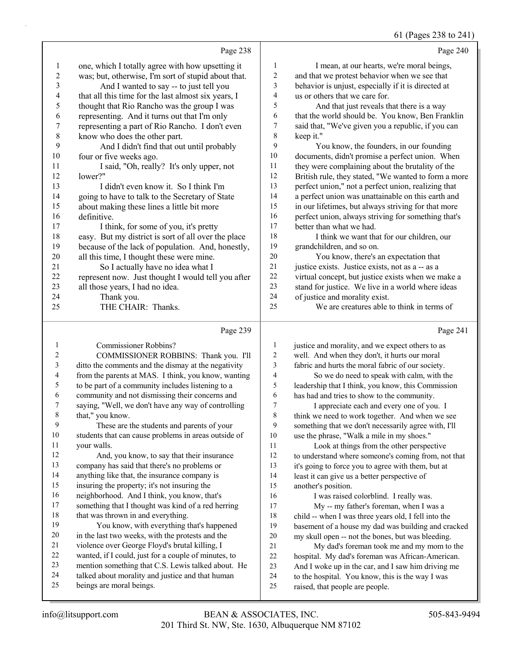#### 61 (Pages 238 to 241)

|                                                           |                         | 01 (rages 250 to 241)                                |
|-----------------------------------------------------------|-------------------------|------------------------------------------------------|
| Page 238                                                  |                         | Page 240                                             |
| one, which I totally agree with how upsetting it<br>1     | 1                       | I mean, at our hearts, we're moral beings,           |
| 2<br>was; but, otherwise, I'm sort of stupid about that.  | $\overline{c}$          | and that we protest behavior when we see that        |
| 3<br>And I wanted to say -- to just tell you              | 3                       | behavior is unjust, especially if it is directed at  |
| 4<br>that all this time for the last almost six years, I  | $\overline{\mathbf{4}}$ | us or others that we care for.                       |
| 5<br>thought that Rio Rancho was the group I was          | 5                       | And that just reveals that there is a way            |
| 6<br>representing. And it turns out that I'm only         | 6                       | that the world should be. You know, Ben Franklin     |
| 7<br>representing a part of Rio Rancho. I don't even      | 7                       | said that, "We've given you a republic, if you can   |
| $\,$ $\,$<br>know who does the other part.                | 8                       | keep it."                                            |
| 9<br>And I didn't find that out until probably            | 9                       | You know, the founders, in our founding              |
| 10<br>four or five weeks ago.                             | 10                      | documents, didn't promise a perfect union. When      |
| I said, "Oh, really? It's only upper, not<br>11           | 11                      | they were complaining about the brutality of the     |
| 12<br>lower?"                                             | 12                      | British rule, they stated, "We wanted to form a more |
| 13<br>I didn't even know it. So I think I'm               | 13                      | perfect union," not a perfect union, realizing that  |
| 14<br>going to have to talk to the Secretary of State     | 14                      | a perfect union was unattainable on this earth and   |
| 15<br>about making these lines a little bit more          | 15                      | in our lifetimes, but always striving for that more  |
| 16<br>definitive.                                         | 16                      | perfect union, always striving for something that's  |
| 17<br>I think, for some of you, it's pretty               | 17                      | better than what we had.                             |
| 18<br>easy. But my district is sort of all over the place | 18                      | I think we want that for our children, our           |
| 19<br>because of the lack of population. And, honestly,   | 19                      | grandchildren, and so on.                            |
| all this time, I thought these were mine.<br>20           | 20                      | You know, there's an expectation that                |
| 21<br>So I actually have no idea what I                   | 21                      | justice exists. Justice exists, not as a -- as a     |
| 22<br>represent now. Just thought I would tell you after  | 22                      | virtual concept, but justice exists when we make a   |
| 23<br>all those years, I had no idea.                     | 23                      | stand for justice. We live in a world where ideas    |
| 24<br>Thank you.                                          | 24                      | of justice and morality exist.                       |
| 25<br>THE CHAIR: Thanks.                                  | 25                      | We are creatures able to think in terms of           |
| Page 239                                                  |                         | Page 241                                             |
| <b>Commissioner Robbins?</b><br>1                         | 1                       | justice and morality, and we expect others to as     |
| $\overline{c}$<br>COMMISSIONER ROBBINS: Thank you. I'll   | $\boldsymbol{2}$        | well. And when they don't, it hurts our moral        |
| 3<br>ditto the comments and the dismay at the negativity  | 3                       | fabric and hurts the moral fabric of our society.    |
| 4<br>from the parents at MAS. I think, you know, wanting  | 4                       | So we do need to speak with calm, with the           |

 to be part of a community includes listening to a community and not dismissing their concerns and

 saying, "Well, we don't have any way of controlling that," you know. 9 These are the students and parents of your

 students that can cause problems in areas outside of your walls. 12 And, you know, to say that their insurance

company has said that there's no problems or

anything like that, the insurance company is

insuring the property; it's not insuring the

 neighborhood. And I think, you know, that's something that I thought was kind of a red herring

18 that was thrown in and everything.

19 You know, with everything that's happened in the last two weeks, with the protests and the violence over George Floyd's brutal killing, I

wanted, if I could, just for a couple of minutes, to

mention something that C.S. Lewis talked about. He

talked about morality and justice and that human

beings are moral beings.

4 So we do need to speak with calm, with the leadership that I think, you know, this Commission has had and tries to show to the community.

7 I appreciate each and every one of you. I think we need to work together. And when we see something that we don't necessarily agree with, I'll use the phrase, "Walk a mile in my shoes."

11 Look at things from the other perspective to understand where someone's coming from, not that it's going to force you to agree with them, but at least it can give us a better perspective of another's position.

16 I was raised colorblind. I really was.

17 My -- my father's foreman, when I was a child -- when I was three years old, I fell into the basement of a house my dad was building and cracked my skull open -- not the bones, but was bleeding.

21 My dad's foreman took me and my mom to the hospital. My dad's foreman was African-American.

And I woke up in the car, and I saw him driving me

to the hospital. You know, this is the way I was

raised, that people are people.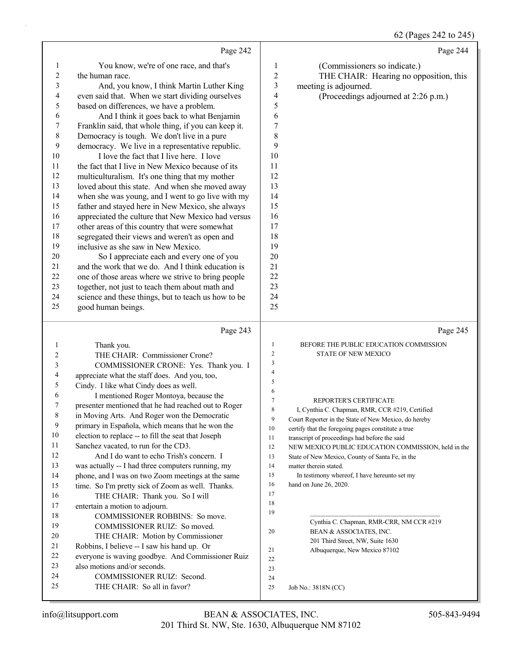### 62 (Pages 242 to 245)

|                  | Page 242                                                                |                  | Page 244                                                                                            |
|------------------|-------------------------------------------------------------------------|------------------|-----------------------------------------------------------------------------------------------------|
| $\mathbf{1}$     | You know, we're of one race, and that's                                 | 1                | (Commissioners so indicate.)                                                                        |
| $\boldsymbol{2}$ | the human race.                                                         | $\overline{c}$   | THE CHAIR: Hearing no opposition, this                                                              |
| 3                | And, you know, I think Martin Luther King                               | $\mathfrak{Z}$   | meeting is adjourned.                                                                               |
| 4                | even said that. When we start dividing ourselves                        | 4                | (Proceedings adjourned at 2:26 p.m.)                                                                |
| 5                | based on differences, we have a problem.                                | 5                |                                                                                                     |
| 6                | And I think it goes back to what Benjamin                               | 6                |                                                                                                     |
| 7                | Franklin said, that whole thing, if you can keep it.                    | $\boldsymbol{7}$ |                                                                                                     |
| $\,$ $\,$        | Democracy is tough. We don't live in a pure                             | 8                |                                                                                                     |
| 9                | democracy. We live in a representative republic.                        | 9                |                                                                                                     |
| 10               | I love the fact that I live here. I love                                | 10               |                                                                                                     |
| 11               | the fact that I live in New Mexico because of its                       | 11               |                                                                                                     |
| 12               | multiculturalism. It's one thing that my mother                         | 12               |                                                                                                     |
| 13               | loved about this state. And when she moved away                         | 13               |                                                                                                     |
| 14               | when she was young, and I went to go live with my                       | 14               |                                                                                                     |
| 15               | father and stayed here in New Mexico, she always                        | 15               |                                                                                                     |
| 16               | appreciated the culture that New Mexico had versus                      | 16               |                                                                                                     |
| 17               | other areas of this country that were somewhat                          | 17               |                                                                                                     |
| 18               | segregated their views and weren't as open and                          | 18               |                                                                                                     |
| 19               | inclusive as she saw in New Mexico.                                     | 19               |                                                                                                     |
| 20               | So I appreciate each and every one of you                               | 20               |                                                                                                     |
| 21               | and the work that we do. And I think education is                       | 21               |                                                                                                     |
| 22               | one of those areas where we strive to bring people                      | 22               |                                                                                                     |
| 23               | together, not just to teach them about math and                         | 23               |                                                                                                     |
| 24               | science and these things, but to teach us how to be                     | 24               |                                                                                                     |
| 25               | good human beings.                                                      | 25               |                                                                                                     |
|                  |                                                                         |                  |                                                                                                     |
|                  | Page 243                                                                |                  | Page 245                                                                                            |
| 1                |                                                                         | $\mathbf{1}$     | BEFORE THE PUBLIC EDUCATION COMMISSION                                                              |
| 2                | Thank you.                                                              | $\overline{c}$   | STATE OF NEW MEXICO                                                                                 |
| 3                | THE CHAIR: Commissioner Crone?<br>COMMISSIONER CRONE: Yes. Thank you. I | $\mathfrak{Z}$   |                                                                                                     |
| 4                | appreciate what the staff does. And you, too,                           | $\overline{4}$   |                                                                                                     |
| 5                | Cindy. I like what Cindy does as well.                                  | 5                |                                                                                                     |
| 6                | I mentioned Roger Montoya, because the                                  | 6                |                                                                                                     |
| 7                | presenter mentioned that he had reached out to Roger                    | $\tau$           | REPORTER'S CERTIFICATE                                                                              |
| $\,$ 8 $\,$      | in Moving Arts. And Roger won the Democratic                            | 8                | I, Cynthia C. Chapman, RMR, CCR #219, Certified                                                     |
| 9                | primary in Española, which means that he won the                        | 9<br>$10\,$      | Court Reporter in the State of New Mexico, do hereby                                                |
| 10               | election to replace -- to fill the seat that Joseph                     | 11               | certify that the foregoing pages constitute a true<br>transcript of proceedings had before the said |
| 11               | Sanchez vacated, to run for the CD3.                                    | 12               | NEW MEXICO PUBLIC EDUCATION COMMISSION, held in the                                                 |
| 12               | And I do want to echo Trish's concern. I                                | 13               | State of New Mexico, County of Santa Fe, in the                                                     |
| 13               | was actually -- I had three computers running, my                       | 14               | matter therein stated.                                                                              |
| 14               | phone, and I was on two Zoom meetings at the same                       | 15               | In testimony whereof, I have hereunto set my                                                        |
| 15               | time. So I'm pretty sick of Zoom as well. Thanks.                       | 16               | hand on June 26, 2020.                                                                              |
| 16               | THE CHAIR: Thank you. So I will                                         | 17               |                                                                                                     |
| 17               | entertain a motion to adjourn.                                          | 18               |                                                                                                     |
| 18               | COMMISSIONER ROBBINS: So move.                                          | 19               |                                                                                                     |
| 19               | COMMISSIONER RUIZ: So moved.                                            | 20               | Cynthia C. Chapman, RMR-CRR, NM CCR #219<br>BEAN & ASSOCIATES, INC.                                 |
| 20               | THE CHAIR: Motion by Commissioner                                       |                  | 201 Third Street, NW, Suite 1630                                                                    |
| 21               | Robbins, I believe -- I saw his hand up. Or                             | 21               | Albuquerque, New Mexico 87102                                                                       |
| $22\,$           | everyone is waving goodbye. And Commissioner Ruiz                       | 22               |                                                                                                     |
| 23               | also motions and/or seconds.                                            | 23               |                                                                                                     |
| 24<br>25         | COMMISSIONER RUIZ: Second.<br>THE CHAIR: So all in favor?               | 24<br>25         | Job No.: 3818N (CC)                                                                                 |